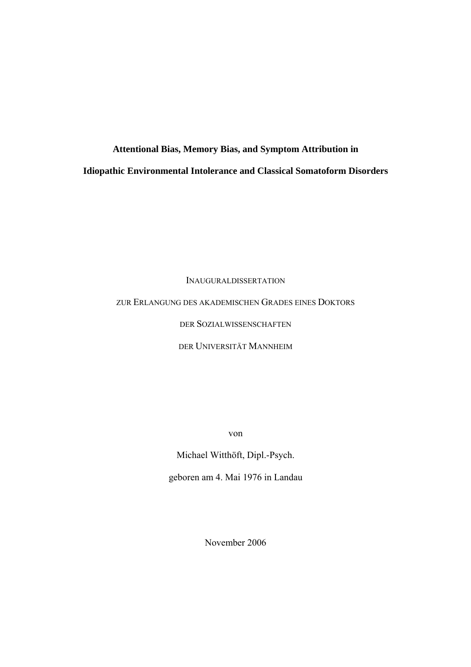# **Attentional Bias, Memory Bias, and Symptom Attribution in Idiopathic Environmental Intolerance and Classical Somatoform Disorders**

### INAUGURALDISSERTATION

## ZUR ERLANGUNG DES AKADEMISCHEN GRADES EINES DOKTORS

DER SOZIALWISSENSCHAFTEN

DER UNIVERSITÄT MANNHEIM

von

Michael Witthöft, Dipl.-Psych.

geboren am 4. Mai 1976 in Landau

November 2006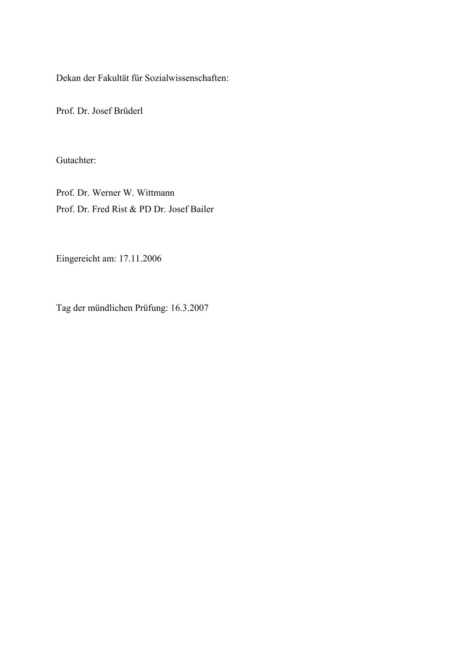Dekan der Fakultät für Sozialwissenschaften:

Prof. Dr. Josef Brüderl

Gutachter:

Prof. Dr. Werner W. Wittmann Prof. Dr. Fred Rist & PD Dr. Josef Bailer

Eingereicht am: 17.11.2006

Tag der mündlichen Prüfung: 16.3.2007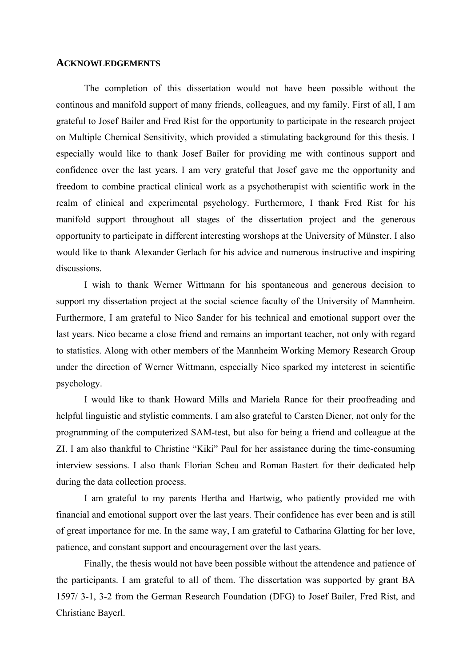#### <span id="page-2-0"></span>**ACKNOWLEDGEMENTS**

The completion of this dissertation would not have been possible without the continous and manifold support of many friends, colleagues, and my family. First of all, I am grateful to Josef Bailer and Fred Rist for the opportunity to participate in the research project on Multiple Chemical Sensitivity, which provided a stimulating background for this thesis. I especially would like to thank Josef Bailer for providing me with continous support and confidence over the last years. I am very grateful that Josef gave me the opportunity and freedom to combine practical clinical work as a psychotherapist with scientific work in the realm of clinical and experimental psychology. Furthermore, I thank Fred Rist for his manifold support throughout all stages of the dissertation project and the generous opportunity to participate in different interesting worshops at the University of Münster. I also would like to thank Alexander Gerlach for his advice and numerous instructive and inspiring discussions.

I wish to thank Werner Wittmann for his spontaneous and generous decision to support my dissertation project at the social science faculty of the University of Mannheim. Furthermore, I am grateful to Nico Sander for his technical and emotional support over the last years. Nico became a close friend and remains an important teacher, not only with regard to statistics. Along with other members of the Mannheim Working Memory Research Group under the direction of Werner Wittmann, especially Nico sparked my inteterest in scientific psychology.

I would like to thank Howard Mills and Mariela Rance for their proofreading and helpful linguistic and stylistic comments. I am also grateful to Carsten Diener, not only for the programming of the computerized SAM-test, but also for being a friend and colleague at the ZI. I am also thankful to Christine "Kiki" Paul for her assistance during the time-consuming interview sessions. I also thank Florian Scheu and Roman Bastert for their dedicated help during the data collection process.

I am grateful to my parents Hertha and Hartwig, who patiently provided me with financial and emotional support over the last years. Their confidence has ever been and is still of great importance for me. In the same way, I am grateful to Catharina Glatting for her love, patience, and constant support and encouragement over the last years.

Finally, the thesis would not have been possible without the attendence and patience of the participants. I am grateful to all of them. The dissertation was supported by grant BA 1597/ 3-1, 3-2 from the German Research Foundation (DFG) to Josef Bailer, Fred Rist, and Christiane Bayerl.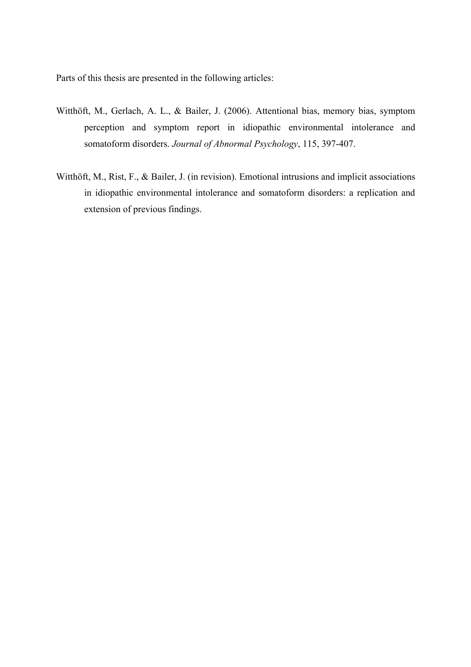Parts of this thesis are presented in the following articles:

- Witthöft, M., Gerlach, A. L., & Bailer, J. (2006). Attentional bias, memory bias, symptom perception and symptom report in idiopathic environmental intolerance and somatoform disorders. *Journal of Abnormal Psychology*, 115, 397-407.
- Witthöft, M., Rist, F., & Bailer, J. (in revision). Emotional intrusions and implicit associations in idiopathic environmental intolerance and somatoform disorders: a replication and extension of previous findings.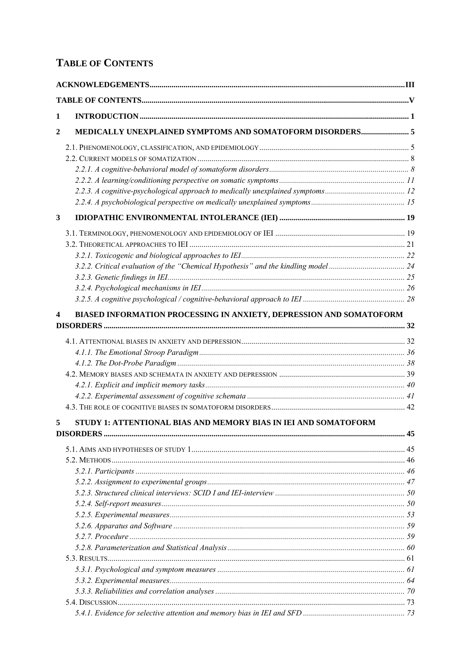## <span id="page-4-0"></span>**TABLE OF CONTENTS**

| 1            |                                                                             |    |  |
|--------------|-----------------------------------------------------------------------------|----|--|
| $\mathbf{2}$ |                                                                             |    |  |
|              |                                                                             |    |  |
|              |                                                                             |    |  |
|              |                                                                             |    |  |
|              |                                                                             |    |  |
|              | 2.2.3. A cognitive-psychological approach to medically unexplained symptoms |    |  |
|              |                                                                             |    |  |
| 3            |                                                                             |    |  |
|              |                                                                             |    |  |
|              |                                                                             |    |  |
|              |                                                                             |    |  |
|              |                                                                             |    |  |
|              |                                                                             |    |  |
|              |                                                                             |    |  |
|              |                                                                             |    |  |
| 4            | BIASED INFORMATION PROCESSING IN ANXIETY, DEPRESSION AND SOMATOFORM         |    |  |
|              |                                                                             |    |  |
|              |                                                                             |    |  |
|              |                                                                             |    |  |
|              |                                                                             |    |  |
|              |                                                                             |    |  |
|              |                                                                             |    |  |
|              |                                                                             |    |  |
|              |                                                                             |    |  |
| 5            | STUDY 1: ATTENTIONAL BIAS AND MEMORY BIAS IN IEI AND SOMATOFORM             |    |  |
|              | <b>DISORDERS</b>                                                            | 45 |  |
|              |                                                                             |    |  |
|              |                                                                             |    |  |
|              |                                                                             |    |  |
|              |                                                                             |    |  |
|              |                                                                             |    |  |
|              |                                                                             |    |  |
|              |                                                                             |    |  |
|              |                                                                             |    |  |
|              |                                                                             |    |  |
|              |                                                                             |    |  |
|              |                                                                             |    |  |
|              |                                                                             |    |  |
|              |                                                                             |    |  |
|              |                                                                             |    |  |
|              |                                                                             |    |  |
|              |                                                                             |    |  |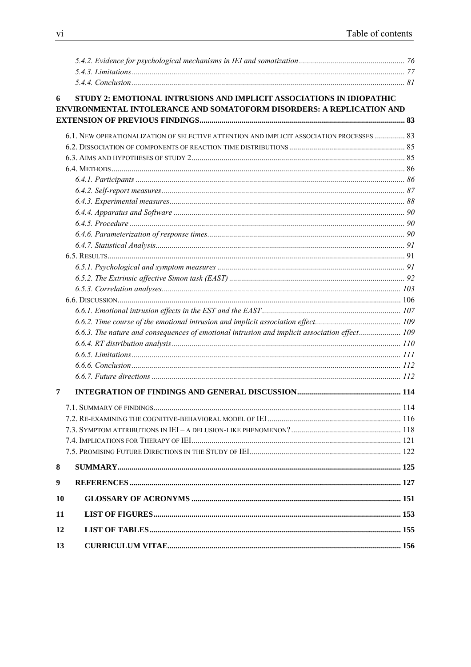| STUDY 2: EMOTIONAL INTRUSIONS AND IMPLICIT ASSOCIATIONS IN IDIOPATHIC<br>6<br>ENVIRONMENTAL INTOLERANCE AND SOMATOFORM DISORDERS: A REPLICATION AND<br>6.1. NEW OPERATIONALIZATION OF SELECTIVE ATTENTION AND IMPLICIT ASSOCIATION PROCESSES  83<br>6.6.3. The nature and consequences of emotional intrusion and implicit association effect 109<br>7<br>8<br>9<br>10<br>11<br>12<br>13 |  |  |
|------------------------------------------------------------------------------------------------------------------------------------------------------------------------------------------------------------------------------------------------------------------------------------------------------------------------------------------------------------------------------------------|--|--|
|                                                                                                                                                                                                                                                                                                                                                                                          |  |  |
|                                                                                                                                                                                                                                                                                                                                                                                          |  |  |
|                                                                                                                                                                                                                                                                                                                                                                                          |  |  |
|                                                                                                                                                                                                                                                                                                                                                                                          |  |  |
|                                                                                                                                                                                                                                                                                                                                                                                          |  |  |
|                                                                                                                                                                                                                                                                                                                                                                                          |  |  |
|                                                                                                                                                                                                                                                                                                                                                                                          |  |  |
|                                                                                                                                                                                                                                                                                                                                                                                          |  |  |
|                                                                                                                                                                                                                                                                                                                                                                                          |  |  |
|                                                                                                                                                                                                                                                                                                                                                                                          |  |  |
|                                                                                                                                                                                                                                                                                                                                                                                          |  |  |
|                                                                                                                                                                                                                                                                                                                                                                                          |  |  |
|                                                                                                                                                                                                                                                                                                                                                                                          |  |  |
|                                                                                                                                                                                                                                                                                                                                                                                          |  |  |
|                                                                                                                                                                                                                                                                                                                                                                                          |  |  |
|                                                                                                                                                                                                                                                                                                                                                                                          |  |  |
|                                                                                                                                                                                                                                                                                                                                                                                          |  |  |
|                                                                                                                                                                                                                                                                                                                                                                                          |  |  |
|                                                                                                                                                                                                                                                                                                                                                                                          |  |  |
|                                                                                                                                                                                                                                                                                                                                                                                          |  |  |
|                                                                                                                                                                                                                                                                                                                                                                                          |  |  |
|                                                                                                                                                                                                                                                                                                                                                                                          |  |  |
|                                                                                                                                                                                                                                                                                                                                                                                          |  |  |
|                                                                                                                                                                                                                                                                                                                                                                                          |  |  |
|                                                                                                                                                                                                                                                                                                                                                                                          |  |  |
|                                                                                                                                                                                                                                                                                                                                                                                          |  |  |
|                                                                                                                                                                                                                                                                                                                                                                                          |  |  |
|                                                                                                                                                                                                                                                                                                                                                                                          |  |  |
|                                                                                                                                                                                                                                                                                                                                                                                          |  |  |
|                                                                                                                                                                                                                                                                                                                                                                                          |  |  |
|                                                                                                                                                                                                                                                                                                                                                                                          |  |  |
|                                                                                                                                                                                                                                                                                                                                                                                          |  |  |
|                                                                                                                                                                                                                                                                                                                                                                                          |  |  |
|                                                                                                                                                                                                                                                                                                                                                                                          |  |  |
|                                                                                                                                                                                                                                                                                                                                                                                          |  |  |
|                                                                                                                                                                                                                                                                                                                                                                                          |  |  |
|                                                                                                                                                                                                                                                                                                                                                                                          |  |  |
|                                                                                                                                                                                                                                                                                                                                                                                          |  |  |
|                                                                                                                                                                                                                                                                                                                                                                                          |  |  |
|                                                                                                                                                                                                                                                                                                                                                                                          |  |  |
|                                                                                                                                                                                                                                                                                                                                                                                          |  |  |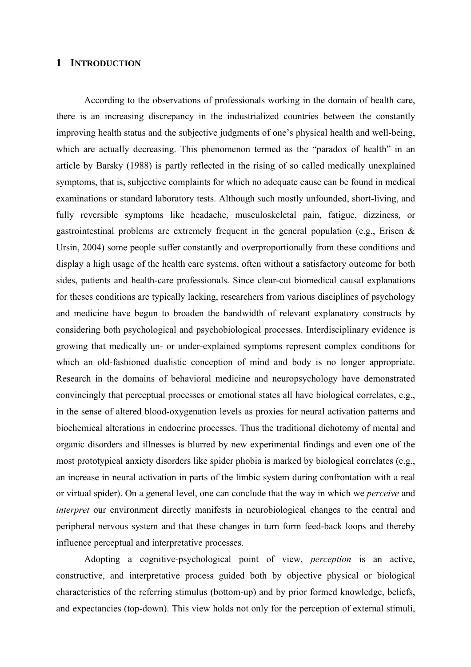## <span id="page-6-0"></span>**1 INTRODUCTION**

According to the observations of professionals working in the domain of health care, there is an increasing discrepancy in the industrialized countries between the constantly improving health status and the subjective judgments of one's physical health and well-being, which are actually decreasing. This phenomenon termed as the "paradox of health" in an article by Barsky (1988) is partly reflected in the rising of so called medically unexplained symptoms, that is, subjective complaints for which no adequate cause can be found in medical examinations or standard laboratory tests. Although such mostly unfounded, short-living, and fully reversible symptoms like headache, musculoskeletal pain, fatigue, dizziness, or gastrointestinal problems are extremely frequent in the general population (e.g., Erisen & Ursin, 2004) some people suffer constantly and overproportionally from these conditions and display a high usage of the health care systems, often without a satisfactory outcome for both sides, patients and health-care professionals. Since clear-cut biomedical causal explanations for theses conditions are typically lacking, researchers from various disciplines of psychology and medicine have begun to broaden the bandwidth of relevant explanatory constructs by considering both psychological and psychobiological processes. Interdisciplinary evidence is growing that medically un- or under-explained symptoms represent complex conditions for which an old-fashioned dualistic conception of mind and body is no longer appropriate. Research in the domains of behavioral medicine and neuropsychology have demonstrated convincingly that perceptual processes or emotional states all have biological correlates, e.g., in the sense of altered blood-oxygenation levels as proxies for neural activation patterns and biochemical alterations in endocrine processes. Thus the traditional dichotomy of mental and organic disorders and illnesses is blurred by new experimental findings and even one of the most prototypical anxiety disorders like spider phobia is marked by biological correlates (e.g., an increase in neural activation in parts of the limbic system during confrontation with a real or virtual spider). On a general level, one can conclude that the way in which we *perceive* and *interpret* our environment directly manifests in neurobiological changes to the central and peripheral nervous system and that these changes in turn form feed-back loops and thereby influence perceptual and interpretative processes.

Adopting a cognitive-psychological point of view, *perception* is an active, constructive, and interpretative process guided both by objective physical or biological characteristics of the referring stimulus (bottom-up) and by prior formed knowledge, beliefs, and expectancies (top-down). This view holds not only for the perception of external stimuli,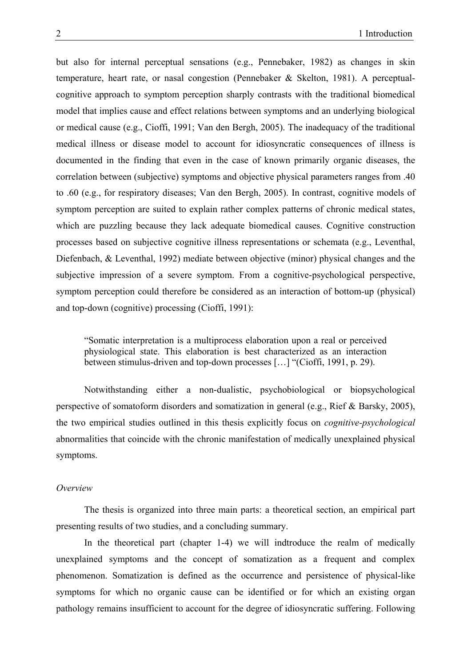but also for internal perceptual sensations (e.g., Pennebaker, 1982) as changes in skin temperature, heart rate, or nasal congestion (Pennebaker & Skelton, 1981). A perceptualcognitive approach to symptom perception sharply contrasts with the traditional biomedical model that implies cause and effect relations between symptoms and an underlying biological or medical cause (e.g., Cioffi, 1991; Van den Bergh, 2005). The inadequacy of the traditional medical illness or disease model to account for idiosyncratic consequences of illness is documented in the finding that even in the case of known primarily organic diseases, the correlation between (subjective) symptoms and objective physical parameters ranges from .40 to .60 (e.g., for respiratory diseases; Van den Bergh, 2005). In contrast, cognitive models of symptom perception are suited to explain rather complex patterns of chronic medical states, which are puzzling because they lack adequate biomedical causes. Cognitive construction processes based on subjective cognitive illness representations or schemata (e.g., Leventhal, Diefenbach, & Leventhal, 1992) mediate between objective (minor) physical changes and the subjective impression of a severe symptom. From a cognitive-psychological perspective, symptom perception could therefore be considered as an interaction of bottom-up (physical) and top-down (cognitive) processing (Cioffi, 1991):

"Somatic interpretation is a multiprocess elaboration upon a real or perceived physiological state. This elaboration is best characterized as an interaction between stimulus-driven and top-down processes […] "(Cioffi, 1991, p. 29).

Notwithstanding either a non-dualistic, psychobiological or biopsychological perspective of somatoform disorders and somatization in general (e.g., Rief & Barsky, 2005), the two empirical studies outlined in this thesis explicitly focus on *cognitive-psychological*  abnormalities that coincide with the chronic manifestation of medically unexplained physical symptoms.

#### *Overview*

The thesis is organized into three main parts: a theoretical section, an empirical part presenting results of two studies, and a concluding summary.

In the theoretical part (chapter 1-4) we will indtroduce the realm of medically unexplained symptoms and the concept of somatization as a frequent and complex phenomenon. Somatization is defined as the occurrence and persistence of physical-like symptoms for which no organic cause can be identified or for which an existing organ pathology remains insufficient to account for the degree of idiosyncratic suffering. Following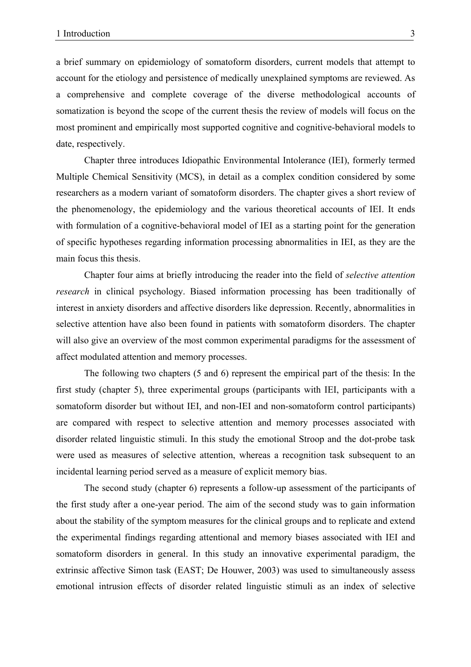a brief summary on epidemiology of somatoform disorders, current models that attempt to account for the etiology and persistence of medically unexplained symptoms are reviewed. As a comprehensive and complete coverage of the diverse methodological accounts of somatization is beyond the scope of the current thesis the review of models will focus on the most prominent and empirically most supported cognitive and cognitive-behavioral models to date, respectively.

Chapter three introduces Idiopathic Environmental Intolerance (IEI), formerly termed Multiple Chemical Sensitivity (MCS), in detail as a complex condition considered by some researchers as a modern variant of somatoform disorders. The chapter gives a short review of the phenomenology, the epidemiology and the various theoretical accounts of IEI. It ends with formulation of a cognitive-behavioral model of IEI as a starting point for the generation of specific hypotheses regarding information processing abnormalities in IEI, as they are the main focus this thesis.

Chapter four aims at briefly introducing the reader into the field of *selective attention research* in clinical psychology. Biased information processing has been traditionally of interest in anxiety disorders and affective disorders like depression. Recently, abnormalities in selective attention have also been found in patients with somatoform disorders. The chapter will also give an overview of the most common experimental paradigms for the assessment of affect modulated attention and memory processes.

The following two chapters (5 and 6) represent the empirical part of the thesis: In the first study (chapter 5), three experimental groups (participants with IEI, participants with a somatoform disorder but without IEI, and non-IEI and non-somatoform control participants) are compared with respect to selective attention and memory processes associated with disorder related linguistic stimuli. In this study the emotional Stroop and the dot-probe task were used as measures of selective attention, whereas a recognition task subsequent to an incidental learning period served as a measure of explicit memory bias.

The second study (chapter 6) represents a follow-up assessment of the participants of the first study after a one-year period. The aim of the second study was to gain information about the stability of the symptom measures for the clinical groups and to replicate and extend the experimental findings regarding attentional and memory biases associated with IEI and somatoform disorders in general. In this study an innovative experimental paradigm, the extrinsic affective Simon task (EAST; De Houwer, 2003) was used to simultaneously assess emotional intrusion effects of disorder related linguistic stimuli as an index of selective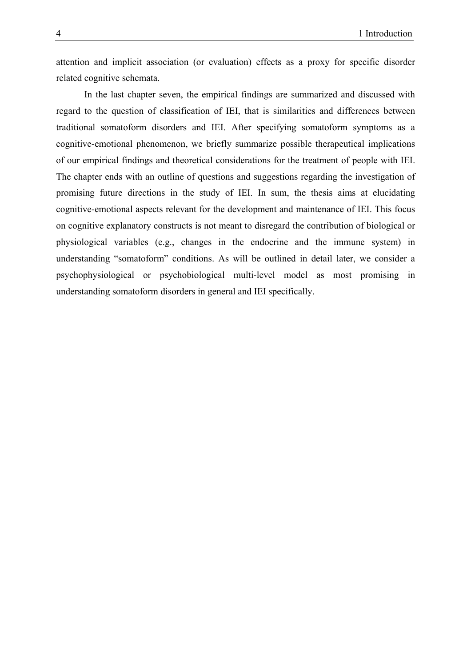attention and implicit association (or evaluation) effects as a proxy for specific disorder related cognitive schemata.

In the last chapter seven, the empirical findings are summarized and discussed with regard to the question of classification of IEI, that is similarities and differences between traditional somatoform disorders and IEI. After specifying somatoform symptoms as a cognitive-emotional phenomenon, we briefly summarize possible therapeutical implications of our empirical findings and theoretical considerations for the treatment of people with IEI. The chapter ends with an outline of questions and suggestions regarding the investigation of promising future directions in the study of IEI. In sum, the thesis aims at elucidating cognitive-emotional aspects relevant for the development and maintenance of IEI. This focus on cognitive explanatory constructs is not meant to disregard the contribution of biological or physiological variables (e.g., changes in the endocrine and the immune system) in understanding "somatoform" conditions. As will be outlined in detail later, we consider a psychophysiological or psychobiological multi-level model as most promising in understanding somatoform disorders in general and IEI specifically.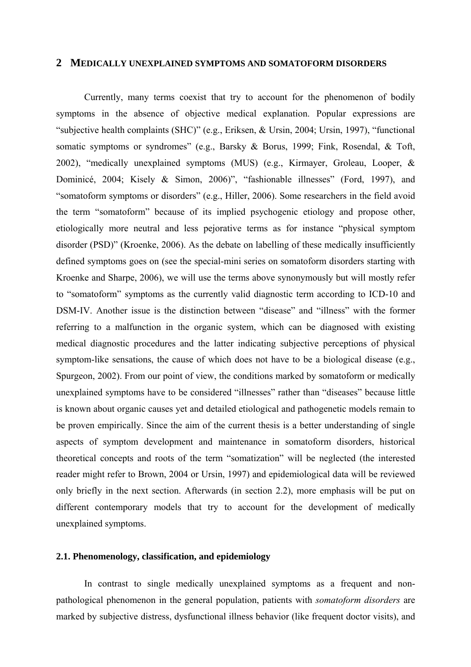#### <span id="page-10-0"></span>**2 MEDICALLY UNEXPLAINED SYMPTOMS AND SOMATOFORM DISORDERS**

Currently, many terms coexist that try to account for the phenomenon of bodily symptoms in the absence of objective medical explanation. Popular expressions are "subjective health complaints (SHC)" (e.g., Eriksen, & Ursin, 2004; Ursin, 1997), "functional somatic symptoms or syndromes" (e.g., Barsky & Borus, 1999; Fink, Rosendal, & Toft, 2002), "medically unexplained symptoms (MUS) (e.g., Kirmayer, Groleau, Looper, & Dominicé, 2004; Kisely & Simon, 2006)", "fashionable illnesses" (Ford, 1997), and "somatoform symptoms or disorders" (e.g., Hiller, 2006). Some researchers in the field avoid the term "somatoform" because of its implied psychogenic etiology and propose other, etiologically more neutral and less pejorative terms as for instance "physical symptom disorder (PSD)" (Kroenke, 2006). As the debate on labelling of these medically insufficiently defined symptoms goes on (see the special-mini series on somatoform disorders starting with Kroenke and Sharpe, 2006), we will use the terms above synonymously but will mostly refer to "somatoform" symptoms as the currently valid diagnostic term according to ICD-10 and DSM-IV. Another issue is the distinction between "disease" and "illness" with the former referring to a malfunction in the organic system, which can be diagnosed with existing medical diagnostic procedures and the latter indicating subjective perceptions of physical symptom-like sensations, the cause of which does not have to be a biological disease (e.g., Spurgeon, 2002). From our point of view, the conditions marked by somatoform or medically unexplained symptoms have to be considered "illnesses" rather than "diseases" because little is known about organic causes yet and detailed etiological and pathogenetic models remain to be proven empirically. Since the aim of the current thesis is a better understanding of single aspects of symptom development and maintenance in somatoform disorders, historical theoretical concepts and roots of the term "somatization" will be neglected (the interested reader might refer to Brown, 2004 or Ursin, 1997) and epidemiological data will be reviewed only briefly in the next section. Afterwards (in section 2.2), more emphasis will be put on different contemporary models that try to account for the development of medically unexplained symptoms.

#### **2.1. Phenomenology, classification, and epidemiology**

In contrast to single medically unexplained symptoms as a frequent and nonpathological phenomenon in the general population, patients with *somatoform disorders* are marked by subjective distress, dysfunctional illness behavior (like frequent doctor visits), and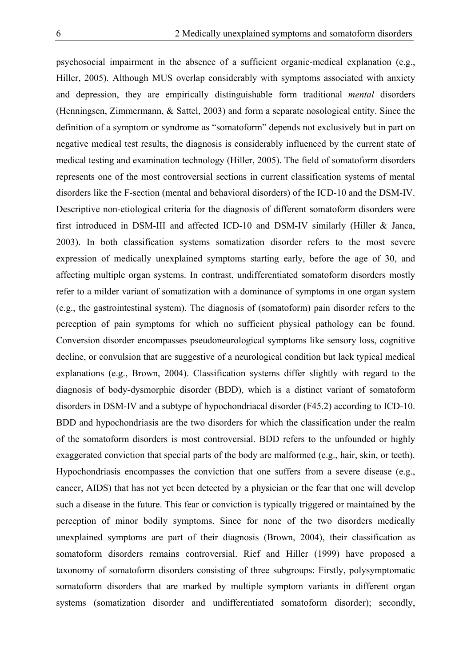psychosocial impairment in the absence of a sufficient organic-medical explanation (e.g., Hiller, 2005). Although MUS overlap considerably with symptoms associated with anxiety and depression, they are empirically distinguishable form traditional *mental* disorders (Henningsen, Zimmermann, & Sattel, 2003) and form a separate nosological entity. Since the definition of a symptom or syndrome as "somatoform" depends not exclusively but in part on negative medical test results, the diagnosis is considerably influenced by the current state of medical testing and examination technology (Hiller, 2005). The field of somatoform disorders represents one of the most controversial sections in current classification systems of mental disorders like the F-section (mental and behavioral disorders) of the ICD-10 and the DSM-IV. Descriptive non-etiological criteria for the diagnosis of different somatoform disorders were first introduced in DSM-III and affected ICD-10 and DSM-IV similarly (Hiller & Janca, 2003). In both classification systems somatization disorder refers to the most severe expression of medically unexplained symptoms starting early, before the age of 30, and affecting multiple organ systems. In contrast, undifferentiated somatoform disorders mostly refer to a milder variant of somatization with a dominance of symptoms in one organ system (e.g., the gastrointestinal system). The diagnosis of (somatoform) pain disorder refers to the perception of pain symptoms for which no sufficient physical pathology can be found. Conversion disorder encompasses pseudoneurological symptoms like sensory loss, cognitive decline, or convulsion that are suggestive of a neurological condition but lack typical medical explanations (e.g., Brown, 2004). Classification systems differ slightly with regard to the diagnosis of body-dysmorphic disorder (BDD), which is a distinct variant of somatoform disorders in DSM-IV and a subtype of hypochondriacal disorder (F45.2) according to ICD-10. BDD and hypochondriasis are the two disorders for which the classification under the realm of the somatoform disorders is most controversial. BDD refers to the unfounded or highly exaggerated conviction that special parts of the body are malformed (e.g., hair, skin, or teeth). Hypochondriasis encompasses the conviction that one suffers from a severe disease (e.g., cancer, AIDS) that has not yet been detected by a physician or the fear that one will develop such a disease in the future. This fear or conviction is typically triggered or maintained by the perception of minor bodily symptoms. Since for none of the two disorders medically unexplained symptoms are part of their diagnosis (Brown, 2004), their classification as somatoform disorders remains controversial. Rief and Hiller (1999) have proposed a taxonomy of somatoform disorders consisting of three subgroups: Firstly, polysymptomatic somatoform disorders that are marked by multiple symptom variants in different organ systems (somatization disorder and undifferentiated somatoform disorder); secondly,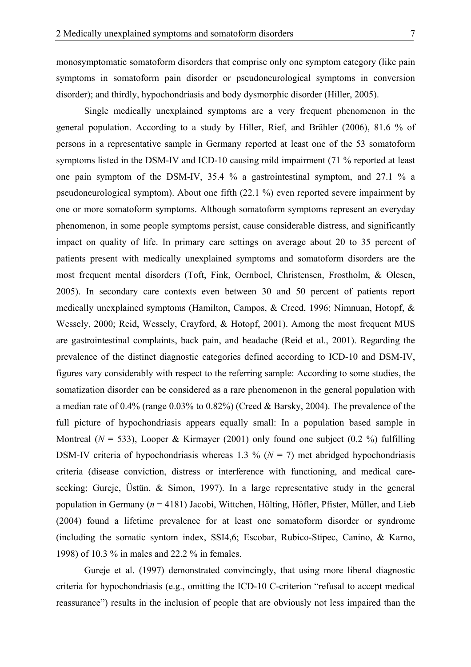monosymptomatic somatoform disorders that comprise only one symptom category (like pain symptoms in somatoform pain disorder or pseudoneurological symptoms in conversion disorder); and thirdly, hypochondriasis and body dysmorphic disorder (Hiller, 2005).

Single medically unexplained symptoms are a very frequent phenomenon in the general population. According to a study by Hiller, Rief, and Brähler (2006), 81.6 % of persons in a representative sample in Germany reported at least one of the 53 somatoform symptoms listed in the DSM-IV and ICD-10 causing mild impairment (71 % reported at least one pain symptom of the DSM-IV, 35.4 % a gastrointestinal symptom, and 27.1 % a pseudoneurological symptom). About one fifth (22.1 %) even reported severe impairment by one or more somatoform symptoms. Although somatoform symptoms represent an everyday phenomenon, in some people symptoms persist, cause considerable distress, and significantly impact on quality of life. In primary care settings on average about 20 to 35 percent of patients present with medically unexplained symptoms and somatoform disorders are the most frequent mental disorders (Toft, Fink, Oernboel, Christensen, Frostholm, & Olesen, 2005). In secondary care contexts even between 30 and 50 percent of patients report medically unexplained symptoms (Hamilton, Campos, & Creed, 1996; Nimnuan, Hotopf, & Wessely, 2000; Reid, Wessely, Crayford, & Hotopf, 2001). Among the most frequent MUS are gastrointestinal complaints, back pain, and headache (Reid et al., 2001). Regarding the prevalence of the distinct diagnostic categories defined according to ICD-10 and DSM-IV, figures vary considerably with respect to the referring sample: According to some studies, the somatization disorder can be considered as a rare phenomenon in the general population with a median rate of 0.4% (range 0.03% to 0.82%) (Creed & Barsky, 2004). The prevalence of the full picture of hypochondriasis appears equally small: In a population based sample in Montreal ( $N = 533$ ), Looper & Kirmayer (2001) only found one subject (0.2 %) fulfilling DSM-IV criteria of hypochondriasis whereas 1.3 % ( $N = 7$ ) met abridged hypochondriasis criteria (disease conviction, distress or interference with functioning, and medical careseeking; Gureje, Üstün, & Simon, 1997). In a large representative study in the general population in Germany (*n* = 4181) Jacobi, Wittchen, Hölting, Höfler, Pfister, Müller, and Lieb (2004) found a lifetime prevalence for at least one somatoform disorder or syndrome (including the somatic syntom index, SSI4,6; Escobar, Rubico-Stipec, Canino, & Karno, 1998) of 10.3 % in males and 22.2 % in females.

Gureje et al. (1997) demonstrated convincingly, that using more liberal diagnostic criteria for hypochondriasis (e.g., omitting the ICD-10 C-criterion "refusal to accept medical reassurance") results in the inclusion of people that are obviously not less impaired than the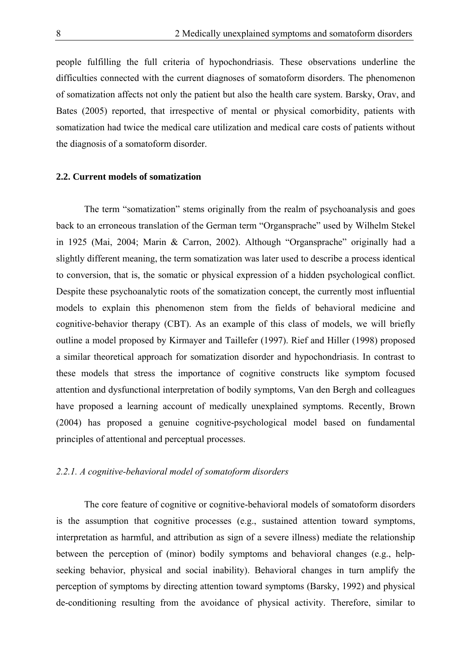<span id="page-13-0"></span>people fulfilling the full criteria of hypochondriasis. These observations underline the difficulties connected with the current diagnoses of somatoform disorders. The phenomenon of somatization affects not only the patient but also the health care system. Barsky, Orav, and Bates (2005) reported, that irrespective of mental or physical comorbidity, patients with somatization had twice the medical care utilization and medical care costs of patients without the diagnosis of a somatoform disorder.

#### **2.2. Current models of somatization**

The term "somatization" stems originally from the realm of psychoanalysis and goes back to an erroneous translation of the German term "Organsprache" used by Wilhelm Stekel in 1925 (Mai, 2004; Marin & Carron, 2002). Although "Organsprache" originally had a slightly different meaning, the term somatization was later used to describe a process identical to conversion, that is, the somatic or physical expression of a hidden psychological conflict. Despite these psychoanalytic roots of the somatization concept, the currently most influential models to explain this phenomenon stem from the fields of behavioral medicine and cognitive-behavior therapy (CBT). As an example of this class of models, we will briefly outline a model proposed by Kirmayer and Taillefer (1997). Rief and Hiller (1998) proposed a similar theoretical approach for somatization disorder and hypochondriasis. In contrast to these models that stress the importance of cognitive constructs like symptom focused attention and dysfunctional interpretation of bodily symptoms, Van den Bergh and colleagues have proposed a learning account of medically unexplained symptoms. Recently, Brown (2004) has proposed a genuine cognitive-psychological model based on fundamental principles of attentional and perceptual processes.

## *2.2.1. A cognitive-behavioral model of somatoform disorders*

The core feature of cognitive or cognitive-behavioral models of somatoform disorders is the assumption that cognitive processes (e.g., sustained attention toward symptoms, interpretation as harmful, and attribution as sign of a severe illness) mediate the relationship between the perception of (minor) bodily symptoms and behavioral changes (e.g., helpseeking behavior, physical and social inability). Behavioral changes in turn amplify the perception of symptoms by directing attention toward symptoms (Barsky, 1992) and physical de-conditioning resulting from the avoidance of physical activity. Therefore, similar to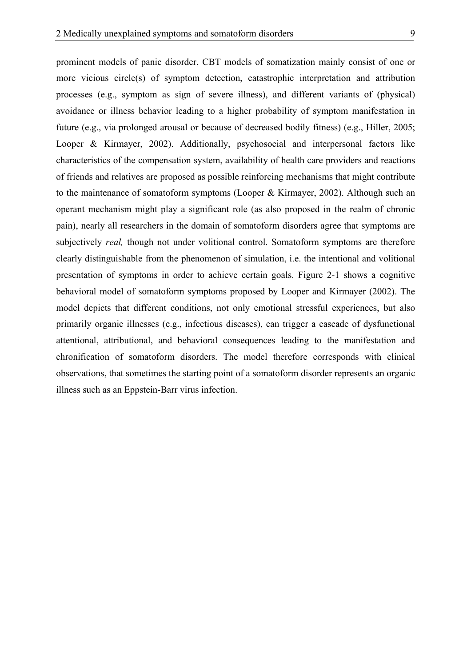prominent models of panic disorder, CBT models of somatization mainly consist of one or more vicious circle(s) of symptom detection, catastrophic interpretation and attribution processes (e.g., symptom as sign of severe illness), and different variants of (physical) avoidance or illness behavior leading to a higher probability of symptom manifestation in future (e.g., via prolonged arousal or because of decreased bodily fitness) (e.g., Hiller, 2005; Looper & Kirmayer, 2002). Additionally, psychosocial and interpersonal factors like characteristics of the compensation system, availability of health care providers and reactions of friends and relatives are proposed as possible reinforcing mechanisms that might contribute to the maintenance of somatoform symptoms (Looper & Kirmayer, 2002). Although such an operant mechanism might play a significant role (as also proposed in the realm of chronic pain), nearly all researchers in the domain of somatoform disorders agree that symptoms are subjectively *real,* though not under volitional control. Somatoform symptoms are therefore clearly distinguishable from the phenomenon of simulation, i.e. the intentional and volitional presentation of symptoms in order to achieve certain goals. [Figure 2-1](#page-15-0) shows a cognitive behavioral model of somatoform symptoms proposed by Looper and Kirmayer (2002). The model depicts that different conditions, not only emotional stressful experiences, but also primarily organic illnesses (e.g., infectious diseases), can trigger a cascade of dysfunctional attentional, attributional, and behavioral consequences leading to the manifestation and chronification of somatoform disorders. The model therefore corresponds with clinical observations, that sometimes the starting point of a somatoform disorder represents an organic illness such as an Eppstein-Barr virus infection.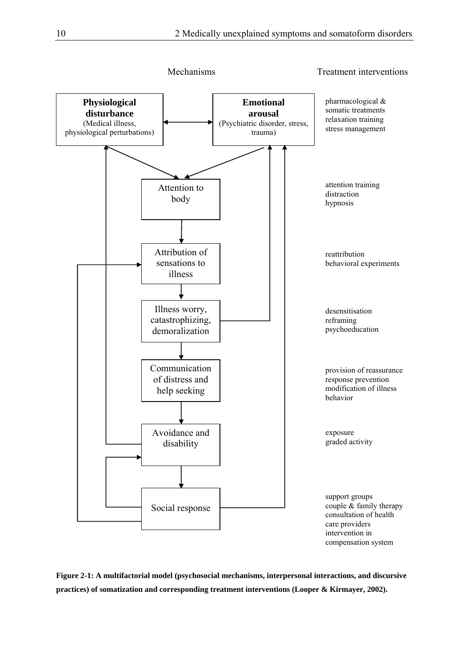

<span id="page-15-0"></span>**Figure 2-1: A multifactorial model (psychosocial mechanisms, interpersonal interactions, and discursive practices) of somatization and corresponding treatment interventions (Looper & Kirmayer, 2002).**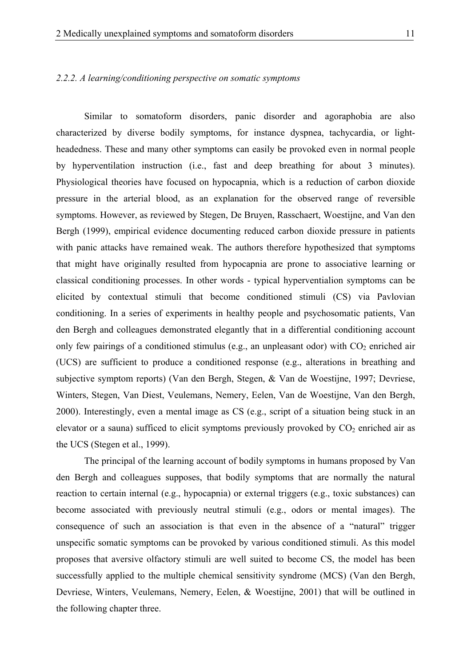#### <span id="page-16-0"></span>*2.2.2. A learning/conditioning perspective on somatic symptoms*

Similar to somatoform disorders, panic disorder and agoraphobia are also characterized by diverse bodily symptoms, for instance dyspnea, tachycardia, or lightheadedness. These and many other symptoms can easily be provoked even in normal people by hyperventilation instruction (i.e., fast and deep breathing for about 3 minutes). Physiological theories have focused on hypocapnia, which is a reduction of carbon dioxide pressure in the arterial blood, as an explanation for the observed range of reversible symptoms. However, as reviewed by Stegen, De Bruyen, Rasschaert, Woestijne, and Van den Bergh (1999), empirical evidence documenting reduced carbon dioxide pressure in patients with panic attacks have remained weak. The authors therefore hypothesized that symptoms that might have originally resulted from hypocapnia are prone to associative learning or classical conditioning processes. In other words - typical hyperventialion symptoms can be elicited by contextual stimuli that become conditioned stimuli (CS) via Pavlovian conditioning. In a series of experiments in healthy people and psychosomatic patients, Van den Bergh and colleagues demonstrated elegantly that in a differential conditioning account only few pairings of a conditioned stimulus (e.g., an unpleasant odor) with  $CO<sub>2</sub>$  enriched air (UCS) are sufficient to produce a conditioned response (e.g., alterations in breathing and subjective symptom reports) (Van den Bergh, Stegen, & Van de Woestijne, 1997; Devriese, Winters, Stegen, Van Diest, Veulemans, Nemery, Eelen, Van de Woestijne, Van den Bergh, 2000). Interestingly, even a mental image as CS (e.g., script of a situation being stuck in an elevator or a sauna) sufficed to elicit symptoms previously provoked by  $CO<sub>2</sub>$  enriched air as the UCS (Stegen et al., 1999).

The principal of the learning account of bodily symptoms in humans proposed by Van den Bergh and colleagues supposes, that bodily symptoms that are normally the natural reaction to certain internal (e.g., hypocapnia) or external triggers (e.g., toxic substances) can become associated with previously neutral stimuli (e.g., odors or mental images). The consequence of such an association is that even in the absence of a "natural" trigger unspecific somatic symptoms can be provoked by various conditioned stimuli. As this model proposes that aversive olfactory stimuli are well suited to become CS, the model has been successfully applied to the multiple chemical sensitivity syndrome (MCS) (Van den Bergh, Devriese, Winters, Veulemans, Nemery, Eelen, & Woestijne, 2001) that will be outlined in the following chapter three.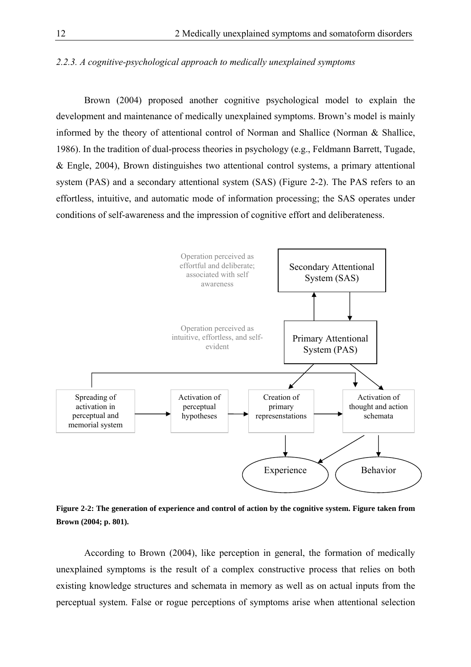### <span id="page-17-0"></span>*2.2.3. A cognitive-psychological approach to medically unexplained symptoms*

Brown (2004) proposed another cognitive psychological model to explain the development and maintenance of medically unexplained symptoms. Brown's model is mainly informed by the theory of attentional control of Norman and Shallice (Norman & Shallice, 1986). In the tradition of dual-process theories in psychology (e.g., Feldmann Barrett, Tugade, & Engle, 2004), Brown distinguishes two attentional control systems, a primary attentional system (PAS) and a secondary attentional system (SAS) ([Figure 2-2](#page-17-1)). The PAS refers to an effortless, intuitive, and automatic mode of information processing; the SAS operates under conditions of self-awareness and the impression of cognitive effort and deliberateness.



<span id="page-17-1"></span>**Figure 2-2: The generation of experience and control of action by the cognitive system. Figure taken from Brown (2004; p. 801).** 

According to Brown (2004), like perception in general, the formation of medically unexplained symptoms is the result of a complex constructive process that relies on both existing knowledge structures and schemata in memory as well as on actual inputs from the perceptual system. False or rogue perceptions of symptoms arise when attentional selection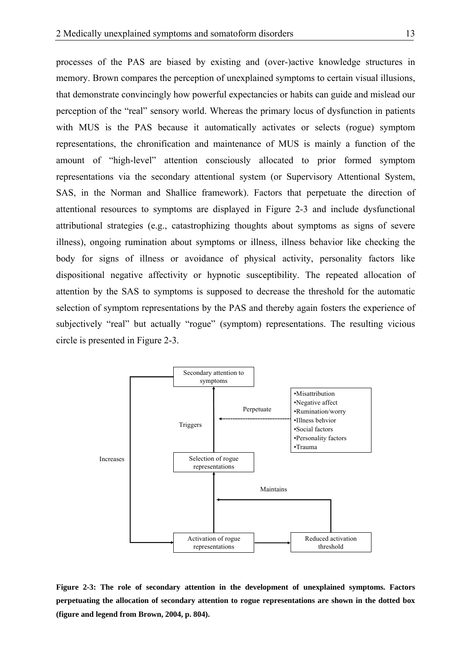processes of the PAS are biased by existing and (over-)active knowledge structures in memory. Brown compares the perception of unexplained symptoms to certain visual illusions, that demonstrate convincingly how powerful expectancies or habits can guide and mislead our perception of the "real" sensory world. Whereas the primary locus of dysfunction in patients with MUS is the PAS because it automatically activates or selects (rogue) symptom representations, the chronification and maintenance of MUS is mainly a function of the amount of "high-level" attention consciously allocated to prior formed symptom representations via the secondary attentional system (or Supervisory Attentional System, SAS, in the Norman and Shallice framework). Factors that perpetuate the direction of attentional resources to symptoms are displayed in [Figure 2-3](#page-18-0) and include dysfunctional attributional strategies (e.g., catastrophizing thoughts about symptoms as signs of severe illness), ongoing rumination about symptoms or illness, illness behavior like checking the body for signs of illness or avoidance of physical activity, personality factors like dispositional negative affectivity or hypnotic susceptibility. The repeated allocation of attention by the SAS to symptoms is supposed to decrease the threshold for the automatic selection of symptom representations by the PAS and thereby again fosters the experience of subjectively "real" but actually "rogue" (symptom) representations. The resulting vicious circle is presented in [Figure 2-3](#page-18-0).



<span id="page-18-0"></span>**Figure 2-3: The role of secondary attention in the development of unexplained symptoms. Factors perpetuating the allocation of secondary attention to rogue representations are shown in the dotted box (figure and legend from Brown, 2004, p. 804).**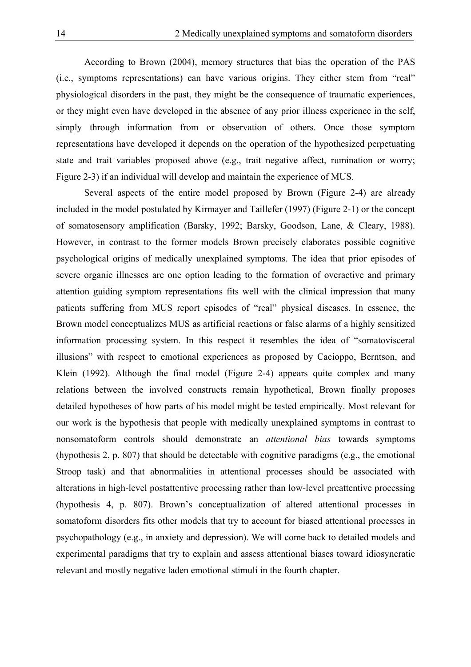According to Brown (2004), memory structures that bias the operation of the PAS (i.e., symptoms representations) can have various origins. They either stem from "real" physiological disorders in the past, they might be the consequence of traumatic experiences, or they might even have developed in the absence of any prior illness experience in the self, simply through information from or observation of others. Once those symptom representations have developed it depends on the operation of the hypothesized perpetuating state and trait variables proposed above (e.g., trait negative affect, rumination or worry; [Figure 2-3](#page-18-0)) if an individual will develop and maintain the experience of MUS.

Several aspects of the entire model proposed by Brown [\(Figure 2-4\)](#page-20-1) are already included in the model postulated by Kirmayer and Taillefer (1997) ([Figure 2-1](#page-15-0)) or the concept of somatosensory amplification (Barsky, 1992; Barsky, Goodson, Lane, & Cleary, 1988). However, in contrast to the former models Brown precisely elaborates possible cognitive psychological origins of medically unexplained symptoms. The idea that prior episodes of severe organic illnesses are one option leading to the formation of overactive and primary attention guiding symptom representations fits well with the clinical impression that many patients suffering from MUS report episodes of "real" physical diseases. In essence, the Brown model conceptualizes MUS as artificial reactions or false alarms of a highly sensitized information processing system. In this respect it resembles the idea of "somatovisceral illusions" with respect to emotional experiences as proposed by Cacioppo, Berntson, and Klein (1992). Although the final model ([Figure 2-4\)](#page-20-1) appears quite complex and many relations between the involved constructs remain hypothetical, Brown finally proposes detailed hypotheses of how parts of his model might be tested empirically. Most relevant for our work is the hypothesis that people with medically unexplained symptoms in contrast to nonsomatoform controls should demonstrate an *attentional bias* towards symptoms (hypothesis 2, p. 807) that should be detectable with cognitive paradigms (e.g., the emotional Stroop task) and that abnormalities in attentional processes should be associated with alterations in high-level postattentive processing rather than low-level preattentive processing (hypothesis 4, p. 807). Brown's conceptualization of altered attentional processes in somatoform disorders fits other models that try to account for biased attentional processes in psychopathology (e.g., in anxiety and depression). We will come back to detailed models and experimental paradigms that try to explain and assess attentional biases toward idiosyncratic relevant and mostly negative laden emotional stimuli in the fourth chapter.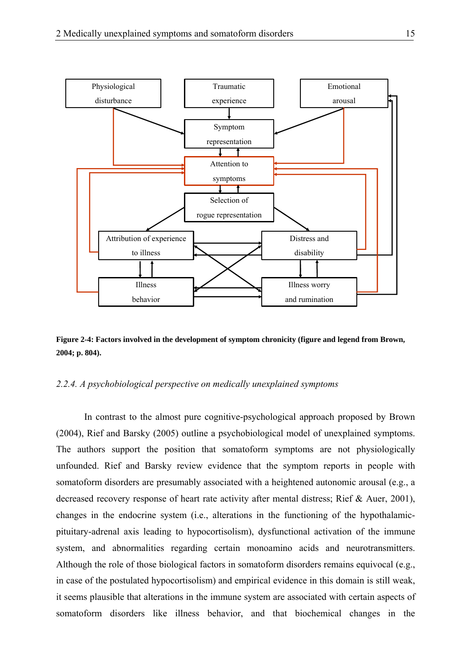<span id="page-20-0"></span>

<span id="page-20-1"></span>**Figure 2-4: Factors involved in the development of symptom chronicity (figure and legend from Brown, 2004; p. 804).** 

#### *2.2.4. A psychobiological perspective on medically unexplained symptoms*

In contrast to the almost pure cognitive-psychological approach proposed by Brown (2004), Rief and Barsky (2005) outline a psychobiological model of unexplained symptoms. The authors support the position that somatoform symptoms are not physiologically unfounded. Rief and Barsky review evidence that the symptom reports in people with somatoform disorders are presumably associated with a heightened autonomic arousal (e.g., a decreased recovery response of heart rate activity after mental distress; Rief & Auer, 2001), changes in the endocrine system (i.e., alterations in the functioning of the hypothalamicpituitary-adrenal axis leading to hypocortisolism), dysfunctional activation of the immune system, and abnormalities regarding certain monoamino acids and neurotransmitters. Although the role of those biological factors in somatoform disorders remains equivocal (e.g., in case of the postulated hypocortisolism) and empirical evidence in this domain is still weak, it seems plausible that alterations in the immune system are associated with certain aspects of somatoform disorders like illness behavior, and that biochemical changes in the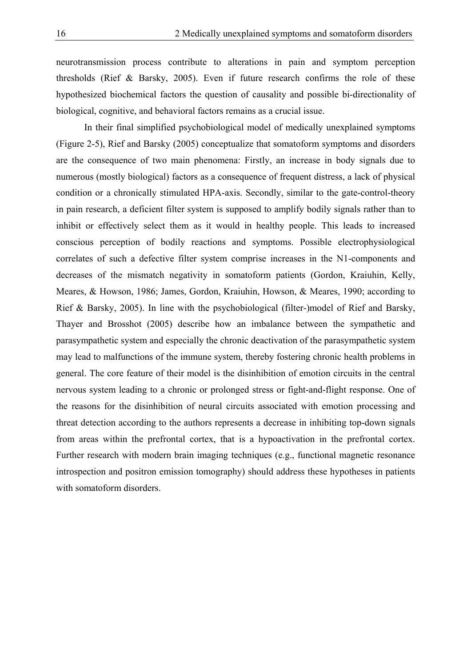neurotransmission process contribute to alterations in pain and symptom perception thresholds (Rief & Barsky, 2005). Even if future research confirms the role of these hypothesized biochemical factors the question of causality and possible bi-directionality of biological, cognitive, and behavioral factors remains as a crucial issue.

In their final simplified psychobiological model of medically unexplained symptoms ([Figure 2-5\)](#page-22-0), Rief and Barsky (2005) conceptualize that somatoform symptoms and disorders are the consequence of two main phenomena: Firstly, an increase in body signals due to numerous (mostly biological) factors as a consequence of frequent distress, a lack of physical condition or a chronically stimulated HPA-axis. Secondly, similar to the gate-control-theory in pain research, a deficient filter system is supposed to amplify bodily signals rather than to inhibit or effectively select them as it would in healthy people. This leads to increased conscious perception of bodily reactions and symptoms. Possible electrophysiological correlates of such a defective filter system comprise increases in the N1-components and decreases of the mismatch negativity in somatoform patients (Gordon, Kraiuhin, Kelly, Meares, & Howson, 1986; James, Gordon, Kraiuhin, Howson, & Meares, 1990; according to Rief & Barsky, 2005). In line with the psychobiological (filter-)model of Rief and Barsky, Thayer and Brosshot (2005) describe how an imbalance between the sympathetic and parasympathetic system and especially the chronic deactivation of the parasympathetic system may lead to malfunctions of the immune system, thereby fostering chronic health problems in general. The core feature of their model is the disinhibition of emotion circuits in the central nervous system leading to a chronic or prolonged stress or fight-and-flight response. One of the reasons for the disinhibition of neural circuits associated with emotion processing and threat detection according to the authors represents a decrease in inhibiting top-down signals from areas within the prefrontal cortex, that is a hypoactivation in the prefrontal cortex. Further research with modern brain imaging techniques (e.g., functional magnetic resonance introspection and positron emission tomography) should address these hypotheses in patients with somatoform disorders.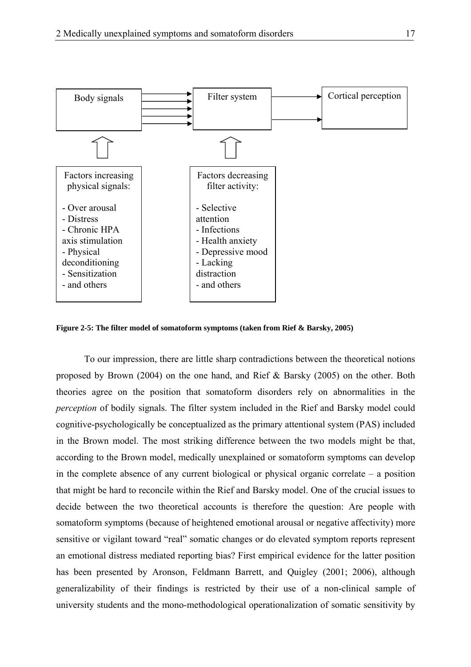

<span id="page-22-0"></span>**Figure 2-5: The filter model of somatoform symptoms (taken from Rief & Barsky, 2005)** 

To our impression, there are little sharp contradictions between the theoretical notions proposed by Brown (2004) on the one hand, and Rief & Barsky (2005) on the other. Both theories agree on the position that somatoform disorders rely on abnormalities in the *perception* of bodily signals. The filter system included in the Rief and Barsky model could cognitive-psychologically be conceptualized as the primary attentional system (PAS) included in the Brown model. The most striking difference between the two models might be that, according to the Brown model, medically unexplained or somatoform symptoms can develop in the complete absence of any current biological or physical organic correlate – a position that might be hard to reconcile within the Rief and Barsky model. One of the crucial issues to decide between the two theoretical accounts is therefore the question: Are people with somatoform symptoms (because of heightened emotional arousal or negative affectivity) more sensitive or vigilant toward "real" somatic changes or do elevated symptom reports represent an emotional distress mediated reporting bias? First empirical evidence for the latter position has been presented by Aronson, Feldmann Barrett, and Quigley (2001; 2006), although generalizability of their findings is restricted by their use of a non-clinical sample of university students and the mono-methodological operationalization of somatic sensitivity by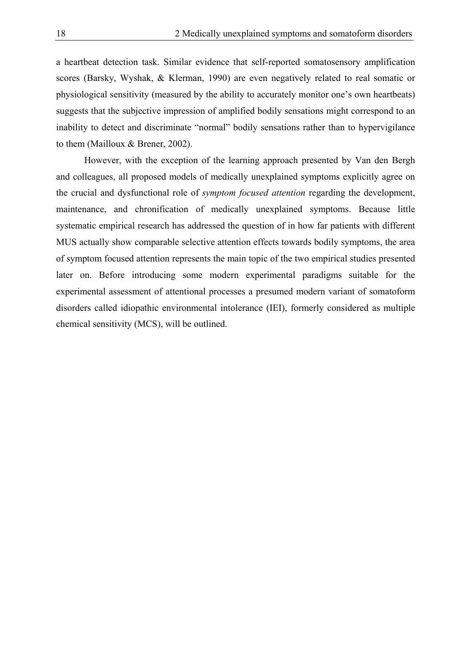a heartbeat detection task. Similar evidence that self-reported somatosensory amplification scores (Barsky, Wyshak, & Klerman, 1990) are even negatively related to real somatic or physiological sensitivity (measured by the ability to accurately monitor one's own heartbeats) suggests that the subjective impression of amplified bodily sensations might correspond to an inability to detect and discriminate "normal" bodily sensations rather than to hypervigilance to them (Mailloux & Brener, 2002).

However, with the exception of the learning approach presented by Van den Bergh and colleagues, all proposed models of medically unexplained symptoms explicitly agree on the crucial and dysfunctional role of *symptom focused attention* regarding the development, maintenance, and chronification of medically unexplained symptoms. Because little systematic empirical research has addressed the question of in how far patients with different MUS actually show comparable selective attention effects towards bodily symptoms, the area of symptom focused attention represents the main topic of the two empirical studies presented later on. Before introducing some modern experimental paradigms suitable for the experimental assessment of attentional processes a presumed modern variant of somatoform disorders called idiopathic environmental intolerance (IEI), formerly considered as multiple chemical sensitivity (MCS), will be outlined.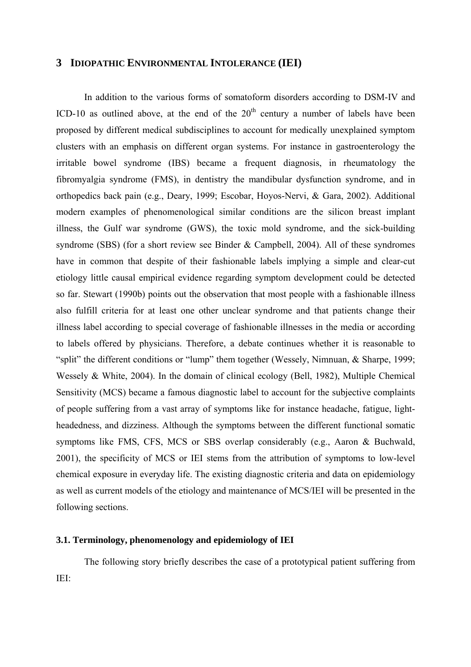## <span id="page-24-0"></span>**3 IDIOPATHIC ENVIRONMENTAL INTOLERANCE (IEI)**

In addition to the various forms of somatoform disorders according to DSM-IV and ICD-10 as outlined above, at the end of the  $20<sup>th</sup>$  century a number of labels have been proposed by different medical subdisciplines to account for medically unexplained symptom clusters with an emphasis on different organ systems. For instance in gastroenterology the irritable bowel syndrome (IBS) became a frequent diagnosis, in rheumatology the fibromyalgia syndrome (FMS), in dentistry the mandibular dysfunction syndrome, and in orthopedics back pain (e.g., Deary, 1999; Escobar, Hoyos-Nervi, & Gara, 2002). Additional modern examples of phenomenological similar conditions are the silicon breast implant illness, the Gulf war syndrome (GWS), the toxic mold syndrome, and the sick-building syndrome (SBS) (for a short review see Binder & Campbell, 2004). All of these syndromes have in common that despite of their fashionable labels implying a simple and clear-cut etiology little causal empirical evidence regarding symptom development could be detected so far. Stewart (1990b) points out the observation that most people with a fashionable illness also fulfill criteria for at least one other unclear syndrome and that patients change their illness label according to special coverage of fashionable illnesses in the media or according to labels offered by physicians. Therefore, a debate continues whether it is reasonable to "split" the different conditions or "lump" them together (Wessely, Nimnuan, & Sharpe, 1999; Wessely & White, 2004). In the domain of clinical ecology (Bell, 1982), Multiple Chemical Sensitivity (MCS) became a famous diagnostic label to account for the subjective complaints of people suffering from a vast array of symptoms like for instance headache, fatigue, lightheadedness, and dizziness. Although the symptoms between the different functional somatic symptoms like FMS, CFS, MCS or SBS overlap considerably (e.g., Aaron & Buchwald, 2001), the specificity of MCS or IEI stems from the attribution of symptoms to low-level chemical exposure in everyday life. The existing diagnostic criteria and data on epidemiology as well as current models of the etiology and maintenance of MCS/IEI will be presented in the following sections.

### **3.1. Terminology, phenomenology and epidemiology of IEI**

The following story briefly describes the case of a prototypical patient suffering from IEI: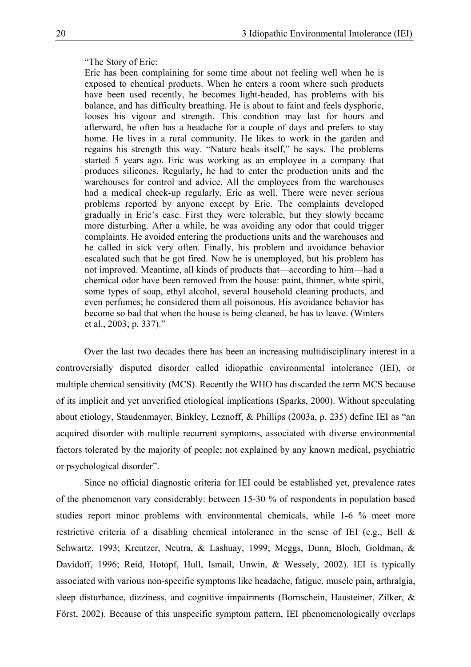## "The Story of Eric:

Eric has been complaining for some time about not feeling well when he is exposed to chemical products. When he enters a room where such products have been used recently, he becomes light-headed, has problems with his balance, and has difficulty breathing. He is about to faint and feels dysphoric, looses his vigour and strength. This condition may last for hours and afterward, he often has a headache for a couple of days and prefers to stay home. He lives in a rural community. He likes to work in the garden and regains his strength this way. "Nature heals itself," he says. The problems started 5 years ago. Eric was working as an employee in a company that produces silicones. Regularly, he had to enter the production units and the warehouses for control and advice. All the employees from the warehouses had a medical check-up regularly, Eric as well. There were never serious problems reported by anyone except by Eric. The complaints developed gradually in Eric's case. First they were tolerable, but they slowly became more disturbing. After a while, he was avoiding any odor that could trigger complaints. He avoided entering the productions units and the warehouses and he called in sick very often. Finally, his problem and avoidance behavior escalated such that he got fired. Now he is unemployed, but his problem has not improved. Meantime, all kinds of products that—according to him—had a chemical odor have been removed from the house: paint, thinner, white spirit, some types of soap, ethyl alcohol, several household cleaning products, and even perfumes; he considered them all poisonous. His avoidance behavior has become so bad that when the house is being cleaned, he has to leave. (Winters et al., 2003; p. 337)."

Over the last two decades there has been an increasing multidisciplinary interest in a controversially disputed disorder called idiopathic environmental intolerance (IEI), or multiple chemical sensitivity (MCS). Recently the WHO has discarded the term MCS because of its implicit and yet unverified etiological implications (Sparks, 2000). Without speculating about etiology, Staudenmayer, Binkley, Leznoff, & Phillips (2003a, p. 235) define IEI as "an acquired disorder with multiple recurrent symptoms, associated with diverse environmental factors tolerated by the majority of people; not explained by any known medical, psychiatric or psychological disorder".

Since no official diagnostic criteria for IEI could be established yet, prevalence rates of the phenomenon vary considerably: between 15-30 % of respondents in population based studies report minor problems with environmental chemicals, while 1-6 % meet more restrictive criteria of a disabling chemical intolerance in the sense of IEI (e.g., Bell & Schwartz, 1993; Kreutzer, Neutra, & Lashuay, 1999; Meggs, Dunn, Bloch, Goldman, & Davidoff, 1996; Reid, Hotopf, Hull, Ismail, Unwin, & Wessely, 2002). IEI is typically associated with various non-specific symptoms like headache, fatigue, muscle pain, arthralgia, sleep disturbance, dizziness, and cognitive impairments (Bornschein, Hausteiner, Zilker, & Först, 2002). Because of this unspecific symptom pattern, IEI phenomenologically overlaps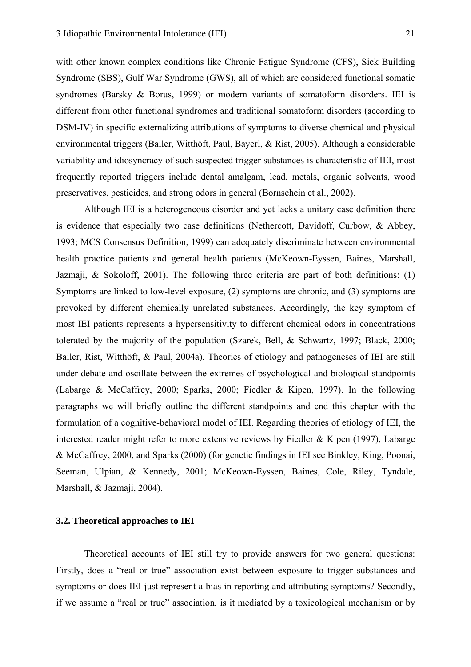<span id="page-26-0"></span>with other known complex conditions like Chronic Fatigue Syndrome (CFS), Sick Building Syndrome (SBS), Gulf War Syndrome (GWS), all of which are considered functional somatic syndromes (Barsky & Borus, 1999) or modern variants of somatoform disorders. IEI is different from other functional syndromes and traditional somatoform disorders (according to DSM-IV) in specific externalizing attributions of symptoms to diverse chemical and physical environmental triggers (Bailer, Witthöft, Paul, Bayerl, & Rist, 2005). Although a considerable variability and idiosyncracy of such suspected trigger substances is characteristic of IEI, most frequently reported triggers include dental amalgam, lead, metals, organic solvents, wood preservatives, pesticides, and strong odors in general (Bornschein et al., 2002).

Although IEI is a heterogeneous disorder and yet lacks a unitary case definition there is evidence that especially two case definitions (Nethercott, Davidoff, Curbow, & Abbey, 1993; MCS Consensus Definition, 1999) can adequately discriminate between environmental health practice patients and general health patients (McKeown-Eyssen, Baines, Marshall, Jazmaji, & Sokoloff, 2001). The following three criteria are part of both definitions: (1) Symptoms are linked to low-level exposure, (2) symptoms are chronic, and (3) symptoms are provoked by different chemically unrelated substances. Accordingly, the key symptom of most IEI patients represents a hypersensitivity to different chemical odors in concentrations tolerated by the majority of the population (Szarek, Bell, & Schwartz, 1997; Black, 2000; Bailer, Rist, Witthöft, & Paul, 2004a). Theories of etiology and pathogeneses of IEI are still under debate and oscillate between the extremes of psychological and biological standpoints (Labarge & McCaffrey, 2000; Sparks, 2000; Fiedler & Kipen, 1997). In the following paragraphs we will briefly outline the different standpoints and end this chapter with the formulation of a cognitive-behavioral model of IEI. Regarding theories of etiology of IEI, the interested reader might refer to more extensive reviews by Fiedler & Kipen (1997), Labarge & McCaffrey, 2000, and Sparks (2000) (for genetic findings in IEI see Binkley, King, Poonai, Seeman, Ulpian, & Kennedy, 2001; McKeown-Eyssen, Baines, Cole, Riley, Tyndale, Marshall, & Jazmaji, 2004).

#### **3.2. Theoretical approaches to IEI**

Theoretical accounts of IEI still try to provide answers for two general questions: Firstly, does a "real or true" association exist between exposure to trigger substances and symptoms or does IEI just represent a bias in reporting and attributing symptoms? Secondly, if we assume a "real or true" association, is it mediated by a toxicological mechanism or by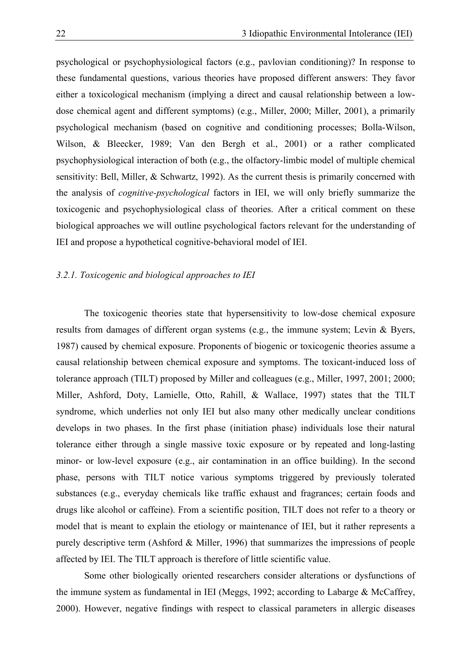<span id="page-27-0"></span>psychological or psychophysiological factors (e.g., pavlovian conditioning)? In response to these fundamental questions, various theories have proposed different answers: They favor either a toxicological mechanism (implying a direct and causal relationship between a lowdose chemical agent and different symptoms) (e.g., Miller, 2000; Miller, 2001), a primarily psychological mechanism (based on cognitive and conditioning processes; Bolla-Wilson, Wilson, & Bleecker, 1989; Van den Bergh et al., 2001) or a rather complicated psychophysiological interaction of both (e.g., the olfactory-limbic model of multiple chemical sensitivity: Bell, Miller, & Schwartz, 1992). As the current thesis is primarily concerned with the analysis of *cognitive-psychological* factors in IEI, we will only briefly summarize the toxicogenic and psychophysiological class of theories. After a critical comment on these biological approaches we will outline psychological factors relevant for the understanding of IEI and propose a hypothetical cognitive-behavioral model of IEI.

## *3.2.1. Toxicogenic and biological approaches to IEI*

The toxicogenic theories state that hypersensitivity to low-dose chemical exposure results from damages of different organ systems (e.g., the immune system; Levin & Byers, 1987) caused by chemical exposure. Proponents of biogenic or toxicogenic theories assume a causal relationship between chemical exposure and symptoms. The toxicant-induced loss of tolerance approach (TILT) proposed by Miller and colleagues (e.g., Miller, 1997, 2001; 2000; Miller, Ashford, Doty, Lamielle, Otto, Rahill, & Wallace, 1997) states that the TILT syndrome, which underlies not only IEI but also many other medically unclear conditions develops in two phases. In the first phase (initiation phase) individuals lose their natural tolerance either through a single massive toxic exposure or by repeated and long-lasting minor- or low-level exposure (e.g., air contamination in an office building). In the second phase, persons with TILT notice various symptoms triggered by previously tolerated substances (e.g., everyday chemicals like traffic exhaust and fragrances; certain foods and drugs like alcohol or caffeine). From a scientific position, TILT does not refer to a theory or model that is meant to explain the etiology or maintenance of IEI, but it rather represents a purely descriptive term (Ashford & Miller, 1996) that summarizes the impressions of people affected by IEI. The TILT approach is therefore of little scientific value.

Some other biologically oriented researchers consider alterations or dysfunctions of the immune system as fundamental in IEI (Meggs, 1992; according to Labarge & McCaffrey, 2000). However, negative findings with respect to classical parameters in allergic diseases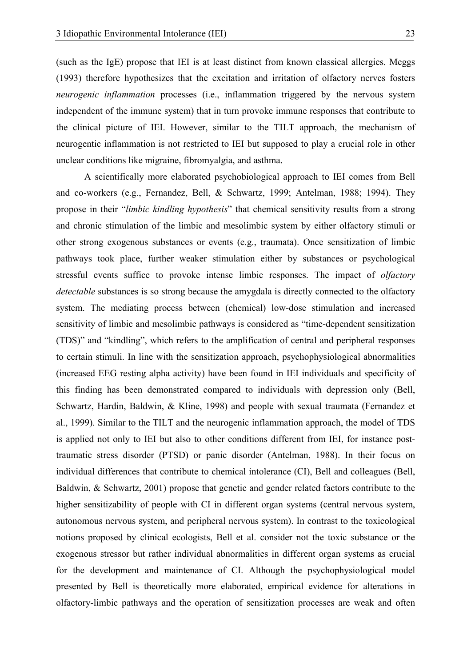(such as the IgE) propose that IEI is at least distinct from known classical allergies. Meggs (1993) therefore hypothesizes that the excitation and irritation of olfactory nerves fosters *neurogenic inflammation* processes (i.e., inflammation triggered by the nervous system independent of the immune system) that in turn provoke immune responses that contribute to the clinical picture of IEI. However, similar to the TILT approach, the mechanism of neurogentic inflammation is not restricted to IEI but supposed to play a crucial role in other unclear conditions like migraine, fibromyalgia, and asthma.

A scientifically more elaborated psychobiological approach to IEI comes from Bell and co-workers (e.g., Fernandez, Bell, & Schwartz, 1999; Antelman, 1988; 1994). They propose in their "*limbic kindling hypothesis*" that chemical sensitivity results from a strong and chronic stimulation of the limbic and mesolimbic system by either olfactory stimuli or other strong exogenous substances or events (e.g., traumata). Once sensitization of limbic pathways took place, further weaker stimulation either by substances or psychological stressful events suffice to provoke intense limbic responses. The impact of *olfactory detectable* substances is so strong because the amygdala is directly connected to the olfactory system. The mediating process between (chemical) low-dose stimulation and increased sensitivity of limbic and mesolimbic pathways is considered as "time-dependent sensitization (TDS)" and "kindling", which refers to the amplification of central and peripheral responses to certain stimuli. In line with the sensitization approach, psychophysiological abnormalities (increased EEG resting alpha activity) have been found in IEI individuals and specificity of this finding has been demonstrated compared to individuals with depression only (Bell, Schwartz, Hardin, Baldwin, & Kline, 1998) and people with sexual traumata (Fernandez et al., 1999). Similar to the TILT and the neurogenic inflammation approach, the model of TDS is applied not only to IEI but also to other conditions different from IEI, for instance posttraumatic stress disorder (PTSD) or panic disorder (Antelman, 1988). In their focus on individual differences that contribute to chemical intolerance (CI), Bell and colleagues (Bell, Baldwin, & Schwartz, 2001) propose that genetic and gender related factors contribute to the higher sensitizability of people with CI in different organ systems (central nervous system, autonomous nervous system, and peripheral nervous system). In contrast to the toxicological notions proposed by clinical ecologists, Bell et al. consider not the toxic substance or the exogenous stressor but rather individual abnormalities in different organ systems as crucial for the development and maintenance of CI. Although the psychophysiological model presented by Bell is theoretically more elaborated, empirical evidence for alterations in olfactory-limbic pathways and the operation of sensitization processes are weak and often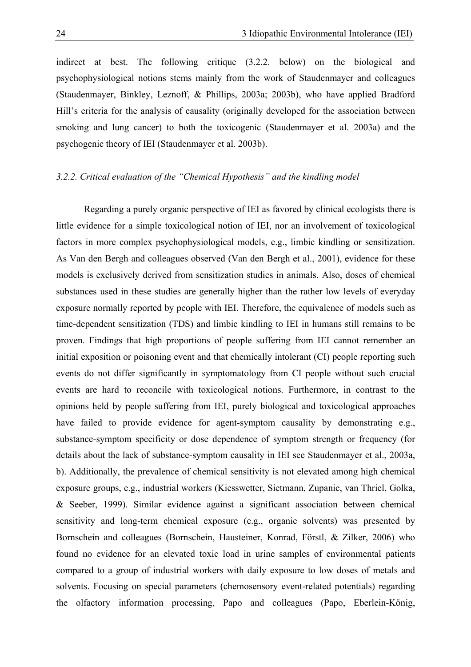<span id="page-29-0"></span>indirect at best. The following critique (3.2.2. below) on the biological and psychophysiological notions stems mainly from the work of Staudenmayer and colleagues (Staudenmayer, Binkley, Leznoff, & Phillips, 2003a; 2003b), who have applied Bradford Hill's criteria for the analysis of causality (originally developed for the association between smoking and lung cancer) to both the toxicogenic (Staudenmayer et al. 2003a) and the psychogenic theory of IEI (Staudenmayer et al. 2003b).

#### *3.2.2. Critical evaluation of the "Chemical Hypothesis" and the kindling model*

Regarding a purely organic perspective of IEI as favored by clinical ecologists there is little evidence for a simple toxicological notion of IEI, nor an involvement of toxicological factors in more complex psychophysiological models, e.g., limbic kindling or sensitization. As Van den Bergh and colleagues observed (Van den Bergh et al., 2001), evidence for these models is exclusively derived from sensitization studies in animals. Also, doses of chemical substances used in these studies are generally higher than the rather low levels of everyday exposure normally reported by people with IEI. Therefore, the equivalence of models such as time-dependent sensitization (TDS) and limbic kindling to IEI in humans still remains to be proven. Findings that high proportions of people suffering from IEI cannot remember an initial exposition or poisoning event and that chemically intolerant (CI) people reporting such events do not differ significantly in symptomatology from CI people without such crucial events are hard to reconcile with toxicological notions. Furthermore, in contrast to the opinions held by people suffering from IEI, purely biological and toxicological approaches have failed to provide evidence for agent-symptom causality by demonstrating e.g., substance-symptom specificity or dose dependence of symptom strength or frequency (for details about the lack of substance-symptom causality in IEI see Staudenmayer et al., 2003a, b). Additionally, the prevalence of chemical sensitivity is not elevated among high chemical exposure groups, e.g., industrial workers (Kiesswetter, Sietmann, Zupanic, van Thriel, Golka, & Seeber, 1999). Similar evidence against a significant association between chemical sensitivity and long-term chemical exposure (e.g., organic solvents) was presented by Bornschein and colleagues (Bornschein, Hausteiner, Konrad, Förstl, & Zilker, 2006) who found no evidence for an elevated toxic load in urine samples of environmental patients compared to a group of industrial workers with daily exposure to low doses of metals and solvents. Focusing on special parameters (chemosensory event-related potentials) regarding the olfactory information processing, Papo and colleagues (Papo, Eberlein-König,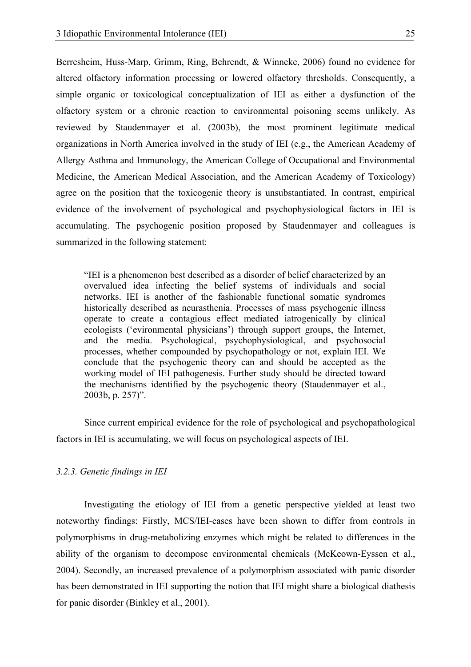<span id="page-30-0"></span>Berresheim, Huss-Marp, Grimm, Ring, Behrendt, & Winneke, 2006) found no evidence for altered olfactory information processing or lowered olfactory thresholds. Consequently, a simple organic or toxicological conceptualization of IEI as either a dysfunction of the olfactory system or a chronic reaction to environmental poisoning seems unlikely. As reviewed by Staudenmayer et al. (2003b), the most prominent legitimate medical organizations in North America involved in the study of IEI (e.g., the American Academy of Allergy Asthma and Immunology, the American College of Occupational and Environmental Medicine, the American Medical Association, and the American Academy of Toxicology) agree on the position that the toxicogenic theory is unsubstantiated. In contrast, empirical evidence of the involvement of psychological and psychophysiological factors in IEI is accumulating. The psychogenic position proposed by Staudenmayer and colleagues is summarized in the following statement:

"IEI is a phenomenon best described as a disorder of belief characterized by an overvalued idea infecting the belief systems of individuals and social networks. IEI is another of the fashionable functional somatic syndromes historically described as neurasthenia. Processes of mass psychogenic illness operate to create a contagious effect mediated iatrogenically by clinical ecologists ('evironmental physicians') through support groups, the Internet, and the media. Psychological, psychophysiological, and psychosocial processes, whether compounded by psychopathology or not, explain IEI. We conclude that the psychogenic theory can and should be accepted as the working model of IEI pathogenesis. Further study should be directed toward the mechanisms identified by the psychogenic theory (Staudenmayer et al., 2003b, p. 257)".

Since current empirical evidence for the role of psychological and psychopathological factors in IEI is accumulating, we will focus on psychological aspects of IEI.

## *3.2.3. Genetic findings in IEI*

Investigating the etiology of IEI from a genetic perspective yielded at least two noteworthy findings: Firstly, MCS/IEI-cases have been shown to differ from controls in polymorphisms in drug-metabolizing enzymes which might be related to differences in the ability of the organism to decompose environmental chemicals (McKeown-Eyssen et al., 2004). Secondly, an increased prevalence of a polymorphism associated with panic disorder has been demonstrated in IEI supporting the notion that IEI might share a biological diathesis for panic disorder (Binkley et al., 2001).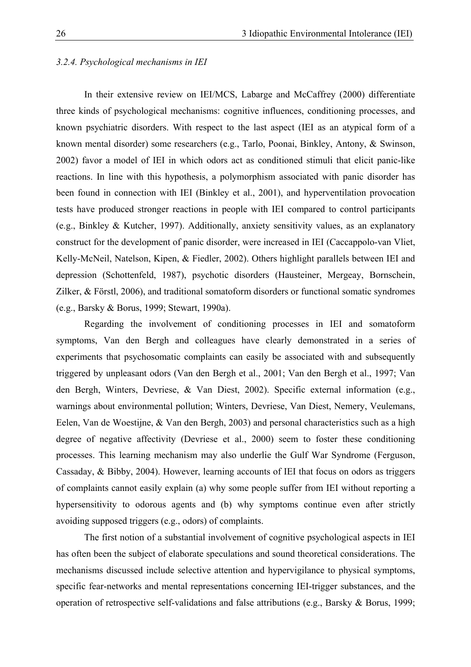#### <span id="page-31-0"></span>*3.2.4. Psychological mechanisms in IEI*

In their extensive review on IEI/MCS, Labarge and McCaffrey (2000) differentiate three kinds of psychological mechanisms: cognitive influences, conditioning processes, and known psychiatric disorders. With respect to the last aspect (IEI as an atypical form of a known mental disorder) some researchers (e.g., Tarlo, Poonai, Binkley, Antony, & Swinson, 2002) favor a model of IEI in which odors act as conditioned stimuli that elicit panic-like reactions. In line with this hypothesis, a polymorphism associated with panic disorder has been found in connection with IEI (Binkley et al., 2001), and hyperventilation provocation tests have produced stronger reactions in people with IEI compared to control participants (e.g., Binkley & Kutcher, 1997). Additionally, anxiety sensitivity values, as an explanatory construct for the development of panic disorder, were increased in IEI (Caccappolo-van Vliet, Kelly-McNeil, Natelson, Kipen, & Fiedler, 2002). Others highlight parallels between IEI and depression (Schottenfeld, 1987), psychotic disorders (Hausteiner, Mergeay, Bornschein, Zilker, & Förstl, 2006), and traditional somatoform disorders or functional somatic syndromes (e.g., Barsky & Borus, 1999; Stewart, 1990a).

Regarding the involvement of conditioning processes in IEI and somatoform symptoms, Van den Bergh and colleagues have clearly demonstrated in a series of experiments that psychosomatic complaints can easily be associated with and subsequently triggered by unpleasant odors (Van den Bergh et al., 2001; Van den Bergh et al., 1997; Van den Bergh, Winters, Devriese, & Van Diest, 2002). Specific external information (e.g., warnings about environmental pollution; Winters, Devriese, Van Diest, Nemery, Veulemans, Eelen, Van de Woestijne, & Van den Bergh, 2003) and personal characteristics such as a high degree of negative affectivity (Devriese et al., 2000) seem to foster these conditioning processes. This learning mechanism may also underlie the Gulf War Syndrome (Ferguson, Cassaday, & Bibby, 2004). However, learning accounts of IEI that focus on odors as triggers of complaints cannot easily explain (a) why some people suffer from IEI without reporting a hypersensitivity to odorous agents and (b) why symptoms continue even after strictly avoiding supposed triggers (e.g., odors) of complaints.

The first notion of a substantial involvement of cognitive psychological aspects in IEI has often been the subject of elaborate speculations and sound theoretical considerations. The mechanisms discussed include selective attention and hypervigilance to physical symptoms, specific fear-networks and mental representations concerning IEI-trigger substances, and the operation of retrospective self-validations and false attributions (e.g., Barsky & Borus, 1999;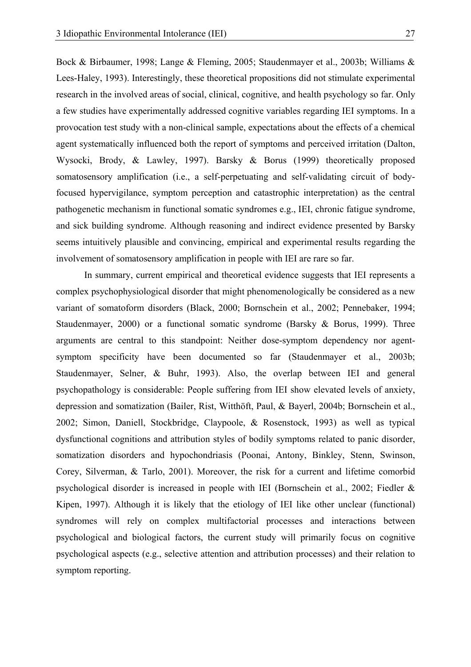Bock & Birbaumer, 1998; Lange & Fleming, 2005; Staudenmayer et al., 2003b; Williams & Lees-Haley, 1993). Interestingly, these theoretical propositions did not stimulate experimental research in the involved areas of social, clinical, cognitive, and health psychology so far. Only a few studies have experimentally addressed cognitive variables regarding IEI symptoms. In a provocation test study with a non-clinical sample, expectations about the effects of a chemical agent systematically influenced both the report of symptoms and perceived irritation (Dalton, Wysocki, Brody, & Lawley, 1997). Barsky & Borus (1999) theoretically proposed somatosensory amplification (i.e., a self-perpetuating and self-validating circuit of bodyfocused hypervigilance, symptom perception and catastrophic interpretation) as the central pathogenetic mechanism in functional somatic syndromes e.g., IEI, chronic fatigue syndrome, and sick building syndrome. Although reasoning and indirect evidence presented by Barsky seems intuitively plausible and convincing, empirical and experimental results regarding the involvement of somatosensory amplification in people with IEI are rare so far.

In summary, current empirical and theoretical evidence suggests that IEI represents a complex psychophysiological disorder that might phenomenologically be considered as a new variant of somatoform disorders (Black, 2000; Bornschein et al., 2002; Pennebaker, 1994; Staudenmayer, 2000) or a functional somatic syndrome (Barsky & Borus, 1999). Three arguments are central to this standpoint: Neither dose-symptom dependency nor agentsymptom specificity have been documented so far (Staudenmayer et al., 2003b; Staudenmayer, Selner, & Buhr, 1993). Also, the overlap between IEI and general psychopathology is considerable: People suffering from IEI show elevated levels of anxiety, depression and somatization (Bailer, Rist, Witthöft, Paul, & Bayerl, 2004b; Bornschein et al., 2002; Simon, Daniell, Stockbridge, Claypoole, & Rosenstock, 1993) as well as typical dysfunctional cognitions and attribution styles of bodily symptoms related to panic disorder, somatization disorders and hypochondriasis (Poonai, Antony, Binkley, Stenn, Swinson, Corey, Silverman, & Tarlo, 2001). Moreover, the risk for a current and lifetime comorbid psychological disorder is increased in people with IEI (Bornschein et al., 2002; Fiedler & Kipen, 1997). Although it is likely that the etiology of IEI like other unclear (functional) syndromes will rely on complex multifactorial processes and interactions between psychological and biological factors, the current study will primarily focus on cognitive psychological aspects (e.g., selective attention and attribution processes) and their relation to symptom reporting.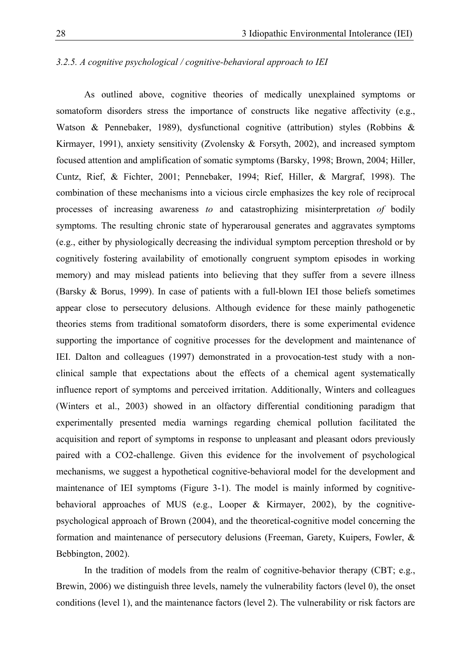## <span id="page-33-0"></span>*3.2.5. A cognitive psychological / cognitive-behavioral approach to IEI*

As outlined above, cognitive theories of medically unexplained symptoms or somatoform disorders stress the importance of constructs like negative affectivity (e.g., Watson & Pennebaker, 1989), dysfunctional cognitive (attribution) styles (Robbins & Kirmayer, 1991), anxiety sensitivity (Zvolensky & Forsyth, 2002), and increased symptom focused attention and amplification of somatic symptoms (Barsky, 1998; Brown, 2004; Hiller, Cuntz, Rief, & Fichter, 2001; Pennebaker, 1994; Rief, Hiller, & Margraf, 1998). The combination of these mechanisms into a vicious circle emphasizes the key role of reciprocal processes of increasing awareness *to* and catastrophizing misinterpretation *of* bodily symptoms. The resulting chronic state of hyperarousal generates and aggravates symptoms (e.g., either by physiologically decreasing the individual symptom perception threshold or by cognitively fostering availability of emotionally congruent symptom episodes in working memory) and may mislead patients into believing that they suffer from a severe illness (Barsky & Borus, 1999). In case of patients with a full-blown IEI those beliefs sometimes appear close to persecutory delusions. Although evidence for these mainly pathogenetic theories stems from traditional somatoform disorders, there is some experimental evidence supporting the importance of cognitive processes for the development and maintenance of IEI. Dalton and colleagues (1997) demonstrated in a provocation-test study with a nonclinical sample that expectations about the effects of a chemical agent systematically influence report of symptoms and perceived irritation. Additionally, Winters and colleagues (Winters et al., 2003) showed in an olfactory differential conditioning paradigm that experimentally presented media warnings regarding chemical pollution facilitated the acquisition and report of symptoms in response to unpleasant and pleasant odors previously paired with a CO2-challenge. Given this evidence for the involvement of psychological mechanisms, we suggest a hypothetical cognitive-behavioral model for the development and maintenance of IEI symptoms [\(Figure 3-1\)](#page-36-0). The model is mainly informed by cognitivebehavioral approaches of MUS (e.g., Looper & Kirmayer, 2002), by the cognitivepsychological approach of Brown (2004), and the theoretical-cognitive model concerning the formation and maintenance of persecutory delusions (Freeman, Garety, Kuipers, Fowler, & Bebbington, 2002).

In the tradition of models from the realm of cognitive-behavior therapy (CBT; e.g., Brewin, 2006) we distinguish three levels, namely the vulnerability factors (level 0), the onset conditions (level 1), and the maintenance factors (level 2). The vulnerability or risk factors are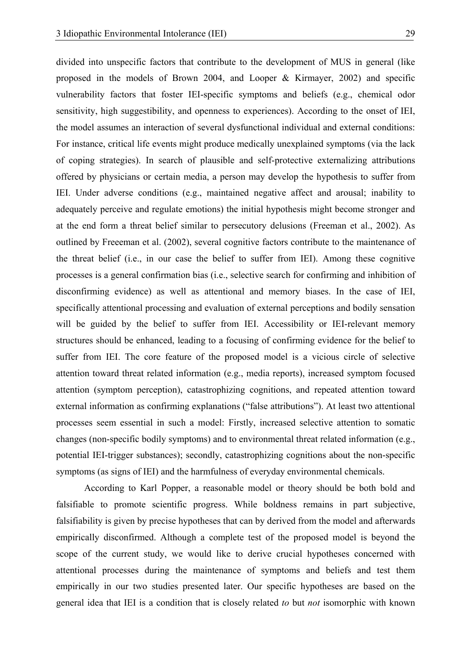divided into unspecific factors that contribute to the development of MUS in general (like proposed in the models of Brown 2004, and Looper & Kirmayer, 2002) and specific vulnerability factors that foster IEI-specific symptoms and beliefs (e.g., chemical odor sensitivity, high suggestibility, and openness to experiences). According to the onset of IEI, the model assumes an interaction of several dysfunctional individual and external conditions: For instance, critical life events might produce medically unexplained symptoms (via the lack of coping strategies). In search of plausible and self-protective externalizing attributions offered by physicians or certain media, a person may develop the hypothesis to suffer from IEI. Under adverse conditions (e.g., maintained negative affect and arousal; inability to adequately perceive and regulate emotions) the initial hypothesis might become stronger and at the end form a threat belief similar to persecutory delusions (Freeman et al., 2002). As outlined by Freeeman et al. (2002), several cognitive factors contribute to the maintenance of the threat belief (i.e., in our case the belief to suffer from IEI). Among these cognitive processes is a general confirmation bias (i.e., selective search for confirming and inhibition of disconfirming evidence) as well as attentional and memory biases. In the case of IEI, specifically attentional processing and evaluation of external perceptions and bodily sensation will be guided by the belief to suffer from IEI. Accessibility or IEI-relevant memory structures should be enhanced, leading to a focusing of confirming evidence for the belief to suffer from IEI. The core feature of the proposed model is a vicious circle of selective attention toward threat related information (e.g., media reports), increased symptom focused attention (symptom perception), catastrophizing cognitions, and repeated attention toward external information as confirming explanations ("false attributions"). At least two attentional processes seem essential in such a model: Firstly, increased selective attention to somatic changes (non-specific bodily symptoms) and to environmental threat related information (e.g., potential IEI-trigger substances); secondly, catastrophizing cognitions about the non-specific symptoms (as signs of IEI) and the harmfulness of everyday environmental chemicals.

According to Karl Popper, a reasonable model or theory should be both bold and falsifiable to promote scientific progress. While boldness remains in part subjective, falsifiability is given by precise hypotheses that can by derived from the model and afterwards empirically disconfirmed. Although a complete test of the proposed model is beyond the scope of the current study, we would like to derive crucial hypotheses concerned with attentional processes during the maintenance of symptoms and beliefs and test them empirically in our two studies presented later. Our specific hypotheses are based on the general idea that IEI is a condition that is closely related *to* but *not* isomorphic with known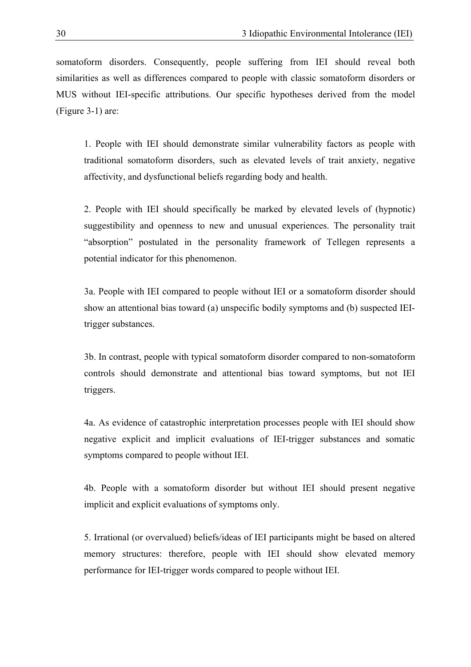somatoform disorders. Consequently, people suffering from IEI should reveal both similarities as well as differences compared to people with classic somatoform disorders or MUS without IEI-specific attributions. Our specific hypotheses derived from the model ([Figure 3-1](#page-36-0)) are:

1. People with IEI should demonstrate similar vulnerability factors as people with traditional somatoform disorders, such as elevated levels of trait anxiety, negative affectivity, and dysfunctional beliefs regarding body and health.

2. People with IEI should specifically be marked by elevated levels of (hypnotic) suggestibility and openness to new and unusual experiences. The personality trait "absorption" postulated in the personality framework of Tellegen represents a potential indicator for this phenomenon.

3a. People with IEI compared to people without IEI or a somatoform disorder should show an attentional bias toward (a) unspecific bodily symptoms and (b) suspected IEItrigger substances.

3b. In contrast, people with typical somatoform disorder compared to non-somatoform controls should demonstrate and attentional bias toward symptoms, but not IEI triggers.

4a. As evidence of catastrophic interpretation processes people with IEI should show negative explicit and implicit evaluations of IEI-trigger substances and somatic symptoms compared to people without IEI.

4b. People with a somatoform disorder but without IEI should present negative implicit and explicit evaluations of symptoms only.

5. Irrational (or overvalued) beliefs/ideas of IEI participants might be based on altered memory structures: therefore, people with IEI should show elevated memory performance for IEI-trigger words compared to people without IEI.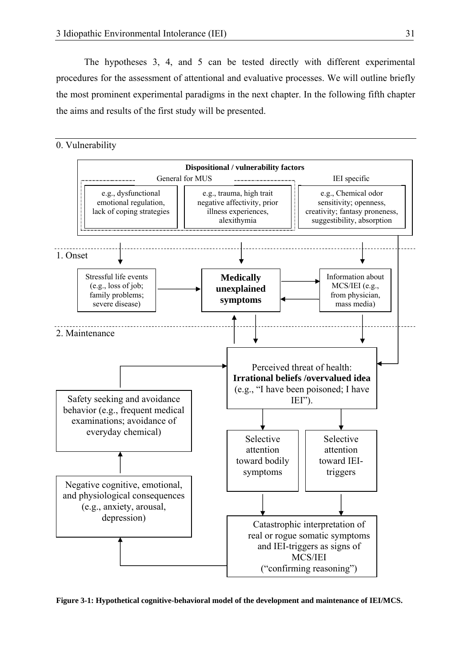The hypotheses 3, 4, and 5 can be tested directly with different experimental procedures for the assessment of attentional and evaluative processes. We will outline briefly the most prominent experimental paradigms in the next chapter. In the following fifth chapter the aims and results of the first study will be presented.

0. Vulnerability



**Figure 3-1: Hypothetical cognitive-behavioral model of the development and maintenance of IEI/MCS.**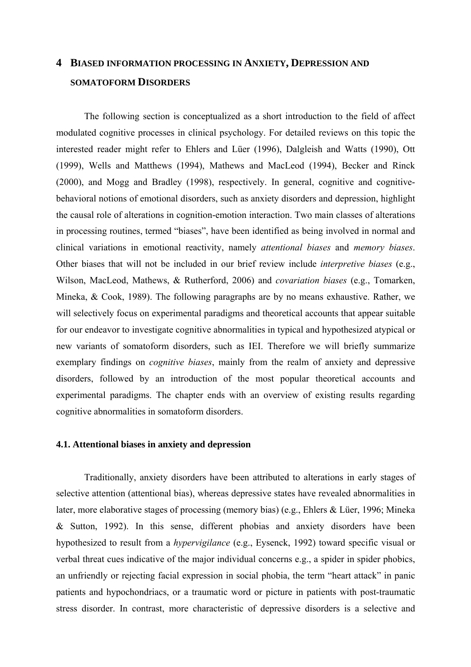# **4 BIASED INFORMATION PROCESSING IN ANXIETY, DEPRESSION AND SOMATOFORM DISORDERS**

The following section is conceptualized as a short introduction to the field of affect modulated cognitive processes in clinical psychology. For detailed reviews on this topic the interested reader might refer to Ehlers and Lüer (1996), Dalgleish and Watts (1990), Ott (1999), Wells and Matthews (1994), Mathews and MacLeod (1994), Becker and Rinck (2000), and Mogg and Bradley (1998), respectively. In general, cognitive and cognitivebehavioral notions of emotional disorders, such as anxiety disorders and depression, highlight the causal role of alterations in cognition-emotion interaction. Two main classes of alterations in processing routines, termed "biases", have been identified as being involved in normal and clinical variations in emotional reactivity, namely *attentional biases* and *memory biases*. Other biases that will not be included in our brief review include *interpretive biases* (e.g., Wilson, MacLeod, Mathews, & Rutherford, 2006) and *covariation biases* (e.g., Tomarken, Mineka, & Cook, 1989). The following paragraphs are by no means exhaustive. Rather, we will selectively focus on experimental paradigms and theoretical accounts that appear suitable for our endeavor to investigate cognitive abnormalities in typical and hypothesized atypical or new variants of somatoform disorders, such as IEI. Therefore we will briefly summarize exemplary findings on *cognitive biases*, mainly from the realm of anxiety and depressive disorders, followed by an introduction of the most popular theoretical accounts and experimental paradigms. The chapter ends with an overview of existing results regarding cognitive abnormalities in somatoform disorders.

## **4.1. Attentional biases in anxiety and depression**

Traditionally, anxiety disorders have been attributed to alterations in early stages of selective attention (attentional bias), whereas depressive states have revealed abnormalities in later, more elaborative stages of processing (memory bias) (e.g., Ehlers & Lüer, 1996; Mineka & Sutton, 1992). In this sense, different phobias and anxiety disorders have been hypothesized to result from a *hypervigilance* (e.g., Eysenck, 1992) toward specific visual or verbal threat cues indicative of the major individual concerns e.g., a spider in spider phobics, an unfriendly or rejecting facial expression in social phobia, the term "heart attack" in panic patients and hypochondriacs, or a traumatic word or picture in patients with post-traumatic stress disorder. In contrast, more characteristic of depressive disorders is a selective and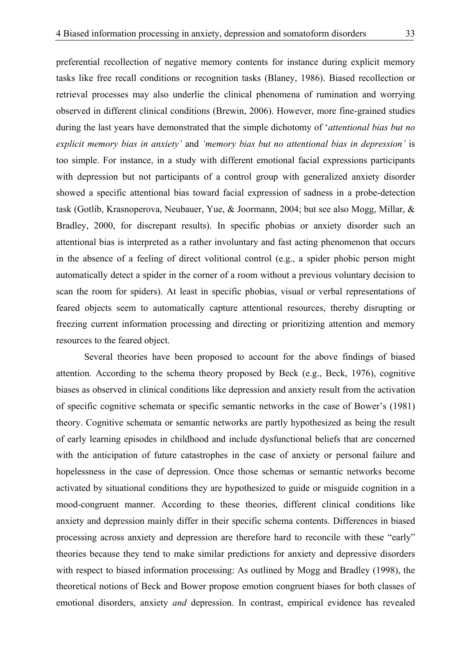preferential recollection of negative memory contents for instance during explicit memory tasks like free recall conditions or recognition tasks (Blaney, 1986). Biased recollection or retrieval processes may also underlie the clinical phenomena of rumination and worrying observed in different clinical conditions (Brewin, 2006). However, more fine-grained studies during the last years have demonstrated that the simple dichotomy of '*attentional bias but no explicit memory bias in anxiety'* and *'memory bias but no attentional bias in depression'* is too simple. For instance, in a study with different emotional facial expressions participants with depression but not participants of a control group with generalized anxiety disorder showed a specific attentional bias toward facial expression of sadness in a probe-detection task (Gotlib, Krasnoperova, Neubauer, Yue, & Joormann, 2004; but see also Mogg, Millar, & Bradley, 2000, for discrepant results). In specific phobias or anxiety disorder such an attentional bias is interpreted as a rather involuntary and fast acting phenomenon that occurs in the absence of a feeling of direct volitional control (e.g., a spider phobic person might automatically detect a spider in the corner of a room without a previous voluntary decision to scan the room for spiders). At least in specific phobias, visual or verbal representations of feared objects seem to automatically capture attentional resources, thereby disrupting or freezing current information processing and directing or prioritizing attention and memory resources to the feared object.

Several theories have been proposed to account for the above findings of biased attention. According to the schema theory proposed by Beck (e.g., Beck, 1976), cognitive biases as observed in clinical conditions like depression and anxiety result from the activation of specific cognitive schemata or specific semantic networks in the case of Bower's (1981) theory. Cognitive schemata or semantic networks are partly hypothesized as being the result of early learning episodes in childhood and include dysfunctional beliefs that are concerned with the anticipation of future catastrophes in the case of anxiety or personal failure and hopelessness in the case of depression. Once those schemas or semantic networks become activated by situational conditions they are hypothesized to guide or misguide cognition in a mood-congruent manner. According to these theories, different clinical conditions like anxiety and depression mainly differ in their specific schema contents. Differences in biased processing across anxiety and depression are therefore hard to reconcile with these "early" theories because they tend to make similar predictions for anxiety and depressive disorders with respect to biased information processing: As outlined by Mogg and Bradley (1998), the theoretical notions of Beck and Bower propose emotion congruent biases for both classes of emotional disorders, anxiety *and* depression. In contrast, empirical evidence has revealed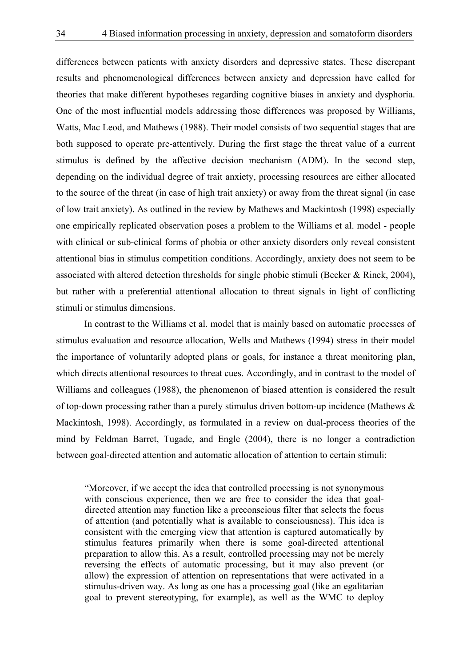differences between patients with anxiety disorders and depressive states. These discrepant results and phenomenological differences between anxiety and depression have called for theories that make different hypotheses regarding cognitive biases in anxiety and dysphoria. One of the most influential models addressing those differences was proposed by Williams, Watts, Mac Leod, and Mathews (1988). Their model consists of two sequential stages that are both supposed to operate pre-attentively. During the first stage the threat value of a current stimulus is defined by the affective decision mechanism (ADM). In the second step, depending on the individual degree of trait anxiety, processing resources are either allocated to the source of the threat (in case of high trait anxiety) or away from the threat signal (in case of low trait anxiety). As outlined in the review by Mathews and Mackintosh (1998) especially one empirically replicated observation poses a problem to the Williams et al. model - people with clinical or sub-clinical forms of phobia or other anxiety disorders only reveal consistent attentional bias in stimulus competition conditions. Accordingly, anxiety does not seem to be associated with altered detection thresholds for single phobic stimuli (Becker & Rinck, 2004), but rather with a preferential attentional allocation to threat signals in light of conflicting stimuli or stimulus dimensions.

In contrast to the Williams et al. model that is mainly based on automatic processes of stimulus evaluation and resource allocation, Wells and Mathews (1994) stress in their model the importance of voluntarily adopted plans or goals, for instance a threat monitoring plan, which directs attentional resources to threat cues. Accordingly, and in contrast to the model of Williams and colleagues (1988), the phenomenon of biased attention is considered the result of top-down processing rather than a purely stimulus driven bottom-up incidence (Mathews & Mackintosh, 1998). Accordingly, as formulated in a review on dual-process theories of the mind by Feldman Barret, Tugade, and Engle (2004), there is no longer a contradiction between goal-directed attention and automatic allocation of attention to certain stimuli:

"Moreover, if we accept the idea that controlled processing is not synonymous with conscious experience, then we are free to consider the idea that goaldirected attention may function like a preconscious filter that selects the focus of attention (and potentially what is available to consciousness). This idea is consistent with the emerging view that attention is captured automatically by stimulus features primarily when there is some goal-directed attentional preparation to allow this. As a result, controlled processing may not be merely reversing the effects of automatic processing, but it may also prevent (or allow) the expression of attention on representations that were activated in a stimulus-driven way. As long as one has a processing goal (like an egalitarian goal to prevent stereotyping, for example), as well as the WMC to deploy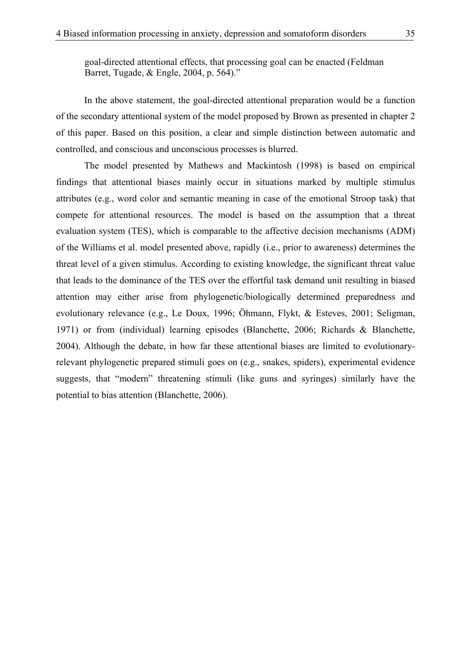goal-directed attentional effects, that processing goal can be enacted (Feldman Barret, Tugade, & Engle, 2004, p. 564)."

In the above statement, the goal-directed attentional preparation would be a function of the secondary attentional system of the model proposed by Brown as presented in chapter 2 of this paper. Based on this position, a clear and simple distinction between automatic and controlled, and conscious and unconscious processes is blurred.

The model presented by Mathews and Mackintosh (1998) is based on empirical findings that attentional biases mainly occur in situations marked by multiple stimulus attributes (e.g., word color and semantic meaning in case of the emotional Stroop task) that compete for attentional resources. The model is based on the assumption that a threat evaluation system (TES), which is comparable to the affective decision mechanisms (ADM) of the Williams et al. model presented above, rapidly (i.e., prior to awareness) determines the threat level of a given stimulus. According to existing knowledge, the significant threat value that leads to the dominance of the TES over the effortful task demand unit resulting in biased attention may either arise from phylogenetic/biologically determined preparedness and evolutionary relevance (e.g., Le Doux, 1996; Öhmann, Flykt, & Esteves, 2001; Seligman, 1971) or from (individual) learning episodes (Blanchette, 2006; Richards & Blanchette, 2004). Although the debate, in how far these attentional biases are limited to evolutionaryrelevant phylogenetic prepared stimuli goes on (e.g., snakes, spiders), experimental evidence suggests, that "modern" threatening stimuli (like guns and syringes) similarly have the potential to bias attention (Blanchette, 2006).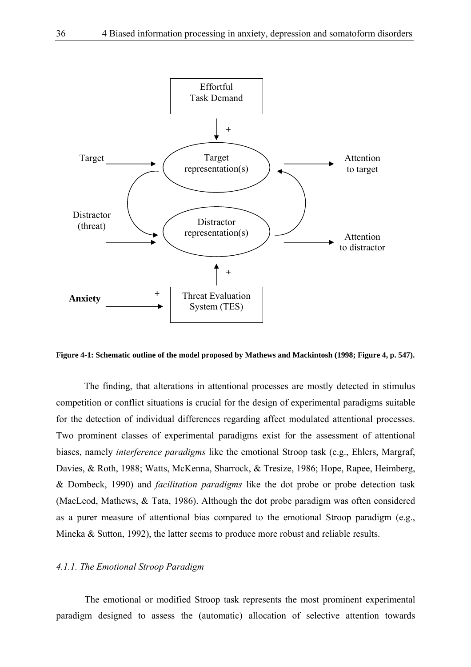

**Figure 4-1: Schematic outline of the model proposed by Mathews and Mackintosh (1998; Figure 4, p. 547).** 

The finding, that alterations in attentional processes are mostly detected in stimulus competition or conflict situations is crucial for the design of experimental paradigms suitable for the detection of individual differences regarding affect modulated attentional processes. Two prominent classes of experimental paradigms exist for the assessment of attentional biases, namely *interference paradigms* like the emotional Stroop task (e.g., Ehlers, Margraf, Davies, & Roth, 1988; Watts, McKenna, Sharrock, & Tresize, 1986; Hope, Rapee, Heimberg, & Dombeck, 1990) and *facilitation paradigms* like the dot probe or probe detection task (MacLeod, Mathews, & Tata, 1986). Although the dot probe paradigm was often considered as a purer measure of attentional bias compared to the emotional Stroop paradigm (e.g., Mineka & Sutton, 1992), the latter seems to produce more robust and reliable results.

## *4.1.1. The Emotional Stroop Paradigm*

The emotional or modified Stroop task represents the most prominent experimental paradigm designed to assess the (automatic) allocation of selective attention towards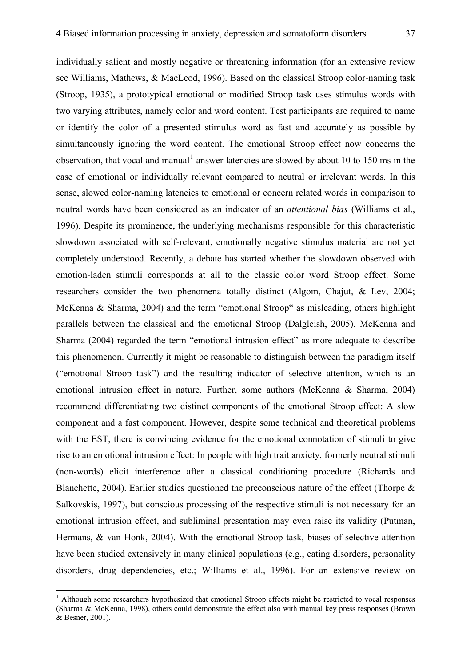<span id="page-42-0"></span>individually salient and mostly negative or threatening information (for an extensive review see Williams, Mathews, & MacLeod, 1996). Based on the classical Stroop color-naming task (Stroop, 1935), a prototypical emotional or modified Stroop task uses stimulus words with two varying attributes, namely color and word content. Test participants are required to name or identify the color of a presented stimulus word as fast and accurately as possible by simultaneously ignoring the word content. The emotional Stroop effect now concerns the observation, that vocal and manual<sup>[1](#page-42-0)</sup> answer latencies are slowed by about 10 to 150 ms in the case of emotional or individually relevant compared to neutral or irrelevant words. In this sense, slowed color-naming latencies to emotional or concern related words in comparison to neutral words have been considered as an indicator of an *attentional bias* (Williams et al., 1996). Despite its prominence, the underlying mechanisms responsible for this characteristic slowdown associated with self-relevant, emotionally negative stimulus material are not yet completely understood. Recently, a debate has started whether the slowdown observed with emotion-laden stimuli corresponds at all to the classic color word Stroop effect. Some researchers consider the two phenomena totally distinct (Algom, Chajut, & Lev, 2004; McKenna & Sharma, 2004) and the term "emotional Stroop" as misleading, others highlight parallels between the classical and the emotional Stroop (Dalgleish, 2005). McKenna and Sharma (2004) regarded the term "emotional intrusion effect" as more adequate to describe this phenomenon. Currently it might be reasonable to distinguish between the paradigm itself ("emotional Stroop task") and the resulting indicator of selective attention, which is an emotional intrusion effect in nature. Further, some authors (McKenna & Sharma, 2004) recommend differentiating two distinct components of the emotional Stroop effect: A slow component and a fast component. However, despite some technical and theoretical problems with the EST, there is convincing evidence for the emotional connotation of stimuli to give rise to an emotional intrusion effect: In people with high trait anxiety, formerly neutral stimuli (non-words) elicit interference after a classical conditioning procedure (Richards and Blanchette, 2004). Earlier studies questioned the preconscious nature of the effect (Thorpe & Salkovskis, 1997), but conscious processing of the respective stimuli is not necessary for an emotional intrusion effect, and subliminal presentation may even raise its validity (Putman, Hermans, & van Honk, 2004). With the emotional Stroop task, biases of selective attention have been studied extensively in many clinical populations (e.g., eating disorders, personality disorders, drug dependencies, etc.; Williams et al., 1996). For an extensive review on

 $\overline{a}$ 

<sup>&</sup>lt;sup>1</sup> Although some researchers hypothesized that emotional Stroop effects might be restricted to vocal responses (Sharma & McKenna, 1998), others could demonstrate the effect also with manual key press responses (Brown & Besner, 2001).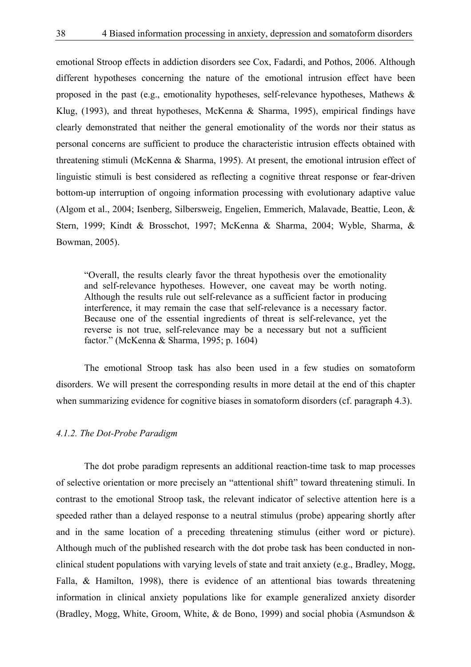emotional Stroop effects in addiction disorders see Cox, Fadardi, and Pothos, 2006. Although different hypotheses concerning the nature of the emotional intrusion effect have been proposed in the past (e.g., emotionality hypotheses, self-relevance hypotheses, Mathews & Klug, (1993), and threat hypotheses, McKenna & Sharma, 1995), empirical findings have clearly demonstrated that neither the general emotionality of the words nor their status as personal concerns are sufficient to produce the characteristic intrusion effects obtained with threatening stimuli (McKenna & Sharma, 1995). At present, the emotional intrusion effect of linguistic stimuli is best considered as reflecting a cognitive threat response or fear-driven bottom-up interruption of ongoing information processing with evolutionary adaptive value (Algom et al., 2004; Isenberg, Silbersweig, Engelien, Emmerich, Malavade, Beattie, Leon, & Stern, 1999; Kindt & Brosschot, 1997; McKenna & Sharma, 2004; Wyble, Sharma, & Bowman, 2005).

"Overall, the results clearly favor the threat hypothesis over the emotionality and self-relevance hypotheses. However, one caveat may be worth noting. Although the results rule out self-relevance as a sufficient factor in producing interference, it may remain the case that self-relevance is a necessary factor. Because one of the essential ingredients of threat is self-relevance, yet the reverse is not true, self-relevance may be a necessary but not a sufficient factor." (McKenna & Sharma, 1995; p. 1604)

The emotional Stroop task has also been used in a few studies on somatoform disorders. We will present the corresponding results in more detail at the end of this chapter when summarizing evidence for cognitive biases in somatoform disorders (cf. paragraph 4.3).

## *4.1.2. The Dot-Probe Paradigm*

The dot probe paradigm represents an additional reaction-time task to map processes of selective orientation or more precisely an "attentional shift" toward threatening stimuli. In contrast to the emotional Stroop task, the relevant indicator of selective attention here is a speeded rather than a delayed response to a neutral stimulus (probe) appearing shortly after and in the same location of a preceding threatening stimulus (either word or picture). Although much of the published research with the dot probe task has been conducted in nonclinical student populations with varying levels of state and trait anxiety (e.g., Bradley, Mogg, Falla, & Hamilton, 1998), there is evidence of an attentional bias towards threatening information in clinical anxiety populations like for example generalized anxiety disorder (Bradley, Mogg, White, Groom, White, & de Bono, 1999) and social phobia (Asmundson &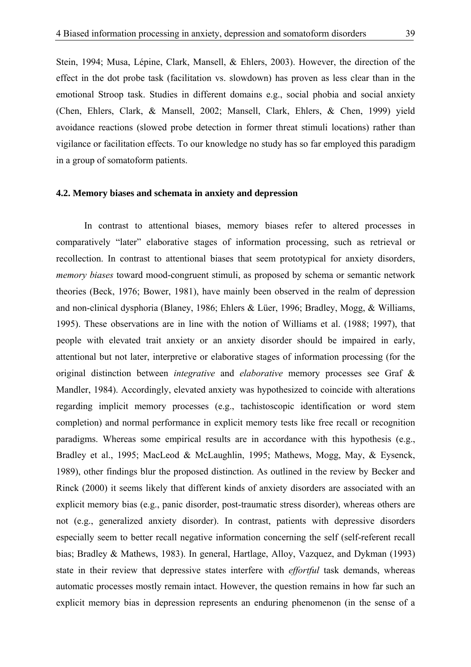Stein, 1994; Musa, Lépine, Clark, Mansell, & Ehlers, 2003). However, the direction of the effect in the dot probe task (facilitation vs. slowdown) has proven as less clear than in the emotional Stroop task. Studies in different domains e.g., social phobia and social anxiety (Chen, Ehlers, Clark, & Mansell, 2002; Mansell, Clark, Ehlers, & Chen, 1999) yield avoidance reactions (slowed probe detection in former threat stimuli locations) rather than vigilance or facilitation effects. To our knowledge no study has so far employed this paradigm in a group of somatoform patients.

#### **4.2. Memory biases and schemata in anxiety and depression**

In contrast to attentional biases, memory biases refer to altered processes in comparatively "later" elaborative stages of information processing, such as retrieval or recollection. In contrast to attentional biases that seem prototypical for anxiety disorders, *memory biases* toward mood-congruent stimuli, as proposed by schema or semantic network theories (Beck, 1976; Bower, 1981), have mainly been observed in the realm of depression and non-clinical dysphoria (Blaney, 1986; Ehlers & Lüer, 1996; Bradley, Mogg, & Williams, 1995). These observations are in line with the notion of Williams et al. (1988; 1997), that people with elevated trait anxiety or an anxiety disorder should be impaired in early, attentional but not later, interpretive or elaborative stages of information processing (for the original distinction between *integrative* and *elaborative* memory processes see Graf & Mandler, 1984). Accordingly, elevated anxiety was hypothesized to coincide with alterations regarding implicit memory processes (e.g., tachistoscopic identification or word stem completion) and normal performance in explicit memory tests like free recall or recognition paradigms. Whereas some empirical results are in accordance with this hypothesis (e.g., Bradley et al., 1995; MacLeod & McLaughlin, 1995; Mathews, Mogg, May, & Eysenck, 1989), other findings blur the proposed distinction. As outlined in the review by Becker and Rinck (2000) it seems likely that different kinds of anxiety disorders are associated with an explicit memory bias (e.g., panic disorder, post-traumatic stress disorder), whereas others are not (e.g., generalized anxiety disorder). In contrast, patients with depressive disorders especially seem to better recall negative information concerning the self (self-referent recall bias; Bradley & Mathews, 1983). In general, Hartlage, Alloy, Vazquez, and Dykman (1993) state in their review that depressive states interfere with *effortful* task demands, whereas automatic processes mostly remain intact. However, the question remains in how far such an explicit memory bias in depression represents an enduring phenomenon (in the sense of a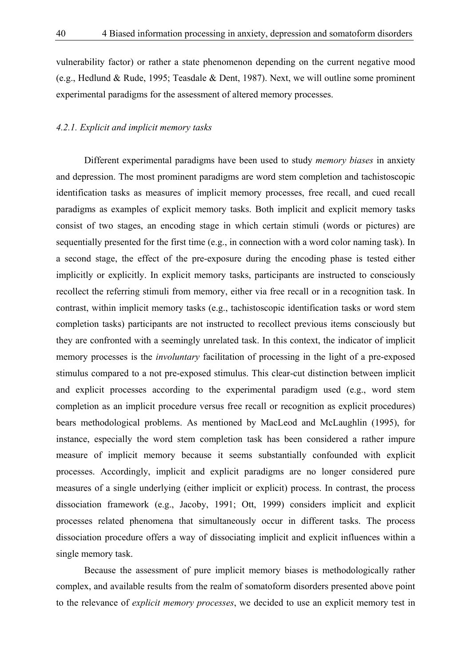vulnerability factor) or rather a state phenomenon depending on the current negative mood (e.g., Hedlund & Rude, 1995; Teasdale & Dent, 1987). Next, we will outline some prominent experimental paradigms for the assessment of altered memory processes.

# *4.2.1. Explicit and implicit memory tasks*

Different experimental paradigms have been used to study *memory biases* in anxiety and depression. The most prominent paradigms are word stem completion and tachistoscopic identification tasks as measures of implicit memory processes, free recall, and cued recall paradigms as examples of explicit memory tasks. Both implicit and explicit memory tasks consist of two stages, an encoding stage in which certain stimuli (words or pictures) are sequentially presented for the first time (e.g., in connection with a word color naming task). In a second stage, the effect of the pre-exposure during the encoding phase is tested either implicitly or explicitly. In explicit memory tasks, participants are instructed to consciously recollect the referring stimuli from memory, either via free recall or in a recognition task. In contrast, within implicit memory tasks (e.g., tachistoscopic identification tasks or word stem completion tasks) participants are not instructed to recollect previous items consciously but they are confronted with a seemingly unrelated task. In this context, the indicator of implicit memory processes is the *involuntary* facilitation of processing in the light of a pre-exposed stimulus compared to a not pre-exposed stimulus. This clear-cut distinction between implicit and explicit processes according to the experimental paradigm used (e.g., word stem completion as an implicit procedure versus free recall or recognition as explicit procedures) bears methodological problems. As mentioned by MacLeod and McLaughlin (1995), for instance, especially the word stem completion task has been considered a rather impure measure of implicit memory because it seems substantially confounded with explicit processes. Accordingly, implicit and explicit paradigms are no longer considered pure measures of a single underlying (either implicit or explicit) process. In contrast, the process dissociation framework (e.g., Jacoby, 1991; Ott, 1999) considers implicit and explicit processes related phenomena that simultaneously occur in different tasks. The process dissociation procedure offers a way of dissociating implicit and explicit influences within a single memory task.

Because the assessment of pure implicit memory biases is methodologically rather complex, and available results from the realm of somatoform disorders presented above point to the relevance of *explicit memory processes*, we decided to use an explicit memory test in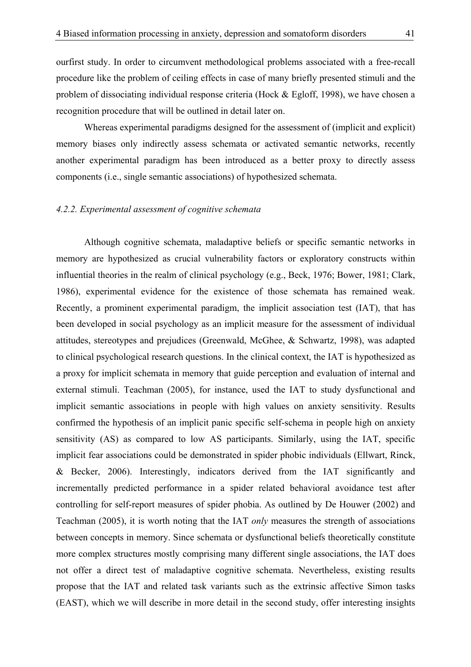ourfirst study. In order to circumvent methodological problems associated with a free-recall procedure like the problem of ceiling effects in case of many briefly presented stimuli and the problem of dissociating individual response criteria (Hock & Egloff, 1998), we have chosen a recognition procedure that will be outlined in detail later on.

Whereas experimental paradigms designed for the assessment of (implicit and explicit) memory biases only indirectly assess schemata or activated semantic networks, recently another experimental paradigm has been introduced as a better proxy to directly assess components (i.e., single semantic associations) of hypothesized schemata.

## *4.2.2. Experimental assessment of cognitive schemata*

Although cognitive schemata, maladaptive beliefs or specific semantic networks in memory are hypothesized as crucial vulnerability factors or exploratory constructs within influential theories in the realm of clinical psychology (e.g., Beck, 1976; Bower, 1981; Clark, 1986), experimental evidence for the existence of those schemata has remained weak. Recently, a prominent experimental paradigm, the implicit association test (IAT), that has been developed in social psychology as an implicit measure for the assessment of individual attitudes, stereotypes and prejudices (Greenwald, McGhee, & Schwartz, 1998), was adapted to clinical psychological research questions. In the clinical context, the IAT is hypothesized as a proxy for implicit schemata in memory that guide perception and evaluation of internal and external stimuli. Teachman (2005), for instance, used the IAT to study dysfunctional and implicit semantic associations in people with high values on anxiety sensitivity. Results confirmed the hypothesis of an implicit panic specific self-schema in people high on anxiety sensitivity (AS) as compared to low AS participants. Similarly, using the IAT, specific implicit fear associations could be demonstrated in spider phobic individuals (Ellwart, Rinck, & Becker, 2006). Interestingly, indicators derived from the IAT significantly and incrementally predicted performance in a spider related behavioral avoidance test after controlling for self-report measures of spider phobia. As outlined by De Houwer (2002) and Teachman (2005), it is worth noting that the IAT *only* measures the strength of associations between concepts in memory. Since schemata or dysfunctional beliefs theoretically constitute more complex structures mostly comprising many different single associations, the IAT does not offer a direct test of maladaptive cognitive schemata. Nevertheless, existing results propose that the IAT and related task variants such as the extrinsic affective Simon tasks (EAST), which we will describe in more detail in the second study, offer interesting insights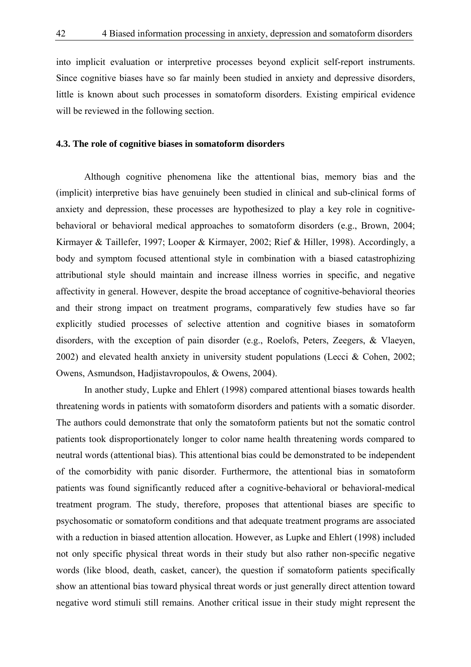into implicit evaluation or interpretive processes beyond explicit self-report instruments. Since cognitive biases have so far mainly been studied in anxiety and depressive disorders, little is known about such processes in somatoform disorders. Existing empirical evidence will be reviewed in the following section.

# **4.3. The role of cognitive biases in somatoform disorders**

Although cognitive phenomena like the attentional bias, memory bias and the (implicit) interpretive bias have genuinely been studied in clinical and sub-clinical forms of anxiety and depression, these processes are hypothesized to play a key role in cognitivebehavioral or behavioral medical approaches to somatoform disorders (e.g., Brown, 2004; Kirmayer & Taillefer, 1997; Looper & Kirmayer, 2002; Rief & Hiller, 1998). Accordingly, a body and symptom focused attentional style in combination with a biased catastrophizing attributional style should maintain and increase illness worries in specific, and negative affectivity in general. However, despite the broad acceptance of cognitive-behavioral theories and their strong impact on treatment programs, comparatively few studies have so far explicitly studied processes of selective attention and cognitive biases in somatoform disorders, with the exception of pain disorder (e.g., Roelofs, Peters, Zeegers, & Vlaeyen, 2002) and elevated health anxiety in university student populations (Lecci & Cohen, 2002; Owens, Asmundson, Hadjistavropoulos, & Owens, 2004).

In another study, Lupke and Ehlert (1998) compared attentional biases towards health threatening words in patients with somatoform disorders and patients with a somatic disorder. The authors could demonstrate that only the somatoform patients but not the somatic control patients took disproportionately longer to color name health threatening words compared to neutral words (attentional bias). This attentional bias could be demonstrated to be independent of the comorbidity with panic disorder. Furthermore, the attentional bias in somatoform patients was found significantly reduced after a cognitive-behavioral or behavioral-medical treatment program. The study, therefore, proposes that attentional biases are specific to psychosomatic or somatoform conditions and that adequate treatment programs are associated with a reduction in biased attention allocation. However, as Lupke and Ehlert (1998) included not only specific physical threat words in their study but also rather non-specific negative words (like blood, death, casket, cancer), the question if somatoform patients specifically show an attentional bias toward physical threat words or just generally direct attention toward negative word stimuli still remains. Another critical issue in their study might represent the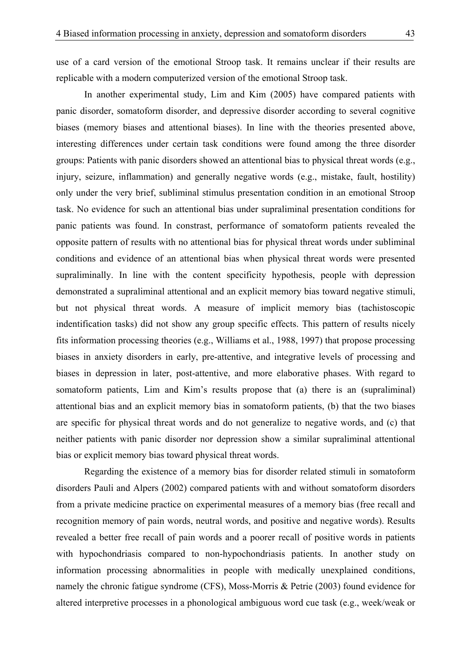use of a card version of the emotional Stroop task. It remains unclear if their results are replicable with a modern computerized version of the emotional Stroop task.

In another experimental study, Lim and Kim (2005) have compared patients with panic disorder, somatoform disorder, and depressive disorder according to several cognitive biases (memory biases and attentional biases). In line with the theories presented above, interesting differences under certain task conditions were found among the three disorder groups: Patients with panic disorders showed an attentional bias to physical threat words (e.g., injury, seizure, inflammation) and generally negative words (e.g., mistake, fault, hostility) only under the very brief, subliminal stimulus presentation condition in an emotional Stroop task. No evidence for such an attentional bias under supraliminal presentation conditions for panic patients was found. In constrast, performance of somatoform patients revealed the opposite pattern of results with no attentional bias for physical threat words under subliminal conditions and evidence of an attentional bias when physical threat words were presented supraliminally. In line with the content specificity hypothesis, people with depression demonstrated a supraliminal attentional and an explicit memory bias toward negative stimuli, but not physical threat words. A measure of implicit memory bias (tachistoscopic indentification tasks) did not show any group specific effects. This pattern of results nicely fits information processing theories (e.g., Williams et al., 1988, 1997) that propose processing biases in anxiety disorders in early, pre-attentive, and integrative levels of processing and biases in depression in later, post-attentive, and more elaborative phases. With regard to somatoform patients, Lim and Kim's results propose that (a) there is an (supraliminal) attentional bias and an explicit memory bias in somatoform patients, (b) that the two biases are specific for physical threat words and do not generalize to negative words, and (c) that neither patients with panic disorder nor depression show a similar supraliminal attentional bias or explicit memory bias toward physical threat words.

Regarding the existence of a memory bias for disorder related stimuli in somatoform disorders Pauli and Alpers (2002) compared patients with and without somatoform disorders from a private medicine practice on experimental measures of a memory bias (free recall and recognition memory of pain words, neutral words, and positive and negative words). Results revealed a better free recall of pain words and a poorer recall of positive words in patients with hypochondriasis compared to non-hypochondriasis patients. In another study on information processing abnormalities in people with medically unexplained conditions, namely the chronic fatigue syndrome (CFS), Moss-Morris & Petrie (2003) found evidence for altered interpretive processes in a phonological ambiguous word cue task (e.g., week/weak or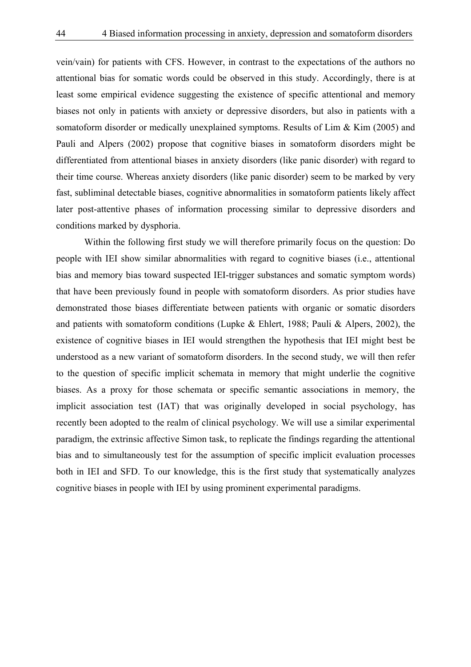vein/vain) for patients with CFS. However, in contrast to the expectations of the authors no attentional bias for somatic words could be observed in this study. Accordingly, there is at least some empirical evidence suggesting the existence of specific attentional and memory biases not only in patients with anxiety or depressive disorders, but also in patients with a somatoform disorder or medically unexplained symptoms. Results of Lim & Kim (2005) and Pauli and Alpers (2002) propose that cognitive biases in somatoform disorders might be differentiated from attentional biases in anxiety disorders (like panic disorder) with regard to their time course. Whereas anxiety disorders (like panic disorder) seem to be marked by very fast, subliminal detectable biases, cognitive abnormalities in somatoform patients likely affect later post-attentive phases of information processing similar to depressive disorders and conditions marked by dysphoria.

Within the following first study we will therefore primarily focus on the question: Do people with IEI show similar abnormalities with regard to cognitive biases (i.e., attentional bias and memory bias toward suspected IEI-trigger substances and somatic symptom words) that have been previously found in people with somatoform disorders. As prior studies have demonstrated those biases differentiate between patients with organic or somatic disorders and patients with somatoform conditions (Lupke & Ehlert, 1988; Pauli & Alpers, 2002), the existence of cognitive biases in IEI would strengthen the hypothesis that IEI might best be understood as a new variant of somatoform disorders. In the second study, we will then refer to the question of specific implicit schemata in memory that might underlie the cognitive biases. As a proxy for those schemata or specific semantic associations in memory, the implicit association test (IAT) that was originally developed in social psychology, has recently been adopted to the realm of clinical psychology. We will use a similar experimental paradigm, the extrinsic affective Simon task, to replicate the findings regarding the attentional bias and to simultaneously test for the assumption of specific implicit evaluation processes both in IEI and SFD. To our knowledge, this is the first study that systematically analyzes cognitive biases in people with IEI by using prominent experimental paradigms.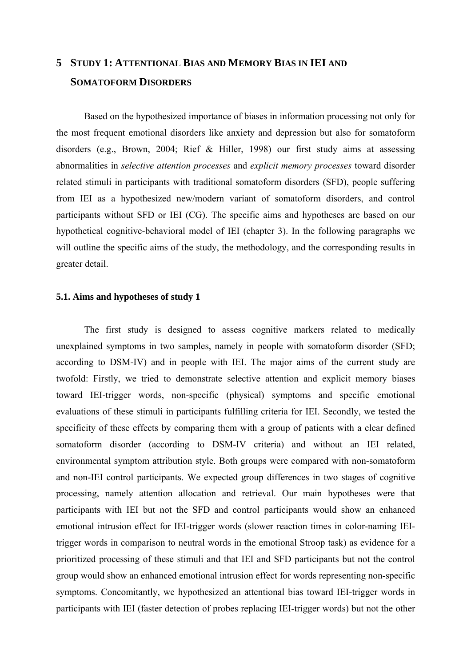# **5 STUDY 1: ATTENTIONAL BIAS AND MEMORY BIAS IN IEI AND SOMATOFORM DISORDERS**

Based on the hypothesized importance of biases in information processing not only for the most frequent emotional disorders like anxiety and depression but also for somatoform disorders (e.g., Brown, 2004; Rief & Hiller, 1998) our first study aims at assessing abnormalities in *selective attention processes* and *explicit memory processes* toward disorder related stimuli in participants with traditional somatoform disorders (SFD), people suffering from IEI as a hypothesized new/modern variant of somatoform disorders, and control participants without SFD or IEI (CG). The specific aims and hypotheses are based on our hypothetical cognitive-behavioral model of IEI (chapter 3). In the following paragraphs we will outline the specific aims of the study, the methodology, and the corresponding results in greater detail.

## **5.1. Aims and hypotheses of study 1**

The first study is designed to assess cognitive markers related to medically unexplained symptoms in two samples, namely in people with somatoform disorder (SFD; according to DSM-IV) and in people with IEI. The major aims of the current study are twofold: Firstly, we tried to demonstrate selective attention and explicit memory biases toward IEI-trigger words, non-specific (physical) symptoms and specific emotional evaluations of these stimuli in participants fulfilling criteria for IEI. Secondly, we tested the specificity of these effects by comparing them with a group of patients with a clear defined somatoform disorder (according to DSM-IV criteria) and without an IEI related, environmental symptom attribution style. Both groups were compared with non-somatoform and non-IEI control participants. We expected group differences in two stages of cognitive processing, namely attention allocation and retrieval. Our main hypotheses were that participants with IEI but not the SFD and control participants would show an enhanced emotional intrusion effect for IEI-trigger words (slower reaction times in color-naming IEItrigger words in comparison to neutral words in the emotional Stroop task) as evidence for a prioritized processing of these stimuli and that IEI and SFD participants but not the control group would show an enhanced emotional intrusion effect for words representing non-specific symptoms. Concomitantly, we hypothesized an attentional bias toward IEI-trigger words in participants with IEI (faster detection of probes replacing IEI-trigger words) but not the other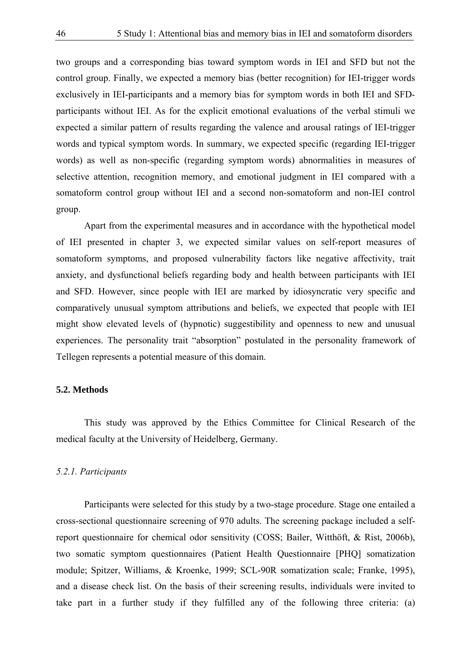two groups and a corresponding bias toward symptom words in IEI and SFD but not the control group. Finally, we expected a memory bias (better recognition) for IEI-trigger words exclusively in IEI-participants and a memory bias for symptom words in both IEI and SFDparticipants without IEI. As for the explicit emotional evaluations of the verbal stimuli we expected a similar pattern of results regarding the valence and arousal ratings of IEI-trigger words and typical symptom words. In summary, we expected specific (regarding IEI-trigger words) as well as non-specific (regarding symptom words) abnormalities in measures of selective attention, recognition memory, and emotional judgment in IEI compared with a somatoform control group without IEI and a second non-somatoform and non-IEI control group.

Apart from the experimental measures and in accordance with the hypothetical model of IEI presented in chapter 3, we expected similar values on self-report measures of somatoform symptoms, and proposed vulnerability factors like negative affectivity, trait anxiety, and dysfunctional beliefs regarding body and health between participants with IEI and SFD. However, since people with IEI are marked by idiosyncratic very specific and comparatively unusual symptom attributions and beliefs, we expected that people with IEI might show elevated levels of (hypnotic) suggestibility and openness to new and unusual experiences. The personality trait "absorption" postulated in the personality framework of Tellegen represents a potential measure of this domain.

## **5.2. Methods**

This study was approved by the Ethics Committee for Clinical Research of the medical faculty at the University of Heidelberg, Germany.

# *5.2.1. Participants*

Participants were selected for this study by a two-stage procedure. Stage one entailed a cross-sectional questionnaire screening of 970 adults. The screening package included a selfreport questionnaire for chemical odor sensitivity (COSS; Bailer, Witthöft, & Rist, 2006b), two somatic symptom questionnaires (Patient Health Questionnaire [PHQ] somatization module; Spitzer, Williams, & Kroenke, 1999; SCL-90R somatization scale; Franke, 1995), and a disease check list. On the basis of their screening results, individuals were invited to take part in a further study if they fulfilled any of the following three criteria: (a)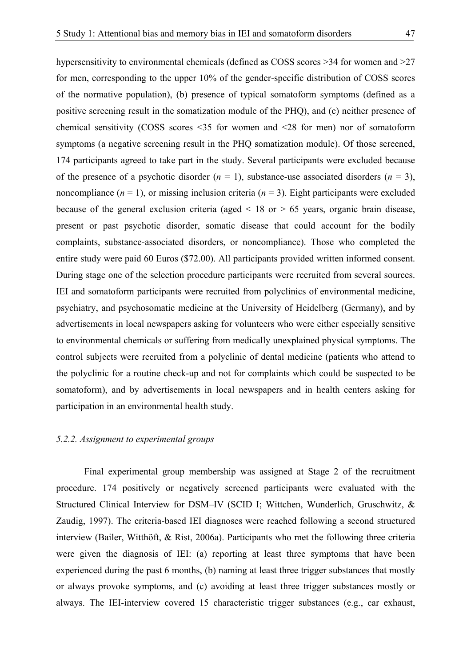hypersensitivity to environmental chemicals (defined as COSS scores >34 for women and >27 for men, corresponding to the upper 10% of the gender-specific distribution of COSS scores of the normative population), (b) presence of typical somatoform symptoms (defined as a positive screening result in the somatization module of the PHQ), and (c) neither presence of chemical sensitivity (COSS scores <35 for women and <28 for men) nor of somatoform symptoms (a negative screening result in the PHQ somatization module). Of those screened, 174 participants agreed to take part in the study. Several participants were excluded because of the presence of a psychotic disorder  $(n = 1)$ , substance-use associated disorders  $(n = 3)$ , noncompliance  $(n = 1)$ , or missing inclusion criteria  $(n = 3)$ . Eight participants were excluded because of the general exclusion criteria (aged  $\leq$  18 or  $\geq$  65 years, organic brain disease, present or past psychotic disorder, somatic disease that could account for the bodily complaints, substance-associated disorders, or noncompliance). Those who completed the entire study were paid 60 Euros (\$72.00). All participants provided written informed consent. During stage one of the selection procedure participants were recruited from several sources. IEI and somatoform participants were recruited from polyclinics of environmental medicine, psychiatry, and psychosomatic medicine at the University of Heidelberg (Germany), and by advertisements in local newspapers asking for volunteers who were either especially sensitive to environmental chemicals or suffering from medically unexplained physical symptoms. The control subjects were recruited from a polyclinic of dental medicine (patients who attend to the polyclinic for a routine check-up and not for complaints which could be suspected to be somatoform), and by advertisements in local newspapers and in health centers asking for participation in an environmental health study.

# *5.2.2. Assignment to experimental groups*

Final experimental group membership was assigned at Stage 2 of the recruitment procedure. 174 positively or negatively screened participants were evaluated with the Structured Clinical Interview for DSM–IV (SCID I; Wittchen, Wunderlich, Gruschwitz, & Zaudig, 1997). The criteria-based IEI diagnoses were reached following a second structured interview (Bailer, Witthöft, & Rist, 2006a). Participants who met the following three criteria were given the diagnosis of IEI: (a) reporting at least three symptoms that have been experienced during the past 6 months, (b) naming at least three trigger substances that mostly or always provoke symptoms, and (c) avoiding at least three trigger substances mostly or always. The IEI-interview covered 15 characteristic trigger substances (e.g., car exhaust,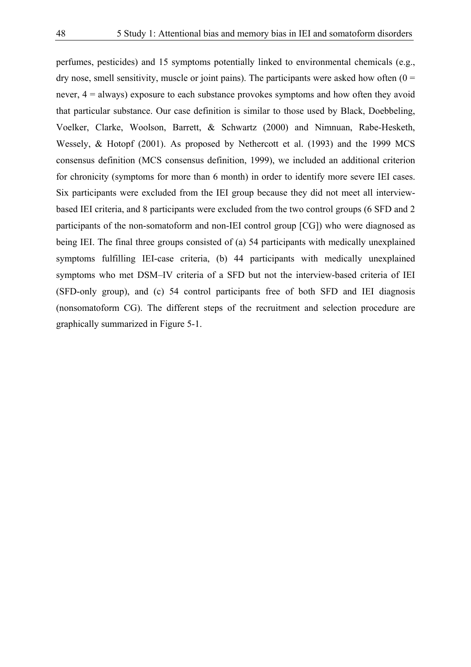perfumes, pesticides) and 15 symptoms potentially linked to environmental chemicals (e.g., dry nose, smell sensitivity, muscle or joint pains). The participants were asked how often  $(0 =$ never, 4 = always) exposure to each substance provokes symptoms and how often they avoid that particular substance. Our case definition is similar to those used by Black, Doebbeling, Voelker, Clarke, Woolson, Barrett, & Schwartz (2000) and Nimnuan, Rabe-Hesketh, Wessely, & Hotopf (2001). As proposed by Nethercott et al. (1993) and the 1999 MCS consensus definition (MCS consensus definition, 1999), we included an additional criterion for chronicity (symptoms for more than 6 month) in order to identify more severe IEI cases. Six participants were excluded from the IEI group because they did not meet all interviewbased IEI criteria, and 8 participants were excluded from the two control groups (6 SFD and 2 participants of the non-somatoform and non-IEI control group [CG]) who were diagnosed as being IEI. The final three groups consisted of (a) 54 participants with medically unexplained symptoms fulfilling IEI-case criteria, (b) 44 participants with medically unexplained symptoms who met DSM–IV criteria of a SFD but not the interview-based criteria of IEI (SFD-only group), and (c) 54 control participants free of both SFD and IEI diagnosis (nonsomatoform CG). The different steps of the recruitment and selection procedure are graphically summarized in [Figure 5-1](#page-54-0).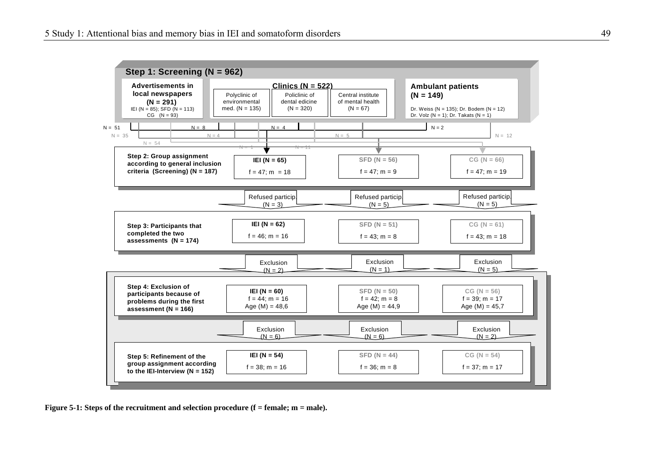

<span id="page-54-0"></span>Figure 5-1: Steps of the recruitment and selection procedure (f = female; m = male).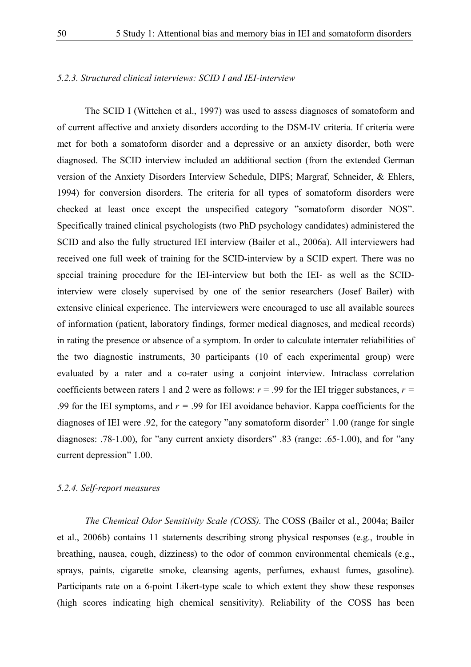#### *5.2.3. Structured clinical interviews: SCID I and IEI-interview*

The SCID I (Wittchen et al., 1997) was used to assess diagnoses of somatoform and of current affective and anxiety disorders according to the DSM-IV criteria. If criteria were met for both a somatoform disorder and a depressive or an anxiety disorder, both were diagnosed. The SCID interview included an additional section (from the extended German version of the Anxiety Disorders Interview Schedule, DIPS; Margraf, Schneider, & Ehlers, 1994) for conversion disorders. The criteria for all types of somatoform disorders were checked at least once except the unspecified category "somatoform disorder NOS". Specifically trained clinical psychologists (two PhD psychology candidates) administered the SCID and also the fully structured IEI interview (Bailer et al., 2006a). All interviewers had received one full week of training for the SCID-interview by a SCID expert. There was no special training procedure for the IEI-interview but both the IEI- as well as the SCIDinterview were closely supervised by one of the senior researchers (Josef Bailer) with extensive clinical experience. The interviewers were encouraged to use all available sources of information (patient, laboratory findings, former medical diagnoses, and medical records) in rating the presence or absence of a symptom. In order to calculate interrater reliabilities of the two diagnostic instruments, 30 participants (10 of each experimental group) were evaluated by a rater and a co-rater using a conjoint interview. Intraclass correlation coefficients between raters 1 and 2 were as follows:  $r = .99$  for the IEI trigger substances,  $r =$ .99 for the IEI symptoms, and *r =* .99 for IEI avoidance behavior. Kappa coefficients for the diagnoses of IEI were .92, for the category "any somatoform disorder" 1.00 (range for single diagnoses: .78-1.00), for "any current anxiety disorders" .83 (range: .65-1.00), and for "any current depression" 1.00.

## *5.2.4. Self-report measures*

*The Chemical Odor Sensitivity Scale (COSS).* The COSS (Bailer et al., 2004a; Bailer et al., 2006b) contains 11 statements describing strong physical responses (e.g., trouble in breathing, nausea, cough, dizziness) to the odor of common environmental chemicals (e.g., sprays, paints, cigarette smoke, cleansing agents, perfumes, exhaust fumes, gasoline). Participants rate on a 6-point Likert-type scale to which extent they show these responses (high scores indicating high chemical sensitivity). Reliability of the COSS has been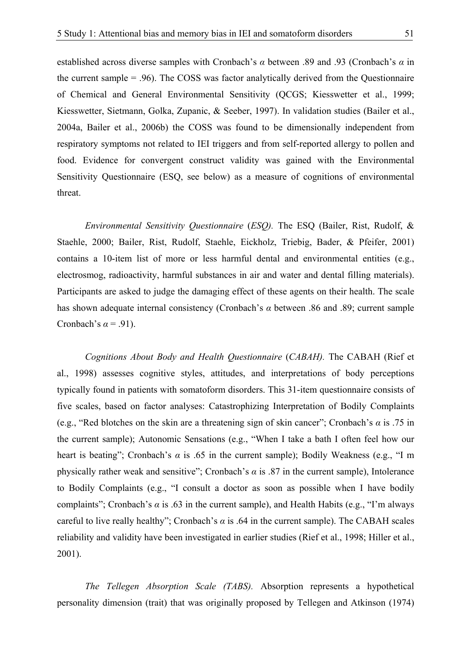established across diverse samples with Cronbach's *α* between .89 and .93 (Cronbach's *α* in the current sample = .96). The COSS was factor analytically derived from the Questionnaire of Chemical and General Environmental Sensitivity (QCGS; Kiesswetter et al., 1999; Kiesswetter, Sietmann, Golka, Zupanic, & Seeber, 1997). In validation studies (Bailer et al., 2004a, Bailer et al., 2006b) the COSS was found to be dimensionally independent from respiratory symptoms not related to IEI triggers and from self-reported allergy to pollen and food. Evidence for convergent construct validity was gained with the Environmental Sensitivity Questionnaire (ESQ, see below) as a measure of cognitions of environmental threat.

*Environmental Sensitivity Questionnaire* (*ESQ).* The ESQ (Bailer, Rist, Rudolf, & Staehle, 2000; Bailer, Rist, Rudolf, Staehle, Eickholz, Triebig, Bader, & Pfeifer, 2001) contains a 10-item list of more or less harmful dental and environmental entities (e.g., electrosmog, radioactivity, harmful substances in air and water and dental filling materials). Participants are asked to judge the damaging effect of these agents on their health. The scale has shown adequate internal consistency (Cronbach's *α* between .86 and .89; current sample Cronbach's  $\alpha$  = .91).

*Cognitions About Body and Health Questionnaire* (*CABAH).* The CABAH (Rief et al., 1998) assesses cognitive styles, attitudes, and interpretations of body perceptions typically found in patients with somatoform disorders. This 31-item questionnaire consists of five scales, based on factor analyses: Catastrophizing Interpretation of Bodily Complaints (e.g., "Red blotches on the skin are a threatening sign of skin cancer"; Cronbach's *α* is .75 in the current sample); Autonomic Sensations (e.g., "When I take a bath I often feel how our heart is beating"; Cronbach's *α* is .65 in the current sample); Bodily Weakness (e.g., "I m physically rather weak and sensitive"; Cronbach's *α* is .87 in the current sample), Intolerance to Bodily Complaints (e.g., "I consult a doctor as soon as possible when I have bodily complaints"; Cronbach's *α* is .63 in the current sample), and Health Habits (e.g., "I'm always careful to live really healthy"; Cronbach's  $\alpha$  is .64 in the current sample). The CABAH scales reliability and validity have been investigated in earlier studies (Rief et al., 1998; Hiller et al., 2001).

*The Tellegen Absorption Scale (TABS).* Absorption represents a hypothetical personality dimension (trait) that was originally proposed by Tellegen and Atkinson (1974)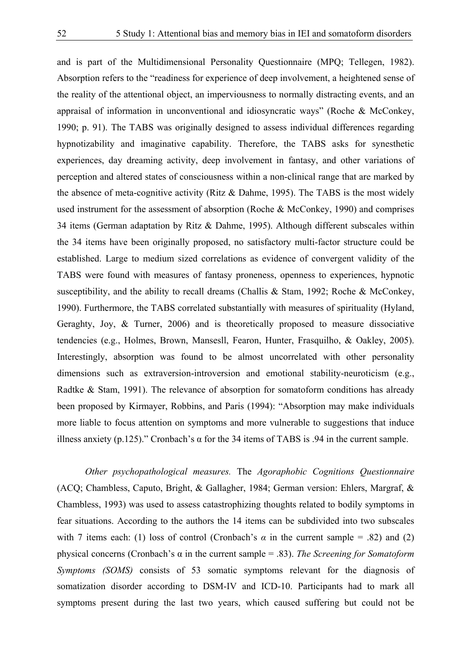and is part of the Multidimensional Personality Questionnaire (MPQ; Tellegen, 1982). Absorption refers to the "readiness for experience of deep involvement, a heightened sense of the reality of the attentional object, an imperviousness to normally distracting events, and an appraisal of information in unconventional and idiosyncratic ways" (Roche & McConkey, 1990; p. 91). The TABS was originally designed to assess individual differences regarding hypnotizability and imaginative capability. Therefore, the TABS asks for synesthetic experiences, day dreaming activity, deep involvement in fantasy, and other variations of perception and altered states of consciousness within a non-clinical range that are marked by the absence of meta-cognitive activity (Ritz & Dahme, 1995). The TABS is the most widely used instrument for the assessment of absorption (Roche & McConkey, 1990) and comprises 34 items (German adaptation by Ritz & Dahme, 1995). Although different subscales within the 34 items have been originally proposed, no satisfactory multi-factor structure could be established. Large to medium sized correlations as evidence of convergent validity of the TABS were found with measures of fantasy proneness, openness to experiences, hypnotic susceptibility, and the ability to recall dreams (Challis & Stam, 1992; Roche & McConkey, 1990). Furthermore, the TABS correlated substantially with measures of spirituality (Hyland, Geraghty, Joy, & Turner, 2006) and is theoretically proposed to measure dissociative tendencies (e.g., Holmes, Brown, Mansesll, Fearon, Hunter, Frasquilho, & Oakley, 2005). Interestingly, absorption was found to be almost uncorrelated with other personality dimensions such as extraversion-introversion and emotional stability-neuroticism (e.g., Radtke & Stam, 1991). The relevance of absorption for somatoform conditions has already been proposed by Kirmayer, Robbins, and Paris (1994): "Absorption may make individuals more liable to focus attention on symptoms and more vulnerable to suggestions that induce illness anxiety (p.125)." Cronbach's α for the 34 items of TABS is .94 in the current sample.

*Other psychopathological measures.* The *Agoraphobic Cognitions Questionnaire* (ACQ; Chambless, Caputo, Bright, & Gallagher, 1984; German version: Ehlers, Margraf, & Chambless, 1993) was used to assess catastrophizing thoughts related to bodily symptoms in fear situations. According to the authors the 14 items can be subdivided into two subscales with 7 items each: (1) loss of control (Cronbach's  $\alpha$  in the current sample = .82) and (2) physical concerns (Cronbach's α in the current sample = .83). *The Screening for Somatoform Symptoms (SOMS)* consists of 53 somatic symptoms relevant for the diagnosis of somatization disorder according to DSM-IV and ICD-10. Participants had to mark all symptoms present during the last two years, which caused suffering but could not be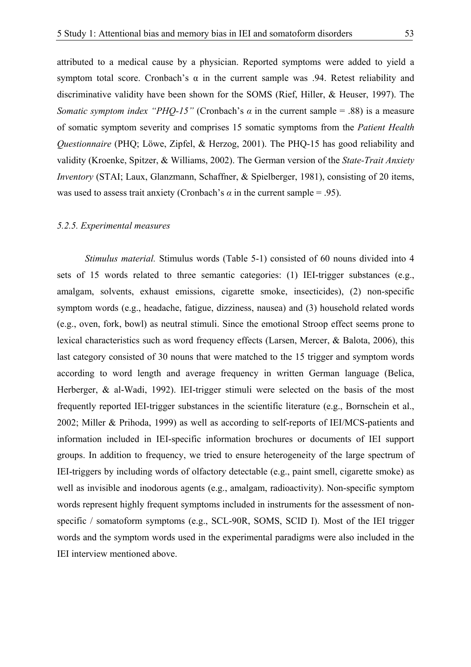attributed to a medical cause by a physician. Reported symptoms were added to yield a symptom total score. Cronbach's  $\alpha$  in the current sample was .94. Retest reliability and discriminative validity have been shown for the SOMS (Rief, Hiller, & Heuser, 1997). The *Somatic symptom index "PHQ-15"* (Cronbach's  $\alpha$  in the current sample = .88) is a measure of somatic symptom severity and comprises 15 somatic symptoms from the *Patient Health Questionnaire* (PHQ; Löwe, Zipfel, & Herzog, 2001). The PHQ-15 has good reliability and validity (Kroenke, Spitzer, & Williams, 2002). The German version of the *State-Trait Anxiety Inventory* (STAI; Laux, Glanzmann, Schaffner, & Spielberger, 1981), consisting of 20 items, was used to assess trait anxiety (Cronbach's  $\alpha$  in the current sample = .95).

#### *5.2.5. Experimental measures*

*Stimulus material.* Stimulus words ([Table 5-1](#page-59-0)) consisted of 60 nouns divided into 4 sets of 15 words related to three semantic categories: (1) IEI-trigger substances (e.g., amalgam, solvents, exhaust emissions, cigarette smoke, insecticides), (2) non-specific symptom words (e.g., headache, fatigue, dizziness, nausea) and (3) household related words (e.g., oven, fork, bowl) as neutral stimuli. Since the emotional Stroop effect seems prone to lexical characteristics such as word frequency effects (Larsen, Mercer, & Balota, 2006), this last category consisted of 30 nouns that were matched to the 15 trigger and symptom words according to word length and average frequency in written German language (Belica, Herberger, & al-Wadi, 1992). IEI-trigger stimuli were selected on the basis of the most frequently reported IEI-trigger substances in the scientific literature (e.g., Bornschein et al., 2002; Miller & Prihoda, 1999) as well as according to self-reports of IEI/MCS-patients and information included in IEI-specific information brochures or documents of IEI support groups. In addition to frequency, we tried to ensure heterogeneity of the large spectrum of IEI-triggers by including words of olfactory detectable (e.g., paint smell, cigarette smoke) as well as invisible and inodorous agents (e.g., amalgam, radioactivity). Non-specific symptom words represent highly frequent symptoms included in instruments for the assessment of nonspecific / somatoform symptoms (e.g., SCL-90R, SOMS, SCID I). Most of the IEI trigger words and the symptom words used in the experimental paradigms were also included in the IEI interview mentioned above.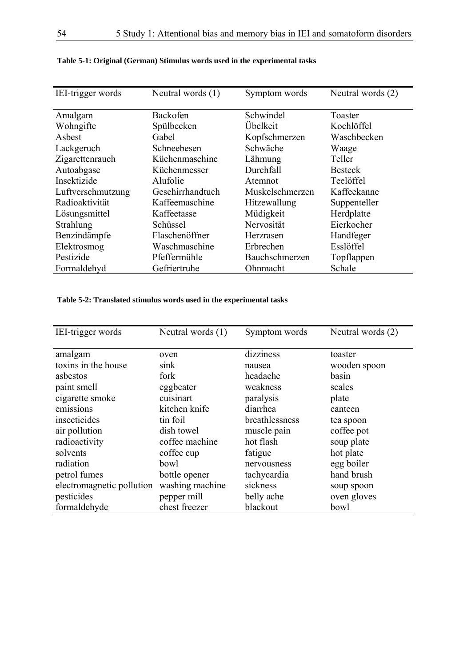| IEI-trigger words | Neutral words (1) | Symptom words   | Neutral words (2) |
|-------------------|-------------------|-----------------|-------------------|
|                   |                   |                 |                   |
| Amalgam           | Backofen          | Schwindel       | Toaster           |
| Wohngifte         | Spülbecken        | Übelkeit        | Kochlöffel        |
| Asbest            | Gabel             | Kopfschmerzen   | Waschbecken       |
| Lackgeruch        | Schneebesen       | Schwäche        | Waage             |
| Zigarettenrauch   | Küchenmaschine    | Lähmung         | Teller            |
| Autoabgase        | Küchenmesser      | Durchfall       | <b>Besteck</b>    |
| Insektizide       | Alufolie          | Atemnot         | Teelöffel         |
| Luftverschmutzung | Geschirrhandtuch  | Muskelschmerzen | Kaffeekanne       |
| Radioaktivität    | Kaffeemaschine    | Hitzewallung    | Suppenteller      |
| Lösungsmittel     | Kaffeetasse       | Müdigkeit       | Herdplatte        |
| Strahlung         | Schüssel          | Nervosität      | Eierkocher        |
| Benzindämpfe      | Flaschenöffner    | Herzrasen       | Handfeger         |
| Elektrosmog       | Waschmaschine     | Erbrechen       | Esslöffel         |
| Pestizide         | Pfeffermühle      | Bauchschmerzen  | Topflappen        |
| Formaldehyd       | Gefriertruhe      | Ohnmacht        | Schale            |

## <span id="page-59-0"></span>**Table 5-1: Original (German) Stimulus words used in the experimental tasks**

# **Table 5-2: Translated stimulus words used in the experimental tasks**

| IEI-trigger words         | Neutral words (1) | Symptom words  | Neutral words (2) |
|---------------------------|-------------------|----------------|-------------------|
| amalgam                   | oven              | dizziness      | toaster           |
| toxins in the house       | sink              | nausea         | wooden spoon      |
| asbestos                  | fork              | headache       | basin             |
| paint smell               | eggbeater         | weakness       | scales            |
| cigarette smoke           | cuisinart         | paralysis      | plate             |
| emissions                 | kitchen knife     | diarrhea       | canteen           |
| insecticides              | tin foil          | breathlessness | tea spoon         |
| air pollution             | dish towel        | muscle pain    | coffee pot        |
| radioactivity             | coffee machine    | hot flash      | soup plate        |
| solvents                  | coffee cup        | fatigue        | hot plate         |
| radiation                 | bowl              | nervousness    | egg boiler        |
| petrol fumes              | bottle opener     | tachycardia    | hand brush        |
| electromagnetic pollution | washing machine   | sickness       | soup spoon        |
| pesticides                | pepper mill       | belly ache     | oven gloves       |
| formaldehyde              | chest freezer     | blackout       | bowl              |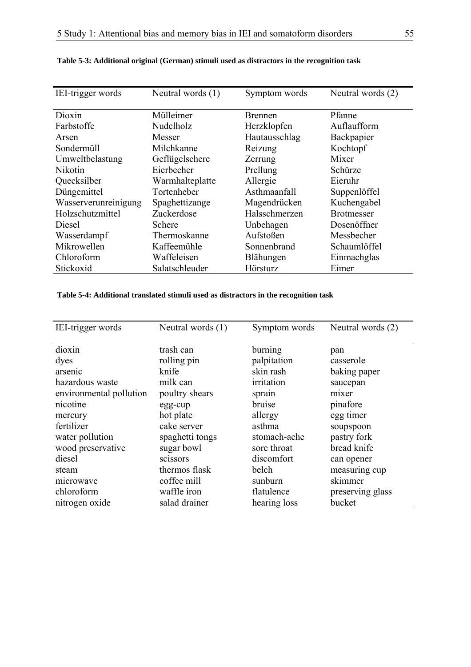| IEI-trigger words    | Neutral words (1) | Symptom words  | Neutral words (2) |
|----------------------|-------------------|----------------|-------------------|
| Dioxin               | Mülleimer         | <b>Brennen</b> | Pfanne            |
| Farbstoffe           | Nudelholz         | Herzklopfen    | Auflaufform       |
| Arsen                | Messer            | Hautausschlag  | Backpapier        |
| Sondermüll           | Milchkanne        | Reizung        | Kochtopf          |
| Umweltbelastung      | Geflügelschere    | Zerrung        | Mixer             |
| <b>Nikotin</b>       | Eierbecher        | Prellung       | Schürze           |
| Quecksilber          | Warmhalteplatte   | Allergie       | Eieruhr           |
| Düngemittel          | Tortenheber       | Asthmaanfall   | Suppenlöffel      |
| Wasserverunreinigung | Spaghettizange    | Magendrücken   | Kuchengabel       |
| Holzschutzmittel     | Zuckerdose        | Halsschmerzen  | <b>Brotmesser</b> |
| Diesel               | Schere            | Unbehagen      | Dosenöffner       |
| Wasserdampf          | Thermoskanne      | Aufstoßen      | Messbecher        |
| Mikrowellen          | Kaffeemühle       | Sonnenbrand    | Schaumlöffel      |
| Chloroform           | Waffeleisen       | Blähungen      | Einmachglas       |
| Stickoxid            | Salatschleuder    | Hörsturz       | Eimer             |

#### <span id="page-60-0"></span>**Table 5-3: Additional original (German) stimuli used as distractors in the recognition task**

## **Table 5-4: Additional translated stimuli used as distractors in the recognition task**

| IEI-trigger words       | Neutral words (1) | Symptom words | Neutral words (2) |
|-------------------------|-------------------|---------------|-------------------|
| dioxin                  | trash can         | burning       | pan               |
| dyes                    | rolling pin       | palpitation   | casserole         |
| arsenic                 | knife             | skin rash     | baking paper      |
| hazardous waste         | milk can          | irritation    | saucepan          |
| environmental pollution | poultry shears    | sprain        | mixer             |
| nicotine                | egg-cup           | bruise        | pinafore          |
| mercury                 | hot plate         | allergy       | egg timer         |
| fertilizer              | cake server       | asthma        | soupspoon         |
| water pollution         | spaghetti tongs   | stomach-ache  | pastry fork       |
| wood preservative       | sugar bowl        | sore throat   | bread knife       |
| diesel                  | scissors          | discomfort    | can opener        |
| steam                   | thermos flask     | belch         | measuring cup     |
| microwave               | coffee mill       | sunburn       | skimmer           |
| chloroform              | waffle iron       | flatulence    | preserving glass  |
| nitrogen oxide          | salad drainer     | hearing loss  | bucket            |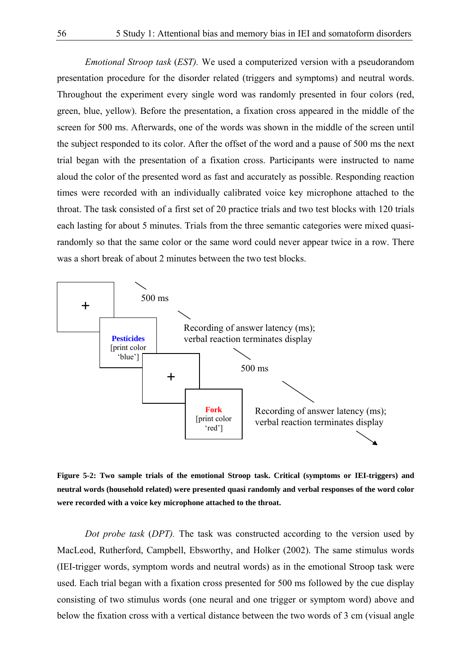*Emotional Stroop task* (*EST).* We used a computerized version with a pseudorandom presentation procedure for the disorder related (triggers and symptoms) and neutral words. Throughout the experiment every single word was randomly presented in four colors (red, green, blue, yellow). Before the presentation, a fixation cross appeared in the middle of the screen for 500 ms. Afterwards, one of the words was shown in the middle of the screen until the subject responded to its color. After the offset of the word and a pause of 500 ms the next trial began with the presentation of a fixation cross. Participants were instructed to name aloud the color of the presented word as fast and accurately as possible. Responding reaction times were recorded with an individually calibrated voice key microphone attached to the throat. The task consisted of a first set of 20 practice trials and two test blocks with 120 trials each lasting for about 5 minutes. Trials from the three semantic categories were mixed quasirandomly so that the same color or the same word could never appear twice in a row. There was a short break of about 2 minutes between the two test blocks.



**Figure 5-2: Two sample trials of the emotional Stroop task. Critical (symptoms or IEI-triggers) and neutral words (household related) were presented quasi randomly and verbal responses of the word color were recorded with a voice key microphone attached to the throat.** 

*Dot probe task* (*DPT).* The task was constructed according to the version used by MacLeod, Rutherford, Campbell, Ebsworthy, and Holker (2002). The same stimulus words (IEI-trigger words, symptom words and neutral words) as in the emotional Stroop task were used. Each trial began with a fixation cross presented for 500 ms followed by the cue display consisting of two stimulus words (one neural and one trigger or symptom word) above and below the fixation cross with a vertical distance between the two words of 3 cm (visual angle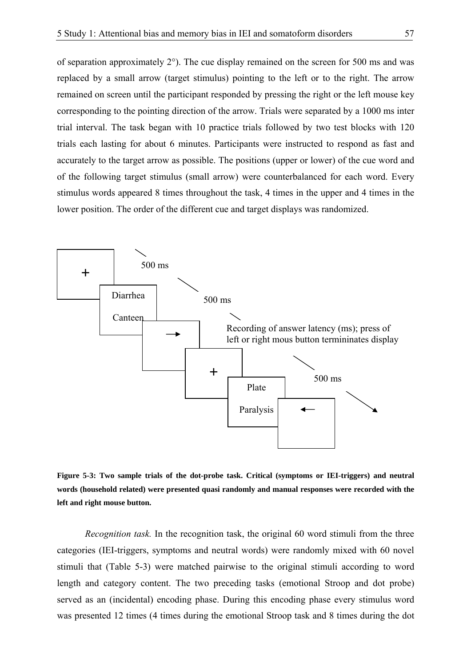of separation approximately 2°). The cue display remained on the screen for 500 ms and was replaced by a small arrow (target stimulus) pointing to the left or to the right. The arrow remained on screen until the participant responded by pressing the right or the left mouse key corresponding to the pointing direction of the arrow. Trials were separated by a 1000 ms inter trial interval. The task began with 10 practice trials followed by two test blocks with 120 trials each lasting for about 6 minutes. Participants were instructed to respond as fast and accurately to the target arrow as possible. The positions (upper or lower) of the cue word and of the following target stimulus (small arrow) were counterbalanced for each word. Every stimulus words appeared 8 times throughout the task, 4 times in the upper and 4 times in the lower position. The order of the different cue and target displays was randomized.



**Figure 5-3: Two sample trials of the dot-probe task. Critical (symptoms or IEI-triggers) and neutral words (household related) were presented quasi randomly and manual responses were recorded with the left and right mouse button.** 

*Recognition task.* In the recognition task, the original 60 word stimuli from the three categories (IEI-triggers, symptoms and neutral words) were randomly mixed with 60 novel stimuli that ([Table 5-3](#page-60-0)) were matched pairwise to the original stimuli according to word length and category content. The two preceding tasks (emotional Stroop and dot probe) served as an (incidental) encoding phase. During this encoding phase every stimulus word was presented 12 times (4 times during the emotional Stroop task and 8 times during the dot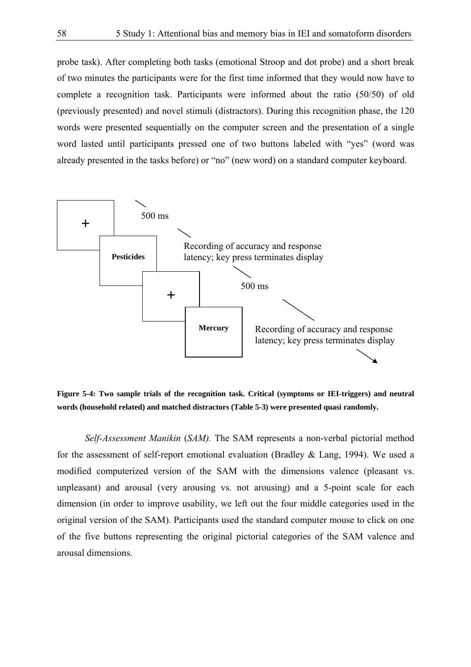probe task). After completing both tasks (emotional Stroop and dot probe) and a short break of two minutes the participants were for the first time informed that they would now have to complete a recognition task. Participants were informed about the ratio (50/50) of old (previously presented) and novel stimuli (distractors). During this recognition phase, the 120 words were presented sequentially on the computer screen and the presentation of a single word lasted until participants pressed one of two buttons labeled with "yes" (word was already presented in the tasks before) or "no" (new word) on a standard computer keyboard.



**Figure 5-4: Two sample trials of the recognition task. Critical (symptoms or IEI-triggers) and neutral words (household related) and matched distractors [\(Table 5-3\)](#page-60-0) were presented quasi randomly.** 

*Self-Assessment Manikin* (*SAM).* The SAM represents a non-verbal pictorial method for the assessment of self-report emotional evaluation (Bradley & Lang, 1994). We used a modified computerized version of the SAM with the dimensions valence (pleasant vs. unpleasant) and arousal (very arousing vs. not arousing) and a 5-point scale for each dimension (in order to improve usability, we left out the four middle categories used in the original version of the SAM). Participants used the standard computer mouse to click on one of the five buttons representing the original pictorial categories of the SAM valence and arousal dimensions.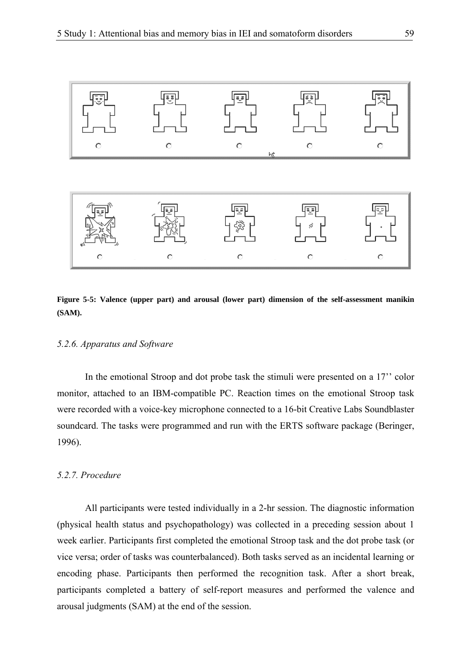

**Figure 5-5: Valence (upper part) and arousal (lower part) dimension of the self-assessment manikin (SAM).** 

## *5.2.6. Apparatus and Software*

In the emotional Stroop and dot probe task the stimuli were presented on a 17'' color monitor, attached to an IBM-compatible PC. Reaction times on the emotional Stroop task were recorded with a voice-key microphone connected to a 16-bit Creative Labs Soundblaster soundcard. The tasks were programmed and run with the ERTS software package (Beringer, 1996).

# *5.2.7. Procedure*

All participants were tested individually in a 2-hr session. The diagnostic information (physical health status and psychopathology) was collected in a preceding session about 1 week earlier. Participants first completed the emotional Stroop task and the dot probe task (or vice versa; order of tasks was counterbalanced). Both tasks served as an incidental learning or encoding phase. Participants then performed the recognition task. After a short break, participants completed a battery of self-report measures and performed the valence and arousal judgments (SAM) at the end of the session.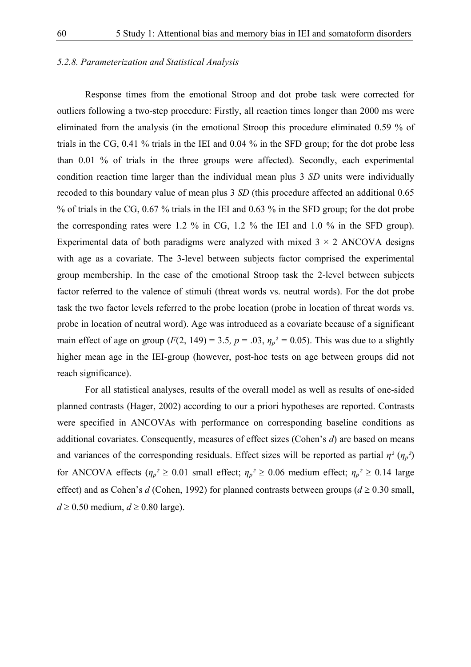# *5.2.8. Parameterization and Statistical Analysis*

Response times from the emotional Stroop and dot probe task were corrected for outliers following a two-step procedure: Firstly, all reaction times longer than 2000 ms were eliminated from the analysis (in the emotional Stroop this procedure eliminated 0.59 % of trials in the CG, 0.41 % trials in the IEI and 0.04 % in the SFD group; for the dot probe less than 0.01 % of trials in the three groups were affected). Secondly, each experimental condition reaction time larger than the individual mean plus 3 *SD* units were individually recoded to this boundary value of mean plus 3 *SD* (this procedure affected an additional 0.65 % of trials in the CG, 0.67 % trials in the IEI and 0.63 % in the SFD group; for the dot probe the corresponding rates were 1.2 % in CG, 1.2 % the IEI and 1.0 % in the SFD group). Experimental data of both paradigms were analyzed with mixed  $3 \times 2$  ANCOVA designs with age as a covariate. The 3-level between subjects factor comprised the experimental group membership. In the case of the emotional Stroop task the 2-level between subjects factor referred to the valence of stimuli (threat words vs. neutral words). For the dot probe task the two factor levels referred to the probe location (probe in location of threat words vs. probe in location of neutral word). Age was introduced as a covariate because of a significant main effect of age on group ( $F(2, 149) = 3.5$ ,  $p = .03$ ,  $\eta_p^2 = 0.05$ ). This was due to a slightly higher mean age in the IEI-group (however, post-hoc tests on age between groups did not reach significance).

For all statistical analyses, results of the overall model as well as results of one-sided planned contrasts (Hager, 2002) according to our a priori hypotheses are reported. Contrasts were specified in ANCOVAs with performance on corresponding baseline conditions as additional covariates. Consequently, measures of effect sizes (Cohen's *d*) are based on means and variances of the corresponding residuals. Effect sizes will be reported as partial  $\eta^2$  ( $\eta_p^2$ ) for ANCOVA effects ( $\eta_p^2 \ge 0.01$  small effect;  $\eta_p^2 \ge 0.06$  medium effect;  $\eta_p^2 \ge 0.14$  large effect) and as Cohen's *d* (Cohen, 1992) for planned contrasts between groups ( $d \ge 0.30$  small,  $d \ge 0.50$  medium,  $d \ge 0.80$  large).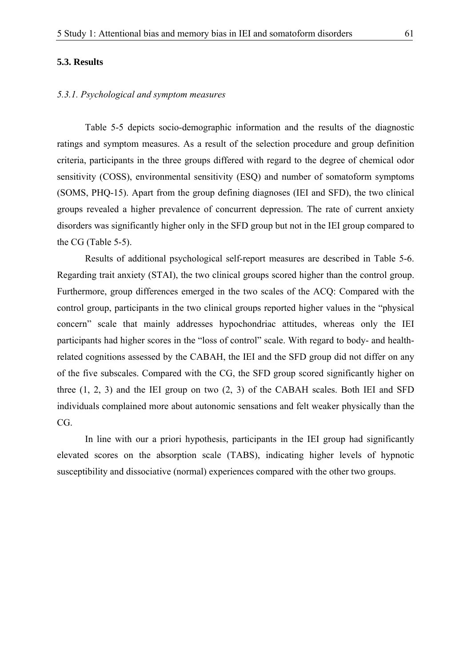#### **5.3. Results**

## *5.3.1. Psychological and symptom measures*

[Table 5-5](#page-67-0) depicts socio-demographic information and the results of the diagnostic ratings and symptom measures. As a result of the selection procedure and group definition criteria, participants in the three groups differed with regard to the degree of chemical odor sensitivity (COSS), environmental sensitivity (ESQ) and number of somatoform symptoms (SOMS, PHQ-15). Apart from the group defining diagnoses (IEI and SFD), the two clinical groups revealed a higher prevalence of concurrent depression. The rate of current anxiety disorders was significantly higher only in the SFD group but not in the IEI group compared to the CG [\(Table 5-5\)](#page-67-0).

Results of additional psychological self-report measures are described in [Table 5-6](#page-68-0). Regarding trait anxiety (STAI), the two clinical groups scored higher than the control group. Furthermore, group differences emerged in the two scales of the ACQ: Compared with the control group, participants in the two clinical groups reported higher values in the "physical concern" scale that mainly addresses hypochondriac attitudes, whereas only the IEI participants had higher scores in the "loss of control" scale. With regard to body- and healthrelated cognitions assessed by the CABAH, the IEI and the SFD group did not differ on any of the five subscales. Compared with the CG, the SFD group scored significantly higher on three (1, 2, 3) and the IEI group on two (2, 3) of the CABAH scales. Both IEI and SFD individuals complained more about autonomic sensations and felt weaker physically than the CG.

In line with our a priori hypothesis, participants in the IEI group had significantly elevated scores on the absorption scale (TABS), indicating higher levels of hypnotic susceptibility and dissociative (normal) experiences compared with the other two groups.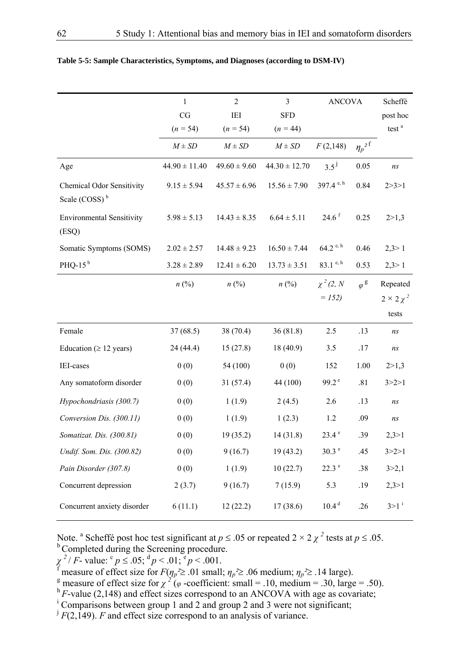|                                                      | $\mathbf{1}$      | $\overline{2}$   | $\overline{\mathbf{3}}$ | <b>ANCOVA</b>          |                                                                     | Scheffé             |
|------------------------------------------------------|-------------------|------------------|-------------------------|------------------------|---------------------------------------------------------------------|---------------------|
|                                                      | CG                | IEI              | <b>SFD</b>              |                        |                                                                     | post hoc            |
|                                                      | $(n = 54)$        | $(n = 54)$       | $(n = 44)$              |                        |                                                                     | test <sup>a</sup>   |
|                                                      | $M \pm SD$        | $M \pm SD$       | $M \pm SD$              | F(2,148)               | $\eta_p{}^{\scriptscriptstyle 2}{}^{\scriptscriptstyle \mathrm{f}}$ |                     |
| Age                                                  | $44.90 \pm 11.40$ | $49.60 \pm 9.60$ | $44.30 \pm 12.70$       | $3.5^{\mathrm{j}}$     | 0.05                                                                | ns                  |
| <b>Chemical Odor Sensitivity</b><br>Scale $(COSS)^b$ | $9.15 \pm 5.94$   | $45.57 \pm 6.96$ | $15.56 \pm 7.90$        | 397.4 $e$ , h          | 0.84                                                                | 2 > 3 > 1           |
| <b>Environmental Sensitivity</b><br>(ESQ)            | $5.98 \pm 5.13$   | $14.43 \pm 8.35$ | $6.64 \pm 5.11$         | $24.6$ <sup>f</sup>    | 0.25                                                                | 2>1,3               |
| Somatic Symptoms (SOMS)                              | $2.02 \pm 2.57$   | $14.48 \pm 9.23$ | $16.50 \pm 7.44$        | $64.2$ <sup>e, h</sup> | 0.46                                                                | 2,3>1               |
| PHQ-15 $b$                                           | $3.28 \pm 2.89$   | $12.41 \pm 6.20$ | $13.73 \pm 3.51$        | $83.1$ e, h            | 0.53                                                                | 2,3>1               |
|                                                      | $n\ (\%)$         | $n\ (\%)$        | $n\ (\%)$               | $\chi^2$ (2, N         | $\varphi$ <sup>g</sup>                                              | Repeated            |
|                                                      |                   |                  |                         | $= 152$                |                                                                     | $2 \times 2 \chi^2$ |
|                                                      |                   |                  |                         |                        |                                                                     | tests               |
| Female                                               | 37(68.5)          | 38 (70.4)        | 36(81.8)                | 2.5                    | .13                                                                 | ns                  |
| Education ( $\geq$ 12 years)                         | 24(44.4)          | 15(27.8)         | 18 (40.9)               | 3.5                    | .17                                                                 | $\sqrt{n}S$         |
| IEI-cases                                            | 0(0)              | 54 (100)         | 0(0)                    | 152                    | 1.00                                                                | 2>1,3               |
| Any somatoform disorder                              | 0(0)              | 31(57.4)         | 44 (100)                | $99.2^{\circ}$         | .81                                                                 | 3 > 2 > 1           |
| Hypochondriasis (300.7)                              | 0(0)              | 1(1.9)           | 2(4.5)                  | 2.6                    | .13                                                                 | ns                  |
| Conversion Dis. (300.11)                             | 0(0)              | 1(1.9)           | 1(2.3)                  | 1.2                    | .09                                                                 | ns                  |
| Somatizat. Dis. (300.81)                             | 0(0)              | 19(35.2)         | 14(31.8)                | $23.4^{\circ}$         | .39                                                                 | 2,3>1               |
| Undif. Som. Dis. (300.82)                            | 0(0)              | 9(16.7)          | 19(43.2)                | 30.3 <sup>e</sup>      | .45                                                                 | 3 > 2 > 1           |
| Pain Disorder (307.8)                                | 0(0)              | 1(1.9)           | 10(22.7)                | 22.3 e                 | .38                                                                 | 3 > 2,1             |
| Concurrent depression                                | 2(3.7)            | 9(16.7)          | 7(15.9)                 | 5.3                    | .19                                                                 | 2,3>1               |
| Concurrent anxiety disorder                          | 6(11.1)           | 12(22.2)         | 17(38.6)                | 10.4 <sup>d</sup>      | .26                                                                 | $3>1^{i}$           |

#### <span id="page-67-0"></span>**Table 5-5: Sample Characteristics, Symptoms, and Diagnoses (according to DSM-IV)**

Note. <sup>a</sup> Scheffé post hoc test significant at  $p \le 0.05$  or repeated  $2 \times 2 \chi^2$  tests at  $p \le 0.05$ . <sup>b</sup> Completed during the Screening procedure.

 $\chi^2/F$ - value: <sup>c</sup>  $p \le 0.05$ ;  $\frac{d}{d}p < 0.01$ ;  $\frac{e}{d}p < 0.001$ .

<sup>f</sup> measure of effect size for  $F(\eta_p \ge 0.01 \text{ small}; \eta_p \ge 0.06 \text{ medium}; \eta_p \ge 0.14 \text{ large})$ .<br><sup>g</sup> measure of effect size for  $\chi^2(\varphi$ -coefficient: small = .10, medium = .30, large = .50).

 $h_F$ -value (2,148) and effect sizes correspond to an ANCOVA with age as covariate;

<sup>i</sup> Comparisons between group 1 and 2 and group 2 and 3 were not significant;

 $F(F(2, 149)$ . *F* and effect size correspond to an analysis of variance.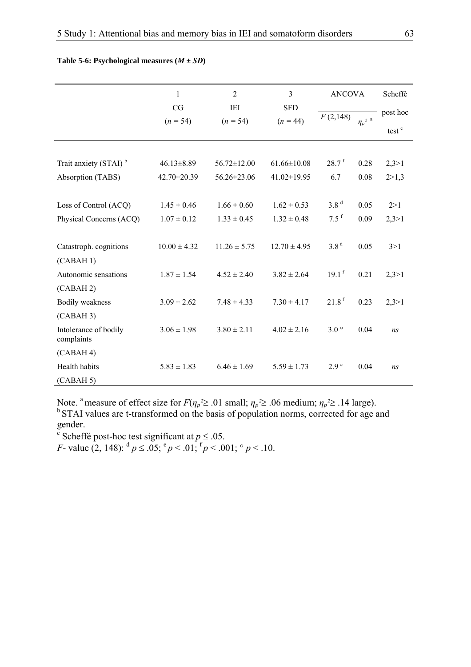|                                     | $\mathbf{1}$     | $\overline{2}$    | 3                 | <b>ANCOVA</b>       |      | Scheffé           |
|-------------------------------------|------------------|-------------------|-------------------|---------------------|------|-------------------|
|                                     | CG               | IEI               | <b>SFD</b>        | F(2,148)            |      | post hoc          |
|                                     | $(n = 54)$       | $(n = 54)$        | $(n = 44)$        | ${\eta_p}^2$ a      |      | test <sup>c</sup> |
|                                     |                  |                   |                   |                     |      |                   |
| Trait anxiety (STAI) <sup>b</sup>   | $46.13 \pm 8.89$ | $56.72 \pm 12.00$ | $61.66 \pm 10.08$ | $28.7$ <sup>f</sup> | 0.28 | 2,3>1             |
| Absorption (TABS)                   | 42.70±20.39      | $56.26 \pm 23.06$ | $41.02 \pm 19.95$ | 6.7                 | 0.08 | 2>1,3             |
|                                     |                  |                   |                   |                     |      |                   |
| Loss of Control (ACQ)               | $1.45 \pm 0.46$  | $1.66 \pm 0.60$   | $1.62 \pm 0.53$   | 3.8 <sup>d</sup>    | 0.05 | 2>1               |
| Physical Concerns (ACQ)             | $1.07 \pm 0.12$  | $1.33 \pm 0.45$   | $1.32 \pm 0.48$   | $7.5$ <sup>f</sup>  | 0.09 | 2,3>1             |
|                                     |                  |                   |                   | 3.8 <sup>d</sup>    |      |                   |
| Catastroph. cognitions<br>(CABAH1)  | $10.00 \pm 4.32$ | $11.26 \pm 5.75$  | $12.70 \pm 4.95$  |                     | 0.05 | 3>1               |
| Autonomic sensations                | $1.87 \pm 1.54$  | $4.52 \pm 2.40$   | $3.82 \pm 2.64$   | 19.1 <sup>f</sup>   | 0.21 | 2,3>1             |
| (CABAH 2)                           |                  |                   |                   |                     |      |                   |
| <b>Bodily</b> weakness              | $3.09 \pm 2.62$  | $7.48 \pm 4.33$   | $7.30 \pm 4.17$   | $21.8$ <sup>f</sup> | 0.23 | 2,3>1             |
| (CABAH3)                            |                  |                   |                   |                     |      |                   |
| Intolerance of bodily<br>complaints | $3.06 \pm 1.98$  | $3.80 \pm 2.11$   | $4.02 \pm 2.16$   | $3.0\degree$        | 0.04 | ns                |
| (CABAH 4)                           |                  |                   |                   |                     |      |                   |
| Health habits                       | $5.83 \pm 1.83$  | $6.46 \pm 1.69$   | $5.59 \pm 1.73$   | $2.9^\circ$         | 0.04 | ns                |
| (CABAH 5)                           |                  |                   |                   |                     |      |                   |

#### <span id="page-68-0"></span>Table 5-6: Psychological measures  $(M \pm SD)$

Note. <sup>a</sup> measure of effect size for  $F(\eta_p^2 \ge 0.01 \text{ small}; \eta_p^2 \ge 0.06 \text{ medium}; \eta_p^2 \ge 0.14 \text{ large}).$ <sup>b</sup> STAI values are t-transformed on the basis of population norms, corrected for age and gender.

<sup>c</sup> Scheffé post-hoc test significant at  $p \le 0.05$ .

*F*- value (2, 148):  ${}^{d}p \leq .05$ ;  ${}^{e}p < .01$ ,  ${}^{f}p < .001$ ;  ${}^{o}p < .10$ .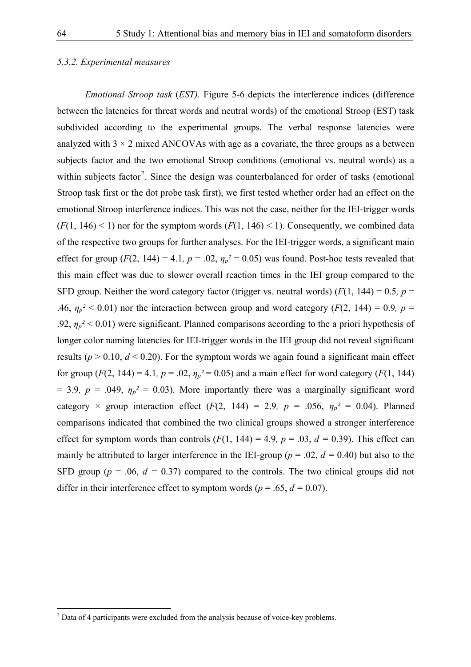## <span id="page-69-0"></span>*5.3.2. Experimental measures*

*Emotional Stroop task* (*EST).* [Figure 5-6](#page-70-0) depicts the interference indices (difference between the latencies for threat words and neutral words) of the emotional Stroop (EST) task subdivided according to the experimental groups. The verbal response latencies were analyzed with  $3 \times 2$  mixed ANCOVAs with age as a covariate, the three groups as a between subjects factor and the two emotional Stroop conditions (emotional vs. neutral words) as a within subjects factor<sup>[2](#page-69-0)</sup>. Since the design was counterbalanced for order of tasks (emotional Stroop task first or the dot probe task first), we first tested whether order had an effect on the emotional Stroop interference indices. This was not the case, neither for the IEI-trigger words  $(F(1, 146) < 1)$  nor for the symptom words  $(F(1, 146) < 1)$ . Consequently, we combined data of the respective two groups for further analyses. For the IEI-trigger words, a significant main effect for group ( $F(2, 144) = 4.1$ ,  $p = .02$ ,  $\eta_p^2 = 0.05$ ) was found. Post-hoc tests revealed that this main effect was due to slower overall reaction times in the IEI group compared to the SFD group. Neither the word category factor (trigger vs. neutral words)  $(F(1, 144) = 0.5, p =$ .46,  $\eta_p^2$  < 0.01) nor the interaction between group and word category (*F*(2, 144) = 0.9*, p* = .92,  $\eta_p^2$  < 0.01) were significant. Planned comparisons according to the a priori hypothesis of longer color naming latencies for IEI-trigger words in the IEI group did not reveal significant results ( $p > 0.10$ ,  $d < 0.20$ ). For the symptom words we again found a significant main effect for group (*F*(2, 144) = 4.1,  $p = .02$ ,  $\eta_p^2 = 0.05$ ) and a main effect for word category (*F*(1, 144) = 3.9,  $p = .049$ ,  $\eta_p^2 = 0.03$ ). More importantly there was a marginally significant word category  $\times$  group interaction effect (*F*(2, 144) = 2.9, *p* = .056,  $\eta_p^2$  = 0.04). Planned comparisons indicated that combined the two clinical groups showed a stronger interference effect for symptom words than controls  $(F(1, 144) = 4.9, p = .03, d = 0.39)$ . This effect can mainly be attributed to larger interference in the IEI-group ( $p = .02$ ,  $d = 0.40$ ) but also to the SFD group ( $p = 0.06$ ,  $d = 0.37$ ) compared to the controls. The two clinical groups did not differ in their interference effect to symptom words ( $p = .65$ ,  $d = 0.07$ ).

 $\overline{a}$ 

 $2^{2}$  Data of 4 participants were excluded from the analysis because of voice-key problems.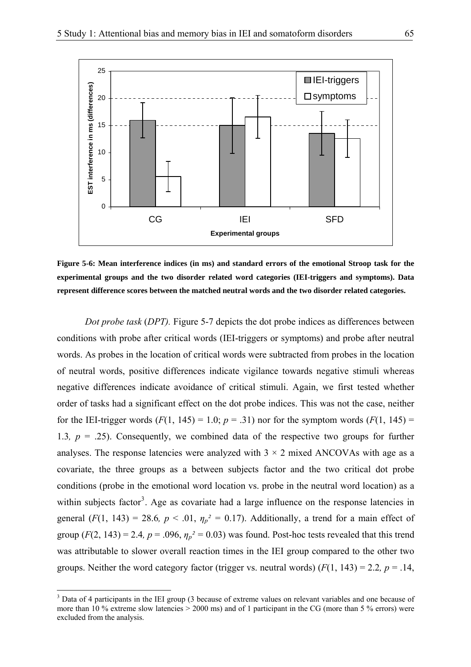<span id="page-70-1"></span>

<span id="page-70-0"></span>**Figure 5-6: Mean interference indices (in ms) and standard errors of the emotional Stroop task for the experimental groups and the two disorder related word categories (IEI-triggers and symptoms). Data represent difference scores between the matched neutral words and the two disorder related categories.** 

*Dot probe task* (*DPT).* [Figure 5-7](#page-71-0) depicts the dot probe indices as differences between conditions with probe after critical words (IEI-triggers or symptoms) and probe after neutral words. As probes in the location of critical words were subtracted from probes in the location of neutral words, positive differences indicate vigilance towards negative stimuli whereas negative differences indicate avoidance of critical stimuli. Again, we first tested whether order of tasks had a significant effect on the dot probe indices. This was not the case, neither for the IEI-trigger words  $(F(1, 145) = 1.0; p = .31)$  nor for the symptom words  $(F(1, 145)) =$ 1.3,  $p = 0.25$ ). Consequently, we combined data of the respective two groups for further analyses. The response latencies were analyzed with  $3 \times 2$  mixed ANCOVAs with age as a covariate, the three groups as a between subjects factor and the two critical dot probe conditions (probe in the emotional word location vs. probe in the neutral word location) as a within subjects factor<sup>[3](#page-70-1)</sup>. Age as covariate had a large influence on the response latencies in general  $(F(1, 143) = 28.6, p < .01, \eta_p^2 = 0.17)$ . Additionally, a trend for a main effect of group  $(F(2, 143) = 2.4, p = .096, \eta_p^2 = 0.03)$  was found. Post-hoc tests revealed that this trend was attributable to slower overall reaction times in the IEI group compared to the other two groups. Neither the word category factor (trigger vs. neutral words)  $(F(1, 143) = 2.2, p = .14,$ 

 $\overline{a}$ 

 $3$  Data of 4 participants in the IEI group (3 because of extreme values on relevant variables and one because of more than 10 % extreme slow latencies > 2000 ms) and of 1 participant in the CG (more than 5 % errors) were excluded from the analysis.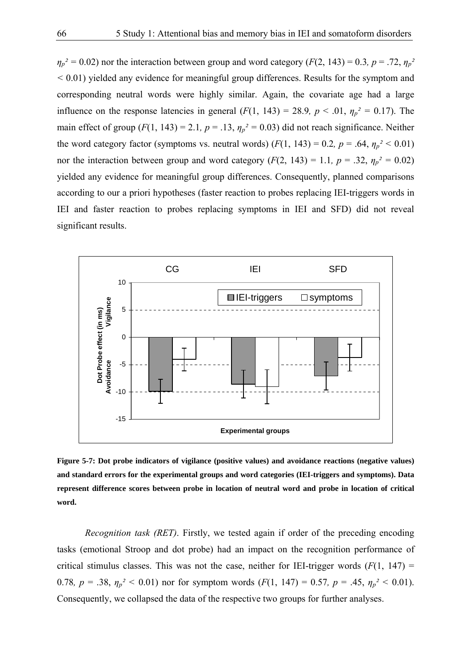$\eta_p^2 = 0.02$ ) nor the interaction between group and word category (*F*(2, 143) = 0.3*, p* = .72,  $\eta_p^2$ *<* 0.01) yielded any evidence for meaningful group differences. Results for the symptom and corresponding neutral words were highly similar. Again, the covariate age had a large influence on the response latencies in general  $(F(1, 143) = 28.9, p < .01, \eta_p^2 = 0.17)$ . The main effect of group ( $F(1, 143) = 2.1$ ,  $p = .13$ ,  $\eta_p^2 = 0.03$ ) did not reach significance. Neither the word category factor (symptoms vs. neutral words)  $(F(1, 143) = 0.2, p = .64, \eta_p^2 < 0.01)$ nor the interaction between group and word category  $(F(2, 143) = 1.1, p = .32, \eta_p^2 = 0.02)$ yielded any evidence for meaningful group differences. Consequently, planned comparisons according to our a priori hypotheses (faster reaction to probes replacing IEI-triggers words in IEI and faster reaction to probes replacing symptoms in IEI and SFD) did not reveal significant results.



<span id="page-71-0"></span>**Figure 5-7: Dot probe indicators of vigilance (positive values) and avoidance reactions (negative values) and standard errors for the experimental groups and word categories (IEI-triggers and symptoms). Data represent difference scores between probe in location of neutral word and probe in location of critical word.** 

*Recognition task (RET)*. Firstly, we tested again if order of the preceding encoding tasks (emotional Stroop and dot probe) had an impact on the recognition performance of critical stimulus classes. This was not the case, neither for IEI-trigger words  $(F(1, 147))$  = 0.78*, p* = .38*,*  $\eta_p^2$  < 0.01) nor for symptom words (*F*(1, 147) = 0.57*, p* = .45*,*  $\eta_p^2$  < 0.01). Consequently, we collapsed the data of the respective two groups for further analyses.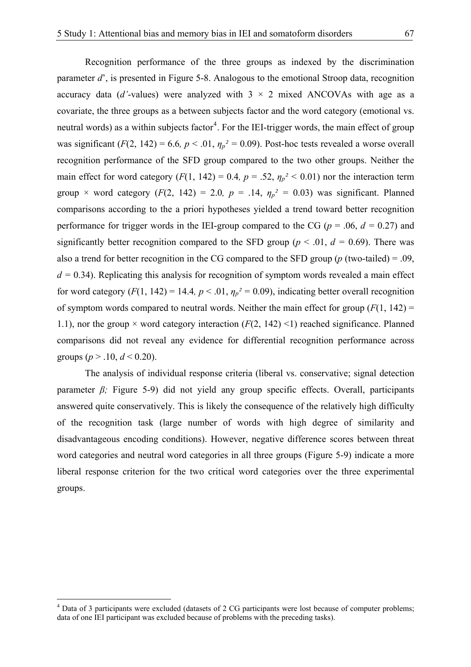<span id="page-72-0"></span>Recognition performance of the three groups as indexed by the discrimination parameter *d*', is presented in [Figure 5-8](#page-73-0). Analogous to the emotional Stroop data, recognition accuracy data ( $d'$ -values) were analyzed with  $3 \times 2$  mixed ANCOVAs with age as a covariate, the three groups as a between subjects factor and the word category (emotional vs. neutral words) as a within subjects factor<sup>[4](#page-72-0)</sup>. For the IEI-trigger words, the main effect of group was significant  $(F(2, 142) = 6.6, p < .01, \eta_p^2 = 0.09)$ . Post-hoc tests revealed a worse overall recognition performance of the SFD group compared to the two other groups. Neither the main effect for word category  $(F(1, 142) = 0.4, p = .52, \eta_p^2 < 0.01)$  nor the interaction term group × word category ( $F(2, 142) = 2.0$ ,  $p = .14$ ,  $\eta_p^2 = 0.03$ ) was significant. Planned comparisons according to the a priori hypotheses yielded a trend toward better recognition performance for trigger words in the IEI-group compared to the CG ( $p = .06$ ,  $d = 0.27$ ) and significantly better recognition compared to the SFD group ( $p < .01$ ,  $d = 0.69$ ). There was also a trend for better recognition in the CG compared to the SFD group (*p* (two-tailed) = .09,  $d = 0.34$ ). Replicating this analysis for recognition of symptom words revealed a main effect for word category  $(F(1, 142) = 14.4, p < .01, \eta_p^2 = 0.09)$ , indicating better overall recognition of symptom words compared to neutral words. Neither the main effect for group  $(F(1, 142) =$ 1.1), nor the group  $\times$  word category interaction ( $F(2, 142)$  < 1) reached significance. Planned comparisons did not reveal any evidence for differential recognition performance across groups ( $p > .10$ ,  $d < 0.20$ ).

The analysis of individual response criteria (liberal vs. conservative; signal detection parameter *β;* [Figure 5-9\)](#page-73-1) did not yield any group specific effects. Overall, participants answered quite conservatively. This is likely the consequence of the relatively high difficulty of the recognition task (large number of words with high degree of similarity and disadvantageous encoding conditions). However, negative difference scores between threat word categories and neutral word categories in all three groups [\(Figure 5-9](#page-73-1)) indicate a more liberal response criterion for the two critical word categories over the three experimental groups.

 $\overline{a}$ 

<sup>&</sup>lt;sup>4</sup> Data of 3 participants were excluded (datasets of 2 CG participants were lost because of computer problems; data of one IEI participant was excluded because of problems with the preceding tasks).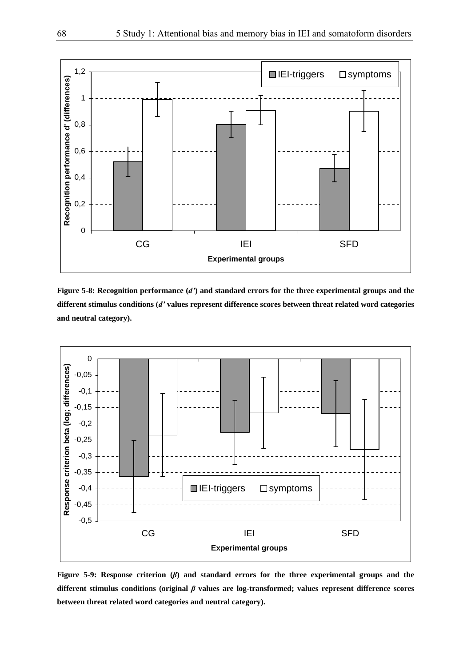

<span id="page-73-0"></span>**Figure 5-8: Recognition performance (***d'***) and standard errors for the three experimental groups and the different stimulus conditions (***d'* **values represent difference scores between threat related word categories and neutral category).** 



<span id="page-73-1"></span>**Figure 5-9: Response criterion (***β***) and standard errors for the three experimental groups and the different stimulus conditions (original** *β* **values are log-transformed; values represent difference scores between threat related word categories and neutral category).**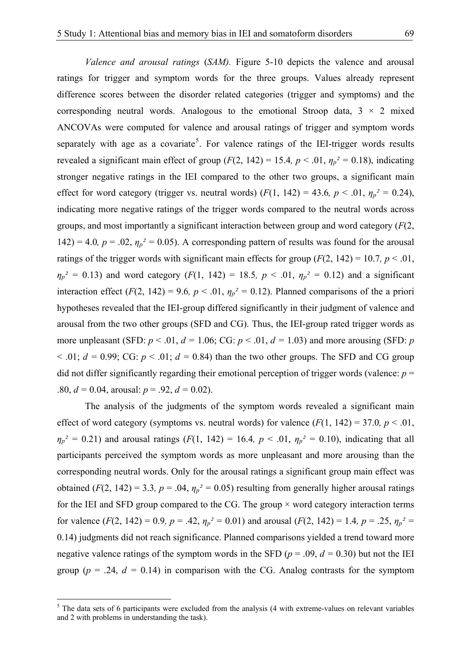<span id="page-74-0"></span>*Valence and arousal ratings* (*SAM).* Figure 5-10 depicts the valence and arousal ratings for trigger and symptom words for the three groups. Values already represent difference scores between the disorder related categories (trigger and symptoms) and the corresponding neutral words. Analogous to the emotional Stroop data,  $3 \times 2$  mixed ANCOVAs were computed for valence and arousal ratings of trigger and symptom words separately with age as a covariate<sup>[5](#page-74-0)</sup>. For valence ratings of the IEI-trigger words results revealed a significant main effect of group ( $F(2, 142) = 15.4$ ,  $p < .01$ ,  $\eta_p^2 = 0.18$ ), indicating stronger negative ratings in the IEI compared to the other two groups, a significant main effect for word category (trigger vs. neutral words)  $(F(1, 142) = 43.6, p < .01, \eta_p^2 = 0.24)$ , indicating more negative ratings of the trigger words compared to the neutral words across groups, and most importantly a significant interaction between group and word category (*F*(2, 142) = 4.0,  $p = .02$ ,  $\eta_p^2 = 0.05$ ). A corresponding pattern of results was found for the arousal ratings of the trigger words with significant main effects for group  $(F(2, 142) = 10.7, p < .01,$  $\eta_p^2 = 0.13$ ) and word category (*F*(1, 142) = 18.5*, p* < .01,  $\eta_p^2 = 0.12$ ) and a significant interaction effect ( $F(2, 142) = 9.6$ ,  $p < .01$ ,  $\eta_p^2 = 0.12$ ). Planned comparisons of the a priori hypotheses revealed that the IEI-group differed significantly in their judgment of valence and arousal from the two other groups (SFD and CG). Thus, the IEI-group rated trigger words as more unpleasant (SFD:  $p < .01$ ,  $d = 1.06$ ; CG:  $p < .01$ ,  $d = 1.03$ ) and more arousing (SFD:  $p$  $\leq$  .01;  $d = 0.99$ ; CG:  $p \leq 0.01$ ;  $d = 0.84$ ) than the two other groups. The SFD and CG group did not differ significantly regarding their emotional perception of trigger words (valence:  $p =$ 

.80,  $d = 0.04$ , arousal:  $p = .92$ ,  $d = 0.02$ ).

 $\overline{a}$ 

The analysis of the judgments of the symptom words revealed a significant main effect of word category (symptoms vs. neutral words) for valence  $(F(1, 142) = 37.0, p < .01,$  $\eta_p^2 = 0.21$ ) and arousal ratings (*F*(1, 142) = 16.4*, p* < .01,  $\eta_p^2 = 0.10$ ), indicating that all participants perceived the symptom words as more unpleasant and more arousing than the corresponding neutral words. Only for the arousal ratings a significant group main effect was obtained ( $F(2, 142) = 3.3$ ,  $p = .04$ ,  $\eta_p^2 = 0.05$ ) resulting from generally higher arousal ratings for the IEI and SFD group compared to the CG. The group  $\times$  word category interaction terms for valence  $(F(2, 142) = 0.9, p = .42, \eta_p^2 = 0.01)$  and arousal  $(F(2, 142) = 1.4, p = .25, \eta_p^2 =$ 0.14) judgments did not reach significance. Planned comparisons yielded a trend toward more negative valence ratings of the symptom words in the SFD ( $p = .09$ ,  $d = 0.30$ ) but not the IEI group ( $p = .24$ ,  $d = 0.14$ ) in comparison with the CG. Analog contrasts for the symptom

 $<sup>5</sup>$  The data sets of 6 participants were excluded from the analysis (4 with extreme-values on relevant variables</sup> and 2 with problems in understanding the task).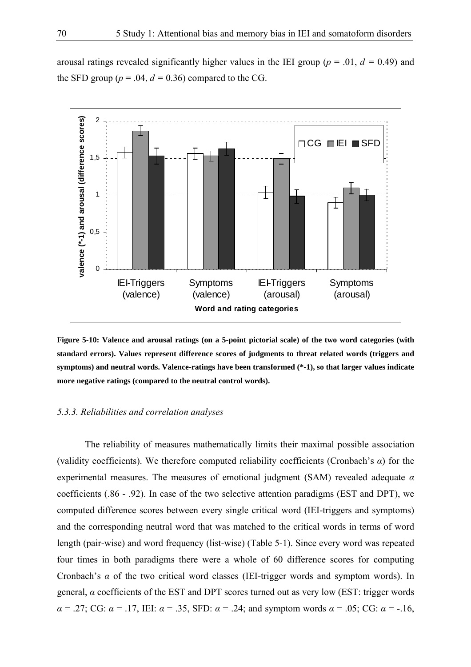arousal ratings revealed significantly higher values in the IEI group ( $p = .01$ ,  $d = 0.49$ ) and the SFD group ( $p = .04$ ,  $d = 0.36$ ) compared to the CG.



**Figure 5-10: Valence and arousal ratings (on a 5-point pictorial scale) of the two word categories (with standard errors). Values represent difference scores of judgments to threat related words (triggers and symptoms) and neutral words. Valence-ratings have been transformed (\*-1), so that larger values indicate more negative ratings (compared to the neutral control words).** 

#### *5.3.3. Reliabilities and correlation analyses*

The reliability of measures mathematically limits their maximal possible association (validity coefficients). We therefore computed reliability coefficients (Cronbach's *α*) for the experimental measures. The measures of emotional judgment (SAM) revealed adequate *α* coefficients (.86 - .92). In case of the two selective attention paradigms (EST and DPT), we computed difference scores between every single critical word (IEI-triggers and symptoms) and the corresponding neutral word that was matched to the critical words in terms of word length (pair-wise) and word frequency (list-wise) [\(Table 5-1\)](#page-59-0). Since every word was repeated four times in both paradigms there were a whole of 60 difference scores for computing Cronbach's *α* of the two critical word classes (IEI-trigger words and symptom words). In general, *α* coefficients of the EST and DPT scores turned out as very low (EST: trigger words *α* = .27; CG: *α* = .17, IEI: *α* = .35, SFD: *α* = .24; and symptom words *α* = .05; CG: *α* = -.16,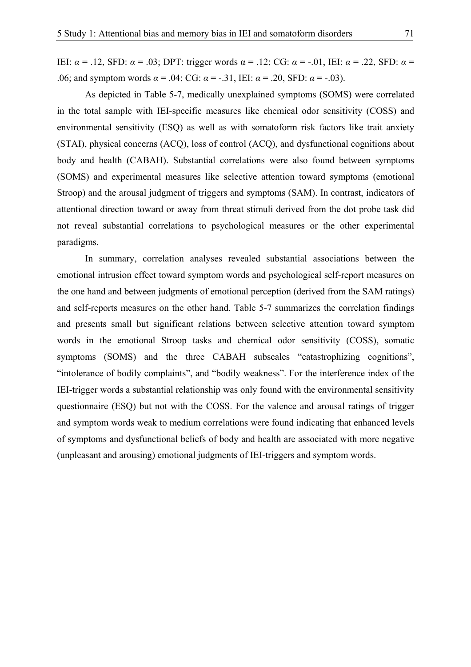IEI:  $\alpha$  = .12, SFD:  $\alpha$  = .03; DPT: trigger words  $\alpha$  = .12; CG:  $\alpha$  = -.01, IEI:  $\alpha$  = .22, SFD:  $\alpha$  = .06; and symptom words  $\alpha = .04$ ; CG:  $\alpha = -.31$ , IEI:  $\alpha = .20$ , SFD:  $\alpha = -.03$ ).

As depicted in [Table 5-7,](#page-77-0) medically unexplained symptoms (SOMS) were correlated in the total sample with IEI-specific measures like chemical odor sensitivity (COSS) and environmental sensitivity (ESQ) as well as with somatoform risk factors like trait anxiety (STAI), physical concerns (ACQ), loss of control (ACQ), and dysfunctional cognitions about body and health (CABAH). Substantial correlations were also found between symptoms (SOMS) and experimental measures like selective attention toward symptoms (emotional Stroop) and the arousal judgment of triggers and symptoms (SAM). In contrast, indicators of attentional direction toward or away from threat stimuli derived from the dot probe task did not reveal substantial correlations to psychological measures or the other experimental paradigms.

In summary, correlation analyses revealed substantial associations between the emotional intrusion effect toward symptom words and psychological self-report measures on the one hand and between judgments of emotional perception (derived from the SAM ratings) and self-reports measures on the other hand. [Table 5-7](#page-77-0) summarizes the correlation findings and presents small but significant relations between selective attention toward symptom words in the emotional Stroop tasks and chemical odor sensitivity (COSS), somatic symptoms (SOMS) and the three CABAH subscales "catastrophizing cognitions", "intolerance of bodily complaints", and "bodily weakness". For the interference index of the IEI-trigger words a substantial relationship was only found with the environmental sensitivity questionnaire (ESQ) but not with the COSS. For the valence and arousal ratings of trigger and symptom words weak to medium correlations were found indicating that enhanced levels of symptoms and dysfunctional beliefs of body and health are associated with more negative (unpleasant and arousing) emotional judgments of IEI-triggers and symptom words.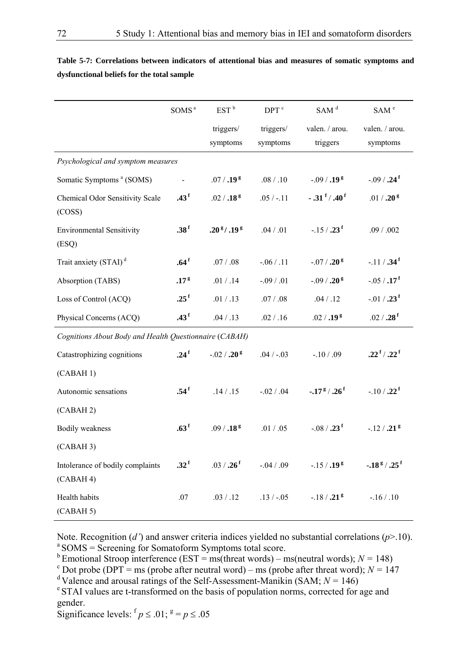|                                                        | SOMS <sup>a</sup> | EST <sup>b</sup>                   | DPT <sup>c</sup> | SAM <sup>d</sup>                                   | SAM <sup>e</sup>                        |  |  |  |  |  |
|--------------------------------------------------------|-------------------|------------------------------------|------------------|----------------------------------------------------|-----------------------------------------|--|--|--|--|--|
|                                                        |                   | triggers/                          | triggers/        | valen. / arou.                                     | valen. / arou.                          |  |  |  |  |  |
|                                                        |                   | symptoms                           | symptoms         | triggers                                           | symptoms                                |  |  |  |  |  |
| Psychological and symptom measures                     |                   |                                    |                  |                                                    |                                         |  |  |  |  |  |
| Somatic Symptoms <sup>a</sup> (SOMS)                   |                   | $.07/$ .19 <sup>g</sup>            | .08 / .10        | $-.09/19g$                                         | $-.09 / .24$ <sup>f</sup>               |  |  |  |  |  |
| Chemical Odor Sensitivity Scale<br>(COSS)              | .43 <sup>f</sup>  | .02 / .18 $\rm ^g$                 | $.05 / -.11$     | $-31 \frac{\text{f}}{\text{1}}$ / .40 <sup>f</sup> | .01 / .20 $8$                           |  |  |  |  |  |
| <b>Environmental Sensitivity</b><br>(ESQ)              | .38 <sup>f</sup>  | .20 <sup>g</sup> /.19 <sup>g</sup> | .04 / .01        | $-15/0.23$ <sup>f</sup>                            | .09 / .002                              |  |  |  |  |  |
| Trait anxiety (STAI) <sup>d</sup>                      | .64 <sup>f</sup>  | .07 / .08                          | $-.06 / .11$     | $-07/020g$                                         | $-.11 / .34$ <sup>f</sup>               |  |  |  |  |  |
| Absorption (TABS)                                      | .17 <sup>8</sup>  | .01 / .14                          | $-0.09 / 0.01$   | $-.09/0.20g$                                       | $-.05 / .17$ <sup>f</sup>               |  |  |  |  |  |
| Loss of Control (ACQ)                                  | .25 <sup>f</sup>  | .01 / .13                          | .07 / .08        | .04 / .12                                          | $-0.01 / .23$ <sup>f</sup>              |  |  |  |  |  |
| Physical Concerns (ACQ)                                | .43 <sup>f</sup>  | .04 / .13                          | .02 / .16        | .02 / .19 <sup>g</sup>                             | .02 / .28 $^{\rm f}$                    |  |  |  |  |  |
| Cognitions About Body and Health Questionnaire (CABAH) |                   |                                    |                  |                                                    |                                         |  |  |  |  |  |
| Catastrophizing cognitions                             | .24 <sup>f</sup>  | $-.02$ / .20 <sup>g</sup>          | $.04 / -.03$     | $-.10 / .09$                                       | $.22^{\mathrm{f}}$ / $.22^{\mathrm{f}}$ |  |  |  |  |  |
| (CABAH1)                                               |                   |                                    |                  |                                                    |                                         |  |  |  |  |  |
| Autonomic sensations                                   | .54 <sup>f</sup>  | .14 / .15                          | $-.02 / .04$     | $-0.17g/0.26f$                                     | $-.10/0.22^{f}$                         |  |  |  |  |  |
| (CABAH 2)                                              |                   |                                    |                  |                                                    |                                         |  |  |  |  |  |
| Bodily weakness                                        | .63 <sup>f</sup>  | $.09/$ .18 $\rm ^g$                | .01 / .05        | $-.08 / .23$ <sup>f</sup>                          | $-12/31g$                               |  |  |  |  |  |
| (CABAH3)                                               |                   |                                    |                  |                                                    |                                         |  |  |  |  |  |
| Intolerance of bodily complaints<br>(CABAH 4)          | .32 <sup>f</sup>  | .03 / .26 <sup>f</sup>             | $-0.04 / 0.09$   | $-15/19g$                                          | $-.18g / .25f$                          |  |  |  |  |  |
| Health habits<br>(CABAH 5)                             | .07               | .03 / .12                          | $.13 / -0.05$    | $-18/0.218$                                        | $-16/10$                                |  |  |  |  |  |

<span id="page-77-0"></span>**Table 5-7: Correlations between indicators of attentional bias and measures of somatic symptoms and dysfunctional beliefs for the total sample** 

Note. Recognition (*d'*) and answer criteria indices yielded no substantial correlations ( $p$ >.10). <br><sup>a</sup> SOMS = Screening for Somatoform Symptoms total score.

<sup>b</sup> Emotional Stroop interference (EST = ms(threat words) – ms(neutral words);  $N = 148$ )

<sup>c</sup> Dot probe (DPT = ms (probe after neutral word) – ms (probe after threat word);  $N = 147$ <br><sup>d</sup> Valence and arousal ratings of the Self-Assessment-Manikin (SAM;  $N = 146$ )

<sup>e</sup> STAI values are t-transformed on the basis of population norms, corrected for age and gender.

Significance levels:  $^{f} p \le .01$ ;  $^{g} = p \le .05$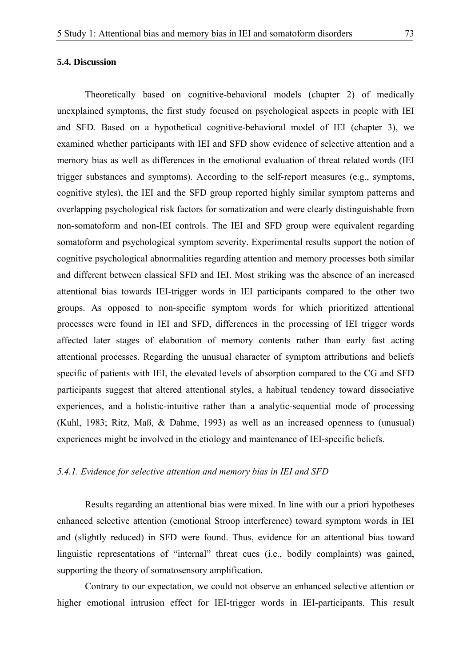#### **5.4. Discussion**

Theoretically based on cognitive-behavioral models (chapter 2) of medically unexplained symptoms, the first study focused on psychological aspects in people with IEI and SFD. Based on a hypothetical cognitive-behavioral model of IEI (chapter 3), we examined whether participants with IEI and SFD show evidence of selective attention and a memory bias as well as differences in the emotional evaluation of threat related words (IEI trigger substances and symptoms). According to the self-report measures (e.g., symptoms, cognitive styles), the IEI and the SFD group reported highly similar symptom patterns and overlapping psychological risk factors for somatization and were clearly distinguishable from non-somatoform and non-IEI controls. The IEI and SFD group were equivalent regarding somatoform and psychological symptom severity. Experimental results support the notion of cognitive psychological abnormalities regarding attention and memory processes both similar and different between classical SFD and IEI. Most striking was the absence of an increased attentional bias towards IEI-trigger words in IEI participants compared to the other two groups. As opposed to non-specific symptom words for which prioritized attentional processes were found in IEI and SFD, differences in the processing of IEI trigger words affected later stages of elaboration of memory contents rather than early fast acting attentional processes. Regarding the unusual character of symptom attributions and beliefs specific of patients with IEI, the elevated levels of absorption compared to the CG and SFD participants suggest that altered attentional styles, a habitual tendency toward dissociative experiences, and a holistic-intuitive rather than a analytic-sequential mode of processing (Kuhl, 1983; Ritz, Maß, & Dahme, 1993) as well as an increased openness to (unusual) experiences might be involved in the etiology and maintenance of IEI-specific beliefs.

## *5.4.1. Evidence for selective attention and memory bias in IEI and SFD*

Results regarding an attentional bias were mixed. In line with our a priori hypotheses enhanced selective attention (emotional Stroop interference) toward symptom words in IEI and (slightly reduced) in SFD were found. Thus, evidence for an attentional bias toward linguistic representations of "internal" threat cues (i.e., bodily complaints) was gained, supporting the theory of somatosensory amplification.

Contrary to our expectation, we could not observe an enhanced selective attention or higher emotional intrusion effect for IEI-trigger words in IEI-participants. This result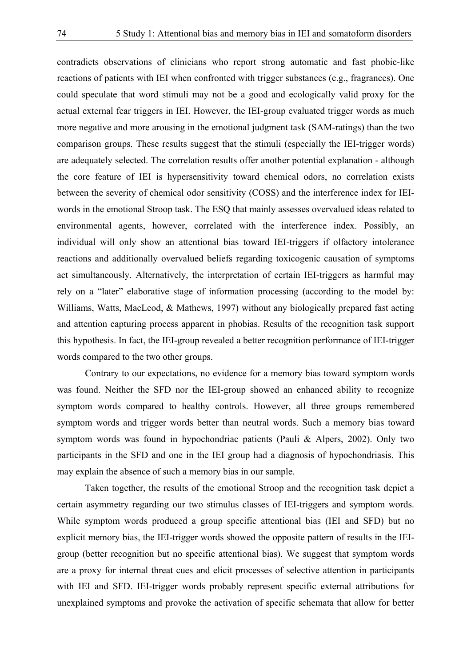contradicts observations of clinicians who report strong automatic and fast phobic-like reactions of patients with IEI when confronted with trigger substances (e.g., fragrances). One could speculate that word stimuli may not be a good and ecologically valid proxy for the actual external fear triggers in IEI. However, the IEI-group evaluated trigger words as much more negative and more arousing in the emotional judgment task (SAM-ratings) than the two comparison groups. These results suggest that the stimuli (especially the IEI-trigger words) are adequately selected. The correlation results offer another potential explanation - although the core feature of IEI is hypersensitivity toward chemical odors, no correlation exists between the severity of chemical odor sensitivity (COSS) and the interference index for IEIwords in the emotional Stroop task. The ESQ that mainly assesses overvalued ideas related to environmental agents, however, correlated with the interference index. Possibly, an individual will only show an attentional bias toward IEI-triggers if olfactory intolerance reactions and additionally overvalued beliefs regarding toxicogenic causation of symptoms act simultaneously. Alternatively, the interpretation of certain IEI-triggers as harmful may rely on a "later" elaborative stage of information processing (according to the model by: Williams, Watts, MacLeod, & Mathews, 1997) without any biologically prepared fast acting and attention capturing process apparent in phobias. Results of the recognition task support this hypothesis. In fact, the IEI-group revealed a better recognition performance of IEI-trigger words compared to the two other groups.

Contrary to our expectations, no evidence for a memory bias toward symptom words was found. Neither the SFD nor the IEI-group showed an enhanced ability to recognize symptom words compared to healthy controls. However, all three groups remembered symptom words and trigger words better than neutral words. Such a memory bias toward symptom words was found in hypochondriac patients (Pauli & Alpers, 2002). Only two participants in the SFD and one in the IEI group had a diagnosis of hypochondriasis. This may explain the absence of such a memory bias in our sample.

Taken together, the results of the emotional Stroop and the recognition task depict a certain asymmetry regarding our two stimulus classes of IEI-triggers and symptom words. While symptom words produced a group specific attentional bias (IEI and SFD) but no explicit memory bias, the IEI-trigger words showed the opposite pattern of results in the IEIgroup (better recognition but no specific attentional bias). We suggest that symptom words are a proxy for internal threat cues and elicit processes of selective attention in participants with IEI and SFD. IEI-trigger words probably represent specific external attributions for unexplained symptoms and provoke the activation of specific schemata that allow for better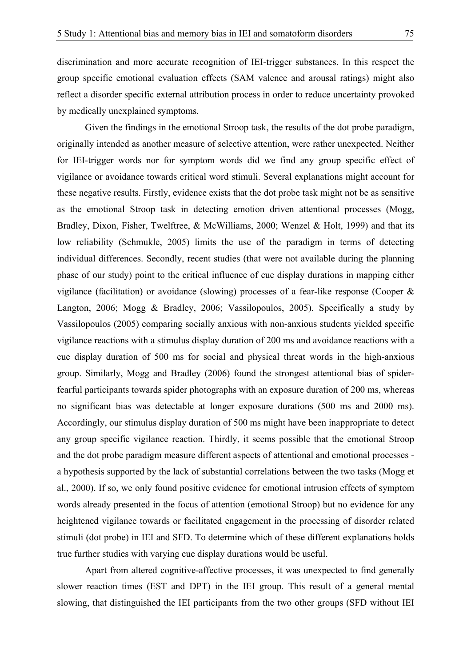discrimination and more accurate recognition of IEI-trigger substances. In this respect the group specific emotional evaluation effects (SAM valence and arousal ratings) might also reflect a disorder specific external attribution process in order to reduce uncertainty provoked by medically unexplained symptoms.

Given the findings in the emotional Stroop task, the results of the dot probe paradigm, originally intended as another measure of selective attention, were rather unexpected. Neither for IEI-trigger words nor for symptom words did we find any group specific effect of vigilance or avoidance towards critical word stimuli. Several explanations might account for these negative results. Firstly, evidence exists that the dot probe task might not be as sensitive as the emotional Stroop task in detecting emotion driven attentional processes (Mogg, Bradley, Dixon, Fisher, Twelftree, & McWilliams, 2000; Wenzel & Holt, 1999) and that its low reliability (Schmukle, 2005) limits the use of the paradigm in terms of detecting individual differences. Secondly, recent studies (that were not available during the planning phase of our study) point to the critical influence of cue display durations in mapping either vigilance (facilitation) or avoidance (slowing) processes of a fear-like response (Cooper & Langton, 2006; Mogg & Bradley, 2006; Vassilopoulos, 2005). Specifically a study by Vassilopoulos (2005) comparing socially anxious with non-anxious students yielded specific vigilance reactions with a stimulus display duration of 200 ms and avoidance reactions with a cue display duration of 500 ms for social and physical threat words in the high-anxious group. Similarly, Mogg and Bradley (2006) found the strongest attentional bias of spiderfearful participants towards spider photographs with an exposure duration of 200 ms, whereas no significant bias was detectable at longer exposure durations (500 ms and 2000 ms). Accordingly, our stimulus display duration of 500 ms might have been inappropriate to detect any group specific vigilance reaction. Thirdly, it seems possible that the emotional Stroop and the dot probe paradigm measure different aspects of attentional and emotional processes a hypothesis supported by the lack of substantial correlations between the two tasks (Mogg et al., 2000). If so, we only found positive evidence for emotional intrusion effects of symptom words already presented in the focus of attention (emotional Stroop) but no evidence for any heightened vigilance towards or facilitated engagement in the processing of disorder related stimuli (dot probe) in IEI and SFD. To determine which of these different explanations holds true further studies with varying cue display durations would be useful.

Apart from altered cognitive-affective processes, it was unexpected to find generally slower reaction times (EST and DPT) in the IEI group. This result of a general mental slowing, that distinguished the IEI participants from the two other groups (SFD without IEI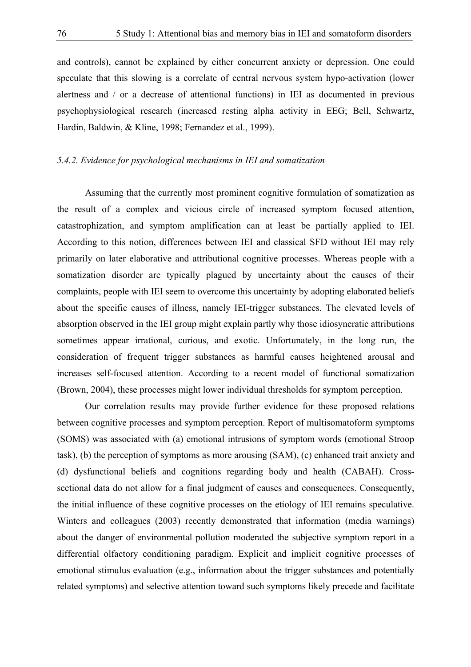and controls), cannot be explained by either concurrent anxiety or depression. One could speculate that this slowing is a correlate of central nervous system hypo-activation (lower alertness and / or a decrease of attentional functions) in IEI as documented in previous psychophysiological research (increased resting alpha activity in EEG; Bell, Schwartz, Hardin, Baldwin, & Kline, 1998; Fernandez et al., 1999).

# *5.4.2. Evidence for psychological mechanisms in IEI and somatization*

Assuming that the currently most prominent cognitive formulation of somatization as the result of a complex and vicious circle of increased symptom focused attention, catastrophization, and symptom amplification can at least be partially applied to IEI. According to this notion, differences between IEI and classical SFD without IEI may rely primarily on later elaborative and attributional cognitive processes. Whereas people with a somatization disorder are typically plagued by uncertainty about the causes of their complaints, people with IEI seem to overcome this uncertainty by adopting elaborated beliefs about the specific causes of illness, namely IEI-trigger substances. The elevated levels of absorption observed in the IEI group might explain partly why those idiosyncratic attributions sometimes appear irrational, curious, and exotic. Unfortunately, in the long run, the consideration of frequent trigger substances as harmful causes heightened arousal and increases self-focused attention. According to a recent model of functional somatization (Brown, 2004), these processes might lower individual thresholds for symptom perception.

Our correlation results may provide further evidence for these proposed relations between cognitive processes and symptom perception. Report of multisomatoform symptoms (SOMS) was associated with (a) emotional intrusions of symptom words (emotional Stroop task), (b) the perception of symptoms as more arousing (SAM), (c) enhanced trait anxiety and (d) dysfunctional beliefs and cognitions regarding body and health (CABAH). Crosssectional data do not allow for a final judgment of causes and consequences. Consequently, the initial influence of these cognitive processes on the etiology of IEI remains speculative. Winters and colleagues (2003) recently demonstrated that information (media warnings) about the danger of environmental pollution moderated the subjective symptom report in a differential olfactory conditioning paradigm. Explicit and implicit cognitive processes of emotional stimulus evaluation (e.g., information about the trigger substances and potentially related symptoms) and selective attention toward such symptoms likely precede and facilitate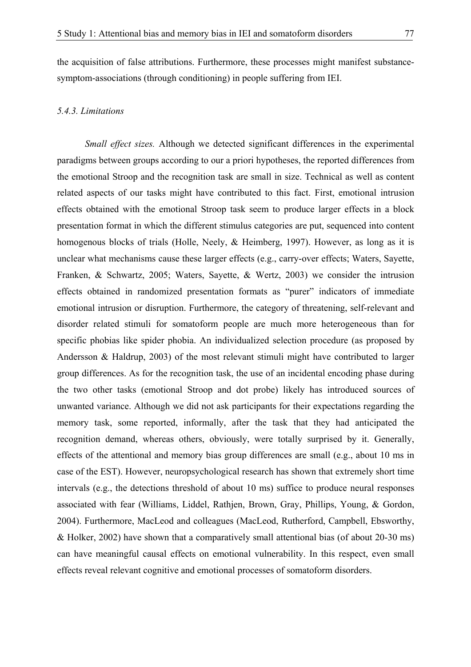the acquisition of false attributions. Furthermore, these processes might manifest substancesymptom-associations (through conditioning) in people suffering from IEI.

#### *5.4.3. Limitations*

*Small effect sizes.* Although we detected significant differences in the experimental paradigms between groups according to our a priori hypotheses, the reported differences from the emotional Stroop and the recognition task are small in size. Technical as well as content related aspects of our tasks might have contributed to this fact. First, emotional intrusion effects obtained with the emotional Stroop task seem to produce larger effects in a block presentation format in which the different stimulus categories are put, sequenced into content homogenous blocks of trials (Holle, Neely, & Heimberg, 1997). However, as long as it is unclear what mechanisms cause these larger effects (e.g., carry-over effects; Waters, Sayette, Franken, & Schwartz, 2005; Waters, Sayette, & Wertz, 2003) we consider the intrusion effects obtained in randomized presentation formats as "purer" indicators of immediate emotional intrusion or disruption. Furthermore, the category of threatening, self-relevant and disorder related stimuli for somatoform people are much more heterogeneous than for specific phobias like spider phobia. An individualized selection procedure (as proposed by Andersson & Haldrup, 2003) of the most relevant stimuli might have contributed to larger group differences. As for the recognition task, the use of an incidental encoding phase during the two other tasks (emotional Stroop and dot probe) likely has introduced sources of unwanted variance. Although we did not ask participants for their expectations regarding the memory task, some reported, informally, after the task that they had anticipated the recognition demand, whereas others, obviously, were totally surprised by it. Generally, effects of the attentional and memory bias group differences are small (e.g., about 10 ms in case of the EST). However, neuropsychological research has shown that extremely short time intervals (e.g., the detections threshold of about 10 ms) suffice to produce neural responses associated with fear (Williams, Liddel, Rathjen, Brown, Gray, Phillips, Young, & Gordon, 2004). Furthermore, MacLeod and colleagues (MacLeod, Rutherford, Campbell, Ebsworthy, & Holker, 2002) have shown that a comparatively small attentional bias (of about 20-30 ms) can have meaningful causal effects on emotional vulnerability. In this respect, even small effects reveal relevant cognitive and emotional processes of somatoform disorders.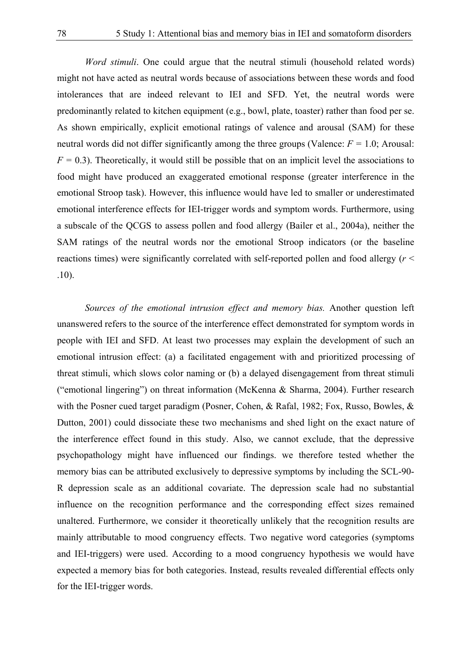*Word stimuli*. One could argue that the neutral stimuli (household related words) might not have acted as neutral words because of associations between these words and food intolerances that are indeed relevant to IEI and SFD. Yet, the neutral words were predominantly related to kitchen equipment (e.g., bowl, plate, toaster) rather than food per se. As shown empirically, explicit emotional ratings of valence and arousal (SAM) for these neutral words did not differ significantly among the three groups (Valence: *F =* 1.0; Arousal:  $F = 0.3$ ). Theoretically, it would still be possible that on an implicit level the associations to food might have produced an exaggerated emotional response (greater interference in the emotional Stroop task). However, this influence would have led to smaller or underestimated emotional interference effects for IEI-trigger words and symptom words. Furthermore, using a subscale of the QCGS to assess pollen and food allergy (Bailer et al., 2004a), neither the SAM ratings of the neutral words nor the emotional Stroop indicators (or the baseline reactions times) were significantly correlated with self-reported pollen and food allergy (*r* < .10).

*Sources of the emotional intrusion effect and memory bias.* Another question left unanswered refers to the source of the interference effect demonstrated for symptom words in people with IEI and SFD. At least two processes may explain the development of such an emotional intrusion effect: (a) a facilitated engagement with and prioritized processing of threat stimuli, which slows color naming or (b) a delayed disengagement from threat stimuli ("emotional lingering") on threat information (McKenna & Sharma, 2004). Further research with the Posner cued target paradigm (Posner, Cohen, & Rafal, 1982; Fox, Russo, Bowles, & Dutton, 2001) could dissociate these two mechanisms and shed light on the exact nature of the interference effect found in this study. Also, we cannot exclude, that the depressive psychopathology might have influenced our findings. we therefore tested whether the memory bias can be attributed exclusively to depressive symptoms by including the SCL-90- R depression scale as an additional covariate. The depression scale had no substantial influence on the recognition performance and the corresponding effect sizes remained unaltered. Furthermore, we consider it theoretically unlikely that the recognition results are mainly attributable to mood congruency effects. Two negative word categories (symptoms and IEI-triggers) were used. According to a mood congruency hypothesis we would have expected a memory bias for both categories. Instead, results revealed differential effects only for the IEI-trigger words.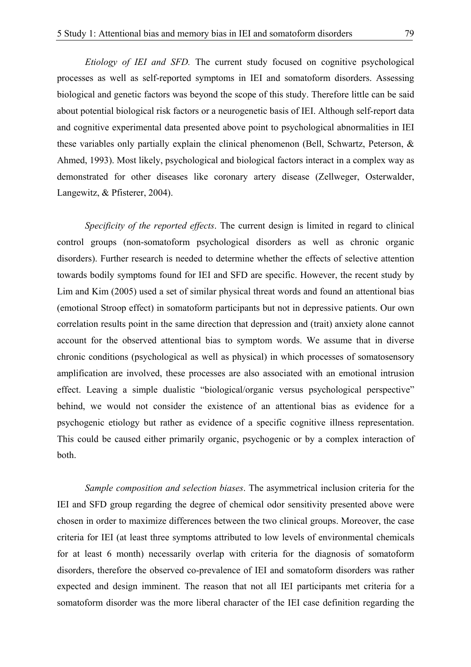*Etiology of IEI and SFD.* The current study focused on cognitive psychological processes as well as self-reported symptoms in IEI and somatoform disorders. Assessing biological and genetic factors was beyond the scope of this study. Therefore little can be said about potential biological risk factors or a neurogenetic basis of IEI. Although self-report data and cognitive experimental data presented above point to psychological abnormalities in IEI these variables only partially explain the clinical phenomenon (Bell, Schwartz, Peterson, & Ahmed, 1993). Most likely, psychological and biological factors interact in a complex way as demonstrated for other diseases like coronary artery disease (Zellweger, Osterwalder, Langewitz, & Pfisterer, 2004).

*Specificity of the reported effects*. The current design is limited in regard to clinical control groups (non-somatoform psychological disorders as well as chronic organic disorders). Further research is needed to determine whether the effects of selective attention towards bodily symptoms found for IEI and SFD are specific. However, the recent study by Lim and Kim (2005) used a set of similar physical threat words and found an attentional bias (emotional Stroop effect) in somatoform participants but not in depressive patients. Our own correlation results point in the same direction that depression and (trait) anxiety alone cannot account for the observed attentional bias to symptom words. We assume that in diverse chronic conditions (psychological as well as physical) in which processes of somatosensory amplification are involved, these processes are also associated with an emotional intrusion effect. Leaving a simple dualistic "biological/organic versus psychological perspective" behind, we would not consider the existence of an attentional bias as evidence for a psychogenic etiology but rather as evidence of a specific cognitive illness representation. This could be caused either primarily organic, psychogenic or by a complex interaction of both.

*Sample composition and selection biases*. The asymmetrical inclusion criteria for the IEI and SFD group regarding the degree of chemical odor sensitivity presented above were chosen in order to maximize differences between the two clinical groups. Moreover, the case criteria for IEI (at least three symptoms attributed to low levels of environmental chemicals for at least 6 month) necessarily overlap with criteria for the diagnosis of somatoform disorders, therefore the observed co-prevalence of IEI and somatoform disorders was rather expected and design imminent. The reason that not all IEI participants met criteria for a somatoform disorder was the more liberal character of the IEI case definition regarding the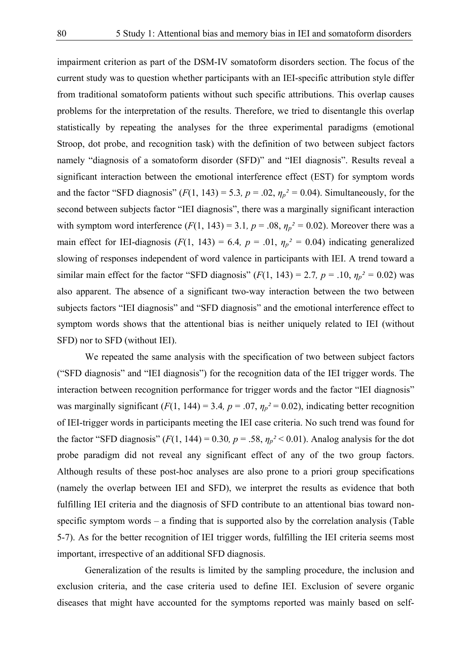impairment criterion as part of the DSM-IV somatoform disorders section. The focus of the current study was to question whether participants with an IEI-specific attribution style differ from traditional somatoform patients without such specific attributions. This overlap causes problems for the interpretation of the results. Therefore, we tried to disentangle this overlap statistically by repeating the analyses for the three experimental paradigms (emotional Stroop, dot probe, and recognition task) with the definition of two between subject factors namely "diagnosis of a somatoform disorder (SFD)" and "IEI diagnosis". Results reveal a significant interaction between the emotional interference effect (EST) for symptom words and the factor "SFD diagnosis"  $(F(1, 143) = 5.3, p = .02, \eta_p^2 = 0.04)$ . Simultaneously, for the second between subjects factor "IEI diagnosis", there was a marginally significant interaction with symptom word interference  $(F(1, 143) = 3.1, p = .08, \eta_p^2 = 0.02)$ . Moreover there was a main effect for IEI-diagnosis ( $F(1, 143) = 6.4$ ,  $p = .01$ ,  $\eta_p^2 = 0.04$ ) indicating generalized slowing of responses independent of word valence in participants with IEI. A trend toward a similar main effect for the factor "SFD diagnosis"  $(F(1, 143) = 2.7, p = .10, \eta_p^2 = 0.02)$  was also apparent. The absence of a significant two-way interaction between the two between subjects factors "IEI diagnosis" and "SFD diagnosis" and the emotional interference effect to symptom words shows that the attentional bias is neither uniquely related to IEI (without SFD) nor to SFD (without IEI).

We repeated the same analysis with the specification of two between subject factors ("SFD diagnosis" and "IEI diagnosis") for the recognition data of the IEI trigger words. The interaction between recognition performance for trigger words and the factor "IEI diagnosis" was marginally significant ( $F(1, 144) = 3.4$ ,  $p = .07$ ,  $\eta_p^2 = 0.02$ ), indicating better recognition of IEI-trigger words in participants meeting the IEI case criteria. No such trend was found for the factor "SFD diagnosis"  $(F(1, 144) = 0.30, p = .58, \eta_p^2 < 0.01)$ . Analog analysis for the dot probe paradigm did not reveal any significant effect of any of the two group factors. Although results of these post-hoc analyses are also prone to a priori group specifications (namely the overlap between IEI and SFD), we interpret the results as evidence that both fulfilling IEI criteria and the diagnosis of SFD contribute to an attentional bias toward nonspecific symptom words – a finding that is supported also by the correlation analysis [\(Table](#page-77-0)  [5-7](#page-77-0)). As for the better recognition of IEI trigger words, fulfilling the IEI criteria seems most important, irrespective of an additional SFD diagnosis.

Generalization of the results is limited by the sampling procedure, the inclusion and exclusion criteria, and the case criteria used to define IEI. Exclusion of severe organic diseases that might have accounted for the symptoms reported was mainly based on self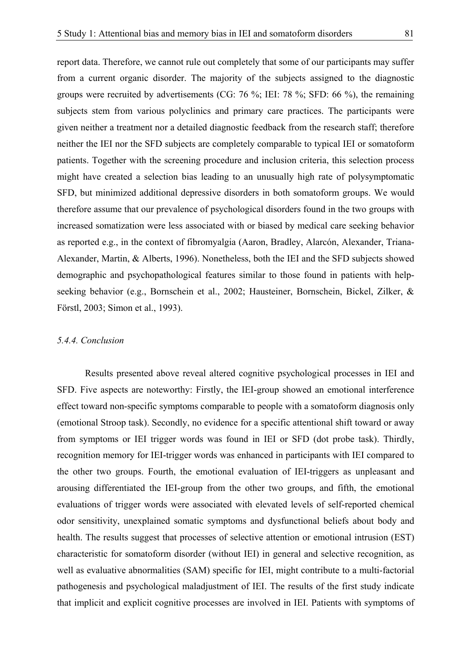report data. Therefore, we cannot rule out completely that some of our participants may suffer from a current organic disorder. The majority of the subjects assigned to the diagnostic groups were recruited by advertisements (CG: 76 %; IEI: 78 %; SFD: 66 %), the remaining subjects stem from various polyclinics and primary care practices. The participants were given neither a treatment nor a detailed diagnostic feedback from the research staff; therefore neither the IEI nor the SFD subjects are completely comparable to typical IEI or somatoform patients. Together with the screening procedure and inclusion criteria, this selection process might have created a selection bias leading to an unusually high rate of polysymptomatic SFD, but minimized additional depressive disorders in both somatoform groups. We would therefore assume that our prevalence of psychological disorders found in the two groups with increased somatization were less associated with or biased by medical care seeking behavior as reported e.g., in the context of fibromyalgia (Aaron, Bradley, Alarcón, Alexander, Triana-Alexander, Martin, & Alberts, 1996). Nonetheless, both the IEI and the SFD subjects showed demographic and psychopathological features similar to those found in patients with helpseeking behavior (e.g., Bornschein et al., 2002; Hausteiner, Bornschein, Bickel, Zilker, & Förstl, 2003; Simon et al., 1993).

#### *5.4.4. Conclusion*

Results presented above reveal altered cognitive psychological processes in IEI and SFD. Five aspects are noteworthy: Firstly, the IEI-group showed an emotional interference effect toward non-specific symptoms comparable to people with a somatoform diagnosis only (emotional Stroop task). Secondly, no evidence for a specific attentional shift toward or away from symptoms or IEI trigger words was found in IEI or SFD (dot probe task). Thirdly, recognition memory for IEI-trigger words was enhanced in participants with IEI compared to the other two groups. Fourth, the emotional evaluation of IEI-triggers as unpleasant and arousing differentiated the IEI-group from the other two groups, and fifth, the emotional evaluations of trigger words were associated with elevated levels of self-reported chemical odor sensitivity, unexplained somatic symptoms and dysfunctional beliefs about body and health. The results suggest that processes of selective attention or emotional intrusion (EST) characteristic for somatoform disorder (without IEI) in general and selective recognition, as well as evaluative abnormalities (SAM) specific for IEI, might contribute to a multi-factorial pathogenesis and psychological maladjustment of IEI. The results of the first study indicate that implicit and explicit cognitive processes are involved in IEI. Patients with symptoms of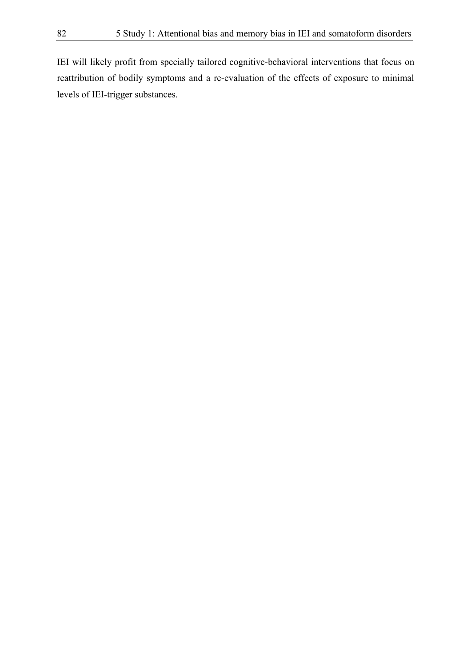IEI will likely profit from specially tailored cognitive-behavioral interventions that focus on reattribution of bodily symptoms and a re-evaluation of the effects of exposure to minimal levels of IEI-trigger substances.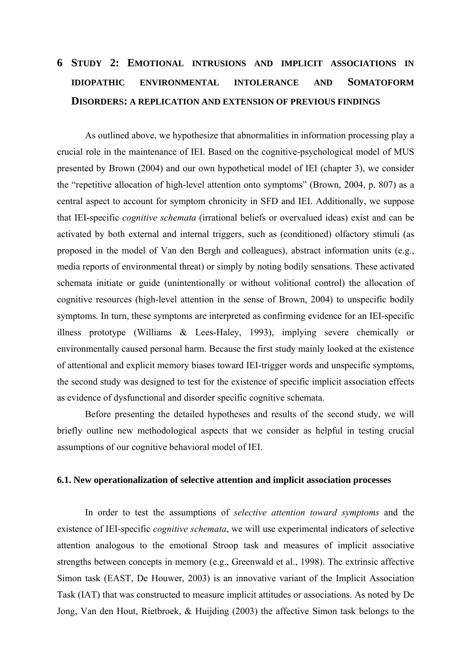# **6 STUDY 2: EMOTIONAL INTRUSIONS AND IMPLICIT ASSOCIATIONS IN IDIOPATHIC ENVIRONMENTAL INTOLERANCE AND SOMATOFORM DISORDERS: A REPLICATION AND EXTENSION OF PREVIOUS FINDINGS**

As outlined above, we hypothesize that abnormalities in information processing play a crucial role in the maintenance of IEI. Based on the cognitive-psychological model of MUS presented by Brown (2004) and our own hypothetical model of IEI (chapter 3), we consider the "repetitive allocation of high-level attention onto symptoms" (Brown, 2004, p. 807) as a central aspect to account for symptom chronicity in SFD and IEI. Additionally, we suppose that IEI-specific *cognitive schemata* (irrational beliefs or overvalued ideas) exist and can be activated by both external and internal triggers, such as (conditioned) olfactory stimuli (as proposed in the model of Van den Bergh and colleagues), abstract information units (e.g., media reports of environmental threat) or simply by noting bodily sensations. These activated schemata initiate or guide (unintentionally or without volitional control) the allocation of cognitive resources (high-level attention in the sense of Brown, 2004) to unspecific bodily symptoms. In turn, these symptoms are interpreted as confirming evidence for an IEI-specific illness prototype (Williams & Lees-Haley, 1993), implying severe chemically or environmentally caused personal harm. Because the first study mainly looked at the existence of attentional and explicit memory biases toward IEI-trigger words and unspecific symptoms, the second study was designed to test for the existence of specific implicit association effects as evidence of dysfunctional and disorder specific cognitive schemata.

Before presenting the detailed hypotheses and results of the second study, we will briefly outline new methodological aspects that we consider as helpful in testing crucial assumptions of our cognitive behavioral model of IEI.

#### **6.1. New operationalization of selective attention and implicit association processes**

In order to test the assumptions of *selective attention toward symptoms* and the existence of IEI-specific *cognitive schemata*, we will use experimental indicators of selective attention analogous to the emotional Stroop task and measures of implicit associative strengths between concepts in memory (e.g., Greenwald et al., 1998). The extrinsic affective Simon task (EAST, De Houwer, 2003) is an innovative variant of the Implicit Association Task (IAT) that was constructed to measure implicit attitudes or associations. As noted by De Jong, Van den Hout, Rietbroek, & Huijding (2003) the affective Simon task belongs to the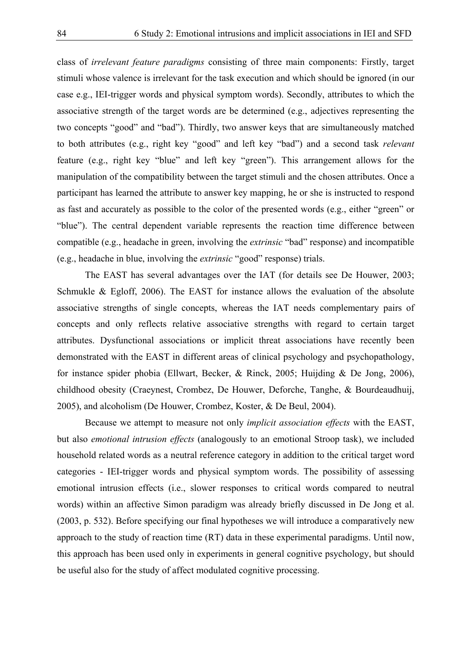class of *irrelevant feature paradigms* consisting of three main components: Firstly, target stimuli whose valence is irrelevant for the task execution and which should be ignored (in our case e.g., IEI-trigger words and physical symptom words). Secondly, attributes to which the associative strength of the target words are be determined (e.g., adjectives representing the two concepts "good" and "bad"). Thirdly, two answer keys that are simultaneously matched to both attributes (e.g., right key "good" and left key "bad") and a second task *relevant* feature (e.g., right key "blue" and left key "green"). This arrangement allows for the manipulation of the compatibility between the target stimuli and the chosen attributes. Once a participant has learned the attribute to answer key mapping, he or she is instructed to respond as fast and accurately as possible to the color of the presented words (e.g., either "green" or "blue"). The central dependent variable represents the reaction time difference between compatible (e.g., headache in green, involving the *extrinsic* "bad" response) and incompatible (e.g., headache in blue, involving the *extrinsic* "good" response) trials.

The EAST has several advantages over the IAT (for details see De Houwer, 2003; Schmukle & Egloff, 2006). The EAST for instance allows the evaluation of the absolute associative strengths of single concepts, whereas the IAT needs complementary pairs of concepts and only reflects relative associative strengths with regard to certain target attributes. Dysfunctional associations or implicit threat associations have recently been demonstrated with the EAST in different areas of clinical psychology and psychopathology, for instance spider phobia (Ellwart, Becker, & Rinck, 2005; Huijding & De Jong, 2006), childhood obesity (Craeynest, Crombez, De Houwer, Deforche, Tanghe, & Bourdeaudhuij, 2005), and alcoholism (De Houwer, Crombez, Koster, & De Beul, 2004).

Because we attempt to measure not only *implicit association effects* with the EAST, but also *emotional intrusion effects* (analogously to an emotional Stroop task), we included household related words as a neutral reference category in addition to the critical target word categories - IEI-trigger words and physical symptom words. The possibility of assessing emotional intrusion effects (i.e., slower responses to critical words compared to neutral words) within an affective Simon paradigm was already briefly discussed in De Jong et al. (2003, p. 532). Before specifying our final hypotheses we will introduce a comparatively new approach to the study of reaction time (RT) data in these experimental paradigms. Until now, this approach has been used only in experiments in general cognitive psychology, but should be useful also for the study of affect modulated cognitive processing.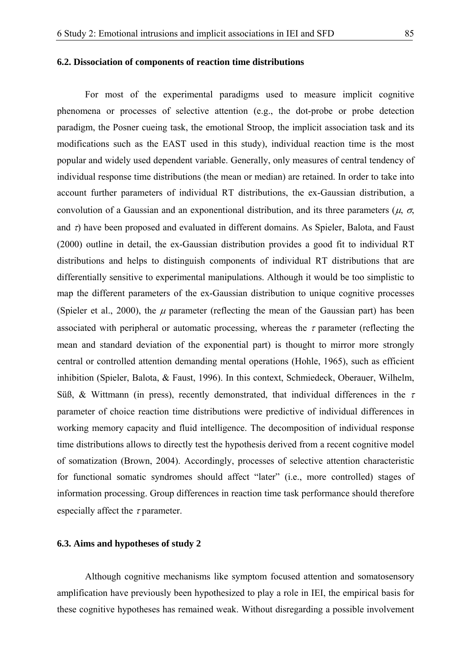#### **6.2. Dissociation of components of reaction time distributions**

For most of the experimental paradigms used to measure implicit cognitive phenomena or processes of selective attention (e.g., the dot-probe or probe detection paradigm, the Posner cueing task, the emotional Stroop, the implicit association task and its modifications such as the EAST used in this study), individual reaction time is the most popular and widely used dependent variable. Generally, only measures of central tendency of individual response time distributions (the mean or median) are retained. In order to take into account further parameters of individual RT distributions, the ex-Gaussian distribution, a convolution of a Gaussian and an exponentional distribution, and its three parameters ( $\mu$ ,  $\sigma$ , and  $\tau$ ) have been proposed and evaluated in different domains. As Spieler, Balota, and Faust (2000) outline in detail, the ex-Gaussian distribution provides a good fit to individual RT distributions and helps to distinguish components of individual RT distributions that are differentially sensitive to experimental manipulations. Although it would be too simplistic to map the different parameters of the ex-Gaussian distribution to unique cognitive processes (Spieler et al., 2000), the  $\mu$  parameter (reflecting the mean of the Gaussian part) has been associated with peripheral or automatic processing, whereas the  $\tau$  parameter (reflecting the mean and standard deviation of the exponential part) is thought to mirror more strongly central or controlled attention demanding mental operations (Hohle, 1965), such as efficient inhibition (Spieler, Balota, & Faust, 1996). In this context, Schmiedeck, Oberauer, Wilhelm, Süß, & Wittmann (in press), recently demonstrated, that individual differences in the  $\tau$ parameter of choice reaction time distributions were predictive of individual differences in working memory capacity and fluid intelligence. The decomposition of individual response time distributions allows to directly test the hypothesis derived from a recent cognitive model of somatization (Brown, 2004). Accordingly, processes of selective attention characteristic for functional somatic syndromes should affect "later" (i.e., more controlled) stages of information processing. Group differences in reaction time task performance should therefore especially affect the  $\tau$  parameter.

# **6.3. Aims and hypotheses of study 2**

Although cognitive mechanisms like symptom focused attention and somatosensory amplification have previously been hypothesized to play a role in IEI, the empirical basis for these cognitive hypotheses has remained weak. Without disregarding a possible involvement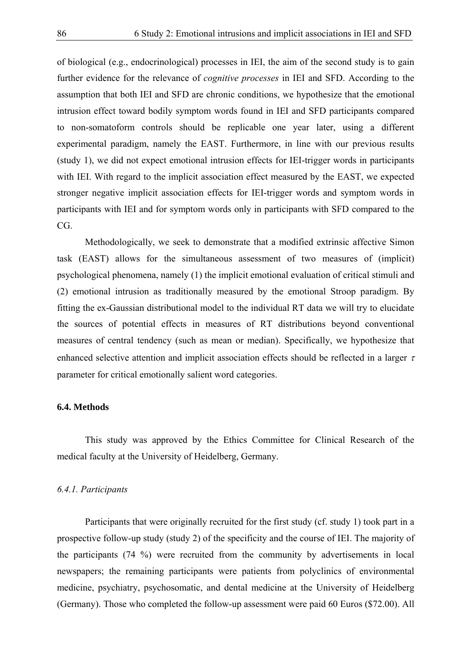of biological (e.g., endocrinological) processes in IEI, the aim of the second study is to gain further evidence for the relevance of *cognitive processes* in IEI and SFD. According to the assumption that both IEI and SFD are chronic conditions, we hypothesize that the emotional intrusion effect toward bodily symptom words found in IEI and SFD participants compared to non-somatoform controls should be replicable one year later, using a different experimental paradigm, namely the EAST. Furthermore, in line with our previous results (study 1), we did not expect emotional intrusion effects for IEI-trigger words in participants with IEI. With regard to the implicit association effect measured by the EAST, we expected stronger negative implicit association effects for IEI-trigger words and symptom words in participants with IEI and for symptom words only in participants with SFD compared to the CG.

Methodologically, we seek to demonstrate that a modified extrinsic affective Simon task (EAST) allows for the simultaneous assessment of two measures of (implicit) psychological phenomena, namely (1) the implicit emotional evaluation of critical stimuli and (2) emotional intrusion as traditionally measured by the emotional Stroop paradigm. By fitting the ex-Gaussian distributional model to the individual RT data we will try to elucidate the sources of potential effects in measures of RT distributions beyond conventional measures of central tendency (such as mean or median). Specifically, we hypothesize that enhanced selective attention and implicit association effects should be reflected in a larger  $\tau$ parameter for critical emotionally salient word categories.

## **6.4. Methods**

This study was approved by the Ethics Committee for Clinical Research of the medical faculty at the University of Heidelberg, Germany.

#### *6.4.1. Participants*

Participants that were originally recruited for the first study (cf. study 1) took part in a prospective follow-up study (study 2) of the specificity and the course of IEI. The majority of the participants (74 %) were recruited from the community by advertisements in local newspapers; the remaining participants were patients from polyclinics of environmental medicine, psychiatry, psychosomatic, and dental medicine at the University of Heidelberg (Germany). Those who completed the follow-up assessment were paid 60 Euros (\$72.00). All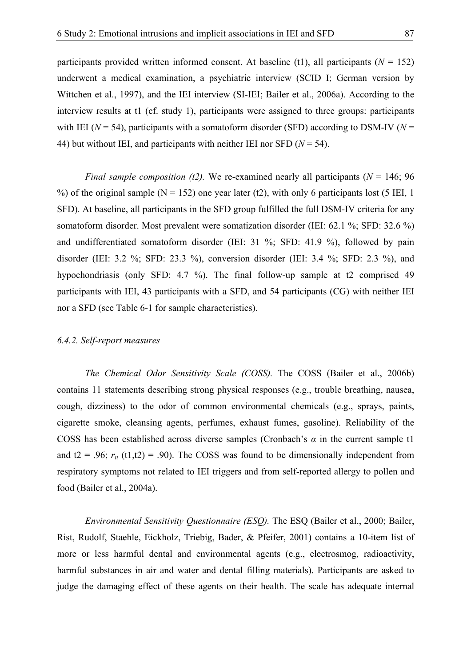participants provided written informed consent. At baseline (t1), all participants ( $N = 152$ ) underwent a medical examination, a psychiatric interview (SCID I; German version by Wittchen et al., 1997), and the IEI interview (SI-IEI; Bailer et al., 2006a). According to the interview results at t1 (cf. study 1), participants were assigned to three groups: participants with IEI ( $N = 54$ ), participants with a somatoform disorder (SFD) according to DSM-IV ( $N =$ 44) but without IEI, and participants with neither IEI nor SFD  $(N = 54)$ .

*Final sample composition (t2).* We re-examined nearly all participants ( $N = 146$ ; 96 %) of the original sample ( $N = 152$ ) one year later (t2), with only 6 participants lost (5 IEI, 1) SFD). At baseline, all participants in the SFD group fulfilled the full DSM-IV criteria for any somatoform disorder. Most prevalent were somatization disorder (IEI: 62.1 %; SFD: 32.6 %) and undifferentiated somatoform disorder (IEI: 31 %; SFD: 41.9 %), followed by pain disorder (IEI: 3.2 %; SFD: 23.3 %), conversion disorder (IEI: 3.4 %; SFD: 2.3 %), and hypochondriasis (only SFD: 4.7 %). The final follow-up sample at t2 comprised 49 participants with IEI, 43 participants with a SFD, and 54 participants (CG) with neither IEI nor a SFD (see [Table 6-1](#page-97-0) for sample characteristics).

#### *6.4.2. Self-report measures*

*The Chemical Odor Sensitivity Scale (COSS).* The COSS (Bailer et al., 2006b) contains 11 statements describing strong physical responses (e.g., trouble breathing, nausea, cough, dizziness) to the odor of common environmental chemicals (e.g., sprays, paints, cigarette smoke, cleansing agents, perfumes, exhaust fumes, gasoline). Reliability of the COSS has been established across diverse samples (Cronbach's *α* in the current sample t1 and t2 = .96;  $r_{tt}$  (t1,t2) = .90). The COSS was found to be dimensionally independent from respiratory symptoms not related to IEI triggers and from self-reported allergy to pollen and food (Bailer et al., 2004a).

*Environmental Sensitivity Questionnaire (ESQ).* The ESQ (Bailer et al., 2000; Bailer, Rist, Rudolf, Staehle, Eickholz, Triebig, Bader, & Pfeifer, 2001) contains a 10-item list of more or less harmful dental and environmental agents (e.g., electrosmog, radioactivity, harmful substances in air and water and dental filling materials). Participants are asked to judge the damaging effect of these agents on their health. The scale has adequate internal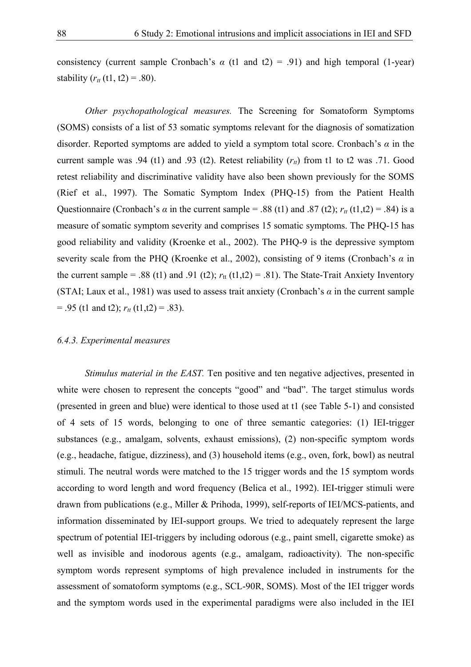consistency (current sample Cronbach's  $\alpha$  (t1 and t2) = .91) and high temporal (1-year) stability  $(r_{tt} (t1, t2) = .80)$ .

*Other psychopathological measures.* The Screening for Somatoform Symptoms (SOMS) consists of a list of 53 somatic symptoms relevant for the diagnosis of somatization disorder. Reported symptoms are added to yield a symptom total score. Cronbach's *α* in the current sample was .94 (t1) and .93 (t2). Retest reliability  $(r<sub>tt</sub>)$  from t1 to t2 was .71. Good retest reliability and discriminative validity have also been shown previously for the SOMS (Rief et al., 1997). The Somatic Symptom Index (PHQ-15) from the Patient Health Questionnaire (Cronbach's  $\alpha$  in the current sample = .88 (t1) and .87 (t2);  $r_t$  (t1,t2) = .84) is a measure of somatic symptom severity and comprises 15 somatic symptoms. The PHQ-15 has good reliability and validity (Kroenke et al., 2002). The PHQ-9 is the depressive symptom severity scale from the PHQ (Kroenke et al., 2002), consisting of 9 items (Cronbach's *α* in the current sample = .88 (t1) and .91 (t2);  $r_{tt}$  (t1,t2) = .81). The State-Trait Anxiety Inventory (STAI; Laux et al., 1981) was used to assess trait anxiety (Cronbach's *α* in the current sample  $= .95$  (t1 and t2);  $r_{tt}$  (t1,t2) = .83).

## *6.4.3. Experimental measures*

*Stimulus material in the EAST.* Ten positive and ten negative adjectives, presented in white were chosen to represent the concepts "good" and "bad". The target stimulus words (presented in green and blue) were identical to those used at t1 (see [Table 5-1](#page-59-0)) and consisted of 4 sets of 15 words, belonging to one of three semantic categories: (1) IEI-trigger substances (e.g., amalgam, solvents, exhaust emissions), (2) non-specific symptom words (e.g., headache, fatigue, dizziness), and (3) household items (e.g., oven, fork, bowl) as neutral stimuli. The neutral words were matched to the 15 trigger words and the 15 symptom words according to word length and word frequency (Belica et al., 1992). IEI-trigger stimuli were drawn from publications (e.g., Miller & Prihoda, 1999), self-reports of IEI/MCS-patients, and information disseminated by IEI-support groups. We tried to adequately represent the large spectrum of potential IEI-triggers by including odorous (e.g., paint smell, cigarette smoke) as well as invisible and inodorous agents (e.g., amalgam, radioactivity). The non-specific symptom words represent symptoms of high prevalence included in instruments for the assessment of somatoform symptoms (e.g., SCL-90R, SOMS). Most of the IEI trigger words and the symptom words used in the experimental paradigms were also included in the IEI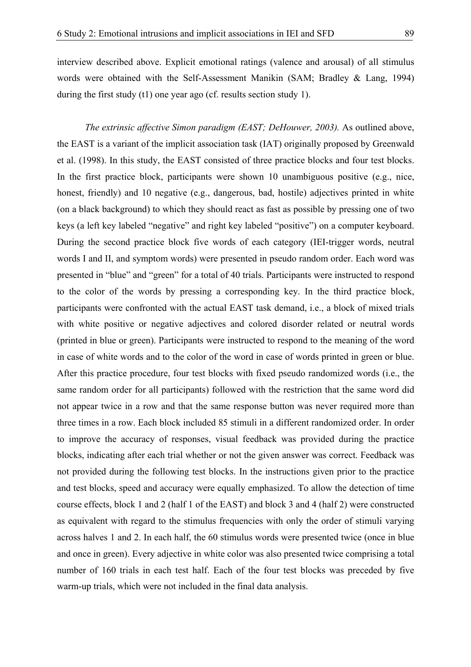interview described above. Explicit emotional ratings (valence and arousal) of all stimulus words were obtained with the Self-Assessment Manikin (SAM; Bradley & Lang, 1994) during the first study (t1) one year ago (cf. results section study 1).

*The extrinsic affective Simon paradigm (EAST; DeHouwer, 2003).* As outlined above, the EAST is a variant of the implicit association task (IAT) originally proposed by Greenwald et al. (1998). In this study, the EAST consisted of three practice blocks and four test blocks. In the first practice block, participants were shown 10 unambiguous positive (e.g., nice, honest, friendly) and 10 negative (e.g., dangerous, bad, hostile) adjectives printed in white (on a black background) to which they should react as fast as possible by pressing one of two keys (a left key labeled "negative" and right key labeled "positive") on a computer keyboard. During the second practice block five words of each category (IEI-trigger words, neutral words I and II, and symptom words) were presented in pseudo random order. Each word was presented in "blue" and "green" for a total of 40 trials. Participants were instructed to respond to the color of the words by pressing a corresponding key. In the third practice block, participants were confronted with the actual EAST task demand, i.e., a block of mixed trials with white positive or negative adjectives and colored disorder related or neutral words (printed in blue or green). Participants were instructed to respond to the meaning of the word in case of white words and to the color of the word in case of words printed in green or blue. After this practice procedure, four test blocks with fixed pseudo randomized words (i.e., the same random order for all participants) followed with the restriction that the same word did not appear twice in a row and that the same response button was never required more than three times in a row. Each block included 85 stimuli in a different randomized order. In order to improve the accuracy of responses, visual feedback was provided during the practice blocks, indicating after each trial whether or not the given answer was correct. Feedback was not provided during the following test blocks. In the instructions given prior to the practice and test blocks, speed and accuracy were equally emphasized. To allow the detection of time course effects, block 1 and 2 (half 1 of the EAST) and block 3 and 4 (half 2) were constructed as equivalent with regard to the stimulus frequencies with only the order of stimuli varying across halves 1 and 2. In each half, the 60 stimulus words were presented twice (once in blue and once in green). Every adjective in white color was also presented twice comprising a total number of 160 trials in each test half. Each of the four test blocks was preceded by five warm-up trials, which were not included in the final data analysis.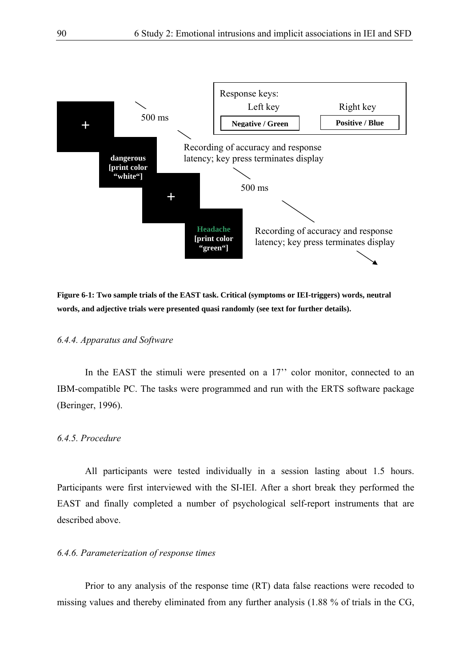

**Figure 6-1: Two sample trials of the EAST task. Critical (symptoms or IEI-triggers) words, neutral words, and adjective trials were presented quasi randomly (see text for further details).** 

## *6.4.4. Apparatus and Software*

In the EAST the stimuli were presented on a 17'' color monitor, connected to an IBM-compatible PC. The tasks were programmed and run with the ERTS software package (Beringer, 1996).

## *6.4.5. Procedure*

All participants were tested individually in a session lasting about 1.5 hours. Participants were first interviewed with the SI-IEI. After a short break they performed the EAST and finally completed a number of psychological self-report instruments that are described above.

## *6.4.6. Parameterization of response times*

Prior to any analysis of the response time (RT) data false reactions were recoded to missing values and thereby eliminated from any further analysis (1.88 % of trials in the CG,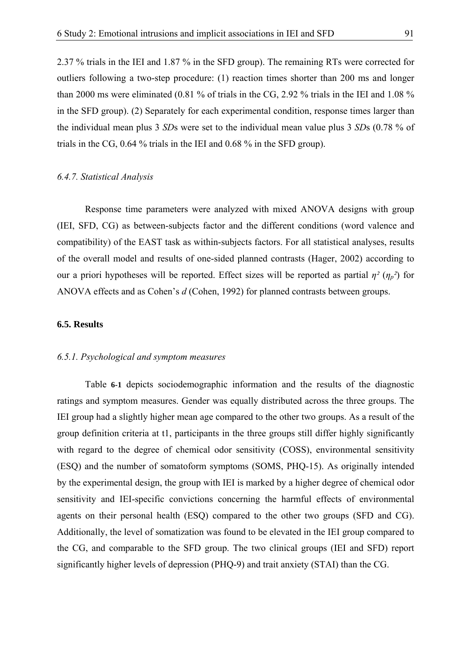2.37 % trials in the IEI and 1.87 % in the SFD group). The remaining RTs were corrected for outliers following a two-step procedure: (1) reaction times shorter than 200 ms and longer than 2000 ms were eliminated (0.81 % of trials in the CG, 2.92 % trials in the IEI and 1.08 % in the SFD group). (2) Separately for each experimental condition, response times larger than the individual mean plus 3 *SD*s were set to the individual mean value plus 3 *SD*s (0.78 % of trials in the CG, 0.64 % trials in the IEI and 0.68 % in the SFD group).

#### *6.4.7. Statistical Analysis*

Response time parameters were analyzed with mixed ANOVA designs with group (IEI, SFD, CG) as between-subjects factor and the different conditions (word valence and compatibility) of the EAST task as within-subjects factors. For all statistical analyses, results of the overall model and results of one-sided planned contrasts (Hager, 2002) according to our a priori hypotheses will be reported. Effect sizes will be reported as partial  $\eta^2$  ( $\eta_p^2$ ) for ANOVA effects and as Cohen's *d* (Cohen, 1992) for planned contrasts between groups.

## **6.5. Results**

## *6.5.1. Psychological and symptom measures*

[Table](#page-97-0) **6-1** depicts sociodemographic information and the results of the diagnostic ratings and symptom measures. Gender was equally distributed across the three groups. The IEI group had a slightly higher mean age compared to the other two groups. As a result of the group definition criteria at t1, participants in the three groups still differ highly significantly with regard to the degree of chemical odor sensitivity (COSS), environmental sensitivity (ESQ) and the number of somatoform symptoms (SOMS, PHQ-15). As originally intended by the experimental design, the group with IEI is marked by a higher degree of chemical odor sensitivity and IEI-specific convictions concerning the harmful effects of environmental agents on their personal health (ESQ) compared to the other two groups (SFD and CG). Additionally, the level of somatization was found to be elevated in the IEI group compared to the CG, and comparable to the SFD group. The two clinical groups (IEI and SFD) report significantly higher levels of depression (PHQ-9) and trait anxiety (STAI) than the CG.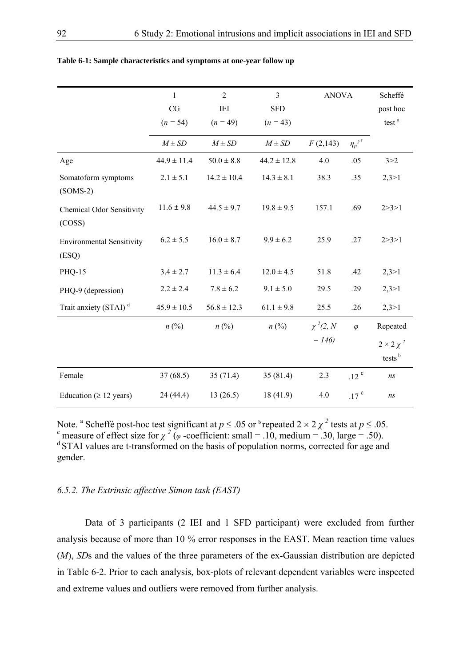|                                            | $\mathbf{1}$<br>CG<br>$(n = 54)$ | $\overline{2}$<br>IEI<br>$(n = 49)$ | $\overline{3}$<br><b>SFD</b><br>$(n = 43)$ | <b>ANOVA</b>   |                         | Scheffé<br>post hoc<br>test <sup>a</sup>  |
|--------------------------------------------|----------------------------------|-------------------------------------|--------------------------------------------|----------------|-------------------------|-------------------------------------------|
|                                            | $M \pm SD$                       | $M \pm SD$                          | $M \pm SD$                                 | F(2,143)       | $\eta_p^2$ <sup>f</sup> |                                           |
| Age                                        | $44.9 \pm 11.4$                  | $50.0 \pm 8.8$                      | $44.2 \pm 12.8$                            | 4.0            | .05                     | 3 > 2                                     |
| Somatoform symptoms<br>$(SOMS-2)$          | $2.1 \pm 5.1$                    | $14.2 \pm 10.4$                     | $14.3 \pm 8.1$                             | 38.3           | .35                     | 2,3>1                                     |
| <b>Chemical Odor Sensitivity</b><br>(COSS) | $11.6 \pm 9.8$                   | $44.5 \pm 9.7$                      | $19.8 \pm 9.5$                             | 157.1          |                         | 2 > 3 > 1                                 |
| <b>Environmental Sensitivity</b><br>(ESQ)  | $6.2 \pm 5.5$                    | $16.0 \pm 8.7$                      | $9.9 \pm 6.2$                              | 25.9           | .27                     | 2 > 3 > 1                                 |
| PHQ-15                                     | $3.4 \pm 2.7$                    | $11.3 \pm 6.4$                      | $12.0 \pm 4.5$                             | 51.8           | .42                     | 2,3>1                                     |
| PHQ-9 (depression)                         | $2.2 \pm 2.4$                    | $7.8 \pm 6.2$                       | $9.1 \pm 5.0$                              | 29.5           | .29                     | 2,3>1                                     |
| Trait anxiety (STAI) <sup>d</sup>          | $45.9 \pm 10.5$                  | $56.8 \pm 12.3$                     | $61.1 \pm 9.8$                             | 25.5           | .26                     | 2,3>1                                     |
|                                            | $n\ (\%)$                        | $n\ (\%)$                           | $n\ (\%)$                                  | $\chi^2(2, N)$ | $\varphi$               | Repeated                                  |
|                                            |                                  |                                     |                                            | $= 146$        |                         | $2 \times 2 \chi^2$<br>tests <sup>b</sup> |
| Female                                     | 37(68.5)                         | 35(71.4)                            | 35(81.4)                                   | 2.3            | .12 <sup>c</sup>        | ns                                        |
| Education ( $\geq$ 12 years)               | 24(44.4)                         | 13(26.5)                            | 18(41.9)                                   | 4.0            | .17 <sup>c</sup>        | ns                                        |

<span id="page-97-0"></span>**Table 6-1: Sample characteristics and symptoms at one-year follow up** 

Note. <sup>a</sup> Scheffé post-hoc test significant at  $p \le 0.05$  or <sup>b</sup> repeated  $2 \times 2 \chi^2$  tests at  $p \le 0.05$ . measure of effect size for  $\chi^2$  ( $\varphi$  -coefficient: small = .10, medium = .30, large = .50). <sup>d</sup> STAI values are t-transformed on the basis of population norms, corrected for age and gender.

# *6.5.2. The Extrinsic affective Simon task (EAST)*

Data of 3 participants (2 IEI and 1 SFD participant) were excluded from further analysis because of more than 10 % error responses in the EAST. Mean reaction time values (*M*), *SD*s and the values of the three parameters of the ex-Gaussian distribution are depicted in [Table 6-2](#page-98-0). Prior to each analysis, box-plots of relevant dependent variables were inspected and extreme values and outliers were removed from further analysis.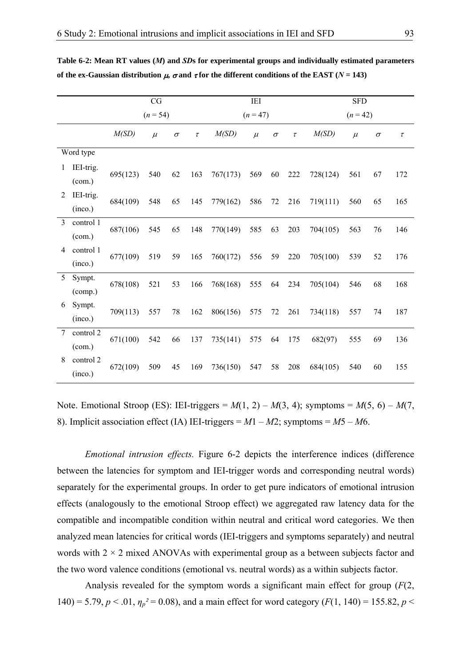|                |                            |            | IEI   |          |        |            | <b>SFD</b> |          |        |            |       |          |        |
|----------------|----------------------------|------------|-------|----------|--------|------------|------------|----------|--------|------------|-------|----------|--------|
|                |                            | $(n = 54)$ |       |          |        | $(n = 47)$ |            |          |        | $(n = 42)$ |       |          |        |
|                |                            | M(SD)      | $\mu$ | $\sigma$ | $\tau$ | M(SD)      | $\mu$      | $\sigma$ | $\tau$ | M(SD)      | $\mu$ | $\sigma$ | $\tau$ |
|                | Word type                  |            |       |          |        |            |            |          |        |            |       |          |        |
| 1              | IEI-trig.<br>(com.)        | 695(123)   | 540   | 62       | 163    | 767(173)   | 569        | 60       | 222    | 728(124)   | 561   | 67       | 172    |
| 2              | IEI-trig.<br>(inco.)       | 684(109)   | 548   | 65       | 145    | 779(162)   | 586        | 72       | 216    | 719(111)   | 560   | 65       | 165    |
| 3              | control 1<br>(com.)        | 687(106)   | 545   | 65       | 148    | 770(149)   | 585        | 63       | 203    | 704(105)   | 563   | 76       | 146    |
| $\overline{4}$ | control 1<br>(inco.)       | 677(109)   | 519   | 59       | 165    | 760(172)   | 556        | 59       | 220    | 705(100)   | 539   | 52       | 176    |
| 5              | Sympt.<br>$\text{(comp.)}$ | 678(108)   | 521   | 53       | 166    | 768(168)   | 555        | 64       | 234    | 705(104)   | 546   | 68       | 168    |
| 6              | Sympt.<br>(inco.)          | 709(113)   | 557   | 78       | 162    | 806(156)   | 575        | 72       | 261    | 734(118)   | 557   | 74       | 187    |
| 7              | control 2<br>(com.)        | 671(100)   | 542   | 66       | 137    | 735(141)   | 575        | 64       | 175    | 682(97)    | 555   | 69       | 136    |
| 8              | control 2<br>(inco.)       | 672(109)   | 509   | 45       | 169    | 736(150)   | 547        | 58       | 208    | 684(105)   | 540   | 60       | 155    |

<span id="page-98-0"></span>**Table 6-2: Mean RT values (***M***) and** *SD***s for experimental groups and individually estimated parameters of the ex-Gaussian distribution**  $\mu$ **,**  $\sigma$  **and**  $\tau$  **for the different conditions of the EAST (** $N = 143$ **)** 

Note. Emotional Stroop (ES): IEI-triggers =  $M(1, 2) - M(3, 4)$ ; symptoms =  $M(5, 6) - M(7, 6)$ 8). Implicit association effect (IA) IEI-triggers =  $M1 - M2$ ; symptoms =  $M5 - M6$ .

*Emotional intrusion effects.* [Figure 6-2](#page-100-0) depicts the interference indices (difference between the latencies for symptom and IEI-trigger words and corresponding neutral words) separately for the experimental groups. In order to get pure indicators of emotional intrusion effects (analogously to the emotional Stroop effect) we aggregated raw latency data for the compatible and incompatible condition within neutral and critical word categories. We then analyzed mean latencies for critical words (IEI-triggers and symptoms separately) and neutral words with  $2 \times 2$  mixed ANOVAs with experimental group as a between subjects factor and the two word valence conditions (emotional vs. neutral words) as a within subjects factor.

Analysis revealed for the symptom words a significant main effect for group (*F*(2, 140) = 5.79,  $p < 0.01$ ,  $\eta_p^2 = 0.08$ , and a main effect for word category ( $F(1, 140) = 155.82$ ,  $p <$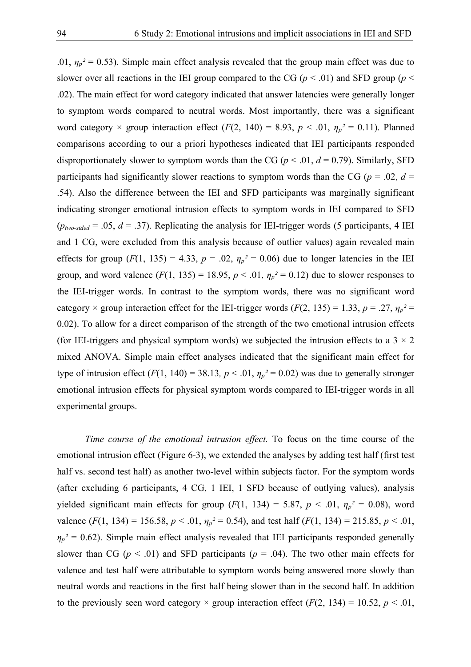.01,  $\eta_p^2 = 0.53$ ). Simple main effect analysis revealed that the group main effect was due to slower over all reactions in the IEI group compared to the CG ( $p < .01$ ) and SFD group ( $p <$ .02). The main effect for word category indicated that answer latencies were generally longer to symptom words compared to neutral words. Most importantly, there was a significant word category  $\times$  group interaction effect (*F*(2, 140) = 8.93, *p* < .01,  $\eta_p^2$  = 0.11). Planned comparisons according to our a priori hypotheses indicated that IEI participants responded disproportionately slower to symptom words than the CG ( $p < .01$ ,  $d = 0.79$ ). Similarly, SFD participants had significantly slower reactions to symptom words than the CG ( $p = .02$ ,  $d =$ .54). Also the difference between the IEI and SFD participants was marginally significant indicating stronger emotional intrusion effects to symptom words in IEI compared to SFD  $(p_{two-sided} = .05, d = .37)$ . Replicating the analysis for IEI-trigger words (5 participants, 4 IEI) and 1 CG, were excluded from this analysis because of outlier values) again revealed main effects for group  $(F(1, 135)) = 4.33$ ,  $p = .02$ ,  $\eta_p^2 = 0.06$ ) due to longer latencies in the IEI group, and word valence  $(F(1, 135) = 18.95, p < .01, \eta_p^2 = 0.12)$  due to slower responses to the IEI-trigger words. In contrast to the symptom words, there was no significant word category  $\times$  group interaction effect for the IEI-trigger words (*F*(2, 135) = 1.33, *p* = .27,  $\eta_p^2$  = 0.02). To allow for a direct comparison of the strength of the two emotional intrusion effects (for IEI-triggers and physical symptom words) we subjected the intrusion effects to a  $3 \times 2$ mixed ANOVA. Simple main effect analyses indicated that the significant main effect for type of intrusion effect  $(F(1, 140) = 38.13, p < .01, \eta_p^2 = 0.02)$  was due to generally stronger emotional intrusion effects for physical symptom words compared to IEI-trigger words in all experimental groups.

*Time course of the emotional intrusion effect.* To focus on the time course of the emotional intrusion effect [\(Figure 6-3](#page-101-0)), we extended the analyses by adding test half (first test half vs. second test half) as another two-level within subjects factor. For the symptom words (after excluding 6 participants, 4 CG, 1 IEI, 1 SFD because of outlying values), analysis yielded significant main effects for group ( $F(1, 134) = 5.87$ ,  $p < .01$ ,  $\eta_p^2 = 0.08$ ), word valence  $(F(1, 134) = 156.58, p < .01, \eta_p^2 = 0.54)$ , and test half  $(F(1, 134) = 215.85, p < .01,$  $\eta_p^2 = 0.62$ ). Simple main effect analysis revealed that IEI participants responded generally slower than CG ( $p < .01$ ) and SFD participants ( $p = .04$ ). The two other main effects for valence and test half were attributable to symptom words being answered more slowly than neutral words and reactions in the first half being slower than in the second half. In addition to the previously seen word category  $\times$  group interaction effect (*F*(2, 134) = 10.52, *p*  $\lt$  .01,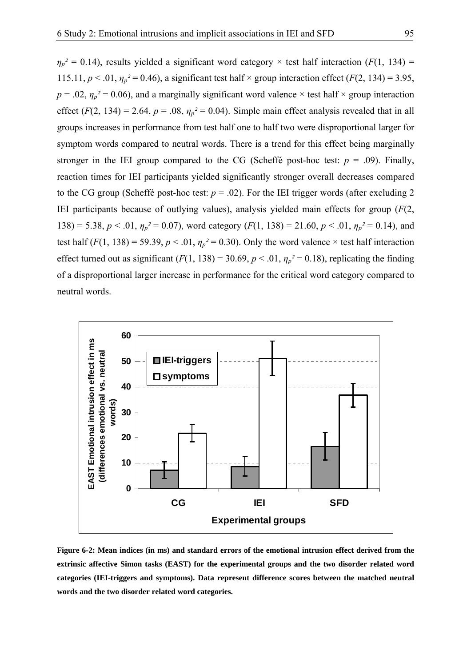$\eta_p^2 = 0.14$ ), results yielded a significant word category  $\times$  test half interaction (*F*(1, 134) = 115.11,  $p < 0.01$ ,  $\eta_p^2 = 0.46$ ), a significant test half  $\times$  group interaction effect (*F*(2, 134) = 3.95,  $p = .02$ ,  $\eta_p^2 = 0.06$ ), and a marginally significant word valence  $\times$  test half  $\times$  group interaction effect ( $F(2, 134) = 2.64$ ,  $p = .08$ ,  $\eta_p^2 = 0.04$ ). Simple main effect analysis revealed that in all groups increases in performance from test half one to half two were disproportional larger for symptom words compared to neutral words. There is a trend for this effect being marginally stronger in the IEI group compared to the CG (Scheffé post-hoc test:  $p = .09$ ). Finally, reaction times for IEI participants yielded significantly stronger overall decreases compared to the CG group (Scheffé post-hoc test:  $p = .02$ ). For the IEI trigger words (after excluding 2 IEI participants because of outlying values), analysis yielded main effects for group (*F*(2, 138) = 5.38,  $p < .01$ ,  $\eta_p^2 = 0.07$ , word category ( $F(1, 138) = 21.60$ ,  $p < .01$ ,  $\eta_p^2 = 0.14$ ), and test half  $(F(1, 138) = 59.39, p < .01, \eta_p^2 = 0.30)$ . Only the word valence  $\times$  test half interaction effect turned out as significant ( $F(1, 138) = 30.69$ ,  $p < .01$ ,  $\eta_p^2 = 0.18$ ), replicating the finding of a disproportional larger increase in performance for the critical word category compared to neutral words.



<span id="page-100-0"></span>**Figure 6-2: Mean indices (in ms) and standard errors of the emotional intrusion effect derived from the extrinsic affective Simon tasks (EAST) for the experimental groups and the two disorder related word categories (IEI-triggers and symptoms). Data represent difference scores between the matched neutral words and the two disorder related word categories.**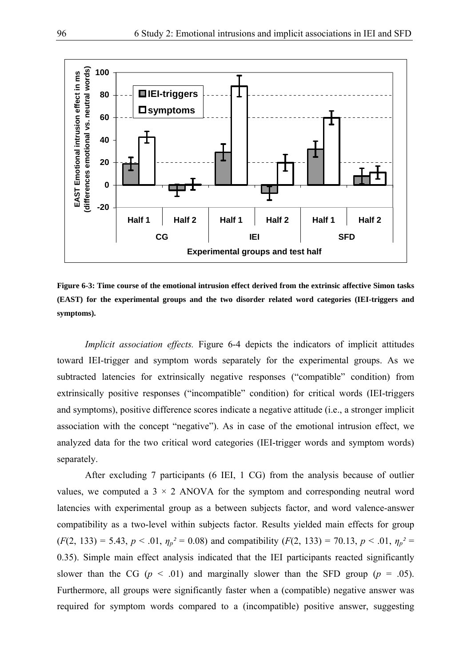

<span id="page-101-0"></span>**Figure 6-3: Time course of the emotional intrusion effect derived from the extrinsic affective Simon tasks (EAST) for the experimental groups and the two disorder related word categories (IEI-triggers and symptoms).** 

*Implicit association effects.* [Figure 6-4](#page-102-0) depicts the indicators of implicit attitudes toward IEI-trigger and symptom words separately for the experimental groups. As we subtracted latencies for extrinsically negative responses ("compatible" condition) from extrinsically positive responses ("incompatible" condition) for critical words (IEI-triggers and symptoms), positive difference scores indicate a negative attitude (i.e., a stronger implicit association with the concept "negative"). As in case of the emotional intrusion effect, we analyzed data for the two critical word categories (IEI-trigger words and symptom words) separately.

After excluding 7 participants (6 IEI, 1 CG) from the analysis because of outlier values, we computed a  $3 \times 2$  ANOVA for the symptom and corresponding neutral word latencies with experimental group as a between subjects factor, and word valence-answer compatibility as a two-level within subjects factor. Results yielded main effects for group  $(F(2, 133) = 5.43, p < .01, \eta_p^2 = 0.08)$  and compatibility  $(F(2, 133) = 70.13, p < .01, \eta_p^2 =$ 0.35). Simple main effect analysis indicated that the IEI participants reacted significantly slower than the CG ( $p < .01$ ) and marginally slower than the SFD group ( $p = .05$ ). Furthermore, all groups were significantly faster when a (compatible) negative answer was required for symptom words compared to a (incompatible) positive answer, suggesting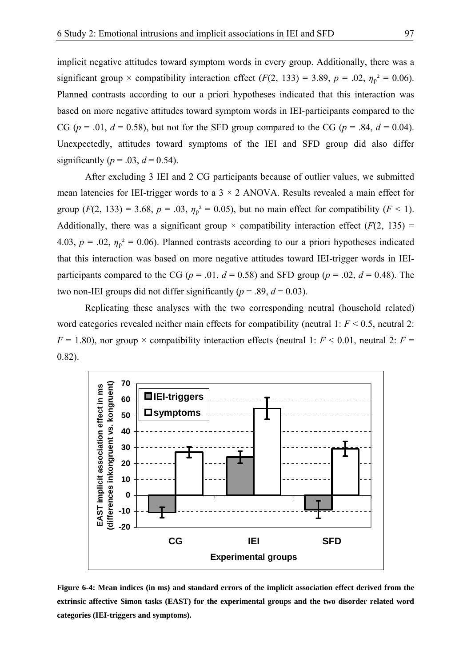implicit negative attitudes toward symptom words in every group. Additionally, there was a significant group  $\times$  compatibility interaction effect (*F*(2, 133) = 3.89, *p* = .02,  $\eta_p^2$  = 0.06). Planned contrasts according to our a priori hypotheses indicated that this interaction was based on more negative attitudes toward symptom words in IEI-participants compared to the CG ( $p = .01$ ,  $d = 0.58$ ), but not for the SFD group compared to the CG ( $p = .84$ ,  $d = 0.04$ ). Unexpectedly, attitudes toward symptoms of the IEI and SFD group did also differ significantly ( $p = .03$ ,  $d = 0.54$ ).

After excluding 3 IEI and 2 CG participants because of outlier values, we submitted mean latencies for IEI-trigger words to a  $3 \times 2$  ANOVA. Results revealed a main effect for group (*F*(2, 133) = 3.68,  $p = .03$ ,  $\eta_p^2 = 0.05$ ), but no main effect for compatibility (*F* < 1). Additionally, there was a significant group  $\times$  compatibility interaction effect (*F*(2, 135) = 4.03,  $p = 0.02$ ,  $\eta_p^2 = 0.06$ ). Planned contrasts according to our a priori hypotheses indicated that this interaction was based on more negative attitudes toward IEI-trigger words in IEIparticipants compared to the CG ( $p = .01$ ,  $d = 0.58$ ) and SFD group ( $p = .02$ ,  $d = 0.48$ ). The two non-IEI groups did not differ significantly ( $p = .89$ ,  $d = 0.03$ ).

Replicating these analyses with the two corresponding neutral (household related) word categories revealed neither main effects for compatibility (neutral 1: *F* < 0.5, neutral 2:  $F = 1.80$ ), nor group  $\times$  compatibility interaction effects (neutral 1:  $F \le 0.01$ , neutral 2:  $F =$ 0.82).



<span id="page-102-0"></span>**Figure 6-4: Mean indices (in ms) and standard errors of the implicit association effect derived from the extrinsic affective Simon tasks (EAST) for the experimental groups and the two disorder related word categories (IEI-triggers and symptoms).**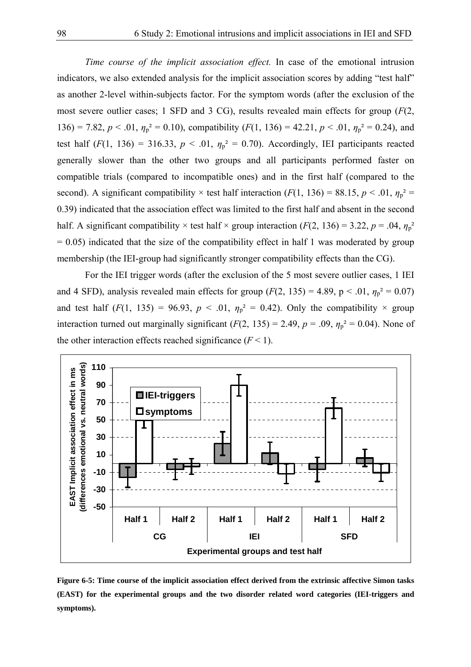*Time course of the implicit association effect.* In case of the emotional intrusion indicators, we also extended analysis for the implicit association scores by adding "test half" as another 2-level within-subjects factor. For the symptom words (after the exclusion of the most severe outlier cases; 1 SFD and 3 CG), results revealed main effects for group (*F*(2, 136) = 7.82,  $p < .01$ ,  $\eta_p^2 = 0.10$ , compatibility ( $F(1, 136) = 42.21$ ,  $p < .01$ ,  $\eta_p^2 = 0.24$ ), and test half  $(F(1, 136) = 316.33, p < .01, \eta_p^2 = 0.70)$ . Accordingly, IEI participants reacted generally slower than the other two groups and all participants performed faster on compatible trials (compared to incompatible ones) and in the first half (compared to the second). A significant compatibility  $\times$  test half interaction (*F*(1, 136) = 88.15, *p* < .01,  $\eta_p^2$  = 0.39) indicated that the association effect was limited to the first half and absent in the second half. A significant compatibility  $\times$  test half  $\times$  group interaction (*F*(2, 136) = 3.22, *p* = .04,  $\eta_p^2$  $= 0.05$ ) indicated that the size of the compatibility effect in half 1 was moderated by group membership (the IEI-group had significantly stronger compatibility effects than the CG).

For the IEI trigger words (after the exclusion of the 5 most severe outlier cases, 1 IEI and 4 SFD), analysis revealed main effects for group ( $F(2, 135) = 4.89$ ,  $p < .01$ ,  $\eta_p^2 = 0.07$ ) and test half  $(F(1, 135) = 96.93, p < .01, \eta_p^2 = 0.42)$ . Only the compatibility  $\times$  group interaction turned out marginally significant  $(F(2, 135) = 2.49, p = .09, \eta_p^2 = 0.04)$ . None of the other interaction effects reached significance  $(F < 1)$ .



**Figure 6-5: Time course of the implicit association effect derived from the extrinsic affective Simon tasks (EAST) for the experimental groups and the two disorder related word categories (IEI-triggers and symptoms).**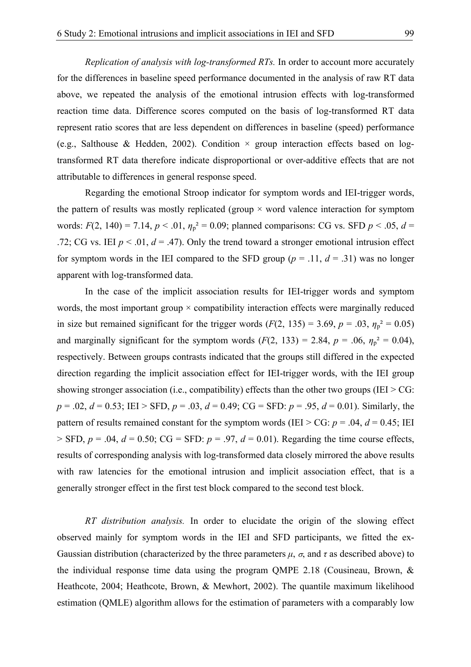*Replication of analysis with log-transformed RTs.* In order to account more accurately for the differences in baseline speed performance documented in the analysis of raw RT data above, we repeated the analysis of the emotional intrusion effects with log-transformed reaction time data. Difference scores computed on the basis of log-transformed RT data represent ratio scores that are less dependent on differences in baseline (speed) performance (e.g., Salthouse & Hedden, 2002). Condition  $\times$  group interaction effects based on logtransformed RT data therefore indicate disproportional or over-additive effects that are not attributable to differences in general response speed.

Regarding the emotional Stroop indicator for symptom words and IEI-trigger words, the pattern of results was mostly replicated (group  $\times$  word valence interaction for symptom words:  $F(2, 140) = 7.14$ ,  $p < .01$ ,  $\eta_p^2 = 0.09$ ; planned comparisons: CG vs. SFD  $p < .05$ ,  $d =$ .72; CG vs. IEI  $p < 0.01$ ,  $d = 0.47$ . Only the trend toward a stronger emotional intrusion effect for symptom words in the IEI compared to the SFD group ( $p = .11$ ,  $d = .31$ ) was no longer apparent with log-transformed data.

In the case of the implicit association results for IEI-trigger words and symptom words, the most important group  $\times$  compatibility interaction effects were marginally reduced in size but remained significant for the trigger words  $(F(2, 135) = 3.69, p = .03, \eta_p^2 = 0.05)$ and marginally significant for the symptom words  $(F(2, 133) = 2.84, p = .06, \eta_p^2 = 0.04)$ , respectively. Between groups contrasts indicated that the groups still differed in the expected direction regarding the implicit association effect for IEI-trigger words, with the IEI group showing stronger association (i.e., compatibility) effects than the other two groups (IEI  $> CG$ :  $p = .02$ ,  $d = 0.53$ ; IEI > SFD,  $p = .03$ ,  $d = 0.49$ ; CG = SFD:  $p = .95$ ,  $d = 0.01$ ). Similarly, the pattern of results remained constant for the symptom words (IEI > CG:  $p = .04$ ,  $d = 0.45$ ; IEI  $>$  SFD,  $p = .04$ ,  $d = 0.50$ ; CG = SFD:  $p = .97$ ,  $d = 0.01$ ). Regarding the time course effects, results of corresponding analysis with log-transformed data closely mirrored the above results with raw latencies for the emotional intrusion and implicit association effect, that is a generally stronger effect in the first test block compared to the second test block.

*RT distribution analysis.* In order to elucidate the origin of the slowing effect observed mainly for symptom words in the IEI and SFD participants, we fitted the ex-Gaussian distribution (characterized by the three parameters  $\mu$ ,  $\sigma$ , and  $\tau$  as described above) to the individual response time data using the program QMPE 2.18 (Cousineau, Brown, & Heathcote, 2004; Heathcote, Brown, & Mewhort, 2002). The quantile maximum likelihood estimation (QMLE) algorithm allows for the estimation of parameters with a comparably low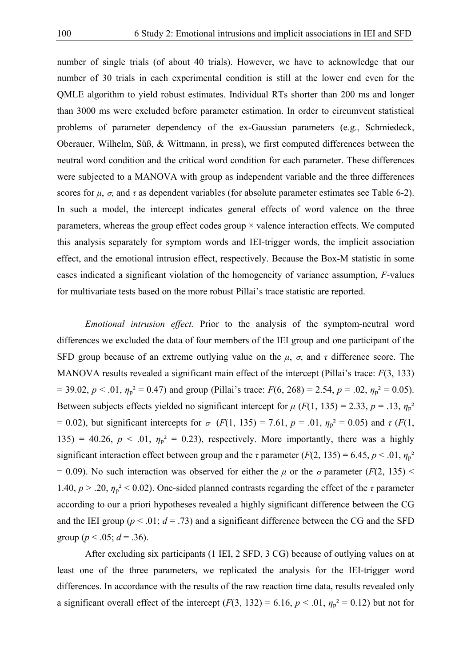number of single trials (of about 40 trials). However, we have to acknowledge that our number of 30 trials in each experimental condition is still at the lower end even for the QMLE algorithm to yield robust estimates. Individual RTs shorter than 200 ms and longer than 3000 ms were excluded before parameter estimation. In order to circumvent statistical problems of parameter dependency of the ex-Gaussian parameters (e.g., Schmiedeck, Oberauer, Wilhelm, Süß, & Wittmann, in press), we first computed differences between the neutral word condition and the critical word condition for each parameter. These differences were subjected to a MANOVA with group as independent variable and the three differences scores for  $\mu$ ,  $\sigma$ , and  $\tau$  as dependent variables (for absolute parameter estimates see [Table 6-2](#page-98-0)). In such a model, the intercept indicates general effects of word valence on the three parameters, whereas the group effect codes group  $\times$  valence interaction effects. We computed this analysis separately for symptom words and IEI-trigger words, the implicit association effect, and the emotional intrusion effect, respectively. Because the Box-M statistic in some cases indicated a significant violation of the homogeneity of variance assumption, *F*-values for multivariate tests based on the more robust Pillai's trace statistic are reported.

*Emotional intrusion effect.* Prior to the analysis of the symptom-neutral word differences we excluded the data of four members of the IEI group and one participant of the SFD group because of an extreme outlying value on the  $\mu$ ,  $\sigma$ , and  $\tau$  difference score. The MANOVA results revealed a significant main effect of the intercept (Pillai's trace: *F*(3, 133)  $= 39.02, p < .01, \eta_p^2 = 0.47$  and group (Pillai's trace:  $F(6, 268) = 2.54, p = .02, \eta_p^2 = 0.05$ ). Between subjects effects yielded no significant intercept for  $\mu$  (*F*(1, 135) = 2.33, *p* = .13,  $\eta_p^2$ = 0.02), but significant intercepts for  $\sigma$  (*F*(1, 135) = 7.61, *p* = .01,  $\eta_p^2$  = 0.05) and *τ* (*F*(1, 135) = 40.26,  $p < 0.01$ ,  $\eta_p^2 = 0.23$ ), respectively. More importantly, there was a highly significant interaction effect between group and the *τ* parameter  $(F(2, 135) = 6.45, p < .01, \eta_p^2$ = 0.09). No such interaction was observed for either the  $\mu$  or the  $\sigma$  parameter (*F*(2, 135) < 1.40,  $p > 0.20$ ,  $\eta_p^2 < 0.02$ ). One-sided planned contrasts regarding the effect of the  $\tau$  parameter according to our a priori hypotheses revealed a highly significant difference between the CG and the IEI group ( $p < 0.01$ ;  $d = 0.73$ ) and a significant difference between the CG and the SFD group ( $p < .05$ ;  $d = .36$ ).

After excluding six participants (1 IEI, 2 SFD, 3 CG) because of outlying values on at least one of the three parameters, we replicated the analysis for the IEI-trigger word differences. In accordance with the results of the raw reaction time data, results revealed only a significant overall effect of the intercept  $(F(3, 132) = 6.16, p < .01, \eta_p^2 = 0.12)$  but not for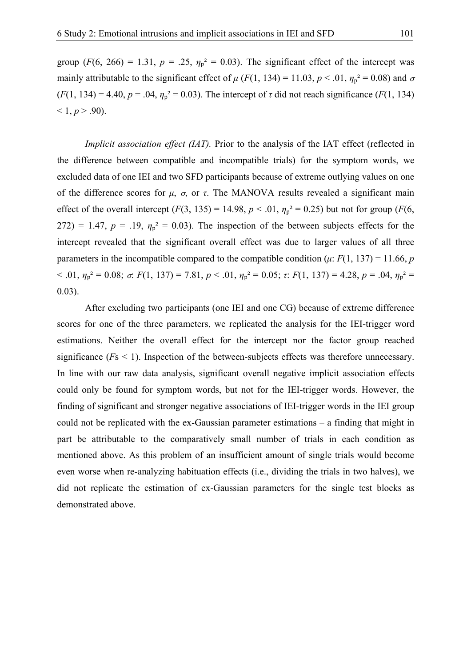group ( $F(6, 266) = 1.31$ ,  $p = .25$ ,  $\eta_p^2 = 0.03$ ). The significant effect of the intercept was mainly attributable to the significant effect of  $\mu$  (*F*(1, 134) = 11.03,  $p < .01$ ,  $\eta_p^2 = 0.08$ ) and  $\sigma$  $(F(1, 134) = 4.40, p = .04, \eta_p^2 = 0.03)$ . The intercept of  $\tau$  did not reach significance ( $F(1, 134)$ )  $< 1, p > .90$ ).

*Implicit association effect (IAT)*. Prior to the analysis of the IAT effect (reflected in the difference between compatible and incompatible trials) for the symptom words, we excluded data of one IEI and two SFD participants because of extreme outlying values on one of the difference scores for  $\mu$ ,  $\sigma$ , or  $\tau$ . The MANOVA results revealed a significant main effect of the overall intercept  $(F(3, 135) = 14.98, p < .01, \eta_p^2 = 0.25)$  but not for group  $(F(6, 135) = 14.98, p < .01, \eta_p^2 = 0.25)$ 272) = 1.47,  $p = .19$ ,  $\eta_p^2 = 0.03$ ). The inspection of the between subjects effects for the intercept revealed that the significant overall effect was due to larger values of all three parameters in the incompatible compared to the compatible condition ( $\mu$ :  $F(1, 137) = 11.66$ ,  $p$ < .01, *η*p² = 0.08; σ: *F*(1, 137) = 7.81, *p* < .01, *η*p² = 0.05; *τ*: *F*(1, 137) = 4.28, *p* = .04, *η*p² = 0.03).

After excluding two participants (one IEI and one CG) because of extreme difference scores for one of the three parameters, we replicated the analysis for the IEI-trigger word estimations. Neither the overall effect for the intercept nor the factor group reached significance (*Fs* < 1). Inspection of the between-subjects effects was therefore unnecessary. In line with our raw data analysis, significant overall negative implicit association effects could only be found for symptom words, but not for the IEI-trigger words. However, the finding of significant and stronger negative associations of IEI-trigger words in the IEI group could not be replicated with the ex-Gaussian parameter estimations – a finding that might in part be attributable to the comparatively small number of trials in each condition as mentioned above. As this problem of an insufficient amount of single trials would become even worse when re-analyzing habituation effects (i.e., dividing the trials in two halves), we did not replicate the estimation of ex-Gaussian parameters for the single test blocks as demonstrated above.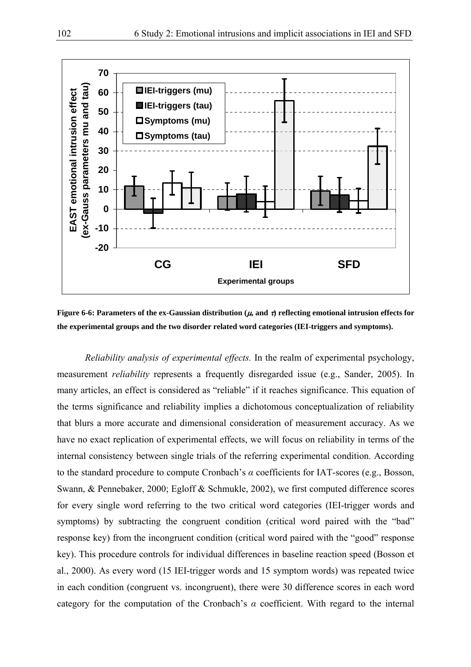

**Figure 6-6: Parameters of the ex-Gaussian distribution (**μ**, and** τ**) reflecting emotional intrusion effects for the experimental groups and the two disorder related word categories (IEI-triggers and symptoms).** 

*Reliability analysis of experimental effects.* In the realm of experimental psychology, measurement *reliability* represents a frequently disregarded issue (e.g., Sander, 2005). In many articles, an effect is considered as "reliable" if it reaches significance. This equation of the terms significance and reliability implies a dichotomous conceptualization of reliability that blurs a more accurate and dimensional consideration of measurement accuracy. As we have no exact replication of experimental effects, we will focus on reliability in terms of the internal consistency between single trials of the referring experimental condition. According to the standard procedure to compute Cronbach's *α* coefficients for IAT-scores (e.g., Bosson, Swann, & Pennebaker, 2000; Egloff & Schmukle, 2002), we first computed difference scores for every single word referring to the two critical word categories (IEI-trigger words and symptoms) by subtracting the congruent condition (critical word paired with the "bad" response key) from the incongruent condition (critical word paired with the "good" response key). This procedure controls for individual differences in baseline reaction speed (Bosson et al., 2000). As every word (15 IEI-trigger words and 15 symptom words) was repeated twice in each condition (congruent vs. incongruent), there were 30 difference scores in each word category for the computation of the Cronbach's *α* coefficient. With regard to the internal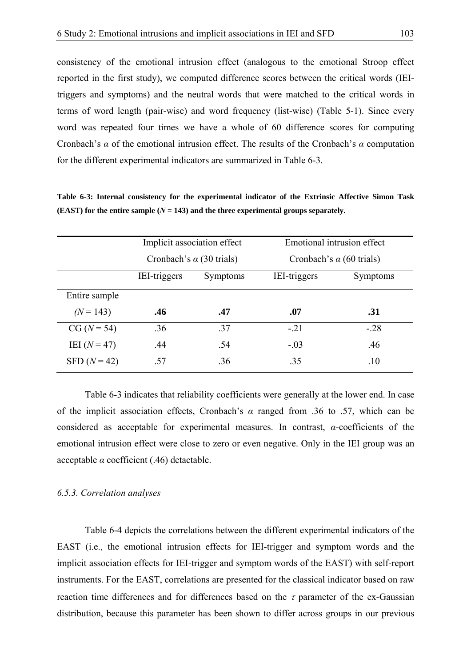consistency of the emotional intrusion effect (analogous to the emotional Stroop effect reported in the first study), we computed difference scores between the critical words (IEItriggers and symptoms) and the neutral words that were matched to the critical words in terms of word length (pair-wise) and word frequency (list-wise) [\(Table 5-1\)](#page-59-0). Since every word was repeated four times we have a whole of 60 difference scores for computing Cronbach's *α* of the emotional intrusion effect. The results of the Cronbach's *α* computation for the different experimental indicators are summarized in [Table 6-3.](#page-108-0)

<span id="page-108-0"></span>**Table 6-3: Internal consistency for the experimental indicator of the Extrinsic Affective Simon Task (EAST) for the entire sample (***N* **= 143) and the three experimental groups separately.** 

|                | Implicit association effect     |                 | Emotional intrusion effect      |                 |  |  |  |  |  |
|----------------|---------------------------------|-----------------|---------------------------------|-----------------|--|--|--|--|--|
|                | Cronbach's $\alpha$ (30 trials) |                 | Cronbach's $\alpha$ (60 trials) |                 |  |  |  |  |  |
|                | IEI-triggers                    | <b>Symptoms</b> | IEI-triggers                    | <b>Symptoms</b> |  |  |  |  |  |
| Entire sample  |                                 |                 |                                 |                 |  |  |  |  |  |
| $(N = 143)$    | .46                             | .47             | .07                             | .31             |  |  |  |  |  |
| $CG (N = 54)$  | .36                             | .37             | $-21$                           | $-.28$          |  |  |  |  |  |
| IEI $(N = 47)$ | .44                             | .54             | $-.03$                          | .46             |  |  |  |  |  |
| $SFD (N = 42)$ | .57                             | .36             | .35                             | .10             |  |  |  |  |  |

[Table 6-3](#page-108-0) indicates that reliability coefficients were generally at the lower end. In case of the implicit association effects, Cronbach's *α* ranged from .36 to .57, which can be considered as acceptable for experimental measures. In contrast, *α*-coefficients of the emotional intrusion effect were close to zero or even negative. Only in the IEI group was an acceptable *α* coefficient (.46) detactable.

### *6.5.3. Correlation analyses*

[Table 6-4](#page-110-0) depicts the correlations between the different experimental indicators of the EAST (i.e., the emotional intrusion effects for IEI-trigger and symptom words and the implicit association effects for IEI-trigger and symptom words of the EAST) with self-report instruments. For the EAST, correlations are presented for the classical indicator based on raw reaction time differences and for differences based on the  $\tau$  parameter of the ex-Gaussian distribution, because this parameter has been shown to differ across groups in our previous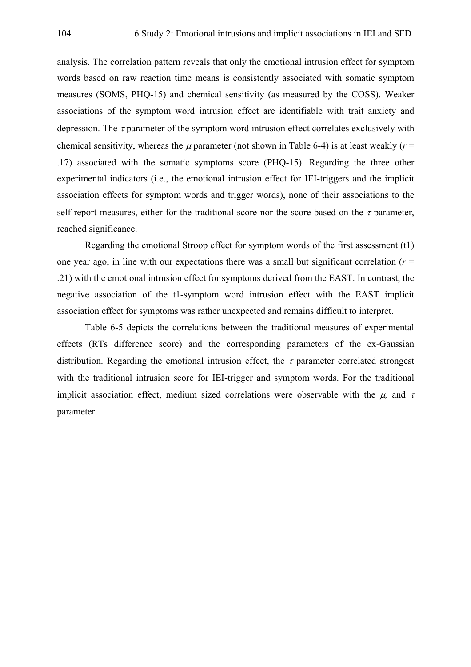analysis. The correlation pattern reveals that only the emotional intrusion effect for symptom words based on raw reaction time means is consistently associated with somatic symptom measures (SOMS, PHQ-15) and chemical sensitivity (as measured by the COSS). Weaker associations of the symptom word intrusion effect are identifiable with trait anxiety and depression. The  $\tau$  parameter of the symptom word intrusion effect correlates exclusively with chemical sensitivity, whereas the *u* parameter (not shown in [Table 6-4\)](#page-110-0) is at least weakly ( $r =$ .17) associated with the somatic symptoms score (PHQ-15). Regarding the three other experimental indicators (i.e., the emotional intrusion effect for IEI-triggers and the implicit association effects for symptom words and trigger words), none of their associations to the self-report measures, either for the traditional score nor the score based on the  $\tau$  parameter, reached significance.

Regarding the emotional Stroop effect for symptom words of the first assessment (t1) one year ago, in line with our expectations there was a small but significant correlation  $(r =$ .21) with the emotional intrusion effect for symptoms derived from the EAST. In contrast, the negative association of the t1-symptom word intrusion effect with the EAST implicit association effect for symptoms was rather unexpected and remains difficult to interpret.

[Table 6-5](#page-111-0) depicts the correlations between the traditional measures of experimental effects (RTs difference score) and the corresponding parameters of the ex-Gaussian distribution. Regarding the emotional intrusion effect, the  $\tau$  parameter correlated strongest with the traditional intrusion score for IEI-trigger and symptom words. For the traditional implicit association effect, medium sized correlations were observable with the  $\mu$ , and  $\tau$ parameter.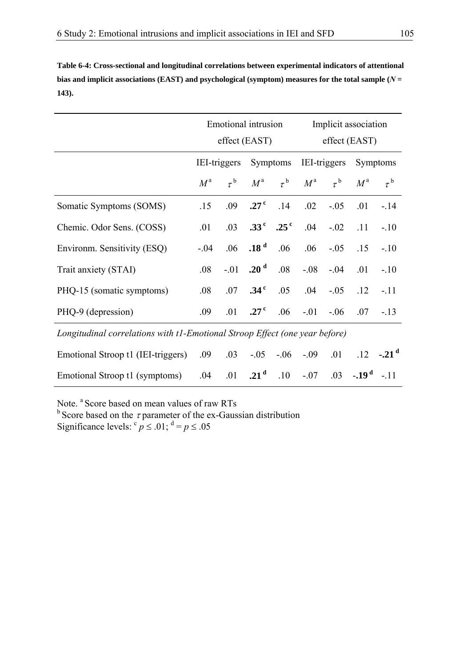<span id="page-110-0"></span>**Table 6-4: Cross-sectional and longitudinal correlations between experimental indicators of attentional bias and implicit associations (EAST) and psychological (symptom) measures for the total sample (***N* **= 143).** 

|                                                                                      |              | Emotional intrusion                |                                     |     | Implicit association      |             |                                                                                                             |                          |  |
|--------------------------------------------------------------------------------------|--------------|------------------------------------|-------------------------------------|-----|---------------------------|-------------|-------------------------------------------------------------------------------------------------------------|--------------------------|--|
|                                                                                      |              | effect (EAST)                      |                                     |     | effect (EAST)             |             |                                                                                                             |                          |  |
|                                                                                      | IEI-triggers |                                    | Symptoms                            |     | IEI-triggers              |             | Symptoms                                                                                                    |                          |  |
|                                                                                      |              |                                    |                                     |     |                           |             | $M^{\rm a}$ $\tau^{\rm b}$ $M^{\rm a}$ $\tau^{\rm b}$ $M^{\rm a}$ $\tau^{\rm b}$ $M^{\rm a}$ $\tau^{\rm b}$ |                          |  |
| Somatic Symptoms (SOMS)                                                              |              | $.15 \t .09 \t .27^{\circ}$        |                                     |     | $.14 \quad .02$           | $-0.05$     | .01                                                                                                         | $-.14$                   |  |
| Chemic. Odor Sens. (COSS)                                                            | .01          |                                    | $.03 \t .33^{\circ} \t .25^{\circ}$ |     | .04                       | $-0.02$     | .11                                                                                                         | $-.10$                   |  |
| Environm. Sensitivity (ESQ)                                                          |              | $-0.04$ $0.06$ $0.18$ <sup>d</sup> |                                     | .06 | .06                       | $-.05$      | .15                                                                                                         | $-.10$                   |  |
| Trait anxiety (STAI)                                                                 | $.08\,$      |                                    | $-01$ .20 <sup>d</sup>              | .08 |                           | $-.08-.04$  | .01                                                                                                         | $-.10$                   |  |
| PHQ-15 (somatic symptoms)                                                            | $.08\,$      |                                    | $.07$ $.34$ <sup>c</sup>            | .05 |                           | $.04 - .05$ | .12                                                                                                         | $-.11$                   |  |
| PHQ-9 (depression)                                                                   | .09          |                                    | .01 $.27^{\rm c}$                   |     | $.06$ $-.01$ $-.06$ $.07$ |             |                                                                                                             | $-.13$                   |  |
| Longitudinal correlations with t1-Emotional Stroop Effect (one year before)          |              |                                    |                                     |     |                           |             |                                                                                                             |                          |  |
| Emotional Stroop t1 (IEI-triggers) .09 .03 -.05 -.06 -.09 .01                        |              |                                    |                                     |     |                           |             |                                                                                                             | $.12 - .21$ <sup>d</sup> |  |
| Emotional Stroop t1 (symptoms) $.04$ $.01$ $.21^d$ $.10$ $.07$ $.03$ $-.19^d$ $-.11$ |              |                                    |                                     |     |                           |             |                                                                                                             |                          |  |

Note. a Score based on mean values of raw RTs

<sup>b</sup> Score based on the  $\tau$  parameter of the ex-Gaussian distribution Significance levels:  $\binom{c}{p} \leq .01$ ;  $\binom{d}{q} = p \leq .05$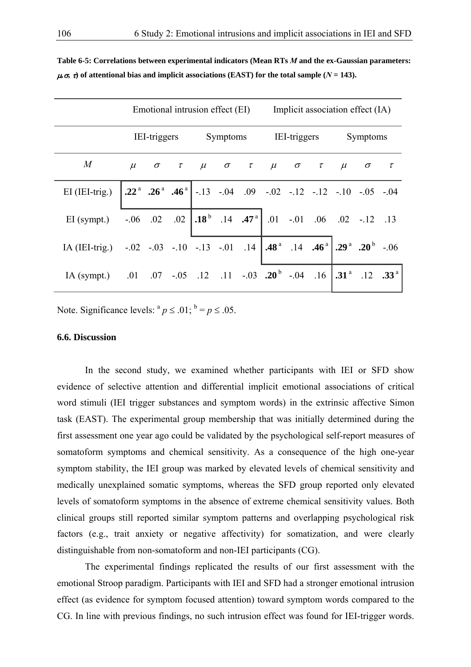|                                                                                                                  | Emotional intrusion effect (EI) |  |  |                                             |  | Implicit association effect (IA) |                                                                                         |  |  |  |  |  |
|------------------------------------------------------------------------------------------------------------------|---------------------------------|--|--|---------------------------------------------|--|----------------------------------|-----------------------------------------------------------------------------------------|--|--|--|--|--|
|                                                                                                                  |                                 |  |  | IEI-triggers Symptoms IEI-triggers Symptoms |  |                                  |                                                                                         |  |  |  |  |  |
| M                                                                                                                |                                 |  |  |                                             |  |                                  | $\mu$ $\sigma$ $\tau$ $\mu$ $\sigma$ $\tau$ $\mu$ $\sigma$ $\tau$ $\mu$ $\sigma$ $\tau$ |  |  |  |  |  |
| EI (IEI-trig.) $\begin{vmatrix} .22^a & .26^a & .46^a \end{vmatrix}$ -.13 -.04 .09 -.02 -.12 -.12 -.10 -.05 -.04 |                                 |  |  |                                             |  |                                  |                                                                                         |  |  |  |  |  |
| EI (sympt.) -.06 .02 .02 .02 .18 <sup>b</sup> .14 .47 <sup>a</sup> .01 -.01 .06 .02 -.12 .13                     |                                 |  |  |                                             |  |                                  |                                                                                         |  |  |  |  |  |
| IA (IEI-trig.) -.02 -.03 -.10 -.13 -.01 .14 $.48^a$ .14 .46 <sup>a</sup> .29 <sup>a</sup> .20 <sup>b</sup> -.06  |                                 |  |  |                                             |  |                                  |                                                                                         |  |  |  |  |  |
| IA (sympt.) $.01$ $.07$ $-.05$ $.12$ $.11$ $-.03$ $.20^{\circ}$ $-.04$ $.16$ $.31^{\circ}$ $.12$ $.33^{\circ}$   |                                 |  |  |                                             |  |                                  |                                                                                         |  |  |  |  |  |

<span id="page-111-0"></span>**Table 6-5: Correlations between experimental indicators (Mean RTs** *M* **and the ex-Gaussian parameters:**   $μ, σ, τ$  of attentional bias and implicit associations (EAST) for the total sample ( $N = 143$ ).

Note. Significance levels:  ${}^{a}p \leq .01$ ;  ${}^{b} = p \leq .05$ .

## **6.6. Discussion**

In the second study, we examined whether participants with IEI or SFD show evidence of selective attention and differential implicit emotional associations of critical word stimuli (IEI trigger substances and symptom words) in the extrinsic affective Simon task (EAST). The experimental group membership that was initially determined during the first assessment one year ago could be validated by the psychological self-report measures of somatoform symptoms and chemical sensitivity. As a consequence of the high one-year symptom stability, the IEI group was marked by elevated levels of chemical sensitivity and medically unexplained somatic symptoms, whereas the SFD group reported only elevated levels of somatoform symptoms in the absence of extreme chemical sensitivity values. Both clinical groups still reported similar symptom patterns and overlapping psychological risk factors (e.g., trait anxiety or negative affectivity) for somatization, and were clearly distinguishable from non-somatoform and non-IEI participants (CG).

The experimental findings replicated the results of our first assessment with the emotional Stroop paradigm. Participants with IEI and SFD had a stronger emotional intrusion effect (as evidence for symptom focused attention) toward symptom words compared to the CG. In line with previous findings, no such intrusion effect was found for IEI-trigger words.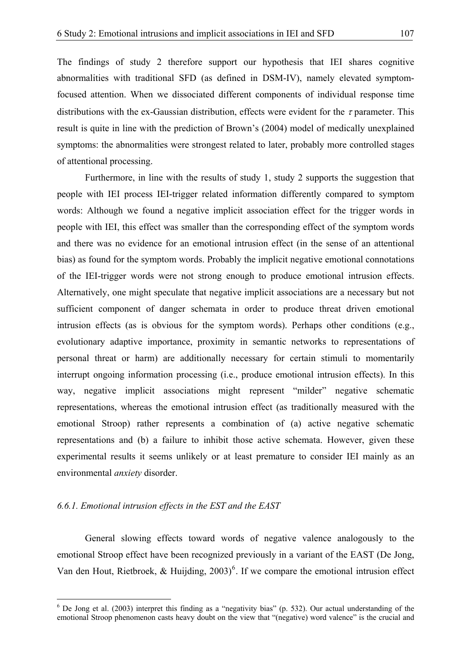<span id="page-112-0"></span>The findings of study 2 therefore support our hypothesis that IEI shares cognitive abnormalities with traditional SFD (as defined in DSM-IV), namely elevated symptomfocused attention. When we dissociated different components of individual response time distributions with the ex-Gaussian distribution, effects were evident for the  $\tau$  parameter. This result is quite in line with the prediction of Brown's (2004) model of medically unexplained symptoms: the abnormalities were strongest related to later, probably more controlled stages of attentional processing.

Furthermore, in line with the results of study 1, study 2 supports the suggestion that people with IEI process IEI-trigger related information differently compared to symptom words: Although we found a negative implicit association effect for the trigger words in people with IEI, this effect was smaller than the corresponding effect of the symptom words and there was no evidence for an emotional intrusion effect (in the sense of an attentional bias) as found for the symptom words. Probably the implicit negative emotional connotations of the IEI-trigger words were not strong enough to produce emotional intrusion effects. Alternatively, one might speculate that negative implicit associations are a necessary but not sufficient component of danger schemata in order to produce threat driven emotional intrusion effects (as is obvious for the symptom words). Perhaps other conditions (e.g., evolutionary adaptive importance, proximity in semantic networks to representations of personal threat or harm) are additionally necessary for certain stimuli to momentarily interrupt ongoing information processing (i.e., produce emotional intrusion effects). In this way, negative implicit associations might represent "milder" negative schematic representations, whereas the emotional intrusion effect (as traditionally measured with the emotional Stroop) rather represents a combination of (a) active negative schematic representations and (b) a failure to inhibit those active schemata. However, given these experimental results it seems unlikely or at least premature to consider IEI mainly as an environmental *anxiety* disorder.

## *6.6.1. Emotional intrusion effects in the EST and the EAST*

 $\overline{a}$ 

General slowing effects toward words of negative valence analogously to the emotional Stroop effect have been recognized previously in a variant of the EAST (De Jong, Van den Hout, Rietbroek, & Huijding,  $2003$ <sup>[6](#page-112-0)</sup>. If we compare the emotional intrusion effect

 $6$  De Jong et al. (2003) interpret this finding as a "negativity bias" (p. 532). Our actual understanding of the emotional Stroop phenomenon casts heavy doubt on the view that "(negative) word valence" is the crucial and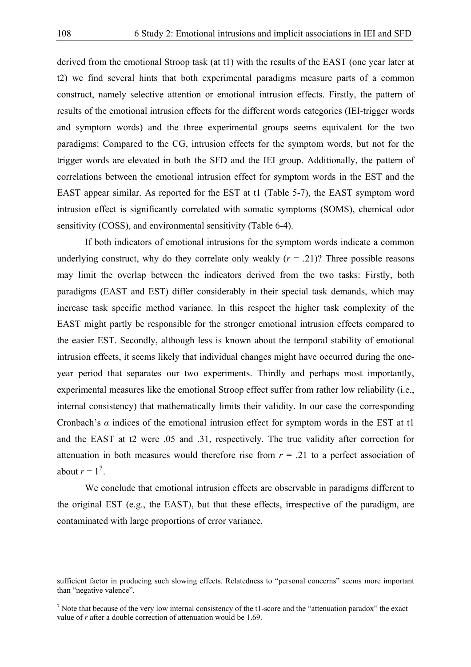<span id="page-113-0"></span>derived from the emotional Stroop task (at t1) with the results of the EAST (one year later at t2) we find several hints that both experimental paradigms measure parts of a common construct, namely selective attention or emotional intrusion effects. Firstly, the pattern of results of the emotional intrusion effects for the different words categories (IEI-trigger words and symptom words) and the three experimental groups seems equivalent for the two paradigms: Compared to the CG, intrusion effects for the symptom words, but not for the trigger words are elevated in both the SFD and the IEI group. Additionally, the pattern of correlations between the emotional intrusion effect for symptom words in the EST and the EAST appear similar. As reported for the EST at t1 ([Table 5-7](#page-77-0)), the EAST symptom word intrusion effect is significantly correlated with somatic symptoms (SOMS), chemical odor sensitivity (COSS), and environmental sensitivity [\(Table 6-4\)](#page-110-0).

If both indicators of emotional intrusions for the symptom words indicate a common underlying construct, why do they correlate only weakly  $(r = .21)$ ? Three possible reasons may limit the overlap between the indicators derived from the two tasks: Firstly, both paradigms (EAST and EST) differ considerably in their special task demands, which may increase task specific method variance. In this respect the higher task complexity of the EAST might partly be responsible for the stronger emotional intrusion effects compared to the easier EST. Secondly, although less is known about the temporal stability of emotional intrusion effects, it seems likely that individual changes might have occurred during the oneyear period that separates our two experiments. Thirdly and perhaps most importantly, experimental measures like the emotional Stroop effect suffer from rather low reliability (i.e., internal consistency) that mathematically limits their validity. In our case the corresponding Cronbach's *α* indices of the emotional intrusion effect for symptom words in the EST at t1 and the EAST at t2 were .05 and .31, respectively. The true validity after correction for attenuation in both measures would therefore rise from  $r = .21$  to a perfect association of about  $r = 1^7$  $r = 1^7$ .

We conclude that emotional intrusion effects are observable in paradigms different to the original EST (e.g., the EAST), but that these effects, irrespective of the paradigm, are contaminated with large proportions of error variance.

sufficient factor in producing such slowing effects. Relatedness to "personal concerns" seems more important than "negative valence".

<sup>&</sup>lt;sup>7</sup> Note that because of the very low internal consistency of the t1-score and the "attenuation paradox" the exact value of *r* after a double correction of attenuation would be 1.69.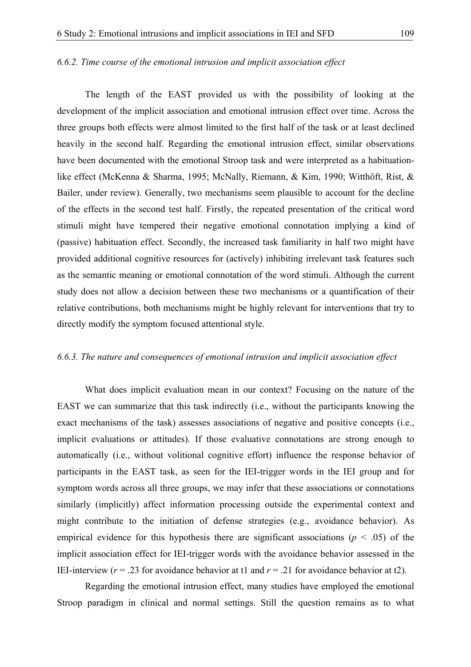#### *6.6.2. Time course of the emotional intrusion and implicit association effect*

The length of the EAST provided us with the possibility of looking at the development of the implicit association and emotional intrusion effect over time. Across the three groups both effects were almost limited to the first half of the task or at least declined heavily in the second half. Regarding the emotional intrusion effect, similar observations have been documented with the emotional Stroop task and were interpreted as a habituationlike effect (McKenna & Sharma, 1995; McNally, Riemann, & Kim, 1990; Witthöft, Rist, & Bailer, under review). Generally, two mechanisms seem plausible to account for the decline of the effects in the second test half. Firstly, the repeated presentation of the critical word stimuli might have tempered their negative emotional connotation implying a kind of (passive) habituation effect. Secondly, the increased task familiarity in half two might have provided additional cognitive resources for (actively) inhibiting irrelevant task features such as the semantic meaning or emotional connotation of the word stimuli. Although the current study does not allow a decision between these two mechanisms or a quantification of their relative contributions, both mechanisms might be highly relevant for interventions that try to directly modify the symptom focused attentional style.

### *6.6.3. The nature and consequences of emotional intrusion and implicit association effect*

What does implicit evaluation mean in our context? Focusing on the nature of the EAST we can summarize that this task indirectly (i.e., without the participants knowing the exact mechanisms of the task) assesses associations of negative and positive concepts (i.e., implicit evaluations or attitudes). If those evaluative connotations are strong enough to automatically (i.e., without volitional cognitive effort) influence the response behavior of participants in the EAST task, as seen for the IEI-trigger words in the IEI group and for symptom words across all three groups, we may infer that these associations or connotations similarly (implicitly) affect information processing outside the experimental context and might contribute to the initiation of defense strategies (e.g., avoidance behavior). As empirical evidence for this hypothesis there are significant associations ( $p < .05$ ) of the implicit association effect for IEI-trigger words with the avoidance behavior assessed in the IEI-interview ( $r = .23$  for avoidance behavior at t1 and  $r = .21$  for avoidance behavior at t2).

Regarding the emotional intrusion effect, many studies have employed the emotional Stroop paradigm in clinical and normal settings. Still the question remains as to what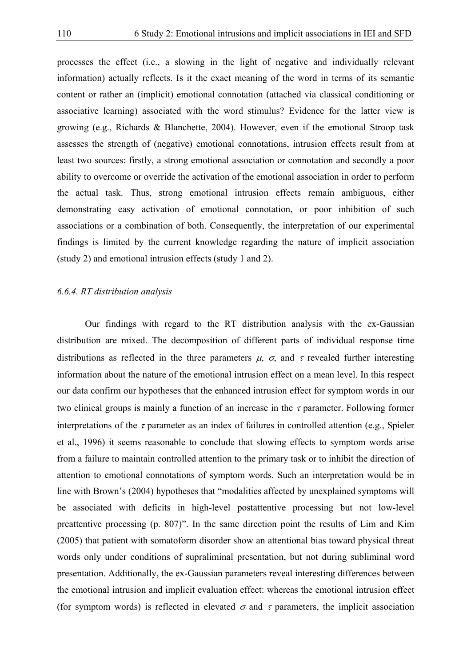processes the effect (i.e., a slowing in the light of negative and individually relevant information) actually reflects. Is it the exact meaning of the word in terms of its semantic content or rather an (implicit) emotional connotation (attached via classical conditioning or associative learning) associated with the word stimulus? Evidence for the latter view is growing (e.g., Richards & Blanchette, 2004). However, even if the emotional Stroop task assesses the strength of (negative) emotional connotations, intrusion effects result from at least two sources: firstly, a strong emotional association or connotation and secondly a poor ability to overcome or override the activation of the emotional association in order to perform the actual task. Thus, strong emotional intrusion effects remain ambiguous, either demonstrating easy activation of emotional connotation, or poor inhibition of such associations or a combination of both. Consequently, the interpretation of our experimental findings is limited by the current knowledge regarding the nature of implicit association (study 2) and emotional intrusion effects (study 1 and 2).

### *6.6.4. RT distribution analysis*

Our findings with regard to the RT distribution analysis with the ex-Gaussian distribution are mixed. The decomposition of different parts of individual response time distributions as reflected in the three parameters  $\mu$ ,  $\sigma$ , and  $\tau$  revealed further interesting information about the nature of the emotional intrusion effect on a mean level. In this respect our data confirm our hypotheses that the enhanced intrusion effect for symptom words in our two clinical groups is mainly a function of an increase in the  $\tau$  parameter. Following former interpretations of the  $\tau$  parameter as an index of failures in controlled attention (e.g., Spieler et al., 1996) it seems reasonable to conclude that slowing effects to symptom words arise from a failure to maintain controlled attention to the primary task or to inhibit the direction of attention to emotional connotations of symptom words. Such an interpretation would be in line with Brown's (2004) hypotheses that "modalities affected by unexplained symptoms will be associated with deficits in high-level postattentive processing but not low-level preattentive processing (p. 807)". In the same direction point the results of Lim and Kim (2005) that patient with somatoform disorder show an attentional bias toward physical threat words only under conditions of supraliminal presentation, but not during subliminal word presentation. Additionally, the ex-Gaussian parameters reveal interesting differences between the emotional intrusion and implicit evaluation effect: whereas the emotional intrusion effect (for symptom words) is reflected in elevated  $\sigma$  and  $\tau$  parameters, the implicit association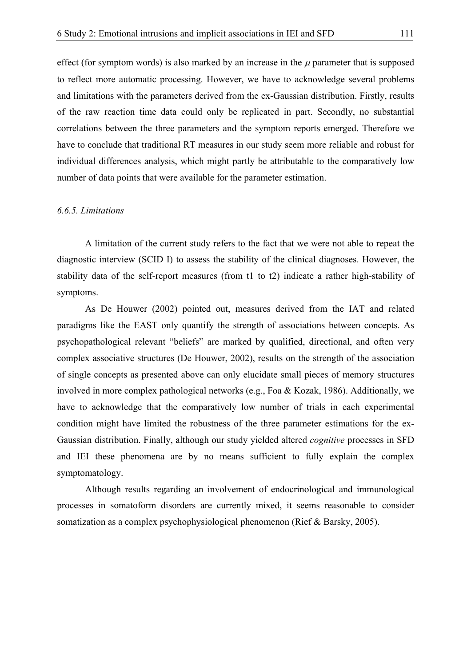effect (for symptom words) is also marked by an increase in the  $\mu$  parameter that is supposed to reflect more automatic processing. However, we have to acknowledge several problems and limitations with the parameters derived from the ex-Gaussian distribution. Firstly, results of the raw reaction time data could only be replicated in part. Secondly, no substantial correlations between the three parameters and the symptom reports emerged. Therefore we have to conclude that traditional RT measures in our study seem more reliable and robust for individual differences analysis, which might partly be attributable to the comparatively low number of data points that were available for the parameter estimation.

## *6.6.5. Limitations*

A limitation of the current study refers to the fact that we were not able to repeat the diagnostic interview (SCID I) to assess the stability of the clinical diagnoses. However, the stability data of the self-report measures (from t1 to t2) indicate a rather high-stability of symptoms.

As De Houwer (2002) pointed out, measures derived from the IAT and related paradigms like the EAST only quantify the strength of associations between concepts. As psychopathological relevant "beliefs" are marked by qualified, directional, and often very complex associative structures (De Houwer, 2002), results on the strength of the association of single concepts as presented above can only elucidate small pieces of memory structures involved in more complex pathological networks (e.g., Foa & Kozak, 1986). Additionally, we have to acknowledge that the comparatively low number of trials in each experimental condition might have limited the robustness of the three parameter estimations for the ex-Gaussian distribution. Finally, although our study yielded altered *cognitive* processes in SFD and IEI these phenomena are by no means sufficient to fully explain the complex symptomatology.

Although results regarding an involvement of endocrinological and immunological processes in somatoform disorders are currently mixed, it seems reasonable to consider somatization as a complex psychophysiological phenomenon (Rief & Barsky, 2005).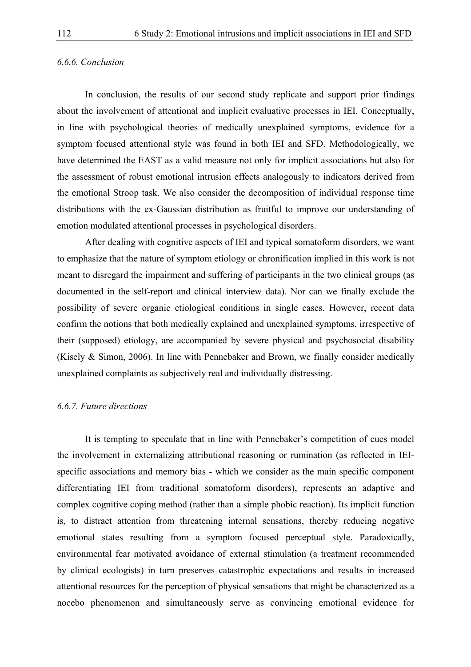## *6.6.6. Conclusion*

In conclusion, the results of our second study replicate and support prior findings about the involvement of attentional and implicit evaluative processes in IEI. Conceptually, in line with psychological theories of medically unexplained symptoms, evidence for a symptom focused attentional style was found in both IEI and SFD. Methodologically, we have determined the EAST as a valid measure not only for implicit associations but also for the assessment of robust emotional intrusion effects analogously to indicators derived from the emotional Stroop task. We also consider the decomposition of individual response time distributions with the ex-Gaussian distribution as fruitful to improve our understanding of emotion modulated attentional processes in psychological disorders.

After dealing with cognitive aspects of IEI and typical somatoform disorders, we want to emphasize that the nature of symptom etiology or chronification implied in this work is not meant to disregard the impairment and suffering of participants in the two clinical groups (as documented in the self-report and clinical interview data). Nor can we finally exclude the possibility of severe organic etiological conditions in single cases. However, recent data confirm the notions that both medically explained and unexplained symptoms, irrespective of their (supposed) etiology, are accompanied by severe physical and psychosocial disability (Kisely & Simon, 2006). In line with Pennebaker and Brown, we finally consider medically unexplained complaints as subjectively real and individually distressing.

# *6.6.7. Future directions*

It is tempting to speculate that in line with Pennebaker's competition of cues model the involvement in externalizing attributional reasoning or rumination (as reflected in IEIspecific associations and memory bias - which we consider as the main specific component differentiating IEI from traditional somatoform disorders), represents an adaptive and complex cognitive coping method (rather than a simple phobic reaction). Its implicit function is, to distract attention from threatening internal sensations, thereby reducing negative emotional states resulting from a symptom focused perceptual style. Paradoxically, environmental fear motivated avoidance of external stimulation (a treatment recommended by clinical ecologists) in turn preserves catastrophic expectations and results in increased attentional resources for the perception of physical sensations that might be characterized as a nocebo phenomenon and simultaneously serve as convincing emotional evidence for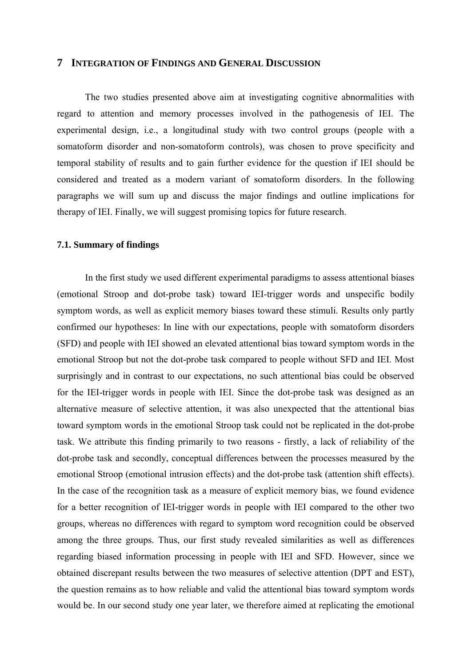# **7 INTEGRATION OF FINDINGS AND GENERAL DISCUSSION**

The two studies presented above aim at investigating cognitive abnormalities with regard to attention and memory processes involved in the pathogenesis of IEI. The experimental design, i.e., a longitudinal study with two control groups (people with a somatoform disorder and non-somatoform controls), was chosen to prove specificity and temporal stability of results and to gain further evidence for the question if IEI should be considered and treated as a modern variant of somatoform disorders. In the following paragraphs we will sum up and discuss the major findings and outline implications for therapy of IEI. Finally, we will suggest promising topics for future research.

### **7.1. Summary of findings**

In the first study we used different experimental paradigms to assess attentional biases (emotional Stroop and dot-probe task) toward IEI-trigger words and unspecific bodily symptom words, as well as explicit memory biases toward these stimuli. Results only partly confirmed our hypotheses: In line with our expectations, people with somatoform disorders (SFD) and people with IEI showed an elevated attentional bias toward symptom words in the emotional Stroop but not the dot-probe task compared to people without SFD and IEI. Most surprisingly and in contrast to our expectations, no such attentional bias could be observed for the IEI-trigger words in people with IEI. Since the dot-probe task was designed as an alternative measure of selective attention, it was also unexpected that the attentional bias toward symptom words in the emotional Stroop task could not be replicated in the dot-probe task. We attribute this finding primarily to two reasons - firstly, a lack of reliability of the dot-probe task and secondly, conceptual differences between the processes measured by the emotional Stroop (emotional intrusion effects) and the dot-probe task (attention shift effects). In the case of the recognition task as a measure of explicit memory bias, we found evidence for a better recognition of IEI-trigger words in people with IEI compared to the other two groups, whereas no differences with regard to symptom word recognition could be observed among the three groups. Thus, our first study revealed similarities as well as differences regarding biased information processing in people with IEI and SFD. However, since we obtained discrepant results between the two measures of selective attention (DPT and EST), the question remains as to how reliable and valid the attentional bias toward symptom words would be. In our second study one year later, we therefore aimed at replicating the emotional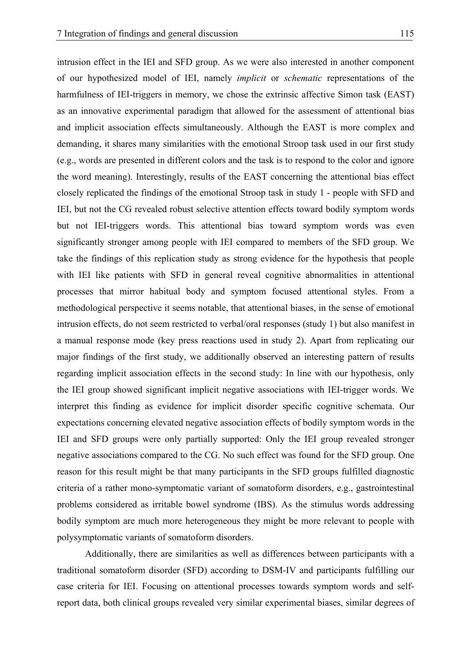intrusion effect in the IEI and SFD group. As we were also interested in another component of our hypothesized model of IEI, namely *implicit* or *schematic* representations of the harmfulness of IEI-triggers in memory, we chose the extrinsic affective Simon task (EAST) as an innovative experimental paradigm that allowed for the assessment of attentional bias and implicit association effects simultaneously. Although the EAST is more complex and demanding, it shares many similarities with the emotional Stroop task used in our first study (e.g., words are presented in different colors and the task is to respond to the color and ignore the word meaning). Interestingly, results of the EAST concerning the attentional bias effect closely replicated the findings of the emotional Stroop task in study 1 - people with SFD and IEI, but not the CG revealed robust selective attention effects toward bodily symptom words but not IEI-triggers words. This attentional bias toward symptom words was even significantly stronger among people with IEI compared to members of the SFD group. We take the findings of this replication study as strong evidence for the hypothesis that people with IEI like patients with SFD in general reveal cognitive abnormalities in attentional processes that mirror habitual body and symptom focused attentional styles. From a methodological perspective it seems notable, that attentional biases, in the sense of emotional intrusion effects, do not seem restricted to verbal/oral responses (study 1) but also manifest in a manual response mode (key press reactions used in study 2). Apart from replicating our major findings of the first study, we additionally observed an interesting pattern of results

regarding implicit association effects in the second study: In line with our hypothesis, only the IEI group showed significant implicit negative associations with IEI-trigger words. We interpret this finding as evidence for implicit disorder specific cognitive schemata. Our expectations concerning elevated negative association effects of bodily symptom words in the IEI and SFD groups were only partially supported: Only the IEI group revealed stronger negative associations compared to the CG. No such effect was found for the SFD group. One reason for this result might be that many participants in the SFD groups fulfilled diagnostic criteria of a rather mono-symptomatic variant of somatoform disorders, e.g., gastrointestinal problems considered as irritable bowel syndrome (IBS). As the stimulus words addressing bodily symptom are much more heterogeneous they might be more relevant to people with polysymptomatic variants of somatoform disorders.

Additionally, there are similarities as well as differences between participants with a traditional somatoform disorder (SFD) according to DSM-IV and participants fulfilling our case criteria for IEI. Focusing on attentional processes towards symptom words and selfreport data, both clinical groups revealed very similar experimental biases, similar degrees of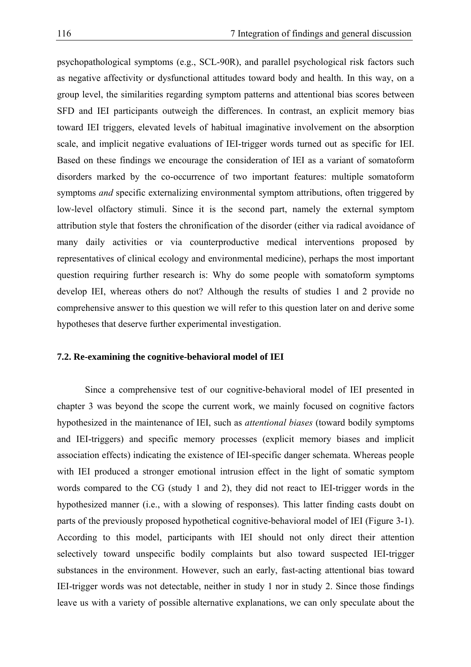psychopathological symptoms (e.g., SCL-90R), and parallel psychological risk factors such as negative affectivity or dysfunctional attitudes toward body and health. In this way, on a group level, the similarities regarding symptom patterns and attentional bias scores between SFD and IEI participants outweigh the differences. In contrast, an explicit memory bias toward IEI triggers, elevated levels of habitual imaginative involvement on the absorption scale, and implicit negative evaluations of IEI-trigger words turned out as specific for IEI. Based on these findings we encourage the consideration of IEI as a variant of somatoform disorders marked by the co-occurrence of two important features: multiple somatoform symptoms *and* specific externalizing environmental symptom attributions, often triggered by low-level olfactory stimuli. Since it is the second part, namely the external symptom attribution style that fosters the chronification of the disorder (either via radical avoidance of many daily activities or via counterproductive medical interventions proposed by representatives of clinical ecology and environmental medicine), perhaps the most important question requiring further research is: Why do some people with somatoform symptoms develop IEI, whereas others do not? Although the results of studies 1 and 2 provide no comprehensive answer to this question we will refer to this question later on and derive some hypotheses that deserve further experimental investigation.

### **7.2. Re-examining the cognitive-behavioral model of IEI**

Since a comprehensive test of our cognitive-behavioral model of IEI presented in chapter 3 was beyond the scope the current work, we mainly focused on cognitive factors hypothesized in the maintenance of IEI, such as *attentional biases* (toward bodily symptoms and IEI-triggers) and specific memory processes (explicit memory biases and implicit association effects) indicating the existence of IEI-specific danger schemata. Whereas people with IEI produced a stronger emotional intrusion effect in the light of somatic symptom words compared to the CG (study 1 and 2), they did not react to IEI-trigger words in the hypothesized manner (i.e., with a slowing of responses). This latter finding casts doubt on parts of the previously proposed hypothetical cognitive-behavioral model of IEI ([Figure 3-1](#page-36-0)). According to this model, participants with IEI should not only direct their attention selectively toward unspecific bodily complaints but also toward suspected IEI-trigger substances in the environment. However, such an early, fast-acting attentional bias toward IEI-trigger words was not detectable, neither in study 1 nor in study 2. Since those findings leave us with a variety of possible alternative explanations, we can only speculate about the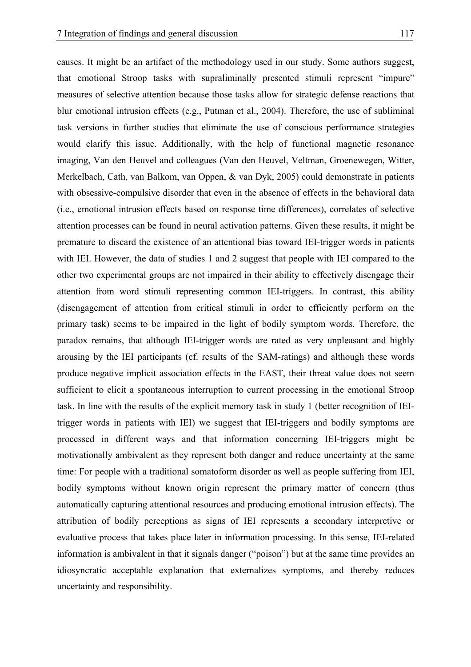causes. It might be an artifact of the methodology used in our study. Some authors suggest, that emotional Stroop tasks with supraliminally presented stimuli represent "impure" measures of selective attention because those tasks allow for strategic defense reactions that blur emotional intrusion effects (e.g., Putman et al., 2004). Therefore, the use of subliminal task versions in further studies that eliminate the use of conscious performance strategies would clarify this issue. Additionally, with the help of functional magnetic resonance imaging, Van den Heuvel and colleagues (Van den Heuvel, Veltman, Groenewegen, Witter, Merkelbach, Cath, van Balkom, van Oppen, & van Dyk, 2005) could demonstrate in patients with obsessive-compulsive disorder that even in the absence of effects in the behavioral data (i.e., emotional intrusion effects based on response time differences), correlates of selective attention processes can be found in neural activation patterns. Given these results, it might be premature to discard the existence of an attentional bias toward IEI-trigger words in patients with IEI. However, the data of studies 1 and 2 suggest that people with IEI compared to the other two experimental groups are not impaired in their ability to effectively disengage their attention from word stimuli representing common IEI-triggers. In contrast, this ability (disengagement of attention from critical stimuli in order to efficiently perform on the primary task) seems to be impaired in the light of bodily symptom words. Therefore, the paradox remains, that although IEI-trigger words are rated as very unpleasant and highly arousing by the IEI participants (cf. results of the SAM-ratings) and although these words produce negative implicit association effects in the EAST, their threat value does not seem sufficient to elicit a spontaneous interruption to current processing in the emotional Stroop task. In line with the results of the explicit memory task in study 1 (better recognition of IEItrigger words in patients with IEI) we suggest that IEI-triggers and bodily symptoms are processed in different ways and that information concerning IEI-triggers might be motivationally ambivalent as they represent both danger and reduce uncertainty at the same time: For people with a traditional somatoform disorder as well as people suffering from IEI, bodily symptoms without known origin represent the primary matter of concern (thus automatically capturing attentional resources and producing emotional intrusion effects). The attribution of bodily perceptions as signs of IEI represents a secondary interpretive or evaluative process that takes place later in information processing. In this sense, IEI-related information is ambivalent in that it signals danger ("poison") but at the same time provides an idiosyncratic acceptable explanation that externalizes symptoms, and thereby reduces uncertainty and responsibility.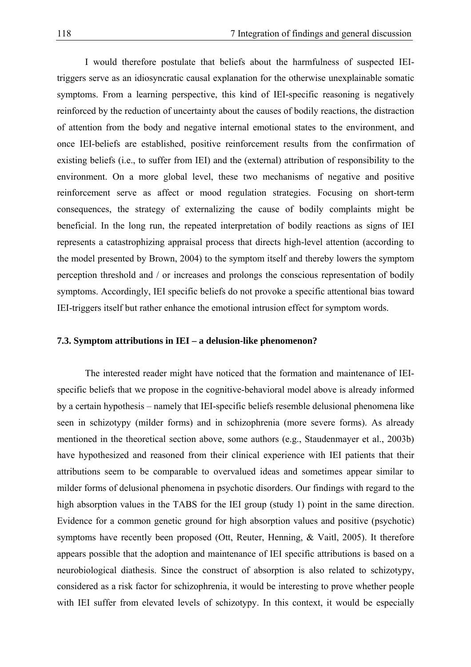I would therefore postulate that beliefs about the harmfulness of suspected IEItriggers serve as an idiosyncratic causal explanation for the otherwise unexplainable somatic symptoms. From a learning perspective, this kind of IEI-specific reasoning is negatively reinforced by the reduction of uncertainty about the causes of bodily reactions, the distraction of attention from the body and negative internal emotional states to the environment, and once IEI-beliefs are established, positive reinforcement results from the confirmation of existing beliefs (i.e., to suffer from IEI) and the (external) attribution of responsibility to the environment. On a more global level, these two mechanisms of negative and positive reinforcement serve as affect or mood regulation strategies. Focusing on short-term consequences, the strategy of externalizing the cause of bodily complaints might be beneficial. In the long run, the repeated interpretation of bodily reactions as signs of IEI represents a catastrophizing appraisal process that directs high-level attention (according to the model presented by Brown, 2004) to the symptom itself and thereby lowers the symptom perception threshold and / or increases and prolongs the conscious representation of bodily symptoms. Accordingly, IEI specific beliefs do not provoke a specific attentional bias toward IEI-triggers itself but rather enhance the emotional intrusion effect for symptom words.

### **7.3. Symptom attributions in IEI – a delusion-like phenomenon?**

The interested reader might have noticed that the formation and maintenance of IEIspecific beliefs that we propose in the cognitive-behavioral model above is already informed by a certain hypothesis – namely that IEI-specific beliefs resemble delusional phenomena like seen in schizotypy (milder forms) and in schizophrenia (more severe forms). As already mentioned in the theoretical section above, some authors (e.g., Staudenmayer et al., 2003b) have hypothesized and reasoned from their clinical experience with IEI patients that their attributions seem to be comparable to overvalued ideas and sometimes appear similar to milder forms of delusional phenomena in psychotic disorders. Our findings with regard to the high absorption values in the TABS for the IEI group (study 1) point in the same direction. Evidence for a common genetic ground for high absorption values and positive (psychotic) symptoms have recently been proposed (Ott, Reuter, Henning, & Vaitl, 2005). It therefore appears possible that the adoption and maintenance of IEI specific attributions is based on a neurobiological diathesis. Since the construct of absorption is also related to schizotypy, considered as a risk factor for schizophrenia, it would be interesting to prove whether people with IEI suffer from elevated levels of schizotypy. In this context, it would be especially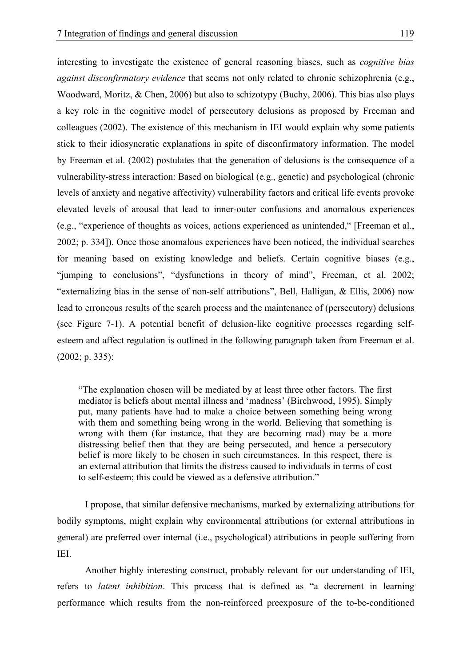interesting to investigate the existence of general reasoning biases, such as *cognitive bias against disconfirmatory evidence* that seems not only related to chronic schizophrenia (e.g., Woodward, Moritz, & Chen, 2006) but also to schizotypy (Buchy, 2006). This bias also plays a key role in the cognitive model of persecutory delusions as proposed by Freeman and colleagues (2002). The existence of this mechanism in IEI would explain why some patients stick to their idiosyncratic explanations in spite of disconfirmatory information. The model by Freeman et al. (2002) postulates that the generation of delusions is the consequence of a vulnerability-stress interaction: Based on biological (e.g., genetic) and psychological (chronic levels of anxiety and negative affectivity) vulnerability factors and critical life events provoke elevated levels of arousal that lead to inner-outer confusions and anomalous experiences (e.g., "experience of thoughts as voices, actions experienced as unintended," [Freeman et al., 2002; p. 334]). Once those anomalous experiences have been noticed, the individual searches for meaning based on existing knowledge and beliefs. Certain cognitive biases (e.g., "jumping to conclusions", "dysfunctions in theory of mind", Freeman, et al. 2002; "externalizing bias in the sense of non-self attributions", Bell, Halligan, & Ellis, 2006) now lead to erroneous results of the search process and the maintenance of (persecutory) delusions (see [Figure 7-1](#page-126-0)). A potential benefit of delusion-like cognitive processes regarding selfesteem and affect regulation is outlined in the following paragraph taken from Freeman et al.  $(2002; p. 335)$ :

"The explanation chosen will be mediated by at least three other factors. The first mediator is beliefs about mental illness and 'madness' (Birchwood, 1995). Simply put, many patients have had to make a choice between something being wrong with them and something being wrong in the world. Believing that something is wrong with them (for instance, that they are becoming mad) may be a more distressing belief then that they are being persecuted, and hence a persecutory belief is more likely to be chosen in such circumstances. In this respect, there is an external attribution that limits the distress caused to individuals in terms of cost to self-esteem; this could be viewed as a defensive attribution."

I propose, that similar defensive mechanisms, marked by externalizing attributions for bodily symptoms, might explain why environmental attributions (or external attributions in general) are preferred over internal (i.e., psychological) attributions in people suffering from IEI.

Another highly interesting construct, probably relevant for our understanding of IEI, refers to *latent inhibition*. This process that is defined as "a decrement in learning performance which results from the non-reinforced preexposure of the to-be-conditioned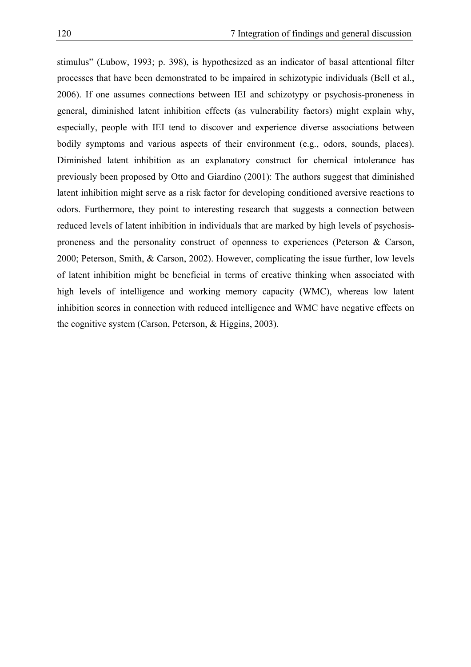stimulus" (Lubow, 1993; p. 398), is hypothesized as an indicator of basal attentional filter processes that have been demonstrated to be impaired in schizotypic individuals (Bell et al., 2006). If one assumes connections between IEI and schizotypy or psychosis-proneness in general, diminished latent inhibition effects (as vulnerability factors) might explain why, especially, people with IEI tend to discover and experience diverse associations between bodily symptoms and various aspects of their environment (e.g., odors, sounds, places). Diminished latent inhibition as an explanatory construct for chemical intolerance has previously been proposed by Otto and Giardino (2001): The authors suggest that diminished latent inhibition might serve as a risk factor for developing conditioned aversive reactions to odors. Furthermore, they point to interesting research that suggests a connection between reduced levels of latent inhibition in individuals that are marked by high levels of psychosisproneness and the personality construct of openness to experiences (Peterson & Carson, 2000; Peterson, Smith, & Carson, 2002). However, complicating the issue further, low levels of latent inhibition might be beneficial in terms of creative thinking when associated with high levels of intelligence and working memory capacity (WMC), whereas low latent inhibition scores in connection with reduced intelligence and WMC have negative effects on the cognitive system (Carson, Peterson, & Higgins, 2003).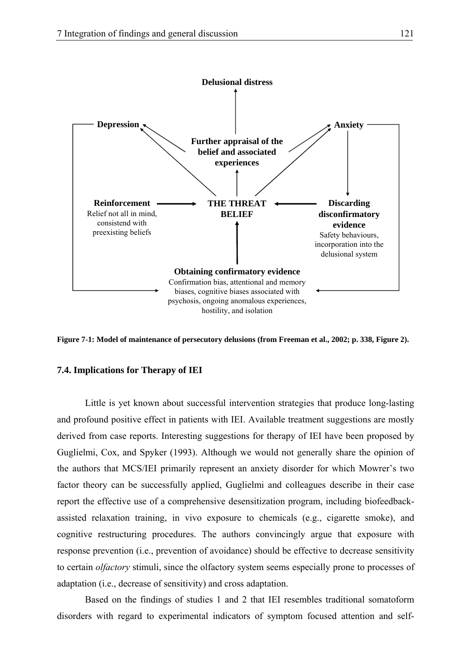

<span id="page-126-0"></span>**Figure 7-1: Model of maintenance of persecutory delusions (from Freeman et al., 2002; p. 338, Figure 2).** 

### **7.4. Implications for Therapy of IEI**

Little is yet known about successful intervention strategies that produce long-lasting and profound positive effect in patients with IEI. Available treatment suggestions are mostly derived from case reports. Interesting suggestions for therapy of IEI have been proposed by Guglielmi, Cox, and Spyker (1993). Although we would not generally share the opinion of the authors that MCS/IEI primarily represent an anxiety disorder for which Mowrer's two factor theory can be successfully applied, Guglielmi and colleagues describe in their case report the effective use of a comprehensive desensitization program, including biofeedbackassisted relaxation training, in vivo exposure to chemicals (e.g., cigarette smoke), and cognitive restructuring procedures. The authors convincingly argue that exposure with response prevention (i.e., prevention of avoidance) should be effective to decrease sensitivity to certain *olfactory* stimuli, since the olfactory system seems especially prone to processes of adaptation (i.e., decrease of sensitivity) and cross adaptation.

Based on the findings of studies 1 and 2 that IEI resembles traditional somatoform disorders with regard to experimental indicators of symptom focused attention and self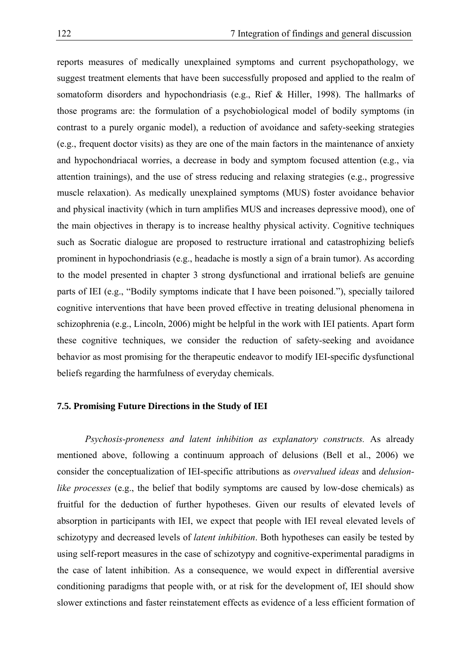reports measures of medically unexplained symptoms and current psychopathology, we suggest treatment elements that have been successfully proposed and applied to the realm of somatoform disorders and hypochondriasis (e.g., Rief & Hiller, 1998). The hallmarks of those programs are: the formulation of a psychobiological model of bodily symptoms (in contrast to a purely organic model), a reduction of avoidance and safety-seeking strategies (e.g., frequent doctor visits) as they are one of the main factors in the maintenance of anxiety and hypochondriacal worries, a decrease in body and symptom focused attention (e.g., via attention trainings), and the use of stress reducing and relaxing strategies (e.g., progressive muscle relaxation). As medically unexplained symptoms (MUS) foster avoidance behavior and physical inactivity (which in turn amplifies MUS and increases depressive mood), one of the main objectives in therapy is to increase healthy physical activity. Cognitive techniques such as Socratic dialogue are proposed to restructure irrational and catastrophizing beliefs prominent in hypochondriasis (e.g., headache is mostly a sign of a brain tumor). As according to the model presented in chapter 3 strong dysfunctional and irrational beliefs are genuine parts of IEI (e.g., "Bodily symptoms indicate that I have been poisoned."), specially tailored cognitive interventions that have been proved effective in treating delusional phenomena in schizophrenia (e.g., Lincoln, 2006) might be helpful in the work with IEI patients. Apart form these cognitive techniques, we consider the reduction of safety-seeking and avoidance behavior as most promising for the therapeutic endeavor to modify IEI-specific dysfunctional beliefs regarding the harmfulness of everyday chemicals.

## **7.5. Promising Future Directions in the Study of IEI**

*Psychosis-proneness and latent inhibition as explanatory constructs.* As already mentioned above, following a continuum approach of delusions (Bell et al., 2006) we consider the conceptualization of IEI-specific attributions as *overvalued ideas* and *delusionlike processes* (e.g., the belief that bodily symptoms are caused by low-dose chemicals) as fruitful for the deduction of further hypotheses. Given our results of elevated levels of absorption in participants with IEI, we expect that people with IEI reveal elevated levels of schizotypy and decreased levels of *latent inhibition*. Both hypotheses can easily be tested by using self-report measures in the case of schizotypy and cognitive-experimental paradigms in the case of latent inhibition. As a consequence, we would expect in differential aversive conditioning paradigms that people with, or at risk for the development of, IEI should show slower extinctions and faster reinstatement effects as evidence of a less efficient formation of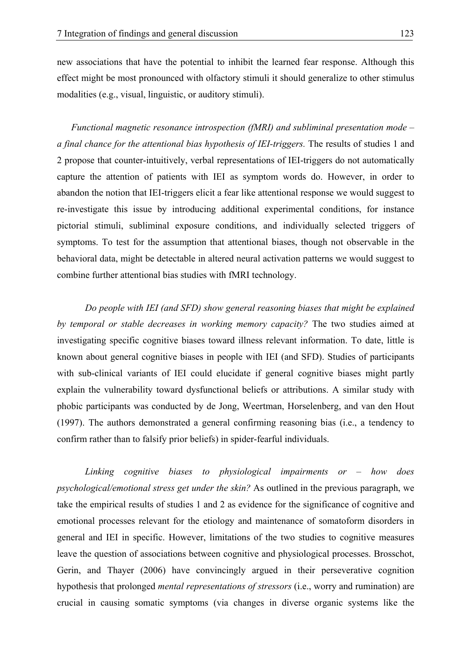new associations that have the potential to inhibit the learned fear response. Although this effect might be most pronounced with olfactory stimuli it should generalize to other stimulus modalities (e.g., visual, linguistic, or auditory stimuli).

*Functional magnetic resonance introspection (fMRI) and subliminal presentation mode – a final chance for the attentional bias hypothesis of IEI-triggers.* The results of studies 1 and 2 propose that counter-intuitively, verbal representations of IEI-triggers do not automatically capture the attention of patients with IEI as symptom words do. However, in order to abandon the notion that IEI-triggers elicit a fear like attentional response we would suggest to re-investigate this issue by introducing additional experimental conditions, for instance pictorial stimuli, subliminal exposure conditions, and individually selected triggers of symptoms. To test for the assumption that attentional biases, though not observable in the behavioral data, might be detectable in altered neural activation patterns we would suggest to combine further attentional bias studies with fMRI technology.

*Do people with IEI (and SFD) show general reasoning biases that might be explained by temporal or stable decreases in working memory capacity?* The two studies aimed at investigating specific cognitive biases toward illness relevant information. To date, little is known about general cognitive biases in people with IEI (and SFD). Studies of participants with sub-clinical variants of IEI could elucidate if general cognitive biases might partly explain the vulnerability toward dysfunctional beliefs or attributions. A similar study with phobic participants was conducted by de Jong, Weertman, Horselenberg, and van den Hout (1997). The authors demonstrated a general confirming reasoning bias (i.e., a tendency to confirm rather than to falsify prior beliefs) in spider-fearful individuals.

*Linking cognitive biases to physiological impairments or – how does psychological/emotional stress get under the skin?* As outlined in the previous paragraph, we take the empirical results of studies 1 and 2 as evidence for the significance of cognitive and emotional processes relevant for the etiology and maintenance of somatoform disorders in general and IEI in specific. However, limitations of the two studies to cognitive measures leave the question of associations between cognitive and physiological processes. Brosschot, Gerin, and Thayer (2006) have convincingly argued in their perseverative cognition hypothesis that prolonged *mental representations of stressors* (i.e., worry and rumination) are crucial in causing somatic symptoms (via changes in diverse organic systems like the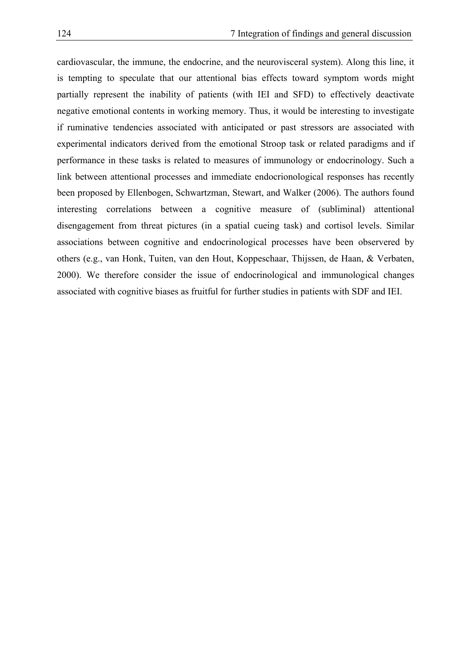cardiovascular, the immune, the endocrine, and the neurovisceral system). Along this line, it is tempting to speculate that our attentional bias effects toward symptom words might partially represent the inability of patients (with IEI and SFD) to effectively deactivate negative emotional contents in working memory. Thus, it would be interesting to investigate if ruminative tendencies associated with anticipated or past stressors are associated with experimental indicators derived from the emotional Stroop task or related paradigms and if performance in these tasks is related to measures of immunology or endocrinology. Such a link between attentional processes and immediate endocrionological responses has recently been proposed by Ellenbogen, Schwartzman, Stewart, and Walker (2006). The authors found interesting correlations between a cognitive measure of (subliminal) attentional disengagement from threat pictures (in a spatial cueing task) and cortisol levels. Similar associations between cognitive and endocrinological processes have been observered by others (e.g., van Honk, Tuiten, van den Hout, Koppeschaar, Thijssen, de Haan, & Verbaten, 2000). We therefore consider the issue of endocrinological and immunological changes associated with cognitive biases as fruitful for further studies in patients with SDF and IEI.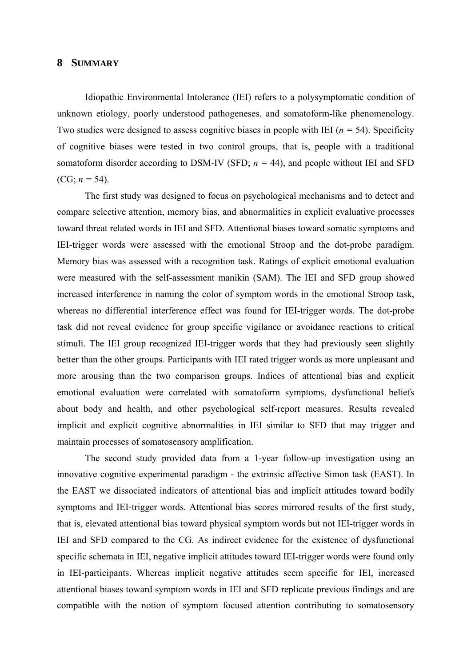## **8 SUMMARY**

Idiopathic Environmental Intolerance (IEI) refers to a polysymptomatic condition of unknown etiology, poorly understood pathogeneses, and somatoform-like phenomenology. Two studies were designed to assess cognitive biases in people with IEI (*n =* 54). Specificity of cognitive biases were tested in two control groups, that is, people with a traditional somatoform disorder according to DSM-IV (SFD;  $n = 44$ ), and people without IEI and SFD  $(CG; n = 54)$ .

The first study was designed to focus on psychological mechanisms and to detect and compare selective attention, memory bias, and abnormalities in explicit evaluative processes toward threat related words in IEI and SFD. Attentional biases toward somatic symptoms and IEI-trigger words were assessed with the emotional Stroop and the dot-probe paradigm. Memory bias was assessed with a recognition task. Ratings of explicit emotional evaluation were measured with the self-assessment manikin (SAM). The IEI and SFD group showed increased interference in naming the color of symptom words in the emotional Stroop task, whereas no differential interference effect was found for IEI-trigger words. The dot-probe task did not reveal evidence for group specific vigilance or avoidance reactions to critical stimuli. The IEI group recognized IEI-trigger words that they had previously seen slightly better than the other groups. Participants with IEI rated trigger words as more unpleasant and more arousing than the two comparison groups. Indices of attentional bias and explicit emotional evaluation were correlated with somatoform symptoms, dysfunctional beliefs about body and health, and other psychological self-report measures. Results revealed implicit and explicit cognitive abnormalities in IEI similar to SFD that may trigger and maintain processes of somatosensory amplification.

The second study provided data from a 1-year follow-up investigation using an innovative cognitive experimental paradigm - the extrinsic affective Simon task (EAST). In the EAST we dissociated indicators of attentional bias and implicit attitudes toward bodily symptoms and IEI-trigger words. Attentional bias scores mirrored results of the first study, that is, elevated attentional bias toward physical symptom words but not IEI-trigger words in IEI and SFD compared to the CG. As indirect evidence for the existence of dysfunctional specific schemata in IEI, negative implicit attitudes toward IEI-trigger words were found only in IEI-participants. Whereas implicit negative attitudes seem specific for IEI, increased attentional biases toward symptom words in IEI and SFD replicate previous findings and are compatible with the notion of symptom focused attention contributing to somatosensory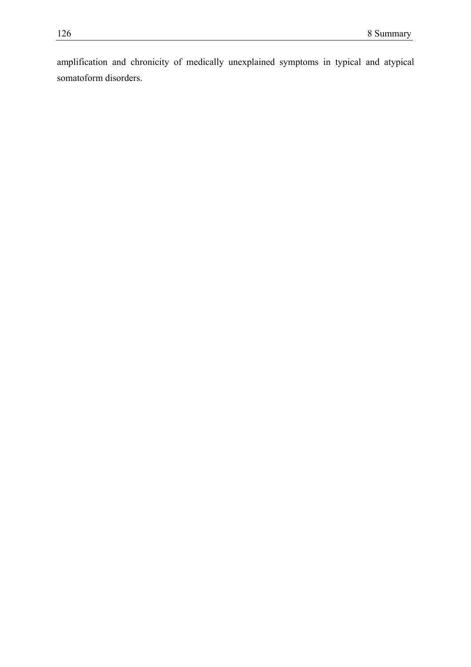amplification and chronicity of medically unexplained symptoms in typical and atypical somatoform disorders.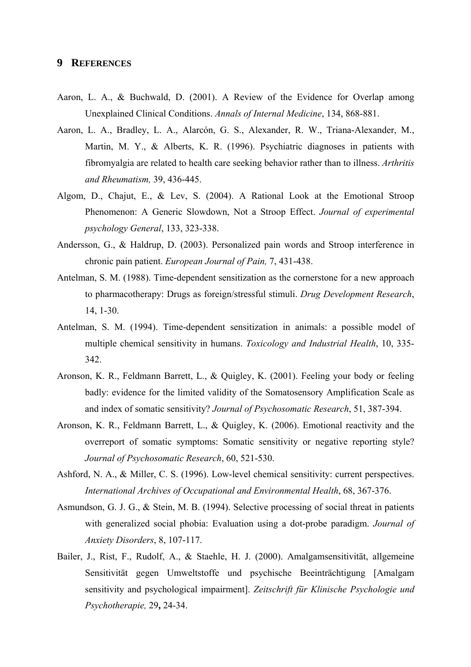# **9 REFERENCES**

- Aaron, L. A., & Buchwald, D. (2001). A Review of the Evidence for Overlap among Unexplained Clinical Conditions. *Annals of Internal Medicine*, 134, 868-881.
- Aaron, L. A., Bradley, L. A., Alarcón, G. S., Alexander, R. W., Triana-Alexander, M., Martin, M. Y., & Alberts, K. R. (1996). Psychiatric diagnoses in patients with fibromyalgia are related to health care seeking behavior rather than to illness. *Arthritis and Rheumatism,* 39, 436-445.
- Algom, D., Chajut, E., & Lev, S. (2004). A Rational Look at the Emotional Stroop Phenomenon: A Generic Slowdown, Not a Stroop Effect. *Journal of experimental psychology General*, 133, 323-338.
- Andersson, G., & Haldrup, D. (2003). Personalized pain words and Stroop interference in chronic pain patient. *European Journal of Pain,* 7, 431-438.
- Antelman, S. M. (1988). Time-dependent sensitization as the cornerstone for a new approach to pharmacotherapy: Drugs as foreign/stressful stimuli. *Drug Development Research*, 14, 1-30.
- Antelman, S. M. (1994). Time-dependent sensitization in animals: a possible model of multiple chemical sensitivity in humans. *Toxicology and Industrial Health*, 10, 335- 342.
- Aronson, K. R., Feldmann Barrett, L., & Quigley, K. (2001). Feeling your body or feeling badly: evidence for the limited validity of the Somatosensory Amplification Scale as and index of somatic sensitivity? *Journal of Psychosomatic Research*, 51, 387-394.
- Aronson, K. R., Feldmann Barrett, L., & Quigley, K. (2006). Emotional reactivity and the overreport of somatic symptoms: Somatic sensitivity or negative reporting style? *Journal of Psychosomatic Research*, 60, 521-530.
- Ashford, N. A., & Miller, C. S. (1996). Low-level chemical sensitivity: current perspectives. *International Archives of Occupational and Environmental Health*, 68, 367-376.
- Asmundson, G. J. G., & Stein, M. B. (1994). Selective processing of social threat in patients with generalized social phobia: Evaluation using a dot-probe paradigm. *Journal of Anxiety Disorders*, 8, 107-117.
- Bailer, J., Rist, F., Rudolf, A., & Staehle, H. J. (2000). Amalgamsensitivität, allgemeine Sensitivität gegen Umweltstoffe und psychische Beeinträchtigung [Amalgam sensitivity and psychological impairment]. *Zeitschrift für Klinische Psychologie und Psychotherapie,* 29**,** 24-34.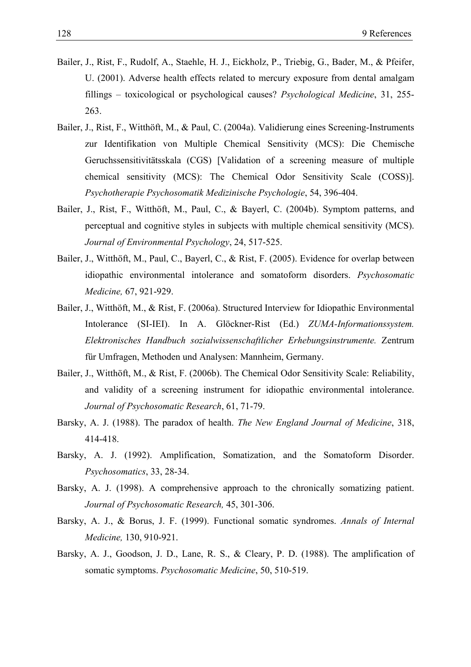- Bailer, J., Rist, F., Rudolf, A., Staehle, H. J., Eickholz, P., Triebig, G., Bader, M., & Pfeifer, U. (2001). Adverse health effects related to mercury exposure from dental amalgam fillings – toxicological or psychological causes? *Psychological Medicine*, 31, 255- 263.
- Bailer, J., Rist, F., Witthöft, M., & Paul, C. (2004a). Validierung eines Screening-Instruments zur Identifikation von Multiple Chemical Sensitivity (MCS): Die Chemische Geruchssensitivitätsskala (CGS) [Validation of a screening measure of multiple chemical sensitivity (MCS): The Chemical Odor Sensitivity Scale (COSS)]. *Psychotherapie Psychosomatik Medizinische Psychologie*, 54, 396-404.
- Bailer, J., Rist, F., Witthöft, M., Paul, C., & Bayerl, C. (2004b). Symptom patterns, and perceptual and cognitive styles in subjects with multiple chemical sensitivity (MCS). *Journal of Environmental Psychology*, 24, 517-525.
- Bailer, J., Witthöft, M., Paul, C., Bayerl, C., & Rist, F. (2005). Evidence for overlap between idiopathic environmental intolerance and somatoform disorders. *Psychosomatic Medicine,* 67, 921-929.
- Bailer, J., Witthöft, M., & Rist, F. (2006a). Structured Interview for Idiopathic Environmental Intolerance (SI-IEI). In A. Glöckner-Rist (Ed.) *ZUMA-Informationssystem. Elektronisches Handbuch sozialwissenschaftlicher Erhebungsinstrumente.* Zentrum für Umfragen, Methoden und Analysen: Mannheim, Germany.
- Bailer, J., Witthöft, M., & Rist, F. (2006b). The Chemical Odor Sensitivity Scale: Reliability, and validity of a screening instrument for idiopathic environmental intolerance. *Journal of Psychosomatic Research*, 61, 71-79.
- Barsky, A. J. (1988). The paradox of health. *The New England Journal of Medicine*, 318, 414-418.
- Barsky, A. J. (1992). Amplification, Somatization, and the Somatoform Disorder. *Psychosomatics*, 33, 28-34.
- Barsky, A. J. (1998). A comprehensive approach to the chronically somatizing patient. *Journal of Psychosomatic Research,* 45, 301-306.
- Barsky, A. J., & Borus, J. F. (1999). Functional somatic syndromes. *Annals of Internal Medicine,* 130, 910-921.
- Barsky, A. J., Goodson, J. D., Lane, R. S., & Cleary, P. D. (1988). The amplification of somatic symptoms. *Psychosomatic Medicine*, 50, 510-519.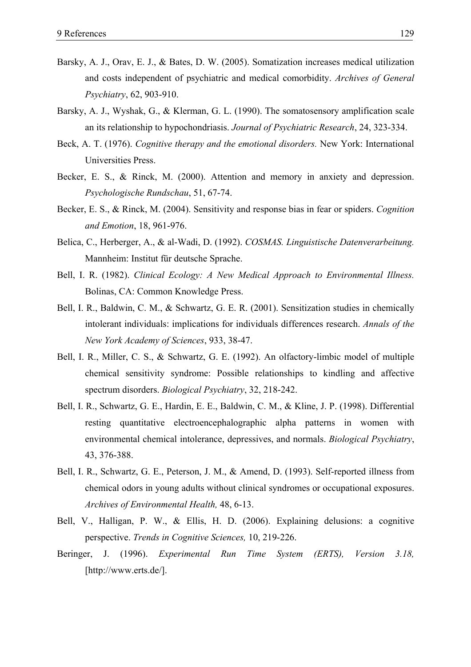- Barsky, A. J., Orav, E. J., & Bates, D. W. (2005). Somatization increases medical utilization and costs independent of psychiatric and medical comorbidity. *Archives of General Psychiatry*, 62, 903-910.
- Barsky, A. J., Wyshak, G., & Klerman, G. L. (1990). The somatosensory amplification scale an its relationship to hypochondriasis. *Journal of Psychiatric Research*, 24, 323-334.
- Beck, A. T. (1976). *Cognitive therapy and the emotional disorders.* New York: International Universities Press.
- Becker, E. S., & Rinck, M. (2000). Attention and memory in anxiety and depression. *Psychologische Rundschau*, 51, 67-74.
- Becker, E. S., & Rinck, M. (2004). Sensitivity and response bias in fear or spiders. *Cognition and Emotion*, 18, 961-976.
- Belica, C., Herberger, A., & al-Wadi, D. (1992). *COSMAS. Linguistische Datenverarbeitung.* Mannheim: Institut für deutsche Sprache.
- Bell, I. R. (1982). *Clinical Ecology: A New Medical Approach to Environmental Illness.*  Bolinas, CA: Common Knowledge Press.
- Bell, I. R., Baldwin, C. M., & Schwartz, G. E. R. (2001). Sensitization studies in chemically intolerant individuals: implications for individuals differences research. *Annals of the New York Academy of Sciences*, 933, 38-47.
- Bell, I. R., Miller, C. S., & Schwartz, G. E. (1992). An olfactory-limbic model of multiple chemical sensitivity syndrome: Possible relationships to kindling and affective spectrum disorders. *Biological Psychiatry*, 32, 218-242.
- Bell, I. R., Schwartz, G. E., Hardin, E. E., Baldwin, C. M., & Kline, J. P. (1998). Differential resting quantitative electroencephalographic alpha patterns in women with environmental chemical intolerance, depressives, and normals. *Biological Psychiatry*, 43, 376-388.
- Bell, I. R., Schwartz, G. E., Peterson, J. M., & Amend, D. (1993). Self-reported illness from chemical odors in young adults without clinical syndromes or occupational exposures. *Archives of Environmental Health,* 48, 6-13.
- Bell, V., Halligan, P. W., & Ellis, H. D. (2006). Explaining delusions: a cognitive perspective. *Trends in Cognitive Sciences,* 10, 219-226.
- Beringer, J. (1996). *Experimental Run Time System (ERTS), Version 3.18,* [http://www.erts.de/].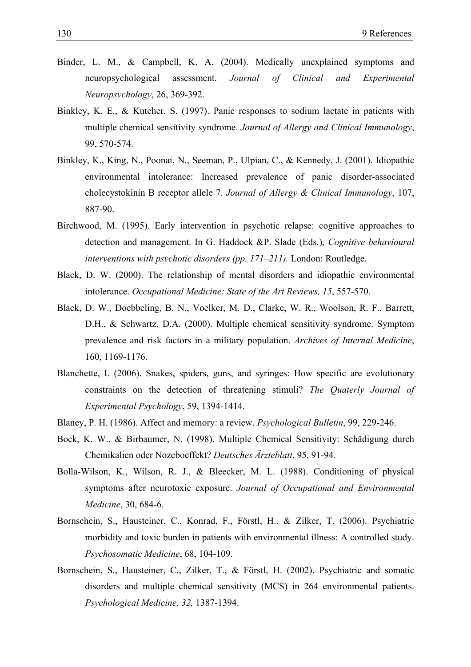- Binder, L. M., & Campbell, K. A. (2004). Medically unexplained symptoms and neuropsychological assessment. *Journal of Clinical and Experimental Neuropsychology*, 26, 369-392.
- Binkley, K. E., & Kutcher, S. (1997). Panic responses to sodium lactate in patients with multiple chemical sensitivity syndrome. *Journal of Allergy and Clinical Immunology*, 99, 570-574.
- Binkley, K., King, N., Poonai, N., Seeman, P., Ulpian, C., & Kennedy, J. (2001). Idiopathic environmental intolerance: Increased prevalence of panic disorder-associated cholecystokinin B receptor allele 7. *Journal of Allergy & Clinical Immunology*, 107, 887-90.
- Birchwood, M. (1995). Early intervention in psychotic relapse: cognitive approaches to detection and management. In G. Haddock &P. Slade (Eds.), *Cognitive behavioural interventions with psychotic disorders (pp. 171–211).* London: Routledge.
- Black, D. W. (2000). The relationship of mental disorders and idiopathic environmental intolerance. *Occupational Medicine: State of the Art Reviews, 15*, 557-570.
- Black, D. W., Doebbeling, B. N., Voelker, M. D., Clarke, W. R., Woolson, R. F., Barrett, D.H., & Schwartz, D.A. (2000). Multiple chemical sensitivity syndrome. Symptom prevalence and risk factors in a military population. *Archives of Internal Medicine*, 160, 1169-1176.
- Blanchette, I. (2006). Snakes, spiders, guns, and syringes: How specific are evolutionary constraints on the detection of threatening stimuli? *The Quaterly Journal of Experimental Psychology*, 59, 1394-1414.
- Blaney, P. H. (1986). Affect and memory: a review. *Psychological Bulletin*, 99, 229-246.
- Bock, K. W., & Birbaumer, N. (1998). Multiple Chemical Sensitivity: Schädigung durch Chemikalien oder Nozeboeffekt? *Deutsches Ärzteblatt*, 95, 91-94.
- Bolla-Wilson, K., Wilson, R. J., & Bleecker, M. L. (1988). Conditioning of physical symptoms after neurotoxic exposure. *Journal of Occupational and Environmental Medicine*, 30, 684-6.
- Bornschein, S., Hausteiner, C., Konrad, F., Förstl, H., & Zilker, T. (2006). Psychiatric morbidity and toxic burden in patients with environmental illness: A controlled study. *Psychosomatic Medicine*, 68, 104-109.
- Bornschein, S., Hausteiner, C., Zilker, T., & Förstl, H. (2002). Psychiatric and somatic disorders and multiple chemical sensitivity (MCS) in 264 environmental patients. *Psychological Medicine, 32,* 1387-1394.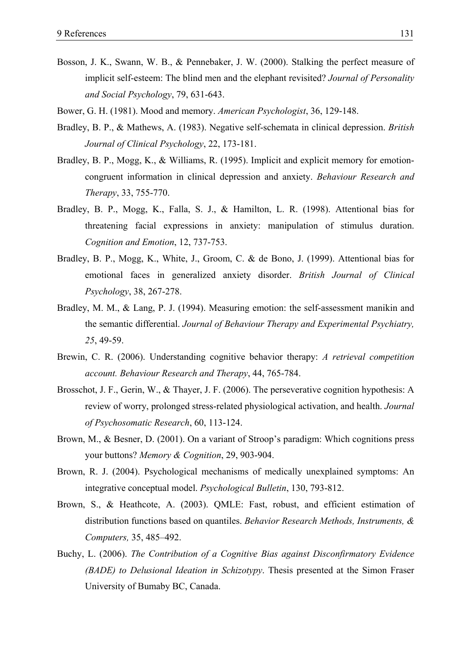- Bosson, J. K., Swann, W. B., & Pennebaker, J. W. (2000). Stalking the perfect measure of implicit self-esteem: The blind men and the elephant revisited? *Journal of Personality and Social Psychology*, 79, 631-643.
- Bower, G. H. (1981). Mood and memory. *American Psychologist*, 36, 129-148.
- Bradley, B. P., & Mathews, A. (1983). Negative self-schemata in clinical depression. *British Journal of Clinical Psychology*, 22, 173-181.
- Bradley, B. P., Mogg, K., & Williams, R. (1995). Implicit and explicit memory for emotioncongruent information in clinical depression and anxiety. *Behaviour Research and Therapy*, 33, 755-770.
- Bradley, B. P., Mogg, K., Falla, S. J., & Hamilton, L. R. (1998). Attentional bias for threatening facial expressions in anxiety: manipulation of stimulus duration. *Cognition and Emotion*, 12, 737-753.
- Bradley, B. P., Mogg, K., White, J., Groom, C. & de Bono, J. (1999). Attentional bias for emotional faces in generalized anxiety disorder. *British Journal of Clinical Psychology*, 38, 267-278.
- Bradley, M. M., & Lang, P. J. (1994). Measuring emotion: the self-assessment manikin and the semantic differential. *Journal of Behaviour Therapy and Experimental Psychiatry, 25*, 49-59.
- Brewin, C. R. (2006). Understanding cognitive behavior therapy: *A retrieval competition account. Behaviour Research and Therapy*, 44, 765-784.
- Brosschot, J. F., Gerin, W., & Thayer, J. F. (2006). The perseverative cognition hypothesis: A review of worry, prolonged stress-related physiological activation, and health. *Journal of Psychosomatic Research*, 60, 113-124.
- Brown, M., & Besner, D. (2001). On a variant of Stroop's paradigm: Which cognitions press your buttons? *Memory & Cognition*, 29, 903-904.
- Brown, R. J. (2004). Psychological mechanisms of medically unexplained symptoms: An integrative conceptual model. *Psychological Bulletin*, 130, 793-812.
- Brown, S., & Heathcote, A. (2003). QMLE: Fast, robust, and efficient estimation of distribution functions based on quantiles. *Behavior Research Methods, Instruments, & Computers,* 35, 485–492.
- Buchy, L. (2006). *The Contribution of a Cognitive Bias against Disconfirmatory Evidence (BADE) to Delusional Ideation in Schizotypy*. Thesis presented at the Simon Fraser University of Bumaby BC, Canada.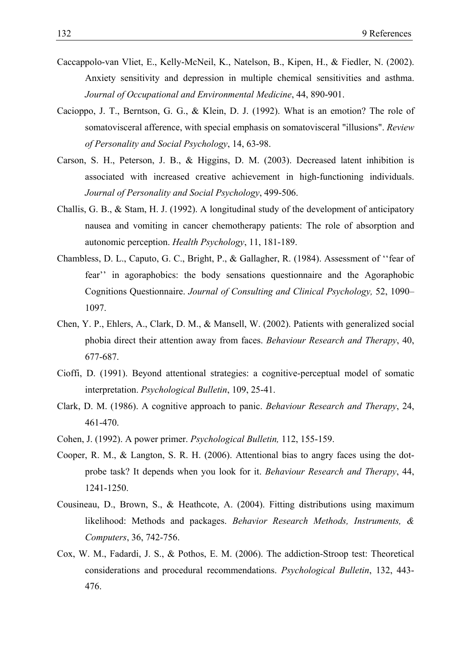- Caccappolo-van Vliet, E., Kelly-McNeil, K., Natelson, B., Kipen, H., & Fiedler, N. (2002). Anxiety sensitivity and depression in multiple chemical sensitivities and asthma. *Journal of Occupational and Environmental Medicine*, 44, 890-901.
- Cacioppo, J. T., Berntson, G. G., & Klein, D. J. (1992). What is an emotion? The role of somatovisceral afference, with special emphasis on somatovisceral "illusions". *Review of Personality and Social Psychology*, 14, 63-98.
- Carson, S. H., Peterson, J. B., & Higgins, D. M. (2003). Decreased latent inhibition is associated with increased creative achievement in high-functioning individuals. *Journal of Personality and Social Psychology*, 499-506.
- Challis, G. B., & Stam, H. J. (1992). A longitudinal study of the development of anticipatory nausea and vomiting in cancer chemotherapy patients: The role of absorption and autonomic perception. *Health Psychology*, 11, 181-189.
- Chambless, D. L., Caputo, G. C., Bright, P., & Gallagher, R. (1984). Assessment of ''fear of fear'' in agoraphobics: the body sensations questionnaire and the Agoraphobic Cognitions Questionnaire. *Journal of Consulting and Clinical Psychology,* 52, 1090– 1097.
- Chen, Y. P., Ehlers, A., Clark, D. M., & Mansell, W. (2002). Patients with generalized social phobia direct their attention away from faces. *Behaviour Research and Therapy*, 40, 677-687.
- Cioffi, D. (1991). Beyond attentional strategies: a cognitive-perceptual model of somatic interpretation. *Psychological Bulletin*, 109, 25-41.
- Clark, D. M. (1986). A cognitive approach to panic. *Behaviour Research and Therapy*, 24, 461-470.
- Cohen, J. (1992). A power primer. *Psychological Bulletin,* 112, 155-159.
- Cooper, R. M., & Langton, S. R. H. (2006). Attentional bias to angry faces using the dotprobe task? It depends when you look for it. *Behaviour Research and Therapy*, 44, 1241-1250.
- Cousineau, D., Brown, S., & Heathcote, A. (2004). Fitting distributions using maximum likelihood: Methods and packages. *Behavior Research Methods, Instruments, & Computers*, 36, 742-756.
- Cox, W. M., Fadardi, J. S., & Pothos, E. M. (2006). The addiction-Stroop test: Theoretical considerations and procedural recommendations. *Psychological Bulletin*, 132, 443- 476.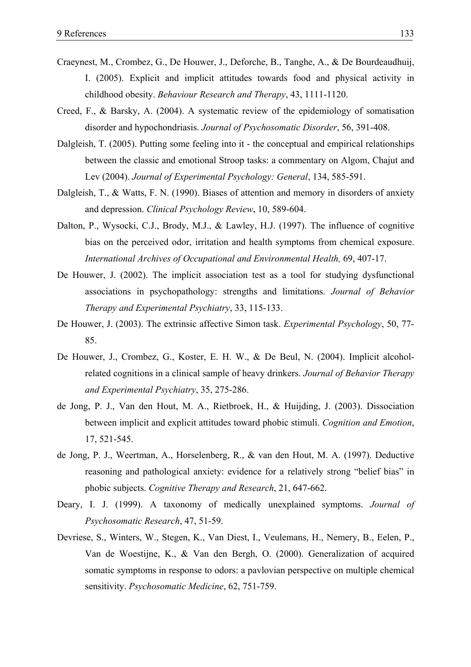- Craeynest, M., Crombez, G., De Houwer, J., Deforche, B., Tanghe, A., & De Bourdeaudhuij, I. (2005). Explicit and implicit attitudes towards food and physical activity in childhood obesity. *Behaviour Research and Therapy*, 43, 1111-1120.
- Creed, F., & Barsky, A. (2004). A systematic review of the epidemiology of somatisation disorder and hypochondriasis. *Journal of Psychosomatic Disorder*, 56, 391-408.
- Dalgleish, T. (2005). Putting some feeling into it the conceptual and empirical relationships between the classic and emotional Stroop tasks: a commentary on Algom, Chajut and Lev (2004). *Journal of Experimental Psychology: General*, 134, 585-591.
- Dalgleish, T., & Watts, F. N. (1990). Biases of attention and memory in disorders of anxiety and depression. *Clinical Psychology Review*, 10, 589-604.
- Dalton, P., Wysocki, C.J., Brody, M.J., & Lawley, H.J. (1997). The influence of cognitive bias on the perceived odor, irritation and health symptoms from chemical exposure. *International Archives of Occupational and Environmental Health,* 69, 407-17.
- De Houwer, J. (2002). The implicit association test as a tool for studying dysfunctional associations in psychopathology: strengths and limitations. *Journal of Behavior Therapy and Experimental Psychiatry*, 33, 115-133.
- De Houwer, J. (2003). The extrinsic affective Simon task. *Experimental Psychology*, 50, 77- 85.
- De Houwer, J., Crombez, G., Koster, E. H. W., & De Beul, N. (2004). Implicit alcoholrelated cognitions in a clinical sample of heavy drinkers. *Journal of Behavior Therapy and Experimental Psychiatry*, 35, 275-286.
- de Jong, P. J., Van den Hout, M. A., Rietbroek, H., & Huijding, J. (2003). Dissociation between implicit and explicit attitudes toward phobic stimuli. *Cognition and Emotion*, 17, 521-545.
- de Jong, P. J., Weertman, A., Horselenberg, R., & van den Hout, M. A. (1997). Deductive reasoning and pathological anxiety: evidence for a relatively strong "belief bias" in phobic subjects. *Cognitive Therapy and Research*, 21, 647-662.
- Deary, I. J. (1999). A taxonomy of medically unexplained symptoms. *Journal of Psychosomatic Research*, 47, 51-59.
- Devriese, S., Winters, W., Stegen, K., Van Diest, I., Veulemans, H., Nemery, B., Eelen, P., Van de Woestijne, K., & Van den Bergh, O. (2000). Generalization of acquired somatic symptoms in response to odors: a pavlovian perspective on multiple chemical sensitivity. *Psychosomatic Medicine*, 62, 751-759.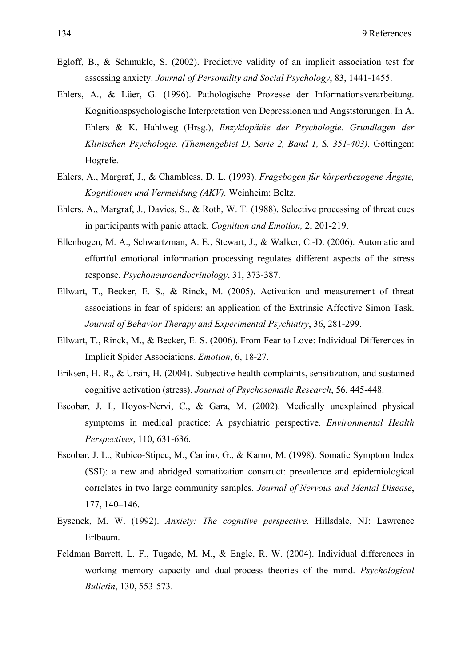- Egloff, B., & Schmukle, S. (2002). Predictive validity of an implicit association test for assessing anxiety. *Journal of Personality and Social Psychology*, 83, 1441-1455.
- Ehlers, A., & Lüer, G. (1996). Pathologische Prozesse der Informationsverarbeitung. Kognitionspsychologische Interpretation von Depressionen und Angststörungen. In A. Ehlers & K. Hahlweg (Hrsg.), *Enzyklopädie der Psychologie. Grundlagen der Klinischen Psychologie. (Themengebiet D, Serie 2, Band 1, S. 351-403)*. Göttingen: Hogrefe.
- Ehlers, A., Margraf, J., & Chambless, D. L. (1993). *Fragebogen für körperbezogene Ängste, Kognitionen und Vermeidung (AKV).* Weinheim: Beltz.
- Ehlers, A., Margraf, J., Davies, S., & Roth, W. T. (1988). Selective processing of threat cues in participants with panic attack. *Cognition and Emotion,* 2, 201-219.
- Ellenbogen, M. A., Schwartzman, A. E., Stewart, J., & Walker, C.-D. (2006). Automatic and effortful emotional information processing regulates different aspects of the stress response. *Psychoneuroendocrinology*, 31, 373-387.
- Ellwart, T., Becker, E. S., & Rinck, M. (2005). Activation and measurement of threat associations in fear of spiders: an application of the Extrinsic Affective Simon Task. *Journal of Behavior Therapy and Experimental Psychiatry*, 36, 281-299.
- Ellwart, T., Rinck, M., & Becker, E. S. (2006). From Fear to Love: Individual Differences in Implicit Spider Associations. *Emotion*, 6, 18-27.
- Eriksen, H. R., & Ursin, H. (2004). Subjective health complaints, sensitization, and sustained cognitive activation (stress). *Journal of Psychosomatic Research*, 56, 445-448.
- Escobar, J. I., Hoyos-Nervi, C., & Gara, M. (2002). Medically unexplained physical symptoms in medical practice: A psychiatric perspective. *Environmental Health Perspectives*, 110, 631-636.
- Escobar, J. L., Rubico-Stipec, M., Canino, G., & Karno, M. (1998). Somatic Symptom Index (SSI): a new and abridged somatization construct: prevalence and epidemiological correlates in two large community samples. *Journal of Nervous and Mental Disease*, 177, 140–146.
- Eysenck, M. W. (1992). *Anxiety: The cognitive perspective.* Hillsdale, NJ: Lawrence Erlbaum.
- Feldman Barrett, L. F., Tugade, M. M., & Engle, R. W. (2004). Individual differences in working memory capacity and dual-process theories of the mind. *Psychological Bulletin*, 130, 553-573.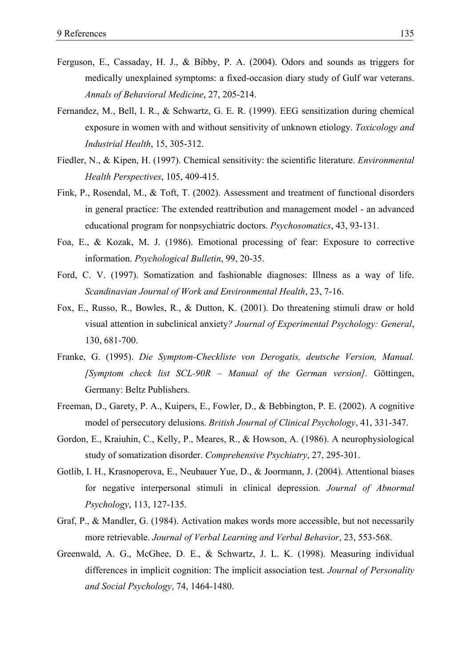- Ferguson, E., Cassaday, H. J., & Bibby, P. A. (2004). Odors and sounds as triggers for medically unexplained symptoms: a fixed-occasion diary study of Gulf war veterans. *Annals of Behavioral Medicine*, 27, 205-214.
- Fernandez, M., Bell, I. R., & Schwartz, G. E. R. (1999). EEG sensitization during chemical exposure in women with and without sensitivity of unknown etiology. *Toxicology and Industrial Health*, 15, 305-312.
- Fiedler, N., & Kipen, H. (1997). Chemical sensitivity: the scientific literature. *Environmental Health Perspectives*, 105, 409-415.
- Fink, P., Rosendal, M., & Toft, T. (2002). Assessment and treatment of functional disorders in general practice: The extended reattribution and management model - an advanced educational program for nonpsychiatric doctors. *Psychosomatics*, 43, 93-131.
- Foa, E., & Kozak, M. J. (1986). Emotional processing of fear: Exposure to corrective information. *Psychological Bulletin*, 99, 20-35.
- Ford, C. V. (1997). Somatization and fashionable diagnoses: Illness as a way of life. *Scandinavian Journal of Work and Environmental Health*, 23, 7-16.
- Fox, E., Russo, R., Bowles, R., & Dutton, K. (2001). Do threatening stimuli draw or hold visual attention in subclinical anxiety*? Journal of Experimental Psychology: General*, 130, 681-700.
- Franke, G. (1995). *Die Symptom-Checkliste von Derogatis, deutsche Version, Manual. [Symptom check list SCL-90R – Manual of the German version].* Göttingen, Germany: Beltz Publishers.
- Freeman, D., Garety, P. A., Kuipers, E., Fowler, D., & Bebbington, P. E. (2002). A cognitive model of persecutory delusions. *British Journal of Clinical Psychology*, 41, 331-347.
- Gordon, E., Kraiuhin, C., Kelly, P., Meares, R., & Howson, A. (1986). A neurophysiological study of somatization disorder. *Comprehensive Psychiatry*, 27, 295-301.
- Gotlib, I. H., Krasnoperova, E., Neubauer Yue, D., & Joormann, J. (2004). Attentional biases for negative interpersonal stimuli in clinical depression. *Journal of Abnormal Psychology*, 113, 127-135.
- Graf, P., & Mandler, G. (1984). Activation makes words more accessible, but not necessarily more retrievable. *Journal of Verbal Learning and Verbal Behavior*, 23, 553-568.
- Greenwald, A. G., McGhee, D. E., & Schwartz, J. L. K. (1998). Measuring individual differences in implicit cognition: The implicit association test. *Journal of Personality and Social Psychology*, 74, 1464-1480.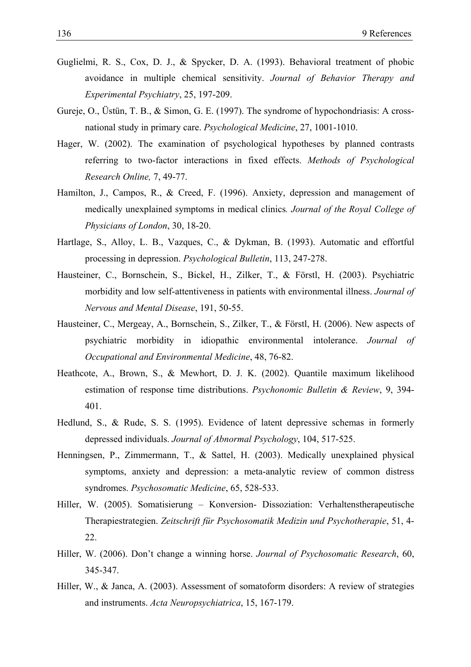- Guglielmi, R. S., Cox, D. J., & Spycker, D. A. (1993). Behavioral treatment of phobic avoidance in multiple chemical sensitivity. *Journal of Behavior Therapy and Experimental Psychiatry*, 25, 197-209.
- Gureje, O., Üstün, T. B., & Simon, G. E. (1997). The syndrome of hypochondriasis: A crossnational study in primary care. *Psychological Medicine*, 27, 1001-1010.
- Hager, W. (2002). The examination of psychological hypotheses by planned contrasts referring to two-factor interactions in fixed effects. *Methods of Psychological Research Online,* 7, 49-77.
- Hamilton, J., Campos, R., & Creed, F. (1996). Anxiety, depression and management of medically unexplained symptoms in medical clinics*. Journal of the Royal College of Physicians of London*, 30, 18-20.
- Hartlage, S., Alloy, L. B., Vazques, C., & Dykman, B. (1993). Automatic and effortful processing in depression. *Psychological Bulletin*, 113, 247-278.
- Hausteiner, C., Bornschein, S., Bickel, H., Zilker, T., & Förstl, H. (2003). Psychiatric morbidity and low self-attentiveness in patients with environmental illness. *Journal of Nervous and Mental Disease*, 191, 50-55.
- Hausteiner, C., Mergeay, A., Bornschein, S., Zilker, T., & Förstl, H. (2006). New aspects of psychiatric morbidity in idiopathic environmental intolerance. *Journal of Occupational and Environmental Medicine*, 48, 76-82.
- Heathcote, A., Brown, S., & Mewhort, D. J. K. (2002). Quantile maximum likelihood estimation of response time distributions. *Psychonomic Bulletin & Review*, 9, 394- 401.
- Hedlund, S., & Rude, S. S. (1995). Evidence of latent depressive schemas in formerly depressed individuals. *Journal of Abnormal Psychology*, 104, 517-525.
- Henningsen, P., Zimmermann, T., & Sattel, H. (2003). Medically unexplained physical symptoms, anxiety and depression: a meta-analytic review of common distress syndromes. *Psychosomatic Medicine*, 65, 528-533.
- Hiller, W. (2005). Somatisierung Konversion- Dissoziation: Verhaltenstherapeutische Therapiestrategien. *Zeitschrift für Psychosomatik Medizin und Psychotherapie*, 51, 4- 22.
- Hiller, W. (2006). Don't change a winning horse. *Journal of Psychosomatic Research*, 60, 345-347.
- Hiller, W., & Janca, A. (2003). Assessment of somatoform disorders: A review of strategies and instruments. *Acta Neuropsychiatrica*, 15, 167-179.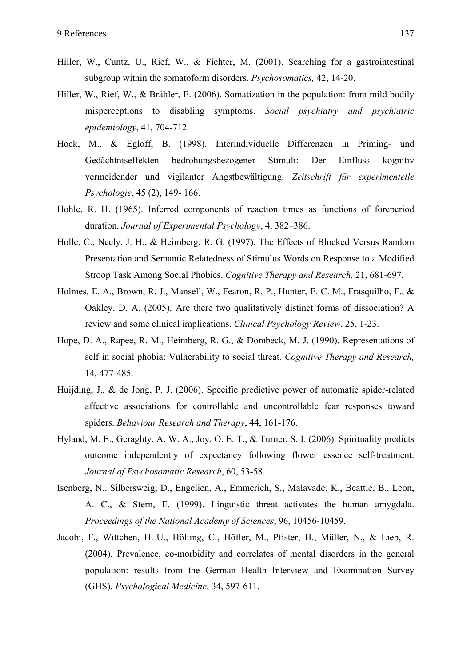- Hiller, W., Cuntz, U., Rief, W., & Fichter, M. (2001). Searching for a gastrointestinal subgroup within the somatoform disorders. *Psychosomatics,* 42, 14-20.
- Hiller, W., Rief, W., & Brähler, E. (2006). Somatization in the population: from mild bodily misperceptions to disabling symptoms. *Social psychiatry and psychiatric epidemiology*, 41, 704-712.
- Hock, M., & Egloff, B. (1998). Interindividuelle Differenzen in Priming- und Gedächtniseffekten bedrohungsbezogener Stimuli: Der Einfluss kognitiv vermeidender und vigilanter Angstbewältigung. *Zeitschrift für experimentelle Psychologie*, 45 (2), 149- 166.
- Hohle, R. H. (1965). Inferred components of reaction times as functions of foreperiod duration. *Journal of Experimental Psychology*, 4, 382–386.
- Holle, C., Neely, J. H., & Heimberg, R. G. (1997). The Effects of Blocked Versus Random Presentation and Semantic Relatedness of Stimulus Words on Response to a Modified Stroop Task Among Social Phobics. *Cognitive Therapy and Research,* 21, 681-697.
- Holmes, E. A., Brown, R. J., Mansell, W., Fearon, R. P., Hunter, E. C. M., Frasquilho, F., & Oakley, D. A. (2005). Are there two qualitatively distinct forms of dissociation? A review and some clinical implications. *Clinical Psychology Review*, 25, 1-23.
- Hope, D. A., Rapee, R. M., Heimberg, R. G., & Dombeck, M. J. (1990). Representations of self in social phobia: Vulnerability to social threat. *Cognitive Therapy and Research,*  14, 477-485.
- Huijding, J., & de Jong, P. J. (2006). Specific predictive power of automatic spider-related affective associations for controllable and uncontrollable fear responses toward spiders. *Behaviour Research and Therapy*, 44, 161-176.
- Hyland, M. E., Geraghty, A. W. A., Joy, O. E. T., & Turner, S. I. (2006). Spirituality predicts outcome independently of expectancy following flower essence self-treatment. *Journal of Psychosomatic Research*, 60, 53-58.
- Isenberg, N., Silbersweig, D., Engelien, A., Emmerich, S., Malavade, K., Beattie, B., Leon, A. C., & Stern, E. (1999). Linguistic threat activates the human amygdala. *Proceedings of the National Academy of Sciences*, 96, 10456-10459.
- Jacobi, F., Wittchen, H.-U., Hölting, C., Höfler, M., Pfister, H., Müller, N., & Lieb, R. (2004). Prevalence, co-morbidity and correlates of mental disorders in the general population: results from the German Health Interview and Examination Survey (GHS). *Psychological Medicine*, 34, 597-611.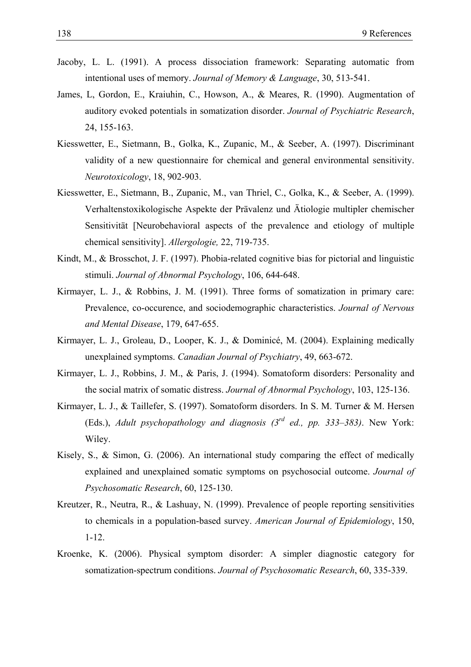- Jacoby, L. L. (1991). A process dissociation framework: Separating automatic from intentional uses of memory. *Journal of Memory & Language*, 30, 513-541.
- James, L, Gordon, E., Kraiuhin, C., Howson, A., & Meares, R. (1990). Augmentation of auditory evoked potentials in somatization disorder. *Journal of Psychiatric Research*, 24, 155-163.
- Kiesswetter, E., Sietmann, B., Golka, K., Zupanic, M., & Seeber, A. (1997). Discriminant validity of a new questionnaire for chemical and general environmental sensitivity. *Neurotoxicology*, 18, 902-903.
- Kiesswetter, E., Sietmann, B., Zupanic, M., van Thriel, C., Golka, K., & Seeber, A. (1999). Verhaltenstoxikologische Aspekte der Prävalenz und Ätiologie multipler chemischer Sensitivität [Neurobehavioral aspects of the prevalence and etiology of multiple chemical sensitivity]. *Allergologie,* 22, 719-735.
- Kindt, M., & Brosschot, J. F. (1997). Phobia-related cognitive bias for pictorial and linguistic stimuli. *Journal of Abnormal Psychology*, 106, 644-648.
- Kirmayer, L. J., & Robbins, J. M. (1991). Three forms of somatization in primary care: Prevalence, co-occurence, and sociodemographic characteristics. *Journal of Nervous and Mental Disease*, 179, 647-655.
- Kirmayer, L. J., Groleau, D., Looper, K. J., & Dominicé, M. (2004). Explaining medically unexplained symptoms. *Canadian Journal of Psychiatry*, 49, 663-672.
- Kirmayer, L. J., Robbins, J. M., & Paris, J. (1994). Somatoform disorders: Personality and the social matrix of somatic distress. *Journal of Abnormal Psychology*, 103, 125-136.
- Kirmayer, L. J., & Taillefer, S. (1997). Somatoform disorders. In S. M. Turner & M. Hersen (Eds.), *Adult psychopathology and diagnosis (3rd ed., pp. 333–383)*. New York: Wiley.
- Kisely, S., & Simon, G. (2006). An international study comparing the effect of medically explained and unexplained somatic symptoms on psychosocial outcome. *Journal of Psychosomatic Research*, 60, 125-130.
- Kreutzer, R., Neutra, R., & Lashuay, N. (1999). Prevalence of people reporting sensitivities to chemicals in a population-based survey. *American Journal of Epidemiology*, 150, 1-12.
- Kroenke, K. (2006). Physical symptom disorder: A simpler diagnostic category for somatization-spectrum conditions. *Journal of Psychosomatic Research*, 60, 335-339.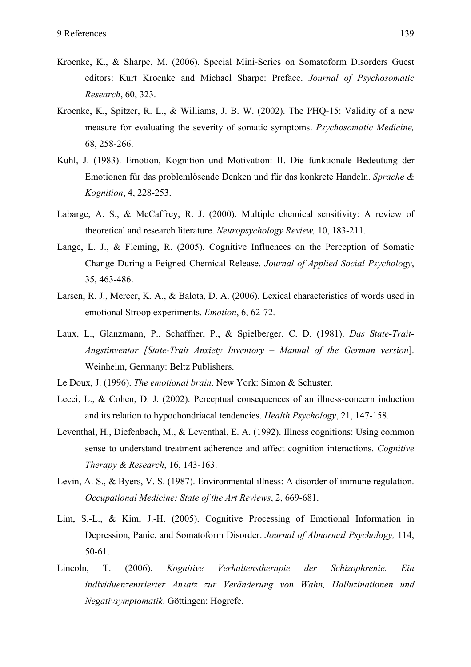- Kroenke, K., & Sharpe, M. (2006). Special Mini-Series on Somatoform Disorders Guest editors: Kurt Kroenke and Michael Sharpe: Preface. *Journal of Psychosomatic Research*, 60, 323.
- Kroenke, K., Spitzer, R. L., & Williams, J. B. W. (2002). The PHQ-15: Validity of a new measure for evaluating the severity of somatic symptoms. *Psychosomatic Medicine,*  68, 258-266.
- Kuhl, J. (1983). Emotion, Kognition und Motivation: II. Die funktionale Bedeutung der Emotionen für das problemlösende Denken und für das konkrete Handeln. *Sprache & Kognition*, 4, 228-253.
- Labarge, A. S., & McCaffrey, R. J. (2000). Multiple chemical sensitivity: A review of theoretical and research literature. *Neuropsychology Review,* 10, 183-211.
- Lange, L. J., & Fleming, R. (2005). Cognitive Influences on the Perception of Somatic Change During a Feigned Chemical Release. *Journal of Applied Social Psychology*, 35, 463-486.
- Larsen, R. J., Mercer, K. A., & Balota, D. A. (2006). Lexical characteristics of words used in emotional Stroop experiments. *Emotion*, 6, 62-72.
- Laux, L., Glanzmann, P., Schaffner, P., & Spielberger, C. D. (1981). *Das State-Trait-Angstinventar [State-Trait Anxiety Inventory – Manual of the German version*]. Weinheim, Germany: Beltz Publishers.
- Le Doux, J. (1996). *The emotional brain*. New York: Simon & Schuster.
- Lecci, L., & Cohen, D. J. (2002). Perceptual consequences of an illness-concern induction and its relation to hypochondriacal tendencies. *Health Psychology*, 21, 147-158.
- Leventhal, H., Diefenbach, M., & Leventhal, E. A. (1992). Illness cognitions: Using common sense to understand treatment adherence and affect cognition interactions. *Cognitive Therapy & Research*, 16, 143-163.
- Levin, A. S., & Byers, V. S. (1987). Environmental illness: A disorder of immune regulation. *Occupational Medicine: State of the Art Reviews*, 2, 669-681.
- Lim, S.-L., & Kim, J.-H. (2005). Cognitive Processing of Emotional Information in Depression, Panic, and Somatoform Disorder. *Journal of Abnormal Psychology,* 114, 50-61.
- Lincoln, T. (2006). *Kognitive Verhaltenstherapie der Schizophrenie. Ein individuenzentrierter Ansatz zur Veränderung von Wahn, Halluzinationen und Negativsymptomatik*. Göttingen: Hogrefe.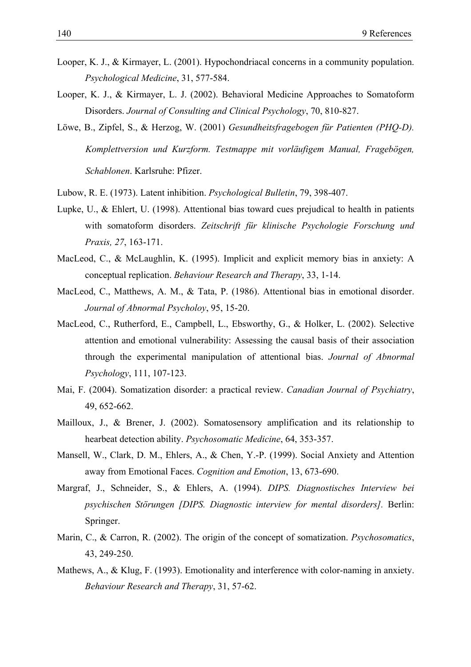- Looper, K. J., & Kirmayer, L. (2001). Hypochondriacal concerns in a community population. *Psychological Medicine*, 31, 577-584.
- Looper, K. J., & Kirmayer, L. J. (2002). Behavioral Medicine Approaches to Somatoform Disorders. *Journal of Consulting and Clinical Psychology*, 70, 810-827.
- Löwe, B., Zipfel, S., & Herzog, W. (2001) *Gesundheitsfragebogen für Patienten (PHQ-D). Komplettversion und Kurzform. Testmappe mit vorläufigem Manual, Fragebögen, Schablonen*. Karlsruhe: Pfizer.
- Lubow, R. E. (1973). Latent inhibition. *Psychological Bulletin*, 79, 398-407.
- Lupke, U., & Ehlert, U. (1998). Attentional bias toward cues prejudical to health in patients with somatoform disorders. *Zeitschrift für klinische Psychologie Forschung und Praxis, 27*, 163-171.
- MacLeod, C., & McLaughlin, K. (1995). Implicit and explicit memory bias in anxiety: A conceptual replication. *Behaviour Research and Therapy*, 33, 1-14.
- MacLeod, C., Matthews, A. M., & Tata, P. (1986). Attentional bias in emotional disorder. *Journal of Abnormal Psycholoy*, 95, 15-20.
- MacLeod, C., Rutherford, E., Campbell, L., Ebsworthy, G., & Holker, L. (2002). Selective attention and emotional vulnerability: Assessing the causal basis of their association through the experimental manipulation of attentional bias. *Journal of Abnormal Psychology*, 111, 107-123.
- Mai, F. (2004). Somatization disorder: a practical review. *Canadian Journal of Psychiatry*, 49, 652-662.
- Mailloux, J., & Brener, J. (2002). Somatosensory amplification and its relationship to hearbeat detection ability. *Psychosomatic Medicine*, 64, 353-357.
- Mansell, W., Clark, D. M., Ehlers, A., & Chen, Y.-P. (1999). Social Anxiety and Attention away from Emotional Faces. *Cognition and Emotion*, 13, 673-690.
- Margraf, J., Schneider, S., & Ehlers, A. (1994). *DIPS. Diagnostisches Interview bei psychischen Störungen [DIPS. Diagnostic interview for mental disorders].* Berlin: Springer.
- Marin, C., & Carron, R. (2002). The origin of the concept of somatization. *Psychosomatics*, 43, 249-250.
- Mathews, A., & Klug, F. (1993). Emotionality and interference with color-naming in anxiety. *Behaviour Research and Therapy*, 31, 57-62.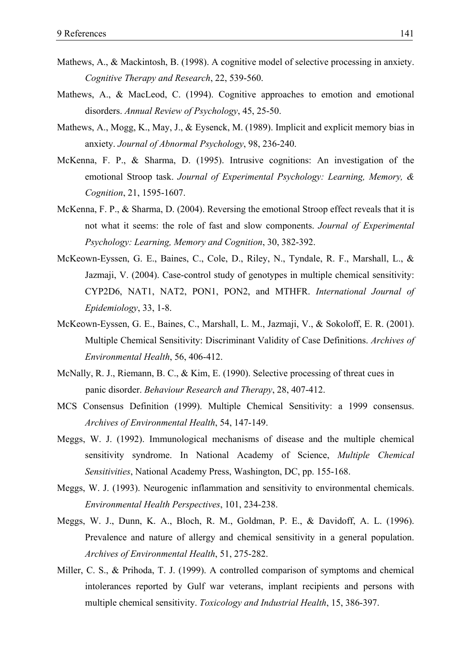- Mathews, A., & Mackintosh, B. (1998). A cognitive model of selective processing in anxiety. *Cognitive Therapy and Research*, 22, 539-560.
- Mathews, A., & MacLeod, C. (1994). Cognitive approaches to emotion and emotional disorders. *Annual Review of Psychology*, 45, 25-50.
- Mathews, A., Mogg, K., May, J., & Eysenck, M. (1989). Implicit and explicit memory bias in anxiety. *Journal of Abnormal Psychology*, 98, 236-240.
- McKenna, F. P., & Sharma, D. (1995). Intrusive cognitions: An investigation of the emotional Stroop task. *Journal of Experimental Psychology: Learning, Memory, & Cognition*, 21, 1595-1607.
- McKenna, F. P., & Sharma, D. (2004). Reversing the emotional Stroop effect reveals that it is not what it seems: the role of fast and slow components. *Journal of Experimental Psychology: Learning, Memory and Cognition*, 30, 382-392.
- McKeown-Eyssen, G. E., Baines, C., Cole, D., Riley, N., Tyndale, R. F., Marshall, L., & Jazmaji, V. (2004). Case-control study of genotypes in multiple chemical sensitivity: CYP2D6, NAT1, NAT2, PON1, PON2, and MTHFR. *International Journal of Epidemiology*, 33, 1-8.
- McKeown-Eyssen, G. E., Baines, C., Marshall, L. M., Jazmaji, V., & Sokoloff, E. R. (2001). Multiple Chemical Sensitivity: Discriminant Validity of Case Definitions. *Archives of Environmental Health*, 56, 406-412.
- McNally, R. J., Riemann, B. C., & Kim, E. (1990). Selective processing of threat cues in panic disorder. *Behaviour Research and Therapy*, 28, 407-412.
- MCS Consensus Definition (1999). Multiple Chemical Sensitivity: a 1999 consensus. *Archives of Environmental Health*, 54, 147-149.
- Meggs, W. J. (1992). Immunological mechanisms of disease and the multiple chemical sensitivity syndrome. In National Academy of Science, *Multiple Chemical Sensitivities*, National Academy Press, Washington, DC, pp. 155-168.
- Meggs, W. J. (1993). Neurogenic inflammation and sensitivity to environmental chemicals. *Environmental Health Perspectives*, 101, 234-238.
- Meggs, W. J., Dunn, K. A., Bloch, R. M., Goldman, P. E., & Davidoff, A. L. (1996). Prevalence and nature of allergy and chemical sensitivity in a general population. *Archives of Environmental Health*, 51, 275-282.
- Miller, C. S., & Prihoda, T. J. (1999). A controlled comparison of symptoms and chemical intolerances reported by Gulf war veterans, implant recipients and persons with multiple chemical sensitivity. *Toxicology and Industrial Health*, 15, 386-397.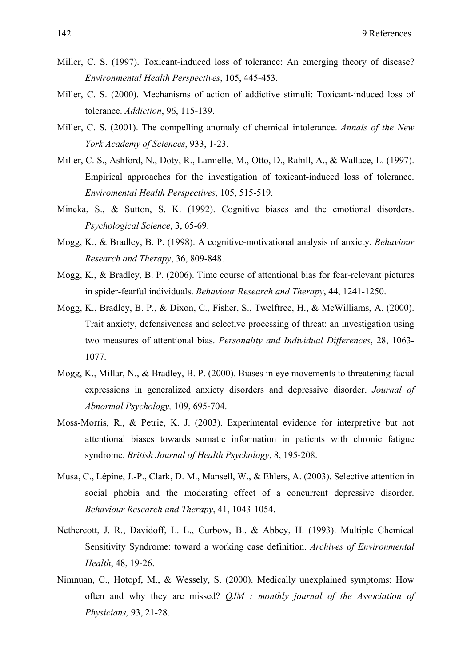- Miller, C. S. (1997). Toxicant-induced loss of tolerance: An emerging theory of disease? *Environmental Health Perspectives*, 105, 445-453.
- Miller, C. S. (2000). Mechanisms of action of addictive stimuli: Toxicant-induced loss of tolerance. *Addiction*, 96, 115-139.
- Miller, C. S. (2001). The compelling anomaly of chemical intolerance. *Annals of the New York Academy of Sciences*, 933, 1-23.
- Miller, C. S., Ashford, N., Doty, R., Lamielle, M., Otto, D., Rahill, A., & Wallace, L. (1997). Empirical approaches for the investigation of toxicant-induced loss of tolerance. *Enviromental Health Perspectives*, 105, 515-519.
- Mineka, S., & Sutton, S. K. (1992). Cognitive biases and the emotional disorders. *Psychological Science*, 3, 65-69.
- Mogg, K., & Bradley, B. P. (1998). A cognitive-motivational analysis of anxiety. *Behaviour Research and Therapy*, 36, 809-848.
- Mogg, K., & Bradley, B. P. (2006). Time course of attentional bias for fear-relevant pictures in spider-fearful individuals. *Behaviour Research and Therapy*, 44, 1241-1250.
- Mogg, K., Bradley, B. P., & Dixon, C., Fisher, S., Twelftree, H., & McWilliams, A. (2000). Trait anxiety, defensiveness and selective processing of threat: an investigation using two measures of attentional bias. *Personality and Individual Differences*, 28, 1063- 1077.
- Mogg, K., Millar, N., & Bradley, B. P. (2000). Biases in eye movements to threatening facial expressions in generalized anxiety disorders and depressive disorder. *Journal of Abnormal Psychology,* 109, 695-704.
- Moss-Morris, R., & Petrie, K. J. (2003). Experimental evidence for interpretive but not attentional biases towards somatic information in patients with chronic fatigue syndrome. *British Journal of Health Psychology*, 8, 195-208.
- Musa, C., Lépine, J.-P., Clark, D. M., Mansell, W., & Ehlers, A. (2003). Selective attention in social phobia and the moderating effect of a concurrent depressive disorder. *Behaviour Research and Therapy*, 41, 1043-1054.
- Nethercott, J. R., Davidoff, L. L., Curbow, B., & Abbey, H. (1993). Multiple Chemical Sensitivity Syndrome: toward a working case definition. *Archives of Environmental Health*, 48, 19-26.
- Nimnuan, C., Hotopf, M., & Wessely, S. (2000). Medically unexplained symptoms: How often and why they are missed? *QJM : monthly journal of the Association of Physicians,* 93, 21-28.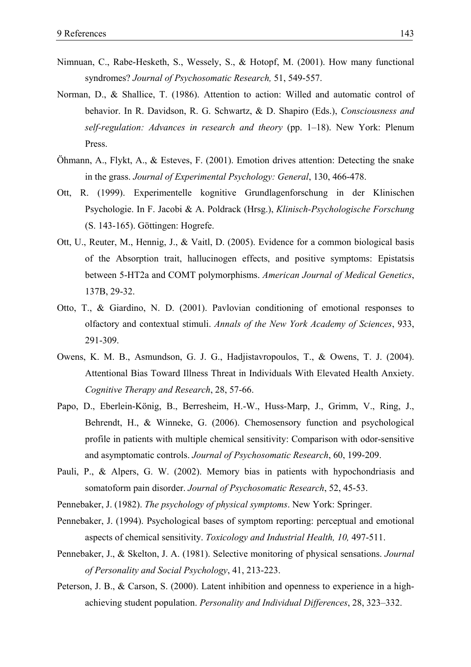- Nimnuan, C., Rabe-Hesketh, S., Wessely, S., & Hotopf, M. (2001). How many functional syndromes? *Journal of Psychosomatic Research,* 51, 549-557.
- Norman, D., & Shallice, T. (1986). Attention to action: Willed and automatic control of behavior. In R. Davidson, R. G. Schwartz, & D. Shapiro (Eds.), *Consciousness and self-regulation: Advances in research and theory* (pp. 1–18). New York: Plenum Press.
- Öhmann, A., Flykt, A., & Esteves, F. (2001). Emotion drives attention: Detecting the snake in the grass. *Journal of Experimental Psychology: General*, 130, 466-478.
- Ott, R. (1999). Experimentelle kognitive Grundlagenforschung in der Klinischen Psychologie. In F. Jacobi & A. Poldrack (Hrsg.), *Klinisch-Psychologische Forschung* (S. 143-165). Göttingen: Hogrefe.
- Ott, U., Reuter, M., Hennig, J., & Vaitl, D. (2005). Evidence for a common biological basis of the Absorption trait, hallucinogen effects, and positive symptoms: Epistatsis between 5-HT2a and COMT polymorphisms. *American Journal of Medical Genetics*, 137B, 29-32.
- Otto, T., & Giardino, N. D. (2001). Pavlovian conditioning of emotional responses to olfactory and contextual stimuli. *Annals of the New York Academy of Sciences*, 933, 291-309.
- Owens, K. M. B., Asmundson, G. J. G., Hadjistavropoulos, T., & Owens, T. J. (2004). Attentional Bias Toward Illness Threat in Individuals With Elevated Health Anxiety. *Cognitive Therapy and Research*, 28, 57-66.
- Papo, D., Eberlein-König, B., Berresheim, H.-W., Huss-Marp, J., Grimm, V., Ring, J., Behrendt, H., & Winneke, G. (2006). Chemosensory function and psychological profile in patients with multiple chemical sensitivity: Comparison with odor-sensitive and asymptomatic controls. *Journal of Psychosomatic Research*, 60, 199-209.
- Pauli, P., & Alpers, G. W. (2002). Memory bias in patients with hypochondriasis and somatoform pain disorder. *Journal of Psychosomatic Research*, 52, 45-53.
- Pennebaker, J. (1982). *The psychology of physical symptoms*. New York: Springer.
- Pennebaker, J. (1994). Psychological bases of symptom reporting: perceptual and emotional aspects of chemical sensitivity. *Toxicology and Industrial Health, 10,* 497-511.
- Pennebaker, J., & Skelton, J. A. (1981). Selective monitoring of physical sensations. *Journal of Personality and Social Psychology*, 41, 213-223.
- Peterson, J. B., & Carson, S. (2000). Latent inhibition and openness to experience in a highachieving student population. *Personality and Individual Differences*, 28, 323–332.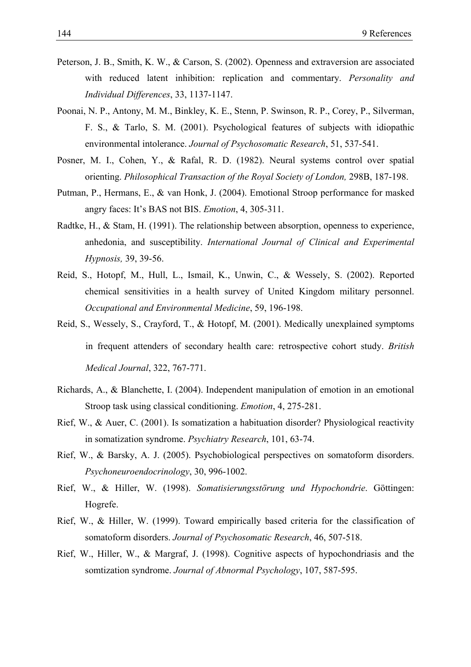- Peterson, J. B., Smith, K. W., & Carson, S. (2002). Openness and extraversion are associated with reduced latent inhibition: replication and commentary. *Personality and Individual Differences*, 33, 1137-1147.
- Poonai, N. P., Antony, M. M., Binkley, K. E., Stenn, P. Swinson, R. P., Corey, P., Silverman, F. S., & Tarlo, S. M. (2001). Psychological features of subjects with idiopathic environmental intolerance. *Journal of Psychosomatic Research*, 51, 537-541.
- Posner, M. I., Cohen, Y., & Rafal, R. D. (1982). Neural systems control over spatial orienting. *Philosophical Transaction of the Royal Society of London,* 298B, 187-198.
- Putman, P., Hermans, E., & van Honk, J. (2004). Emotional Stroop performance for masked angry faces: It's BAS not BIS. *Emotion*, 4, 305-311.
- Radtke, H., & Stam, H. (1991). The relationship between absorption, openness to experience, anhedonia, and susceptibility. *International Journal of Clinical and Experimental Hypnosis,* 39, 39-56.
- Reid, S., Hotopf, M., Hull, L., Ismail, K., Unwin, C., & Wessely, S. (2002). Reported chemical sensitivities in a health survey of United Kingdom military personnel. *Occupational and Environmental Medicine*, 59, 196-198.
- Reid, S., Wessely, S., Crayford, T., & Hotopf, M. (2001). Medically unexplained symptoms in frequent attenders of secondary health care: retrospective cohort study. *British Medical Journal*, 322, 767-771.
- Richards, A., & Blanchette, I. (2004). Independent manipulation of emotion in an emotional Stroop task using classical conditioning. *Emotion*, 4, 275-281.
- Rief, W., & Auer, C. (2001). Is somatization a habituation disorder? Physiological reactivity in somatization syndrome. *Psychiatry Research*, 101, 63-74.
- Rief, W., & Barsky, A. J. (2005). Psychobiological perspectives on somatoform disorders. *Psychoneuroendocrinology*, 30, 996-1002.
- Rief, W., & Hiller, W. (1998). *Somatisierungsstörung und Hypochondrie*. Göttingen: Hogrefe.
- Rief, W., & Hiller, W. (1999). Toward empirically based criteria for the classification of somatoform disorders. *Journal of Psychosomatic Research*, 46, 507-518.
- Rief, W., Hiller, W., & Margraf, J. (1998). Cognitive aspects of hypochondriasis and the somtization syndrome. *Journal of Abnormal Psychology*, 107, 587-595.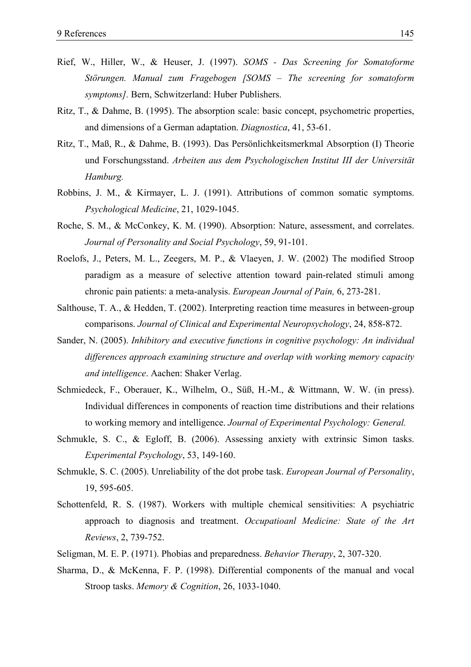- Rief, W., Hiller, W., & Heuser, J. (1997). *SOMS Das Screening for Somatoforme Störungen. Manual zum Fragebogen [SOMS – The screening for somatoform symptoms].* Bern, Schwitzerland: Huber Publishers.
- Ritz, T., & Dahme, B. (1995). The absorption scale: basic concept, psychometric properties, and dimensions of a German adaptation. *Diagnostica*, 41, 53-61.
- Ritz, T., Maß, R., & Dahme, B. (1993). Das Persönlichkeitsmerkmal Absorption (I) Theorie und Forschungsstand. *Arbeiten aus dem Psychologischen Institut III der Universität Hamburg.*
- Robbins, J. M., & Kirmayer, L. J. (1991). Attributions of common somatic symptoms. *Psychological Medicine*, 21, 1029-1045.
- Roche, S. M., & McConkey, K. M. (1990). Absorption: Nature, assessment, and correlates. *Journal of Personality and Social Psychology*, 59, 91-101.
- Roelofs, J., Peters, M. L., Zeegers, M. P., & Vlaeyen, J. W. (2002) The modified Stroop paradigm as a measure of selective attention toward pain-related stimuli among chronic pain patients: a meta-analysis. *European Journal of Pain,* 6, 273-281.
- Salthouse, T. A., & Hedden, T. (2002). Interpreting reaction time measures in between-group comparisons. *Journal of Clinical and Experimental Neuropsychology*, 24, 858-872.
- Sander, N. (2005). *Inhibitory and executive functions in cognitive psychology: An individual differences approach examining structure and overlap with working memory capacity and intelligence*. Aachen: Shaker Verlag.
- Schmiedeck, F., Oberauer, K., Wilhelm, O., Süß, H.-M., & Wittmann, W. W. (in press). Individual differences in components of reaction time distributions and their relations to working memory and intelligence. *Journal of Experimental Psychology: General.*
- Schmukle, S. C., & Egloff, B. (2006). Assessing anxiety with extrinsic Simon tasks. *Experimental Psychology*, 53, 149-160.
- Schmukle, S. C. (2005). Unreliability of the dot probe task. *European Journal of Personality*, 19, 595-605.
- Schottenfeld, R. S. (1987). Workers with multiple chemical sensitivities: A psychiatric approach to diagnosis and treatment. *Occupatioanl Medicine: State of the Art Reviews*, 2, 739-752.
- Seligman, M. E. P. (1971). Phobias and preparedness. *Behavior Therapy*, 2, 307-320.
- Sharma, D., & McKenna, F. P. (1998). Differential components of the manual and vocal Stroop tasks. *Memory & Cognition*, 26, 1033-1040.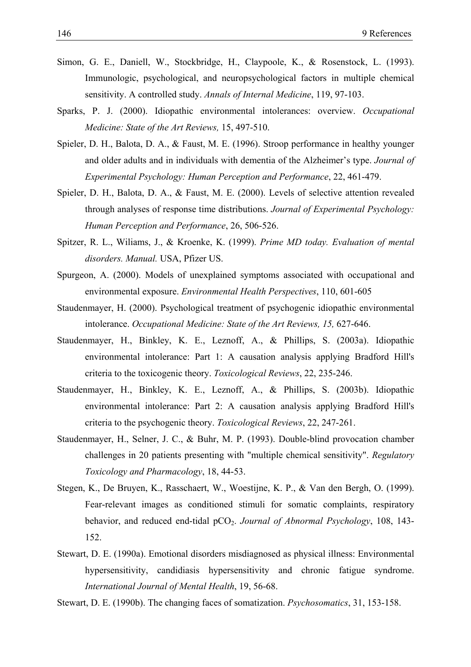- Simon, G. E., Daniell, W., Stockbridge, H., Claypoole, K., & Rosenstock, L. (1993). Immunologic, psychological, and neuropsychological factors in multiple chemical sensitivity. A controlled study. *Annals of Internal Medicine*, 119, 97-103.
- Sparks, P. J. (2000). Idiopathic environmental intolerances: overview. *Occupational Medicine: State of the Art Reviews,* 15, 497-510.
- Spieler, D. H., Balota, D. A., & Faust, M. E. (1996). Stroop performance in healthy younger and older adults and in individuals with dementia of the Alzheimer's type. *Journal of Experimental Psychology: Human Perception and Performance*, 22, 461-479.
- Spieler, D. H., Balota, D. A., & Faust, M. E. (2000). Levels of selective attention revealed through analyses of response time distributions. *Journal of Experimental Psychology: Human Perception and Performance*, 26, 506-526.
- Spitzer, R. L., Wiliams, J., & Kroenke, K. (1999). *Prime MD today. Evaluation of mental disorders. Manual.* USA, Pfizer US.
- Spurgeon, A. (2000). Models of unexplained symptoms associated with occupational and environmental exposure. *Environmental Health Perspectives*, 110, 601-605
- Staudenmayer, H. (2000). Psychological treatment of psychogenic idiopathic environmental intolerance. *Occupational Medicine: State of the Art Reviews, 15,* 627-646.
- Staudenmayer, H., Binkley, K. E., Leznoff, A., & Phillips, S. (2003a). Idiopathic environmental intolerance: Part 1: A causation analysis applying Bradford Hill's criteria to the toxicogenic theory. *Toxicological Reviews*, 22, 235-246.
- Staudenmayer, H., Binkley, K. E., Leznoff, A., & Phillips, S. (2003b). Idiopathic environmental intolerance: Part 2: A causation analysis applying Bradford Hill's criteria to the psychogenic theory. *Toxicological Reviews*, 22, 247-261.
- Staudenmayer, H., Selner, J. C., & Buhr, M. P. (1993). Double-blind provocation chamber challenges in 20 patients presenting with "multiple chemical sensitivity". *Regulatory Toxicology and Pharmacology*, 18, 44-53.
- Stegen, K., De Bruyen, K., Rasschaert, W., Woestijne, K. P., & Van den Bergh, O. (1999). Fear-relevant images as conditioned stimuli for somatic complaints, respiratory behavior, and reduced end-tidal pCO2. *Journal of Abnormal Psychology*, 108, 143- 152.
- Stewart, D. E. (1990a). Emotional disorders misdiagnosed as physical illness: Environmental hypersensitivity, candidiasis hypersensitivity and chronic fatigue syndrome. *International Journal of Mental Health*, 19, 56-68.

Stewart, D. E. (1990b). The changing faces of somatization. *Psychosomatics*, 31, 153-158.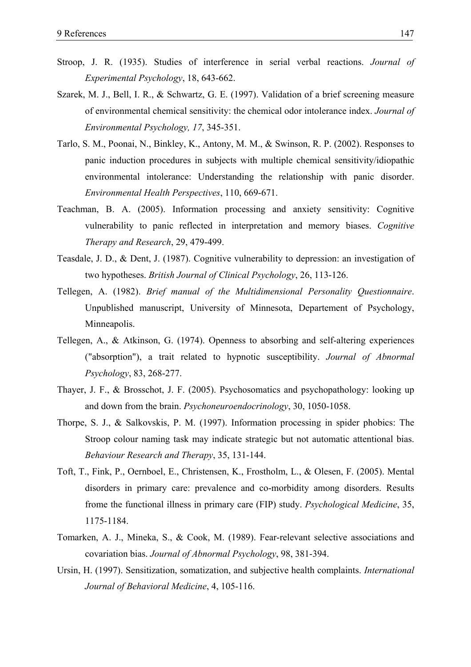- Stroop, J. R. (1935). Studies of interference in serial verbal reactions. *Journal of Experimental Psychology*, 18, 643-662.
- Szarek, M. J., Bell, I. R., & Schwartz, G. E. (1997). Validation of a brief screening measure of environmental chemical sensitivity: the chemical odor intolerance index. *Journal of Environmental Psychology, 17*, 345-351.
- Tarlo, S. M., Poonai, N., Binkley, K., Antony, M. M., & Swinson, R. P. (2002). Responses to panic induction procedures in subjects with multiple chemical sensitivity/idiopathic environmental intolerance: Understanding the relationship with panic disorder. *Environmental Health Perspectives*, 110, 669-671.
- Teachman, B. A. (2005). Information processing and anxiety sensitivity: Cognitive vulnerability to panic reflected in interpretation and memory biases. *Cognitive Therapy and Research*, 29, 479-499.
- Teasdale, J. D., & Dent, J. (1987). Cognitive vulnerability to depression: an investigation of two hypotheses. *British Journal of Clinical Psychology*, 26, 113-126.
- Tellegen, A. (1982). *Brief manual of the Multidimensional Personality Questionnaire*. Unpublished manuscript, University of Minnesota, Departement of Psychology, Minneapolis.
- Tellegen, A., & Atkinson, G. (1974). Openness to absorbing and self-altering experiences ("absorption"), a trait related to hypnotic susceptibility. *Journal of Abnormal Psychology*, 83, 268-277.
- Thayer, J. F., & Brosschot, J. F. (2005). Psychosomatics and psychopathology: looking up and down from the brain. *Psychoneuroendocrinology*, 30, 1050-1058.
- Thorpe, S. J., & Salkovskis, P. M. (1997). Information processing in spider phobics: The Stroop colour naming task may indicate strategic but not automatic attentional bias. *Behaviour Research and Therapy*, 35, 131-144.
- Toft, T., Fink, P., Oernboel, E., Christensen, K., Frostholm, L., & Olesen, F. (2005). Mental disorders in primary care: prevalence and co-morbidity among disorders. Results frome the functional illness in primary care (FIP) study. *Psychological Medicine*, 35, 1175-1184.
- Tomarken, A. J., Mineka, S., & Cook, M. (1989). Fear-relevant selective associations and covariation bias. *Journal of Abnormal Psychology*, 98, 381-394.
- Ursin, H. (1997). Sensitization, somatization, and subjective health complaints. *International Journal of Behavioral Medicine*, 4, 105-116.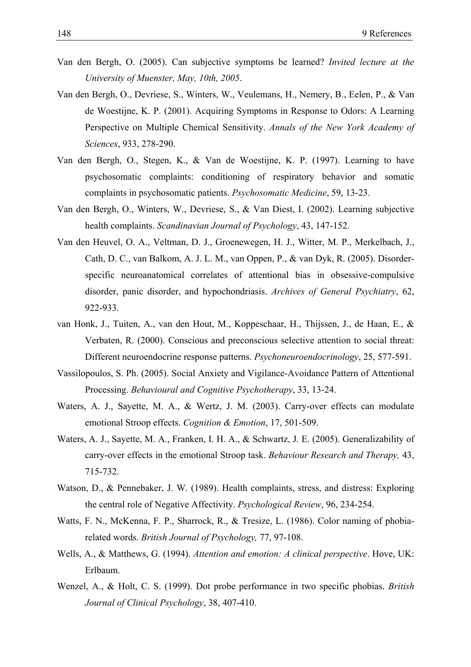- Van den Bergh, O. (2005). Can subjective symptoms be learned? *Invited lecture at the University of Muenster, May, 10th, 2005*.
- Van den Bergh, O., Devriese, S., Winters, W., Veulemans, H., Nemery, B., Eelen, P., & Van de Woestijne, K. P. (2001). Acquiring Symptoms in Response to Odors: A Learning Perspective on Multiple Chemical Sensitivity. *Annals of the New York Academy of Sciences*, 933, 278-290.
- Van den Bergh, O., Stegen, K., & Van de Woestijne, K. P. (1997). Learning to have psychosomatic complaints: conditioning of respiratory behavior and somatic complaints in psychosomatic patients. *Psychosomatic Medicine*, 59, 13-23.
- Van den Bergh, O., Winters, W., Devriese, S., & Van Diest, I. (2002). Learning subjective health complaints. *Scandinavian Journal of Psychology*, 43, 147-152.
- Van den Heuvel, O. A., Veltman, D. J., Groenewegen, H. J., Witter, M. P., Merkelbach, J., Cath, D. C., van Balkom, A. J. L. M., van Oppen, P., & van Dyk, R. (2005). Disorderspecific neuroanatomical correlates of attentional bias in obsessive-compulsive disorder, panic disorder, and hypochondriasis. *Archives of General Psychiatry*, 62, 922-933.
- van Honk, J., Tuiten, A., van den Hout, M., Koppeschaar, H., Thijssen, J., de Haan, E., & Verbaten, R. (2000). Conscious and preconscious selective attention to social threat: Different neuroendocrine response patterns. *Psychoneuroendocrinology*, 25, 577-591.
- Vassilopoulos, S. Ph. (2005). Social Anxiety and Vigilance-Avoidance Pattern of Attentional Processing. *Behavioural and Cognitive Psychotherapy*, 33, 13-24.
- Waters, A. J., Sayette, M. A., & Wertz, J. M. (2003). Carry-over effects can modulate emotional Stroop effects. *Cognition & Emotion*, 17, 501-509.
- Waters, A. J., Sayette, M. A., Franken, I. H. A., & Schwartz, J. E. (2005). Generalizability of carry-over effects in the emotional Stroop task. *Behaviour Research and Therapy,* 43, 715-732.
- Watson, D., & Pennebaker, J. W. (1989). Health complaints, stress, and distress: Exploring the central role of Negative Affectivity. *Psychological Review*, 96, 234-254.
- Watts, F. N., McKenna, F. P., Sharrock, R., & Tresize, L. (1986). Color naming of phobiarelated words. *British Journal of Psychology,* 77, 97-108.
- Wells, A., & Matthews, G. (1994). *Attention and emotion: A clinical perspective*. Hove, UK: Erlbaum.
- Wenzel, A., & Holt, C. S. (1999). Dot probe performance in two specific phobias. *British Journal of Clinical Psychology*, 38, 407-410.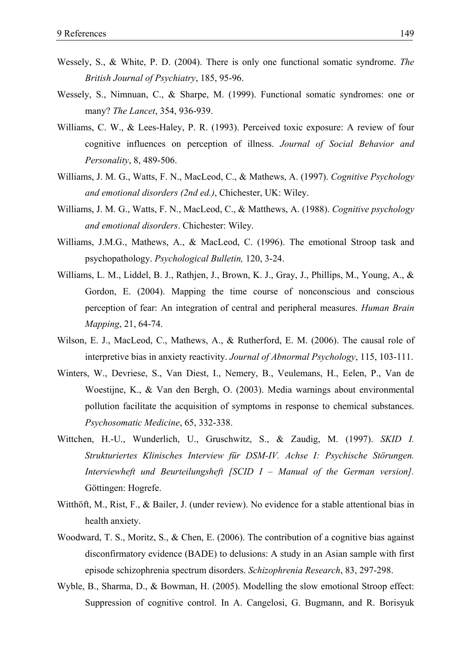- Wessely, S., & White, P. D. (2004). There is only one functional somatic syndrome. *The British Journal of Psychiatry*, 185, 95-96.
- Wessely, S., Nimnuan, C., & Sharpe, M. (1999). Functional somatic syndromes: one or many? *The Lancet*, 354, 936-939.
- Williams, C. W., & Lees-Haley, P. R. (1993). Perceived toxic exposure: A review of four cognitive influences on perception of illness. *Journal of Social Behavior and Personality*, 8, 489-506.
- Williams, J. M. G., Watts, F. N., MacLeod, C., & Mathews, A. (1997). *Cognitive Psychology and emotional disorders (2nd ed.)*, Chichester, UK: Wiley.
- Williams, J. M. G., Watts, F. N., MacLeod, C., & Matthews, A. (1988). *Cognitive psychology and emotional disorders*. Chichester: Wiley.
- Williams, J.M.G., Mathews, A., & MacLeod, C. (1996). The emotional Stroop task and psychopathology. *Psychological Bulletin,* 120, 3-24.
- Williams, L. M., Liddel, B. J., Rathjen, J., Brown, K. J., Gray, J., Phillips, M., Young, A., & Gordon, E. (2004). Mapping the time course of nonconscious and conscious perception of fear: An integration of central and peripheral measures. *Human Brain Mapping*, 21, 64-74.
- Wilson, E. J., MacLeod, C., Mathews, A., & Rutherford, E. M. (2006). The causal role of interpretive bias in anxiety reactivity. *Journal of Abnormal Psychology*, 115, 103-111.
- Winters, W., Devriese, S., Van Diest, I., Nemery, B., Veulemans, H., Eelen, P., Van de Woestijne, K., & Van den Bergh, O. (2003). Media warnings about environmental pollution facilitate the acquisition of symptoms in response to chemical substances. *Psychosomatic Medicine*, 65, 332-338.
- Wittchen, H.-U., Wunderlich, U., Gruschwitz, S., & Zaudig, M. (1997). *SKID I. Strukturiertes Klinisches Interview für DSM-IV. Achse I: Psychische Störungen. Interviewheft und Beurteilungsheft [SCID I – Manual of the German version].* Göttingen: Hogrefe.
- Witthöft, M., Rist, F., & Bailer, J. (under review). No evidence for a stable attentional bias in health anxiety.
- Woodward, T. S., Moritz, S., & Chen, E. (2006). The contribution of a cognitive bias against disconfirmatory evidence (BADE) to delusions: A study in an Asian sample with first episode schizophrenia spectrum disorders. *Schizophrenia Research*, 83, 297-298.
- Wyble, B., Sharma, D., & Bowman, H. (2005). Modelling the slow emotional Stroop effect: Suppression of cognitive control. In A. Cangelosi, G. Bugmann, and R. Borisyuk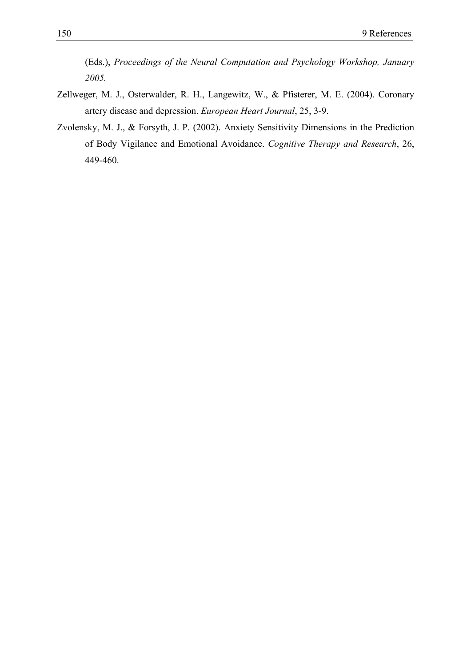(Eds.), *Proceedings of the Neural Computation and Psychology Workshop, January 2005.*

- Zellweger, M. J., Osterwalder, R. H., Langewitz, W., & Pfisterer, M. E. (2004). Coronary artery disease and depression. *European Heart Journal*, 25, 3-9.
- Zvolensky, M. J., & Forsyth, J. P. (2002). Anxiety Sensitivity Dimensions in the Prediction of Body Vigilance and Emotional Avoidance. *Cognitive Therapy and Research*, 26, 449-460.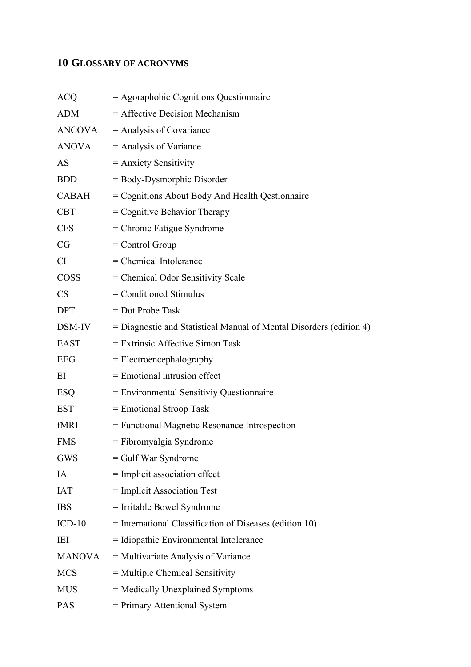## **10 GLOSSARY OF ACRONYMS**

| <b>ACQ</b>    | $=$ Agoraphobic Cognitions Questionnaire                            |
|---------------|---------------------------------------------------------------------|
| <b>ADM</b>    | $=$ Affective Decision Mechanism                                    |
| ANCOVA        | $=$ Analysis of Covariance                                          |
| <b>ANOVA</b>  | $=$ Analysis of Variance                                            |
| AS            | $=$ Anxiety Sensitivity                                             |
| <b>BDD</b>    | $=$ Body-Dysmorphic Disorder                                        |
| <b>CABAH</b>  | = Cognitions About Body And Health Qestionnaire                     |
| <b>CBT</b>    | $=$ Cognitive Behavior Therapy                                      |
| <b>CFS</b>    | $=$ Chronic Fatigue Syndrome                                        |
| CG            | $=$ Control Group                                                   |
| <b>CI</b>     | $=$ Chemical Intolerance                                            |
| <b>COSS</b>   | = Chemical Odor Sensitivity Scale                                   |
| <b>CS</b>     | $=$ Conditioned Stimulus                                            |
| <b>DPT</b>    | $=$ Dot Probe Task                                                  |
| DSM-IV        | = Diagnostic and Statistical Manual of Mental Disorders (edition 4) |
| <b>EAST</b>   | $=$ Extrinsic Affective Simon Task                                  |
| <b>EEG</b>    | $=$ Electroencephalography                                          |
| EI            | $=$ Emotional intrusion effect                                      |
| <b>ESQ</b>    | $=$ Environmental Sensitiviy Questionnaire                          |
| <b>EST</b>    | $=$ Emotional Stroop Task                                           |
| fMRI          | = Functional Magnetic Resonance Introspection                       |
| <b>FMS</b>    | = Fibromyalgia Syndrome                                             |
| <b>GWS</b>    | $=$ Gulf War Syndrome                                               |
| IA            | = Implicit association effect                                       |
| <b>IAT</b>    | $=$ Implicit Association Test                                       |
| <b>IBS</b>    | = Irritable Bowel Syndrome                                          |
| $ICD-10$      | = International Classification of Diseases (edition 10)             |
| IEI           | = Idiopathic Environmental Intolerance                              |
| <b>MANOVA</b> | = Multivariate Analysis of Variance                                 |
| <b>MCS</b>    | $=$ Multiple Chemical Sensitivity                                   |
| <b>MUS</b>    | = Medically Unexplained Symptoms                                    |
| <b>PAS</b>    | = Primary Attentional System                                        |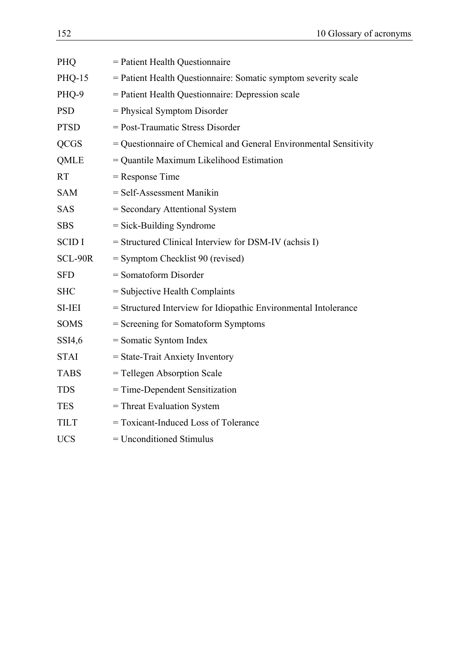| PHO           | = Patient Health Questionnaire                                    |
|---------------|-------------------------------------------------------------------|
| <b>PHQ-15</b> | = Patient Health Questionnaire: Somatic symptom severity scale    |
| PHQ-9         | = Patient Health Questionnaire: Depression scale                  |
| <b>PSD</b>    | $=$ Physical Symptom Disorder                                     |
| <b>PTSD</b>   | = Post-Traumatic Stress Disorder                                  |
| <b>QCGS</b>   | = Questionnaire of Chemical and General Environmental Sensitivity |
| <b>QMLE</b>   | = Quantile Maximum Likelihood Estimation                          |
| <b>RT</b>     | $=$ Response Time                                                 |
| <b>SAM</b>    | $=$ Self-Assessment Manikin                                       |
| <b>SAS</b>    | = Secondary Attentional System                                    |
| <b>SBS</b>    | $=$ Sick-Building Syndrome                                        |
| <b>SCID I</b> | = Structured Clinical Interview for DSM-IV (achsis I)             |
| SCL-90R       | $=$ Symptom Checklist 90 (revised)                                |
| <b>SFD</b>    | $=$ Somatoform Disorder                                           |
| <b>SHC</b>    | $=$ Subjective Health Complaints                                  |
| <b>SI-IEI</b> | = Structured Interview for Idiopathic Environmental Intolerance   |
| <b>SOMS</b>   | = Screening for Somatoform Symptoms                               |
| SSI4,6        | $=$ Somatic Syntom Index                                          |
| <b>STAI</b>   | $=$ State-Trait Anxiety Inventory                                 |
| <b>TABS</b>   | = Tellegen Absorption Scale                                       |
| <b>TDS</b>    | $=$ Time-Dependent Sensitization                                  |
| <b>TES</b>    | = Threat Evaluation System                                        |
| <b>TILT</b>   | = Toxicant-Induced Loss of Tolerance                              |
| <b>UCS</b>    | = Unconditioned Stimulus                                          |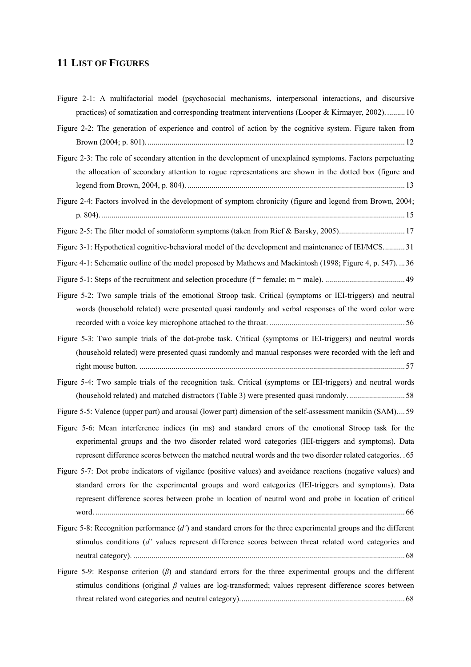## **11 LIST OF FIGURES**

| Figure 2-1: A multifactorial model (psychosocial mechanisms, interpersonal interactions, and discursive<br>practices) of somatization and corresponding treatment interventions (Looper & Kirmayer, 2002).  10                                                                                                                |
|-------------------------------------------------------------------------------------------------------------------------------------------------------------------------------------------------------------------------------------------------------------------------------------------------------------------------------|
| Figure 2-2: The generation of experience and control of action by the cognitive system. Figure taken from                                                                                                                                                                                                                     |
| Figure 2-3: The role of secondary attention in the development of unexplained symptoms. Factors perpetuating<br>the allocation of secondary attention to rogue representations are shown in the dotted box (figure and                                                                                                        |
| Figure 2-4: Factors involved in the development of symptom chronicity (figure and legend from Brown, 2004;                                                                                                                                                                                                                    |
|                                                                                                                                                                                                                                                                                                                               |
| Figure 3-1: Hypothetical cognitive-behavioral model of the development and maintenance of IEI/MCS31                                                                                                                                                                                                                           |
| Figure 4-1: Schematic outline of the model proposed by Mathews and Mackintosh (1998; Figure 4, p. 547)36                                                                                                                                                                                                                      |
|                                                                                                                                                                                                                                                                                                                               |
| Figure 5-2: Two sample trials of the emotional Stroop task. Critical (symptoms or IEI-triggers) and neutral<br>words (household related) were presented quasi randomly and verbal responses of the word color were                                                                                                            |
| Figure 5-3: Two sample trials of the dot-probe task. Critical (symptoms or IEI-triggers) and neutral words<br>(household related) were presented quasi randomly and manual responses were recorded with the left and                                                                                                          |
| Figure 5-4: Two sample trials of the recognition task. Critical (symptoms or IEI-triggers) and neutral words                                                                                                                                                                                                                  |
| Figure 5-5: Valence (upper part) and arousal (lower part) dimension of the self-assessment manikin (SAM)59                                                                                                                                                                                                                    |
| Figure 5-6: Mean interference indices (in ms) and standard errors of the emotional Stroop task for the<br>experimental groups and the two disorder related word categories (IEI-triggers and symptoms). Data<br>represent difference scores between the matched neutral words and the two disorder related categories. . 65   |
| Figure 5-7: Dot probe indicators of vigilance (positive values) and avoidance reactions (negative values) and<br>standard errors for the experimental groups and word categories (IEI-triggers and symptoms). Data<br>represent difference scores between probe in location of neutral word and probe in location of critical |
| Figure 5-8: Recognition performance $(d')$ and standard errors for the three experimental groups and the different<br>stimulus conditions (d' values represent difference scores between threat related word categories and                                                                                                   |
| Figure 5-9: Response criterion $(\beta)$ and standard errors for the three experimental groups and the different<br>stimulus conditions (original $\beta$ values are log-transformed; values represent difference scores between                                                                                              |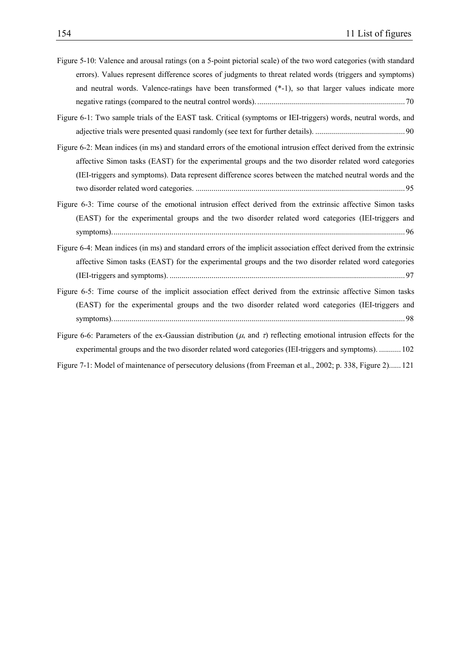| Figure 5-10: Valence and arousal ratings (on a 5-point pictorial scale) of the two word categories (with standard     |
|-----------------------------------------------------------------------------------------------------------------------|
| errors). Values represent difference scores of judgments to threat related words (triggers and symptoms)              |
| and neutral words. Valence-ratings have been transformed $(*-1)$ , so that larger values indicate more                |
|                                                                                                                       |
| Figure 6-1: Two sample trials of the EAST task. Critical (symptoms or IEI-triggers) words, neutral words, and         |
|                                                                                                                       |
| Figure 6-2: Mean indices (in ms) and standard errors of the emotional intrusion effect derived from the extrinsic     |
| affective Simon tasks (EAST) for the experimental groups and the two disorder related word categories                 |
| (IEI-triggers and symptoms). Data represent difference scores between the matched neutral words and the               |
|                                                                                                                       |
| Figure 6-3: Time course of the emotional intrusion effect derived from the extrinsic affective Simon tasks            |
| (EAST) for the experimental groups and the two disorder related word categories (IEI-triggers and                     |
|                                                                                                                       |
| Figure 6-4: Mean indices (in ms) and standard errors of the implicit association effect derived from the extrinsic    |
| affective Simon tasks (EAST) for the experimental groups and the two disorder related word categories                 |
|                                                                                                                       |
| Figure 6-5: Time course of the implicit association effect derived from the extrinsic affective Simon tasks           |
| (EAST) for the experimental groups and the two disorder related word categories (IEI-triggers and                     |
|                                                                                                                       |
| Figure 6-6: Parameters of the ex-Gaussian distribution (u and $\tau$ ) reflecting emotional intrusion effects for the |

Figure 6-6: Parameters of the ex-Gaussian distribution  $(\mu, \text{ and } \tau)$  reflecting emotional intrusion effects for the [experimental groups and the two disorder related word categories \(IEI-triggers and symptoms\). ...........102](#page-107-0) 

[Figure 7-1: Model of maintenance of persecutory delusions \(from Freeman et al., 2002; p. 338, Figure 2\)......121](#page-126-0)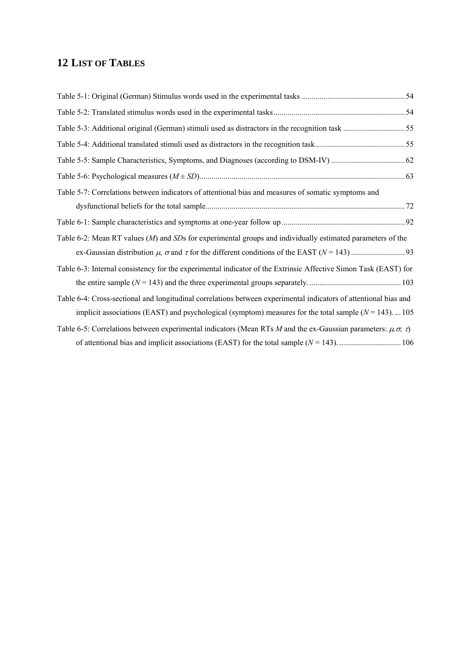# **12 LIST OF TABLES**

| Table 5-3: Additional original (German) stimuli used as distractors in the recognition task 55                                  |  |
|---------------------------------------------------------------------------------------------------------------------------------|--|
|                                                                                                                                 |  |
|                                                                                                                                 |  |
|                                                                                                                                 |  |
| Table 5-7: Correlations between indicators of attentional bias and measures of somatic symptoms and                             |  |
|                                                                                                                                 |  |
|                                                                                                                                 |  |
| Table 6-2: Mean RT values $(M)$ and SDs for experimental groups and individually estimated parameters of the                    |  |
|                                                                                                                                 |  |
| Table 6-3: Internal consistency for the experimental indicator of the Extrinsic Affective Simon Task (EAST) for                 |  |
|                                                                                                                                 |  |
| Table 6-4: Cross-sectional and longitudinal correlations between experimental indicators of attentional bias and                |  |
| implicit associations (EAST) and psychological (symptom) measures for the total sample $(N = 143)$ .  105                       |  |
| Table 6-5: Correlations between experimental indicators (Mean RTs M and the ex-Gaussian parameters: $\mu$ , $\sigma$ , $\tau$ ) |  |
|                                                                                                                                 |  |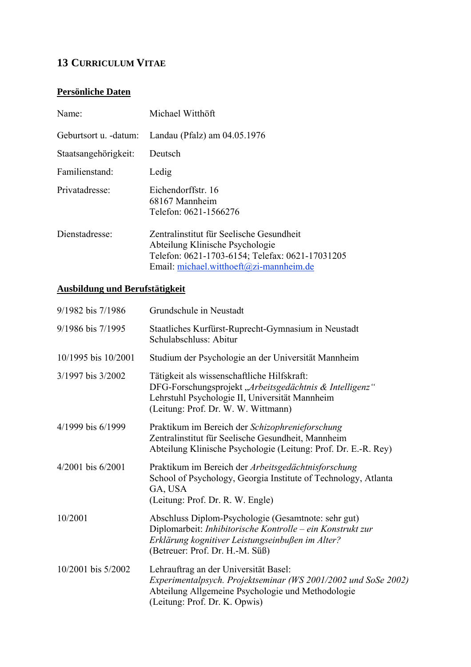## **13 CURRICULUM VITAE**

### **Persönliche Daten**

| Name:                 | Michael Witthöft                                                                                                                                                          |
|-----------------------|---------------------------------------------------------------------------------------------------------------------------------------------------------------------------|
| Geburtsort u. -datum: | Landau (Pfalz) am 04.05.1976                                                                                                                                              |
| Staatsangehörigkeit:  | Deutsch                                                                                                                                                                   |
| Familienstand:        | Ledig                                                                                                                                                                     |
| Privatadresse:        | Eichendorffstr. 16<br>68167 Mannheim<br>Telefon: 0621-1566276                                                                                                             |
| Dienstadresse:        | Zentralinstitut für Seelische Gesundheit<br>Abteilung Klinische Psychologie<br>Telefon: 0621-1703-6154; Telefax: 0621-17031205<br>Email: michael.witthoeft@zi-mannheim.de |

### **Ausbildung und Berufstätigkeit**

| 9/1982 bis 7/1986     | Grundschule in Neustadt                                                                                                                                                                                  |
|-----------------------|----------------------------------------------------------------------------------------------------------------------------------------------------------------------------------------------------------|
| 9/1986 bis 7/1995     | Staatliches Kurfürst-Ruprecht-Gymnasium in Neustadt<br>Schulabschluss: Abitur                                                                                                                            |
| 10/1995 bis 10/2001   | Studium der Psychologie an der Universität Mannheim                                                                                                                                                      |
| 3/1997 bis 3/2002     | Tätigkeit als wissenschaftliche Hilfskraft:<br>DFG-Forschungsprojekt "Arbeitsgedächtnis & Intelligenz"<br>Lehrstuhl Psychologie II, Universität Mannheim<br>(Leitung: Prof. Dr. W. W. Wittmann)          |
| 4/1999 bis 6/1999     | Praktikum im Bereich der Schizophrenieforschung<br>Zentralinstitut für Seelische Gesundheit, Mannheim<br>Abteilung Klinische Psychologie (Leitung: Prof. Dr. E.-R. Rey)                                  |
| $4/2001$ bis $6/2001$ | Praktikum im Bereich der Arbeitsgedächtnisforschung<br>School of Psychology, Georgia Institute of Technology, Atlanta<br>GA, USA<br>(Leitung: Prof. Dr. R. W. Engle)                                     |
| 10/2001               | Abschluss Diplom-Psychologie (Gesamtnote: sehr gut)<br>Diplomarbeit: Inhibitorische Kontrolle – ein Konstrukt zur<br>Erklärung kognitiver Leistungseinbußen im Alter?<br>(Betreuer: Prof. Dr. H.-M. Süß) |
| 10/2001 bis 5/2002    | Lehrauftrag an der Universität Basel:<br>Experimentalpsych. Projektseminar (WS 2001/2002 und SoSe 2002)<br>Abteilung Allgemeine Psychologie und Methodologie<br>(Leitung: Prof. Dr. K. Opwis)            |
|                       |                                                                                                                                                                                                          |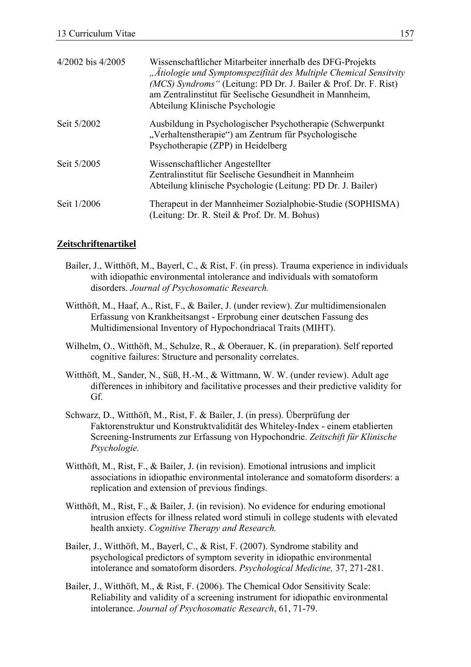| $4/2002$ bis $4/2005$ | Wissenschaftlicher Mitarbeiter innerhalb des DFG-Projekts<br>"Ätiologie und Symptomspezifität des Multiple Chemical Sensitvity<br>(MCS) Syndroms " (Leitung: PD Dr. J. Bailer & Prof. Dr. F. Rist)<br>am Zentralinstitut für Seelische Gesundheit in Mannheim,<br>Abteilung Klinische Psychologie |
|-----------------------|---------------------------------------------------------------------------------------------------------------------------------------------------------------------------------------------------------------------------------------------------------------------------------------------------|
| Seit 5/2002           | Ausbildung in Psychologischer Psychotherapie (Schwerpunkt)<br>"Verhaltenstherapie") am Zentrum für Psychologische<br>Psychotherapie (ZPP) in Heidelberg                                                                                                                                           |
| Seit 5/2005           | Wissenschaftlicher Angestellter<br>Zentralinstitut für Seelische Gesundheit in Mannheim<br>Abteilung klinische Psychologie (Leitung: PD Dr. J. Bailer)                                                                                                                                            |
| Seit 1/2006           | Therapeut in der Mannheimer Sozialphobie-Studie (SOPHISMA)<br>(Leitung: Dr. R. Steil & Prof. Dr. M. Bohus)                                                                                                                                                                                        |

### **Zeitschriftenartikel**

- Bailer, J., Witthöft, M., Bayerl, C., & Rist, F. (in press). Trauma experience in individuals with idiopathic environmental intolerance and individuals with somatoform disorders. *Journal of Psychosomatic Research.*
- Witthöft, M., Haaf, A., Rist, F., & Bailer, J. (under review). Zur multidimensionalen Erfassung von Krankheitsangst - Erprobung einer deutschen Fassung des Multidimensional Inventory of Hypochondriacal Traits (MIHT).
- Wilhelm, O., Witthöft, M., Schulze, R., & Oberauer, K. (in preparation). Self reported cognitive failures: Structure and personality correlates.
- Witthöft, M., Sander, N., Süß, H.-M., & Wittmann, W. W. (under review). Adult age differences in inhibitory and facilitative processes and their predictive validity for Gf.
- Schwarz, D., Witthöft, M., Rist, F. & Bailer, J. (in press). Überprüfung der Faktorenstruktur und Konstruktvalidität des Whiteley-Index - einem etablierten Screening-Instruments zur Erfassung von Hypochondrie. *Zeitschift für Klinische Psychologie.*
- Witthöft, M., Rist, F., & Bailer, J. (in revision). Emotional intrusions and implicit associations in idiopathic environmental intolerance and somatoform disorders: a replication and extension of previous findings.
- Witthöft, M., Rist, F., & Bailer, J. (in revision). No evidence for enduring emotional intrusion effects for illness related word stimuli in college students with elevated health anxiety. *Cognitive Therapy and Research.*
- Bailer, J., Witthöft, M., Bayerl, C., & Rist, F. (2007). Syndrome stability and psychological predictors of symptom severity in idiopathic environmental intolerance and somatoform disorders. *Psychological Medicine,* 37, 271-281.
- Bailer, J., Witthöft, M., & Rist, F. (2006). The Chemical Odor Sensitivity Scale: Reliability and validity of a screening instrument for idiopathic environmental intolerance. *Journal of Psychosomatic Research*, 61, 71-79.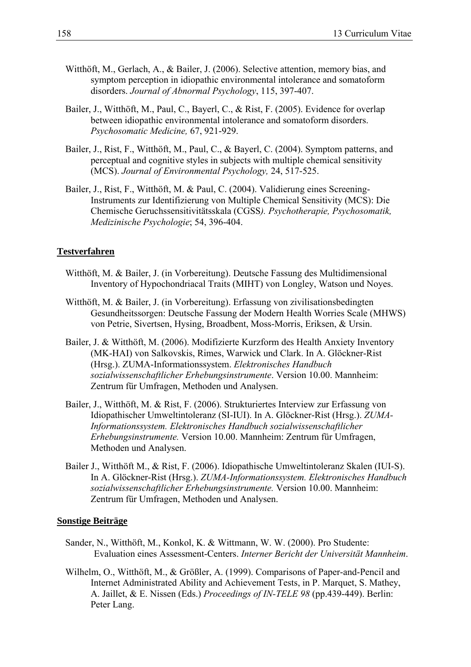- Witthöft, M., Gerlach, A., & Bailer, J. (2006). Selective attention, memory bias, and symptom perception in idiopathic environmental intolerance and somatoform disorders. *Journal of Abnormal Psychology*, 115, 397-407.
- Bailer, J., Witthöft, M., Paul, C., Bayerl, C., & Rist, F. (2005). Evidence for overlap between idiopathic environmental intolerance and somatoform disorders. *Psychosomatic Medicine,* 67, 921-929.
- Bailer, J., Rist, F., Witthöft, M., Paul, C., & Bayerl, C. (2004). Symptom patterns, and perceptual and cognitive styles in subjects with multiple chemical sensitivity (MCS). *Journal of Environmental Psychology,* 24, 517-525.
- Bailer, J., Rist, F., Witthöft, M. & Paul, C. (2004). Validierung eines Screening-Instruments zur Identifizierung von Multiple Chemical Sensitivity (MCS): Die Chemische Geruchssensitivitätsskala (CGSS*). Psychotherapie, Psychosomatik, Medizinische Psychologie*; 54, 396-404.

#### **Testverfahren**

- Witthöft, M. & Bailer, J. (in Vorbereitung). Deutsche Fassung des Multidimensional Inventory of Hypochondriacal Traits (MIHT) von Longley, Watson und Noyes.
- Witthöft, M. & Bailer, J. (in Vorbereitung). Erfassung von zivilisationsbedingten Gesundheitssorgen: Deutsche Fassung der Modern Health Worries Scale (MHWS) von Petrie, Sivertsen, Hysing, Broadbent, Moss-Morris, Eriksen, & Ursin.
- Bailer, J. & Witthöft, M. (2006). Modifizierte Kurzform des Health Anxiety Inventory (MK-HAI) von Salkovskis, Rimes, Warwick und Clark. In A. Glöckner-Rist (Hrsg.). ZUMA-Informationssystem. *Elektronisches Handbuch sozialwissenschaftlicher Erhebungsinstrumente*. Version 10.00. Mannheim: Zentrum für Umfragen, Methoden und Analysen.
- Bailer, J., Witthöft, M. & Rist, F. (2006). Strukturiertes Interview zur Erfassung von Idiopathischer Umweltintoleranz (SI-IUI). In A. Glöckner-Rist (Hrsg.). *ZUMA-Informationssystem. Elektronisches Handbuch sozialwissenschaftlicher Erhebungsinstrumente.* Version 10.00. Mannheim: Zentrum für Umfragen, Methoden und Analysen.
- Bailer J., Witthöft M., & Rist, F. (2006). Idiopathische Umweltintoleranz Skalen (IUI-S). In A. Glöckner-Rist (Hrsg.). *ZUMA-Informationssystem. Elektronisches Handbuch sozialwissenschaftlicher Erhebungsinstrumente.* Version 10.00. Mannheim: Zentrum für Umfragen, Methoden und Analysen.

#### **Sonstige Beiträge**

- Sander, N., Witthöft, M., Konkol, K. & Wittmann, W. W. (2000). Pro Studente: Evaluation eines Assessment-Centers. *Interner Bericht der Universität Mannheim*.
- Wilhelm, O., Witthöft, M., & Größler, A. (1999). Comparisons of Paper-and-Pencil and Internet Administrated Ability and Achievement Tests, in P. Marquet, S. Mathey, A. Jaillet, & E. Nissen (Eds.) *Proceedings of IN-TELE 98* (pp.439-449). Berlin: Peter Lang.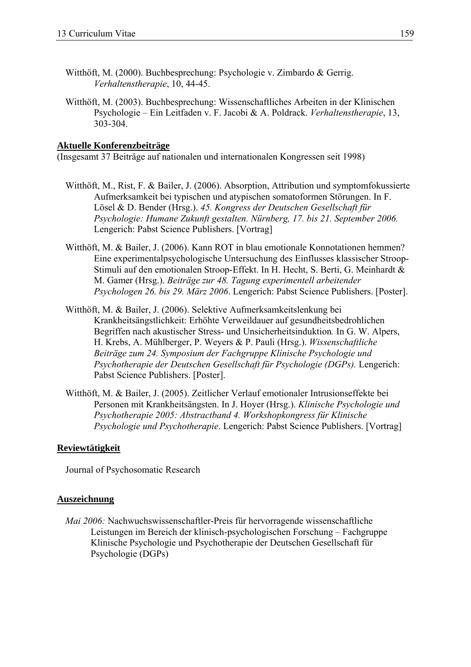- Witthöft, M. (2000). Buchbesprechung: Psychologie v. Zimbardo & Gerrig. *Verhaltenstherapie*, 10, 44-45.
- Witthöft, M. (2003). Buchbesprechung: Wissenschaftliches Arbeiten in der Klinischen Psychologie – Ein Leitfaden v. F. Jacobi & A. Poldrack. *Verhaltenstherapie*, 13, 303-304.

#### **Aktuelle Konferenzbeiträge**

(Insgesamt 37 Beiträge auf nationalen und internationalen Kongressen seit 1998)

- Witthöft, M., Rist, F. & Bailer, J. (2006). Absorption, Attribution und symptomfokussierte Aufmerksamkeit bei typischen und atypischen somatoformen Störungen. In F. Lösel & D. Bender (Hrsg.). *45. Kongress der Deutschen Gesellschaft für Psychologie: Humane Zukunft gestalten. Nürnberg, 17. bis 21. September 2006.* Lengerich: Pabst Science Publishers. [Vortrag]
- Witthöft, M. & Bailer, J. (2006). Kann ROT in blau emotionale Konnotationen hemmen? Eine experimentalpsychologische Untersuchung des Einflusses klassischer Stroop-Stimuli auf den emotionalen Stroop-Effekt. In H. Hecht, S. Berti, G. Meinhardt & M. Gamer (Hrsg.). *Beiträge zur 48. Tagung experimentell arbeitender Psychologen 26. bis 29. März 2006*. Lengerich: Pabst Science Publishers. [Poster].
- Witthöft, M. & Bailer, J. (2006). Selektive Aufmerksamkeitslenkung bei Krankheitsängstlichkeit: Erhöhte Verweildauer auf gesundheitsbedrohlichen Begriffen nach akustischer Stress- und Unsicherheitsinduktion*.* In G. W. Alpers, H. Krebs, A. Mühlberger, P. Weyers & P. Pauli (Hrsg.). *Wissenschaftliche Beiträge zum 24. Symposium der Fachgruppe Klinische Psychologie und Psychotherapie der Deutschen Gesellschaft für Psychologie (DGPs).* Lengerich: Pabst Science Publishers. [Poster].
- Witthöft, M. & Bailer, J. (2005). Zeitlicher Verlauf emotionaler Intrusionseffekte bei Personen mit Krankheitsängsten. In J. Hoyer (Hrsg.). *Klinische Psychologie und Psychotherapie 2005: Abstractband 4. Workshopkongress für Klinische Psychologie und Psychotherapie*. Lengerich: Pabst Science Publishers. [Vortrag]

#### **Reviewtätigkeit**

Journal of Psychosomatic Research

#### **Auszeichnung**

*Mai 2006:* Nachwuchswissenschaftler-Preis für hervorragende wissenschaftliche Leistungen im Bereich der klinisch-psychologischen Forschung – Fachgruppe Klinische Psychologie und Psychotherapie der Deutschen Gesellschaft für Psychologie (DGPs)